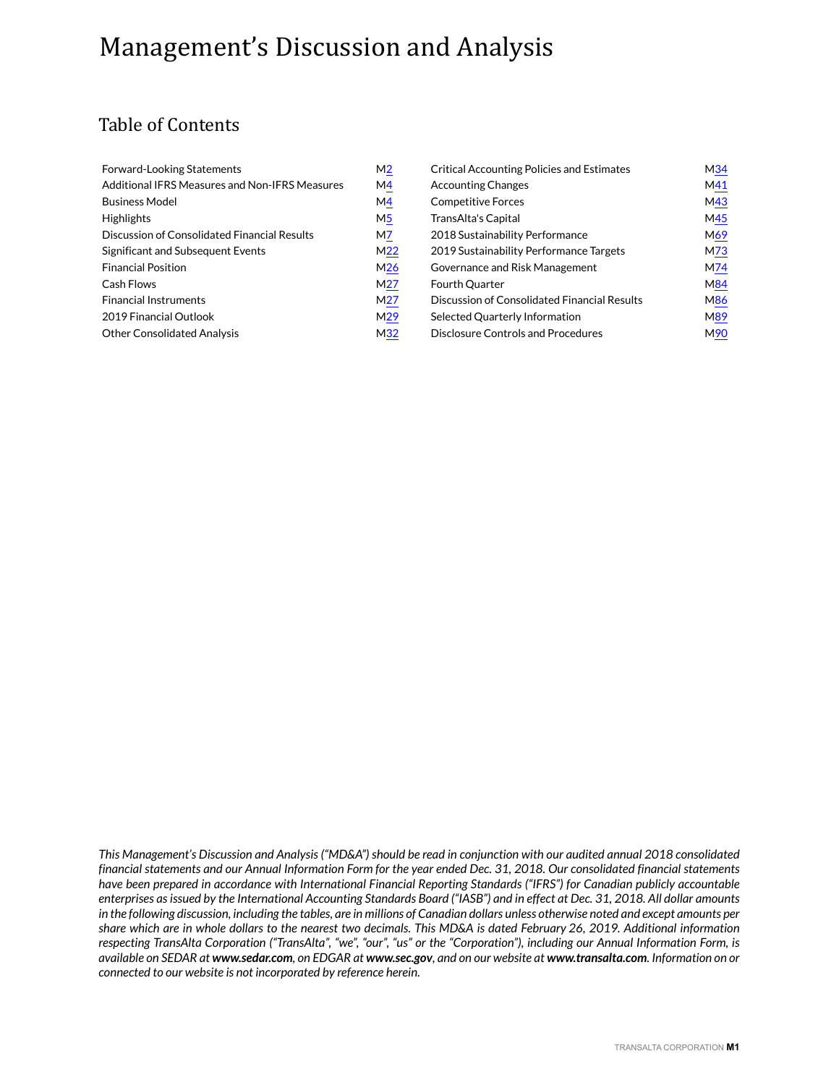# Management's Discussion and Analysis

## Table of Contents

| Forward-Looking Statements                     | M <sub>2</sub>  | <b>Critical Accounting Policies and Estimates</b> | M34 |
|------------------------------------------------|-----------------|---------------------------------------------------|-----|
| Additional IFRS Measures and Non-IFRS Measures | M4              | <b>Accounting Changes</b>                         | M41 |
| <b>Business Model</b>                          | M4              | <b>Competitive Forces</b>                         | M43 |
| <b>Highlights</b>                              | M5              | TransAlta's Capital                               | M45 |
| Discussion of Consolidated Financial Results   | M7              | 2018 Sustainability Performance                   | M69 |
| Significant and Subsequent Events              | M <sub>22</sub> | 2019 Sustainability Performance Targets           | M73 |
| <b>Financial Position</b>                      | M <sub>26</sub> | Governance and Risk Management                    | M74 |
| Cash Flows                                     | M <sub>27</sub> | Fourth Quarter                                    | M84 |
| <b>Financial Instruments</b>                   | M <sub>27</sub> | Discussion of Consolidated Financial Results      | M86 |
| 2019 Financial Outlook                         | M <sub>29</sub> | Selected Quarterly Information                    | M89 |
| <b>Other Consolidated Analysis</b>             | M <sub>32</sub> | Disclosure Controls and Procedures                | M90 |

*This Management's Discussion and Analysis ("MD&A") should be read in conjunction with our audited annual 2018 consolidated financial statements and our Annual Information Form for the year ended Dec. 31, 2018. Our consolidated financial statements have been prepared in accordance with International Financial Reporting Standards ("IFRS") for Canadian publicly accountable enterprises as issued by the International Accounting Standards Board ("IASB") and in effect at Dec. 31, 2018. All dollar amounts in the following discussion, including the tables, are in millions of Canadian dollars unless otherwise noted and except amounts per share which are in whole dollars to the nearest two decimals. This MD&A is dated February 26, 2019. Additional information respecting TransAlta Corporation ("TransAlta", "we", "our", "us" or the "Corporation"), including our Annual Information Form, is available on SEDAR at www.sedar.com, on EDGAR at www.sec.gov, and on our website at www.transalta.com. Information on or connected to our website is not incorporated by reference herein.*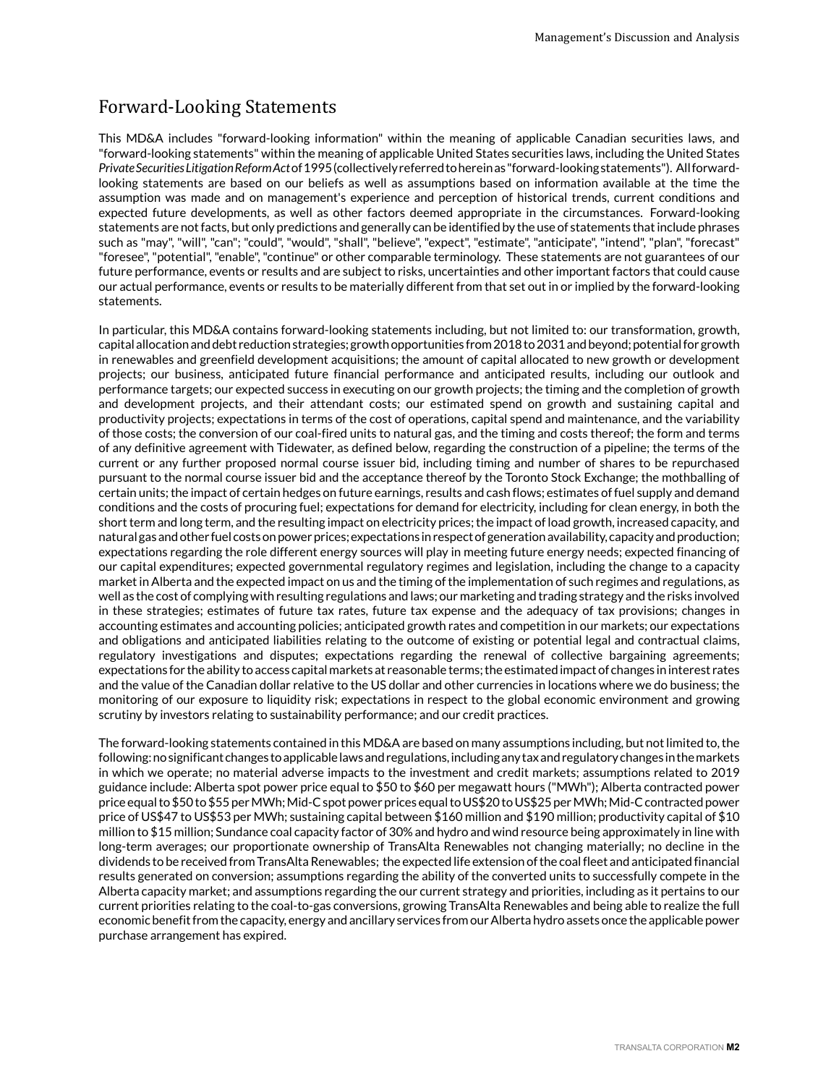## <span id="page-1-0"></span>Forward-Looking Statements

This MD&A includes "forward-looking information" within the meaning of applicable Canadian securities laws, and "forward-looking statements" within the meaning of applicable United States securities laws, including the United States *Private Securities Litigation Reform Act* of 1995 (collectively referred to herein as "forward-looking statements"). All forwardlooking statements are based on our beliefs as well as assumptions based on information available at the time the assumption was made and on management's experience and perception of historical trends, current conditions and expected future developments, as well as other factors deemed appropriate in the circumstances. Forward-looking statements are not facts, but only predictions and generally can be identified by the use of statements that include phrases such as "may", "will", "can"; "could", "would", "shall", "believe", "expect", "estimate", "anticipate", "intend", "plan", "forecast" "foresee", "potential", "enable", "continue" or other comparable terminology. These statements are not guarantees of our future performance, events or results and are subject to risks, uncertainties and other important factors that could cause our actual performance, events or results to be materially different from that set out in or implied by the forward-looking statements.

In particular, this MD&A contains forward-looking statements including, but not limited to: our transformation, growth, capital allocation and debt reduction strategies; growth opportunities from 2018 to 2031 and beyond; potential for growth in renewables and greenfield development acquisitions; the amount of capital allocated to new growth or development projects; our business, anticipated future financial performance and anticipated results, including our outlook and performance targets; our expected success in executing on our growth projects; the timing and the completion of growth and development projects, and their attendant costs; our estimated spend on growth and sustaining capital and productivity projects; expectations in terms of the cost of operations, capital spend and maintenance, and the variability of those costs; the conversion of our coal-fired units to natural gas, and the timing and costs thereof; the form and terms of any definitive agreement with Tidewater, as defined below, regarding the construction of a pipeline; the terms of the current or any further proposed normal course issuer bid, including timing and number of shares to be repurchased pursuant to the normal course issuer bid and the acceptance thereof by the Toronto Stock Exchange; the mothballing of certain units; the impact of certain hedges on future earnings, results and cash flows; estimates of fuel supply and demand conditions and the costs of procuring fuel; expectations for demand for electricity, including for clean energy, in both the short term and long term, and the resulting impact on electricity prices; the impact of load growth, increased capacity, and natural gas and other fuel costs on power prices; expectations in respect of generation availability, capacity and production; expectations regarding the role different energy sources will play in meeting future energy needs; expected financing of our capital expenditures; expected governmental regulatory regimes and legislation, including the change to a capacity market in Alberta and the expected impact on us and the timing of the implementation of such regimes and regulations, as well as the cost of complying with resulting regulations and laws; our marketing and trading strategy and the risks involved in these strategies; estimates of future tax rates, future tax expense and the adequacy of tax provisions; changes in accounting estimates and accounting policies; anticipated growth rates and competition in our markets; our expectations and obligations and anticipated liabilities relating to the outcome of existing or potential legal and contractual claims, regulatory investigations and disputes; expectations regarding the renewal of collective bargaining agreements; expectations for the ability to access capital markets at reasonable terms; the estimated impact of changes in interest rates and the value of the Canadian dollar relative to the US dollar and other currencies in locations where we do business; the monitoring of our exposure to liquidity risk; expectations in respect to the global economic environment and growing scrutiny by investors relating to sustainability performance; and our credit practices.

The forward-looking statements contained in this MD&A are based on many assumptions including, but not limited to, the following: no significant changes to applicable laws and regulations, including any tax and regulatory changes in the markets in which we operate; no material adverse impacts to the investment and credit markets; assumptions related to 2019 guidance include: Alberta spot power price equal to \$50 to \$60 per megawatt hours ("MWh"); Alberta contracted power price equal to \$50 to \$55 per MWh; Mid-C spot power prices equal to US\$20 to US\$25 per MWh; Mid-C contracted power price of US\$47 to US\$53 per MWh; sustaining capital between \$160 million and \$190 million; productivity capital of \$10 million to \$15 million; Sundance coal capacity factor of 30% and hydro and wind resource being approximately in line with long-term averages; our proportionate ownership of TransAlta Renewables not changing materially; no decline in the dividends to be received from TransAlta Renewables; the expected life extension of the coal fleet and anticipated financial results generated on conversion; assumptions regarding the ability of the converted units to successfully compete in the Alberta capacity market; and assumptions regarding the our current strategy and priorities, including as it pertains to our current priorities relating to the coal-to-gas conversions, growing TransAlta Renewables and being able to realize the full economic benefit from the capacity, energy and ancillary services from our Alberta hydro assets once the applicable power purchase arrangement has expired.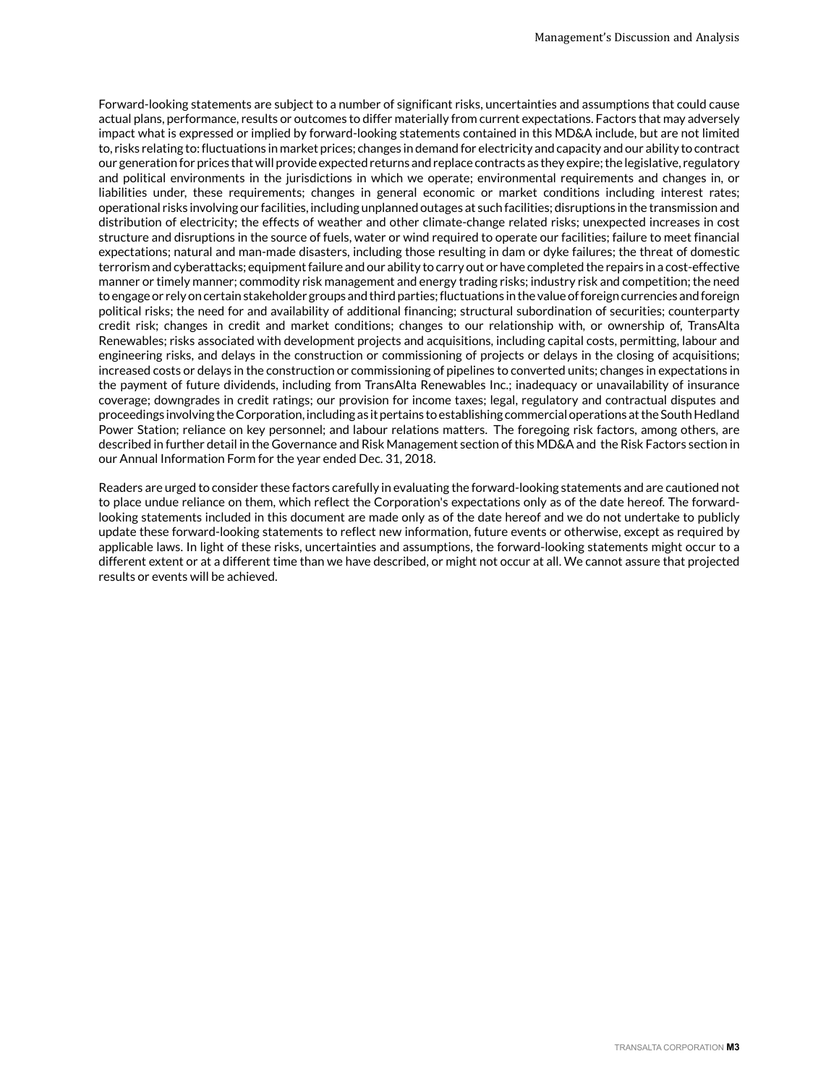Forward-looking statements are subject to a number of significant risks, uncertainties and assumptions that could cause actual plans, performance, results or outcomes to differ materially from current expectations. Factors that may adversely impact what is expressed or implied by forward-looking statements contained in this MD&A include, but are not limited to, risks relating to: fluctuations in market prices; changes in demand for electricity and capacity and our ability to contract our generation for prices that will provide expected returns and replace contracts as they expire; the legislative, regulatory and political environments in the jurisdictions in which we operate; environmental requirements and changes in, or liabilities under, these requirements; changes in general economic or market conditions including interest rates; operational risks involving our facilities, including unplanned outages at such facilities; disruptions in the transmission and distribution of electricity; the effects of weather and other climate-change related risks; unexpected increases in cost structure and disruptions in the source of fuels, water or wind required to operate our facilities; failure to meet financial expectations; natural and man-made disasters, including those resulting in dam or dyke failures; the threat of domestic terrorism and cyberattacks; equipment failure and our ability to carry out or have completed the repairs in a cost-effective manner or timely manner; commodity risk management and energy trading risks; industry risk and competition; the need to engage or rely on certain stakeholder groups and third parties; fluctuations in the value of foreign currencies and foreign political risks; the need for and availability of additional financing; structural subordination of securities; counterparty credit risk; changes in credit and market conditions; changes to our relationship with, or ownership of, TransAlta Renewables; risks associated with development projects and acquisitions, including capital costs, permitting, labour and engineering risks, and delays in the construction or commissioning of projects or delays in the closing of acquisitions; increased costs or delays in the construction or commissioning of pipelines to converted units; changes in expectations in the payment of future dividends, including from TransAlta Renewables Inc.; inadequacy or unavailability of insurance coverage; downgrades in credit ratings; our provision for income taxes; legal, regulatory and contractual disputes and proceedings involving the Corporation, including as it pertains to establishing commercial operations at the South Hedland Power Station; reliance on key personnel; and labour relations matters. The foregoing risk factors, among others, are described in further detail in the Governance and Risk Management section of this MD&A and the Risk Factors section in our Annual Information Form for the year ended Dec. 31, 2018.

Readers are urged to consider these factors carefully in evaluating the forward-looking statements and are cautioned not to place undue reliance on them, which reflect the Corporation's expectations only as of the date hereof. The forwardlooking statements included in this document are made only as of the date hereof and we do not undertake to publicly update these forward-looking statements to reflect new information, future events or otherwise, except as required by applicable laws. In light of these risks, uncertainties and assumptions, the forward-looking statements might occur to a different extent or at a different time than we have described, or might not occur at all. We cannot assure that projected results or events will be achieved.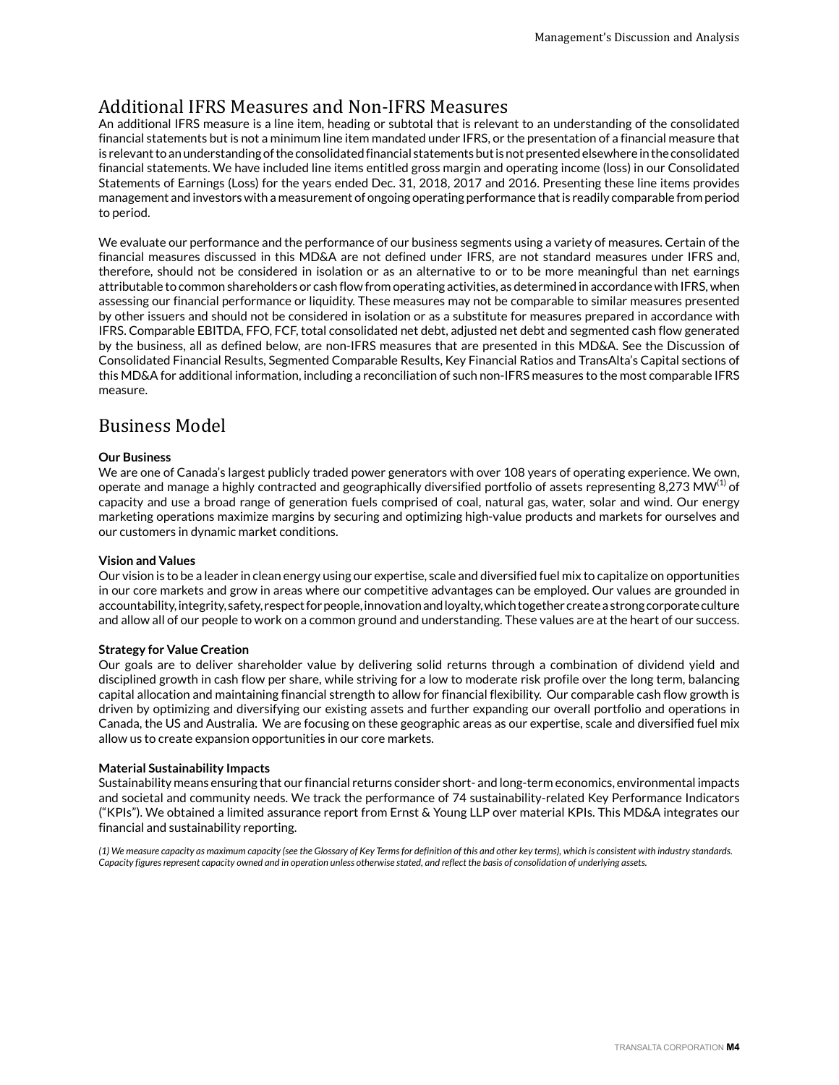## <span id="page-3-0"></span>Additional IFRS Measures and Non-IFRS Measures

An additional IFRS measure is a line item, heading or subtotal that is relevant to an understanding of the consolidated financial statements but is not a minimum line item mandated under IFRS, or the presentation of a financial measure that is relevant to an understanding of the consolidated financial statements but is not presented elsewhere in the consolidated financial statements. We have included line items entitled gross margin and operating income (loss) in our Consolidated Statements of Earnings (Loss) for the years ended Dec. 31, 2018, 2017 and 2016. Presenting these line items provides management and investors with a measurement of ongoing operating performance that is readily comparable from period to period.

We evaluate our performance and the performance of our business segments using a variety of measures. Certain of the financial measures discussed in this MD&A are not defined under IFRS, are not standard measures under IFRS and, therefore, should not be considered in isolation or as an alternative to or to be more meaningful than net earnings attributable to common shareholders or cash flow from operating activities, as determined in accordance with IFRS, when assessing our financial performance or liquidity. These measures may not be comparable to similar measures presented by other issuers and should not be considered in isolation or as a substitute for measures prepared in accordance with IFRS. Comparable EBITDA, FFO, FCF, total consolidated net debt, adjusted net debt and segmented cash flow generated by the business, all as defined below, are non-IFRS measures that are presented in this MD&A. See the Discussion of Consolidated Financial Results, Segmented Comparable Results, Key Financial Ratios and TransAlta's Capital sections of this MD&A for additional information, including a reconciliation of such non-IFRS measures to the most comparable IFRS measure.

## Business Model

### **Our Business**

We are one of Canada's largest publicly traded power generators with over 108 years of operating experience. We own, operate and manage a highly contracted and geographically diversified portfolio of assets representing 8,273 MW $^{(1)}$  of capacity and use a broad range of generation fuels comprised of coal, natural gas, water, solar and wind. Our energy marketing operations maximize margins by securing and optimizing high-value products and markets for ourselves and our customers in dynamic market conditions.

## **Vision and Values**

Our vision is to be a leader in clean energy using our expertise, scale and diversified fuel mix to capitalize on opportunities in our core markets and grow in areas where our competitive advantages can be employed. Our values are grounded in accountability, integrity, safety, respect for people, innovation and loyalty, which together create a strong corporate culture and allow all of our people to work on a common ground and understanding. These values are at the heart of our success.

#### **Strategy for Value Creation**

Our goals are to deliver shareholder value by delivering solid returns through a combination of dividend yield and disciplined growth in cash flow per share, while striving for a low to moderate risk profile over the long term, balancing capital allocation and maintaining financial strength to allow for financial flexibility. Our comparable cash flow growth is driven by optimizing and diversifying our existing assets and further expanding our overall portfolio and operations in Canada, the US and Australia. We are focusing on these geographic areas as our expertise, scale and diversified fuel mix allow us to create expansion opportunities in our core markets.

#### **Material Sustainability Impacts**

Sustainability means ensuring that our financial returns consider short- and long-term economics, environmental impacts and societal and community needs. We track the performance of 74 sustainability-related Key Performance Indicators ("KPIs"). We obtained a limited assurance report from Ernst & Young LLP over material KPIs. This MD&A integrates our financial and sustainability reporting.

*(1) We measure capacity as maximum capacity (see the Glossary of Key Terms for definition of this and other key terms), which is consistent with industry standards. Capacity figures represent capacity owned and in operation unless otherwise stated, and reflect the basis of consolidation of underlying assets.*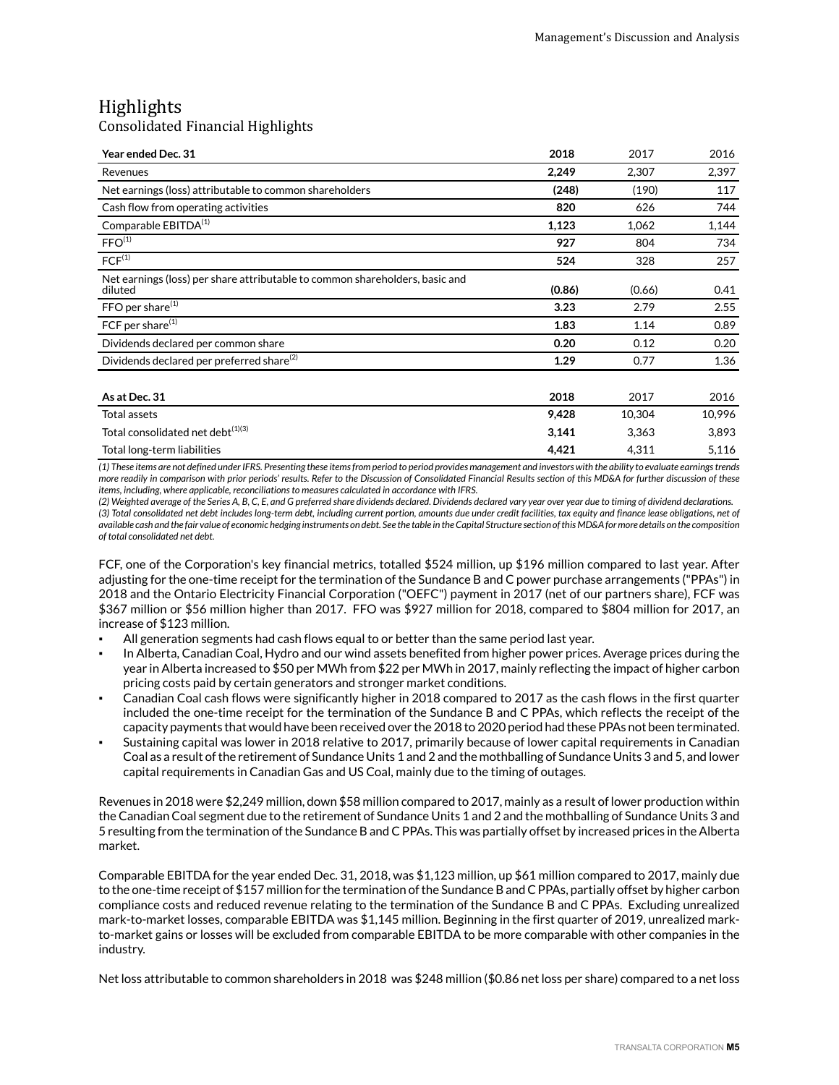## <span id="page-4-0"></span>Highlights

## Consolidated Financial Highlights

| Year ended Dec. 31                                                                      | 2018   | 2017   | 2016   |
|-----------------------------------------------------------------------------------------|--------|--------|--------|
| Revenues                                                                                | 2,249  | 2,307  | 2,397  |
| Net earnings (loss) attributable to common shareholders                                 | (248)  | (190)  | 117    |
| Cash flow from operating activities                                                     | 820    | 626    | 744    |
| Comparable EBITDA <sup>(1)</sup>                                                        | 1,123  | 1,062  | 1,144  |
| FFO <sup>(1)</sup>                                                                      | 927    | 804    | 734    |
| FCF <sup>(1)</sup>                                                                      | 524    | 328    | 257    |
| Net earnings (loss) per share attributable to common shareholders, basic and<br>diluted | (0.86) | (0.66) | 0.41   |
| FFO per share <sup>(1)</sup>                                                            | 3.23   | 2.79   | 2.55   |
| FCF per share <sup>(1)</sup>                                                            | 1.83   | 1.14   | 0.89   |
| Dividends declared per common share                                                     | 0.20   | 0.12   | 0.20   |
| Dividends declared per preferred share <sup>(2)</sup>                                   | 1.29   | 0.77   | 1.36   |
| As at Dec. 31                                                                           | 2018   | 2017   | 2016   |
| Total assets                                                                            | 9,428  | 10,304 | 10,996 |
| Total consolidated net debt <sup>(1)(3)</sup>                                           | 3,141  | 3,363  | 3,893  |
| Total long-term liabilities                                                             | 4,421  | 4,311  | 5,116  |

*(1) These items are not defined under IFRS. Presenting these items from period to period provides management and investors with the ability to evaluate earnings trends more readily in comparison with prior periods' results. Refer to the Discussion of Consolidated Financial Results section of this MD&A for further discussion of these items, including, where applicable, reconciliations to measures calculated in accordance with IFRS.*

*(2) Weighted average of the Series A, B, C, E, and G preferred share dividends declared. Dividends declared vary year over year due to timing of dividend declarations. (3) Total consolidated net debt includes long-term debt, including current portion, amounts due under credit facilities, tax equity and finance lease obligations, net of available cash and the fair value of economic hedging instruments on debt. See the table in the Capital Structure section of this MD&A for more details on the composition of total consolidated net debt.*

FCF, one of the Corporation's key financial metrics, totalled \$524 million, up \$196 million compared to last year. After adjusting for the one-time receipt for the termination of the Sundance B and C power purchase arrangements ("PPAs") in 2018 and the Ontario Electricity Financial Corporation ("OEFC") payment in 2017 (net of our partners share), FCF was \$367 million or \$56 million higher than 2017. FFO was \$927 million for 2018, compared to \$804 million for 2017, an increase of \$123 million.

- All generation segments had cash flows equal to or better than the same period last year.
- In Alberta, Canadian Coal, Hydro and our wind assets benefited from higher power prices. Average prices during the year in Alberta increased to \$50 per MWh from \$22 per MWh in 2017, mainly reflecting the impact of higher carbon pricing costs paid by certain generators and stronger market conditions.
- Canadian Coal cash flows were significantly higher in 2018 compared to 2017 as the cash flows in the first quarter included the one-time receipt for the termination of the Sundance B and C PPAs, which reflects the receipt of the capacity payments that would have been received over the 2018 to 2020 period had these PPAs not been terminated.
- Sustaining capital was lower in 2018 relative to 2017, primarily because of lower capital requirements in Canadian Coal as a result of the retirement of Sundance Units 1 and 2 and the mothballing of Sundance Units 3 and 5, and lower capital requirements in Canadian Gas and US Coal, mainly due to the timing of outages.

Revenues in 2018 were \$2,249 million, down \$58 million compared to 2017, mainly as a result of lower production within the Canadian Coal segment due to the retirement of Sundance Units 1 and 2 and the mothballing of Sundance Units 3 and 5 resulting from the termination of the Sundance B and C PPAs. This was partially offset by increased prices in the Alberta market.

Comparable EBITDA for the year ended Dec. 31, 2018, was \$1,123 million, up \$61 million compared to 2017, mainly due to the one-time receipt of \$157 million for the termination of the Sundance B and C PPAs, partially offset by higher carbon compliance costs and reduced revenue relating to the termination of the Sundance B and C PPAs. Excluding unrealized mark-to-market losses, comparable EBITDA was \$1,145 million. Beginning in the first quarter of 2019, unrealized markto-market gains or losses will be excluded from comparable EBITDA to be more comparable with other companies in the industry.

Net loss attributable to common shareholders in 2018 was \$248 million (\$0.86 net loss per share) compared to a net loss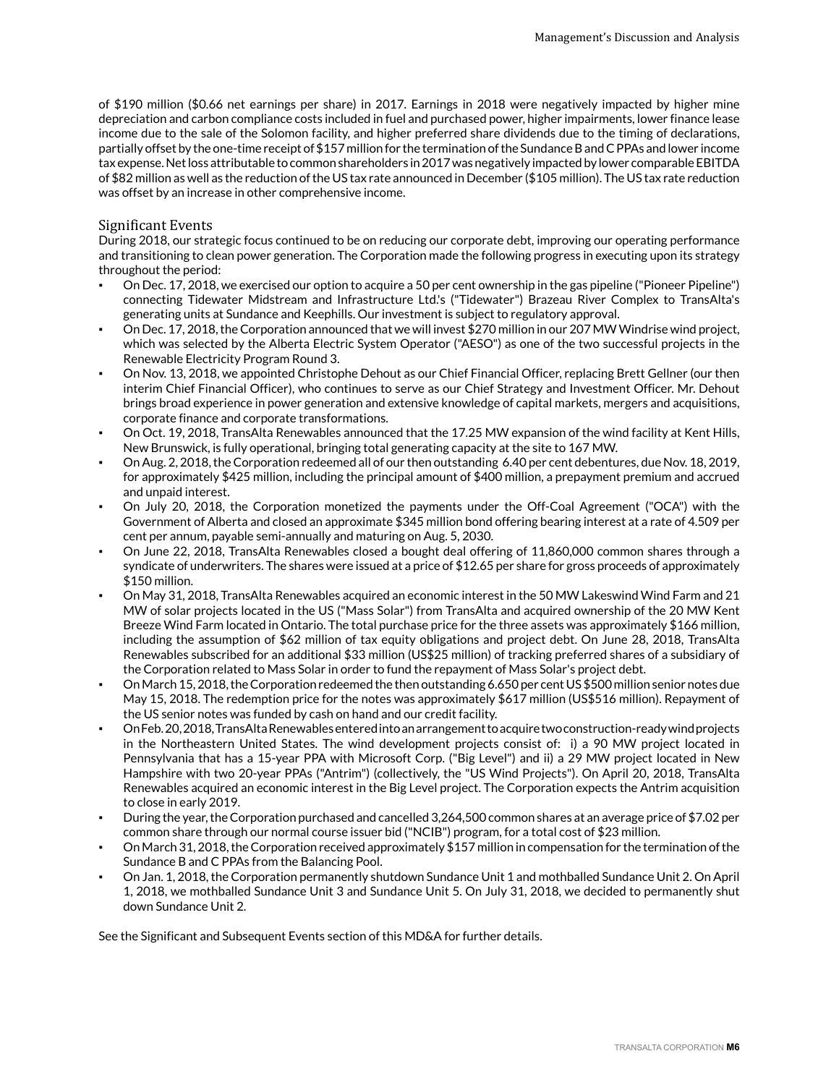of \$190 million (\$0.66 net earnings per share) in 2017. Earnings in 2018 were negatively impacted by higher mine depreciation and carbon compliance costs included in fuel and purchased power, higher impairments, lower finance lease income due to the sale of the Solomon facility, and higher preferred share dividends due to the timing of declarations, partially offset by the one-time receipt of \$157 million for the termination of the Sundance B and C PPAs and lower income tax expense. Net loss attributable to common shareholders in 2017 was negatively impacted by lower comparable EBITDA of \$82 million as well as the reduction of the US tax rate announced in December (\$105 million). The US tax rate reduction was offset by an increase in other comprehensive income.

#### Significant Events

During 2018, our strategic focus continued to be on reducing our corporate debt, improving our operating performance and transitioning to clean power generation. The Corporation made the following progress in executing upon its strategy throughout the period:

- On Dec. 17, 2018, we exercised our option to acquire a 50 per cent ownership in the gas pipeline ("Pioneer Pipeline") connecting Tidewater Midstream and Infrastructure Ltd.'s ("Tidewater") Brazeau River Complex to TransAlta's generating units at Sundance and Keephills. Our investment is subject to regulatory approval.
- On Dec. 17, 2018, the Corporation announced that we will invest \$270 million in our 207 MW Windrise wind project, which was selected by the Alberta Electric System Operator ("AESO") as one of the two successful projects in the Renewable Electricity Program Round 3.
- On Nov. 13, 2018, we appointed Christophe Dehout as our Chief Financial Officer, replacing Brett Gellner (our then interim Chief Financial Officer), who continues to serve as our Chief Strategy and Investment Officer. Mr. Dehout brings broad experience in power generation and extensive knowledge of capital markets, mergers and acquisitions, corporate finance and corporate transformations.
- On Oct. 19, 2018, TransAlta Renewables announced that the 17.25 MW expansion of the wind facility at Kent Hills, New Brunswick, is fully operational, bringing total generating capacity at the site to 167 MW.
- On Aug. 2, 2018, the Corporation redeemed all of our then outstanding 6.40 per cent debentures, due Nov. 18, 2019, for approximately \$425 million, including the principal amount of \$400 million, a prepayment premium and accrued and unpaid interest.
- On July 20, 2018, the Corporation monetized the payments under the Off-Coal Agreement ("OCA") with the Government of Alberta and closed an approximate \$345 million bond offering bearing interest at a rate of 4.509 per cent per annum, payable semi-annually and maturing on Aug. 5, 2030.
- On June 22, 2018, TransAlta Renewables closed a bought deal offering of 11,860,000 common shares through a syndicate of underwriters. The shares were issued at a price of \$12.65 per share for gross proceeds of approximately \$150 million.
- On May 31, 2018, TransAlta Renewables acquired an economic interest in the 50 MW Lakeswind Wind Farm and 21 MW of solar projects located in the US ("Mass Solar") from TransAlta and acquired ownership of the 20 MW Kent Breeze Wind Farm located in Ontario. The total purchase price for the three assets was approximately \$166 million, including the assumption of \$62 million of tax equity obligations and project debt. On June 28, 2018, TransAlta Renewables subscribed for an additional \$33 million (US\$25 million) of tracking preferred shares of a subsidiary of the Corporation related to Mass Solar in order to fund the repayment of Mass Solar's project debt.
- On March 15, 2018, the Corporation redeemed the then outstanding 6.650 per cent US \$500 million senior notes due May 15, 2018. The redemption price for the notes was approximately \$617 million (US\$516 million). Repayment of the US senior notes was funded by cash on hand and our credit facility.
- On Feb. 20, 2018, TransAlta Renewables entered into an arrangement to acquire two construction-ready wind projects in the Northeastern United States. The wind development projects consist of: i) a 90 MW project located in Pennsylvania that has a 15-year PPA with Microsoft Corp. ("Big Level") and ii) a 29 MW project located in New Hampshire with two 20-year PPAs ("Antrim") (collectively, the "US Wind Projects"). On April 20, 2018, TransAlta Renewables acquired an economic interest in the Big Level project. The Corporation expects the Antrim acquisition to close in early 2019.
- During the year, the Corporation purchased and cancelled 3,264,500 common shares at an average price of \$7.02 per common share through our normal course issuer bid ("NCIB") program, for a total cost of \$23 million.
- On March 31, 2018, the Corporation received approximately \$157 million in compensation for the termination of the Sundance B and C PPAs from the Balancing Pool.
- On Jan. 1, 2018, the Corporation permanently shutdown Sundance Unit 1 and mothballed Sundance Unit 2. On April 1, 2018, we mothballed Sundance Unit 3 and Sundance Unit 5. On July 31, 2018, we decided to permanently shut down Sundance Unit 2.

See the Significant and Subsequent Events section of this MD&A for further details.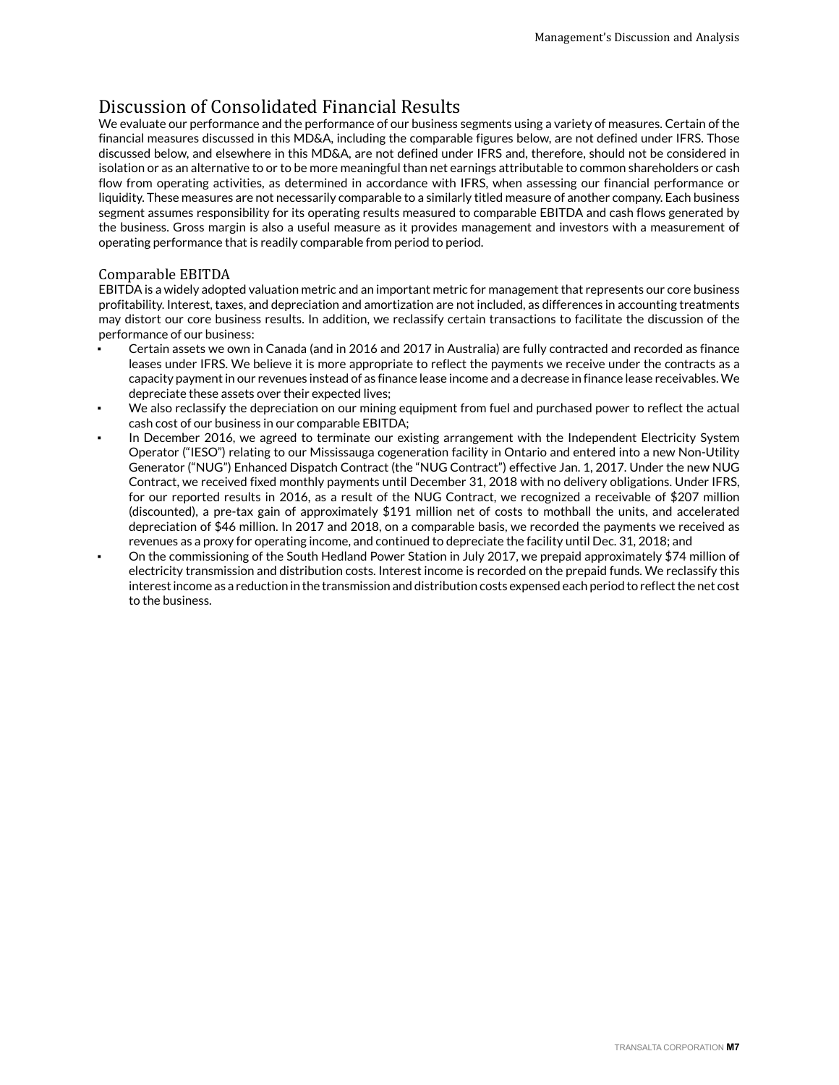## <span id="page-6-0"></span>Discussion of Consolidated Financial Results

We evaluate our performance and the performance of our business segments using a variety of measures. Certain of the financial measures discussed in this MD&A, including the comparable figures below, are not defined under IFRS. Those discussed below, and elsewhere in this MD&A, are not defined under IFRS and, therefore, should not be considered in isolation or as an alternative to or to be more meaningful than net earnings attributable to common shareholders or cash flow from operating activities, as determined in accordance with IFRS, when assessing our financial performance or liquidity. These measures are not necessarily comparable to a similarly titled measure of another company. Each business segment assumes responsibility for its operating results measured to comparable EBITDA and cash flows generated by the business. Gross margin is also a useful measure as it provides management and investors with a measurement of operating performance that is readily comparable from period to period.

## Comparable EBITDA

EBITDA is a widely adopted valuation metric and an important metric for management that represents our core business profitability. Interest, taxes, and depreciation and amortization are not included, as differences in accounting treatments may distort our core business results. In addition, we reclassify certain transactions to facilitate the discussion of the performance of our business:

- Certain assets we own in Canada (and in 2016 and 2017 in Australia) are fully contracted and recorded as finance leases under IFRS. We believe it is more appropriate to reflect the payments we receive under the contracts as a capacity payment in our revenues instead of as finance lease income and a decrease in finance lease receivables. We depreciate these assets over their expected lives;
- We also reclassify the depreciation on our mining equipment from fuel and purchased power to reflect the actual cash cost of our business in our comparable EBITDA;
- In December 2016, we agreed to terminate our existing arrangement with the Independent Electricity System Operator ("IESO") relating to our Mississauga cogeneration facility in Ontario and entered into a new Non-Utility Generator ("NUG") Enhanced Dispatch Contract (the "NUG Contract") effective Jan. 1, 2017. Under the new NUG Contract, we received fixed monthly payments until December 31, 2018 with no delivery obligations. Under IFRS, for our reported results in 2016, as a result of the NUG Contract, we recognized a receivable of \$207 million (discounted), a pre-tax gain of approximately \$191 million net of costs to mothball the units, and accelerated depreciation of \$46 million. In 2017 and 2018, on a comparable basis, we recorded the payments we received as revenues as a proxy for operating income, and continued to depreciate the facility until Dec. 31, 2018; and
- On the commissioning of the South Hedland Power Station in July 2017, we prepaid approximately \$74 million of electricity transmission and distribution costs. Interest income is recorded on the prepaid funds. We reclassify this interest income as a reduction in the transmission and distribution costs expensed each period to reflect the net cost to the business.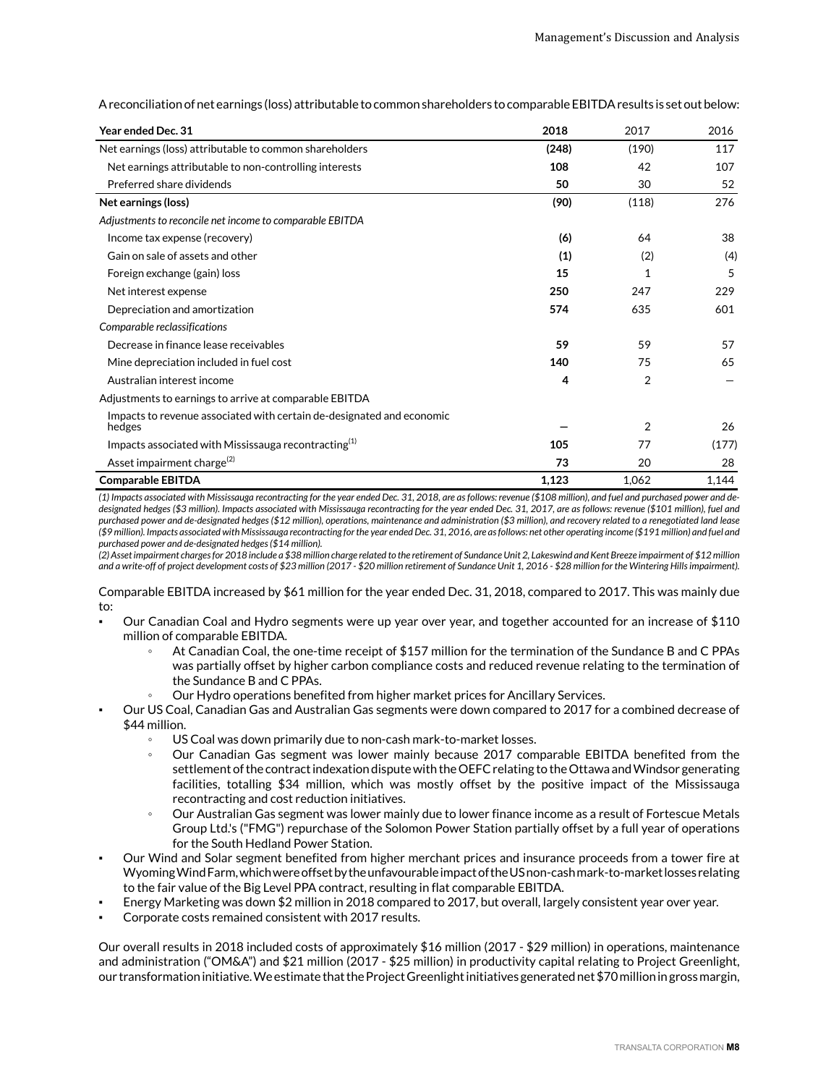A reconciliation of net earnings (loss) attributable to common shareholders to comparable EBITDA results is set out below:

| Year ended Dec. 31                                                              | 2018  | 2017           | 2016  |
|---------------------------------------------------------------------------------|-------|----------------|-------|
| Net earnings (loss) attributable to common shareholders                         | (248) | (190)          | 117   |
| Net earnings attributable to non-controlling interests                          | 108   | 42             | 107   |
| Preferred share dividends                                                       | 50    | 30             | 52    |
| Net earnings (loss)                                                             | (90)  | (118)          | 276   |
| Adjustments to reconcile net income to comparable EBITDA                        |       |                |       |
| Income tax expense (recovery)                                                   | (6)   | 64             | 38    |
| Gain on sale of assets and other                                                | (1)   | (2)            | (4)   |
| Foreign exchange (gain) loss                                                    | 15    | 1              | 5     |
| Net interest expense                                                            | 250   | 247            | 229   |
| Depreciation and amortization                                                   | 574   | 635            | 601   |
| Comparable reclassifications                                                    |       |                |       |
| Decrease in finance lease receivables                                           | 59    | 59             | 57    |
| Mine depreciation included in fuel cost                                         | 140   | 75             | 65    |
| Australian interest income                                                      | 4     | $\overline{2}$ |       |
| Adjustments to earnings to arrive at comparable EBITDA                          |       |                |       |
| Impacts to revenue associated with certain de-designated and economic<br>hedges |       | 2              | 26    |
| Impacts associated with Mississauga recontracting $(1)$                         | 105   | 77             | (177) |
| Asset impairment charge <sup>(2)</sup>                                          | 73    | 20             | 28    |
| <b>Comparable EBITDA</b>                                                        | 1,123 | 1,062          | 1,144 |

*(1) Impacts associated with Mississauga recontracting for the year ended Dec. 31, 2018, are as follows: revenue (\$108 million), and fuel and purchased power and dedesignated hedges (\$3 million). Impacts associated with Mississauga recontracting for the year ended Dec. 31, 2017, are as follows: revenue (\$101 million), fuel and purchased power and de-designated hedges (\$12 million), operations, maintenance and administration (\$3 million), and recovery related to a renegotiated land lease (\$9 million). Impacts associated with Mississauga recontracting for the year ended Dec. 31, 2016, are as follows: net other operating income (\$191 million) and fuel and purchased power and de-designated hedges (\$14 million).*

*(2) Asset impairment charges for 2018 include a \$38 million charge related to the retirement of Sundance Unit 2, Lakeswind and Kent Breeze impairment of \$12 million and a write-off of project development costs of \$23 million (2017 - \$20 million retirement of Sundance Unit 1, 2016 - \$28 million for the Wintering Hills impairment).*

Comparable EBITDA increased by \$61 million for the year ended Dec. 31, 2018, compared to 2017. This was mainly due to:

- Our Canadian Coal and Hydro segments were up year over year, and together accounted for an increase of \$110 million of comparable EBITDA.
	- At Canadian Coal, the one-time receipt of \$157 million for the termination of the Sundance B and C PPAs was partially offset by higher carbon compliance costs and reduced revenue relating to the termination of the Sundance B and C PPAs.
	- Our Hydro operations benefited from higher market prices for Ancillary Services.
- Our US Coal, Canadian Gas and Australian Gas segments were down compared to 2017 for a combined decrease of \$44 million.
	- US Coal was down primarily due to non-cash mark-to-market losses.
	- Our Canadian Gas segment was lower mainly because 2017 comparable EBITDA benefited from the settlement of the contract indexation dispute with the OEFC relating to the Ottawa and Windsor generating facilities, totalling \$34 million, which was mostly offset by the positive impact of the Mississauga recontracting and cost reduction initiatives.
	- Our Australian Gas segment was lower mainly due to lower finance income as a result of Fortescue Metals Group Ltd.'s ("FMG") repurchase of the Solomon Power Station partially offset by a full year of operations for the South Hedland Power Station.
- Our Wind and Solar segment benefited from higher merchant prices and insurance proceeds from a tower fire at Wyoming Wind Farm, which were offset by the unfavourable impact of the US non-cash mark-to-market losses relating to the fair value of the Big Level PPA contract, resulting in flat comparable EBITDA.
- Energy Marketing was down \$2 million in 2018 compared to 2017, but overall, largely consistent year over year.
- Corporate costs remained consistent with 2017 results.

Our overall results in 2018 included costs of approximately \$16 million (2017 - \$29 million) in operations, maintenance and administration ("OM&A") and \$21 million (2017 - \$25 million) in productivity capital relating to Project Greenlight, our transformation initiative. We estimate that the Project Greenlight initiatives generated net \$70 million in gross margin,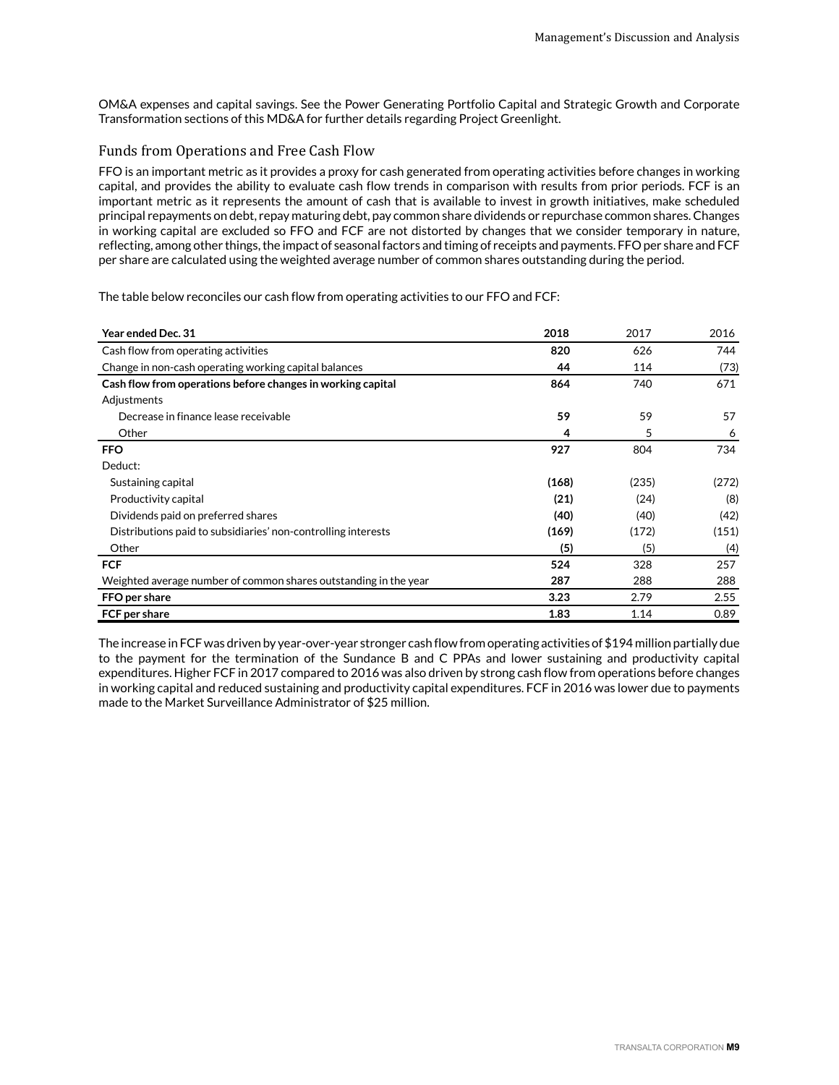OM&A expenses and capital savings. See the Power Generating Portfolio Capital and Strategic Growth and Corporate Transformation sections of this MD&A for further details regarding Project Greenlight.

## Funds from Operations and Free Cash Flow

FFO is an important metric as it provides a proxy for cash generated from operating activities before changes in working capital, and provides the ability to evaluate cash flow trends in comparison with results from prior periods. FCF is an important metric as it represents the amount of cash that is available to invest in growth initiatives, make scheduled principal repayments on debt, repay maturing debt, pay common share dividends or repurchase common shares. Changes in working capital are excluded so FFO and FCF are not distorted by changes that we consider temporary in nature, reflecting, among other things, the impact of seasonal factors and timing of receipts and payments. FFO per share and FCF per share are calculated using the weighted average number of common shares outstanding during the period.

The table below reconciles our cash flow from operating activities to our FFO and FCF:

| <b>Year ended Dec. 31</b>                                        | 2018  | 2017  | 2016  |
|------------------------------------------------------------------|-------|-------|-------|
| Cash flow from operating activities                              | 820   | 626   | 744   |
| Change in non-cash operating working capital balances            | 44    | 114   | (73)  |
| Cash flow from operations before changes in working capital      | 864   | 740   | 671   |
| Adjustments                                                      |       |       |       |
| Decrease in finance lease receivable                             | 59    | 59    | 57    |
| Other                                                            | 4     | 5     | 6     |
| <b>FFO</b>                                                       | 927   | 804   | 734   |
| Deduct:                                                          |       |       |       |
| Sustaining capital                                               | (168) | (235) | (272) |
| Productivity capital                                             | (21)  | (24)  | (8)   |
| Dividends paid on preferred shares                               | (40)  | (40)  | (42)  |
| Distributions paid to subsidiaries' non-controlling interests    | (169) | (172) | (151) |
| Other                                                            | (5)   | (5)   | (4)   |
| <b>FCF</b>                                                       | 524   | 328   | 257   |
| Weighted average number of common shares outstanding in the year | 287   | 288   | 288   |
| FFO per share                                                    | 3.23  | 2.79  | 2.55  |
| FCF per share                                                    | 1.83  | 1.14  | 0.89  |

The increase in FCF was driven by year-over-year stronger cash flow from operating activities of \$194 million partially due to the payment for the termination of the Sundance B and C PPAs and lower sustaining and productivity capital expenditures. Higher FCF in 2017 compared to 2016 was also driven by strong cash flow from operations before changes in working capital and reduced sustaining and productivity capital expenditures. FCF in 2016 was lower due to payments made to the Market Surveillance Administrator of \$25 million.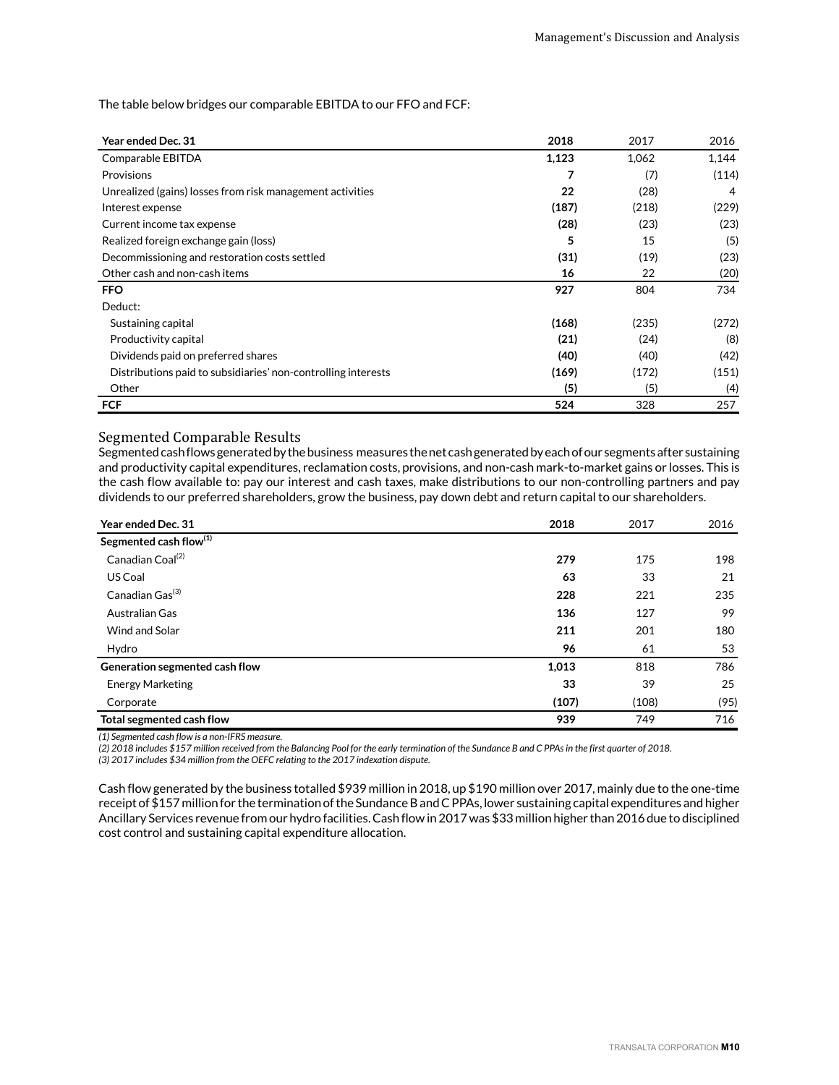The table below bridges our comparable EBITDA to our FFO and FCF:

| <b>Year ended Dec. 31</b>                                     | 2018  | 2017  | 2016  |
|---------------------------------------------------------------|-------|-------|-------|
| Comparable EBITDA                                             | 1,123 | 1,062 | 1,144 |
| Provisions                                                    |       | (7)   | (114) |
| Unrealized (gains) losses from risk management activities     | 22    | (28)  | 4     |
| Interest expense                                              | (187) | (218) | (229) |
| Current income tax expense                                    | (28)  | (23)  | (23)  |
| Realized foreign exchange gain (loss)                         | 5     | 15    | (5)   |
| Decommissioning and restoration costs settled                 | (31)  | (19)  | (23)  |
| Other cash and non-cash items                                 | 16    | 22    | (20)  |
| <b>FFO</b>                                                    | 927   | 804   | 734   |
| Deduct:                                                       |       |       |       |
| Sustaining capital                                            | (168) | (235) | (272) |
| Productivity capital                                          | (21)  | (24)  | (8)   |
| Dividends paid on preferred shares                            | (40)  | (40)  | (42)  |
| Distributions paid to subsidiaries' non-controlling interests | (169) | (172) | (151) |
| Other                                                         | (5)   | (5)   | (4)   |
| <b>FCF</b>                                                    | 524   | 328   | 257   |

#### Segmented Comparable Results

Segmented cash flows generated by the business measures the net cash generated by each of our segments after sustaining and productivity capital expenditures, reclamation costs, provisions, and non-cash mark-to-market gains or losses. This is the cash flow available to: pay our interest and cash taxes, make distributions to our non-controlling partners and pay dividends to our preferred shareholders, grow the business, pay down debt and return capital to our shareholders.

| Year ended Dec. 31                 | 2018  | 2017  | 2016 |
|------------------------------------|-------|-------|------|
| Segmented cash flow <sup>(1)</sup> |       |       |      |
| Canadian Coal <sup>(2)</sup>       | 279   | 175   | 198  |
| US Coal                            | 63    | 33    | 21   |
| Canadian Gas <sup>(3)</sup>        | 228   | 221   | 235  |
| Australian Gas                     | 136   | 127   | 99   |
| Wind and Solar                     | 211   | 201   | 180  |
| Hydro                              | 96    | 61    | 53   |
| Generation segmented cash flow     | 1,013 | 818   | 786  |
| <b>Energy Marketing</b>            | 33    | 39    | 25   |
| Corporate                          | (107) | (108) | (95) |
| Total segmented cash flow          | 939   | 749   | 716  |

*(1) Segmented cash flow is a non-IFRS measure.*

*(2) 2018 includes \$157 million received from the Balancing Pool for the early termination of the Sundance B and C PPAs in the first quarter of 2018.*

*(3) 2017 includes \$34 million from the OEFC relating to the 2017 indexation dispute.*

Cash flow generated by the business totalled \$939 million in 2018, up \$190 million over 2017, mainly due to the one-time receipt of \$157 million for the termination of the Sundance B and C PPAs, lower sustaining capital expenditures and higher Ancillary Services revenue from our hydro facilities. Cash flow in 2017 was \$33 million higher than 2016 due to disciplined cost control and sustaining capital expenditure allocation.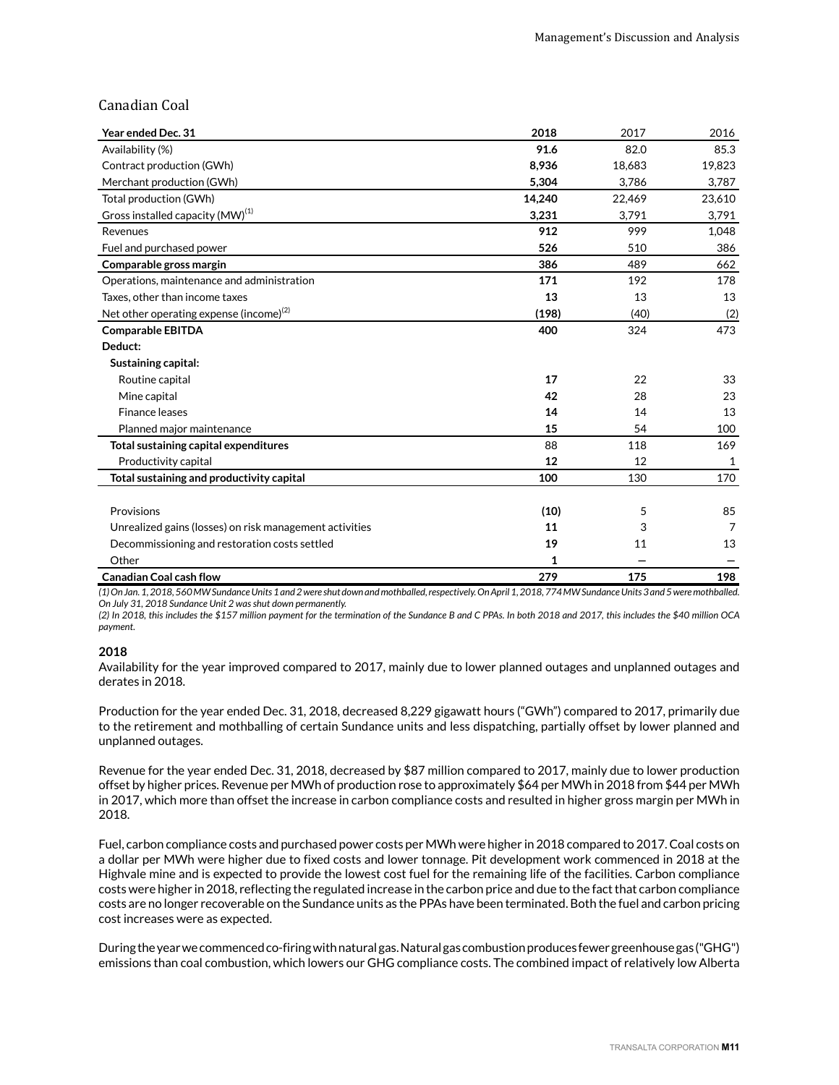## Canadian Coal

| Year ended Dec. 31                                      | 2018   | 2017   | 2016   |
|---------------------------------------------------------|--------|--------|--------|
| Availability (%)                                        | 91.6   | 82.0   | 85.3   |
| Contract production (GWh)                               | 8,936  | 18,683 | 19,823 |
| Merchant production (GWh)                               | 5,304  | 3,786  | 3,787  |
| Total production (GWh)                                  | 14,240 | 22,469 | 23,610 |
| Gross installed capacity (MW) <sup>(1)</sup>            | 3,231  | 3,791  | 3,791  |
| Revenues                                                | 912    | 999    | 1,048  |
| Fuel and purchased power                                | 526    | 510    | 386    |
| Comparable gross margin                                 | 386    | 489    | 662    |
| Operations, maintenance and administration              | 171    | 192    | 178    |
| Taxes, other than income taxes                          | 13     | 13     | 13     |
| Net other operating expense (income) <sup>(2)</sup>     | (198)  | (40)   | (2)    |
| <b>Comparable EBITDA</b>                                | 400    | 324    | 473    |
| Deduct:                                                 |        |        |        |
| Sustaining capital:                                     |        |        |        |
| Routine capital                                         | 17     | 22     | 33     |
| Mine capital                                            | 42     | 28     | 23     |
| Finance leases                                          | 14     | 14     | 13     |
| Planned major maintenance                               | 15     | 54     | 100    |
| Total sustaining capital expenditures                   | 88     | 118    | 169    |
| Productivity capital                                    | 12     | 12     | 1      |
| Total sustaining and productivity capital               | 100    | 130    | 170    |
|                                                         |        |        |        |
| Provisions                                              | (10)   | 5      | 85     |
| Unrealized gains (losses) on risk management activities | 11     | 3      | 7      |
| Decommissioning and restoration costs settled           | 19     | 11     | 13     |
| Other                                                   | 1      |        |        |
| <b>Canadian Coal cash flow</b>                          | 279    | 175    | 198    |

*(1) On Jan. 1, 2018, 560 MW Sundance Units 1 and 2 were shut down and mothballed, respectively. On April 1, 2018, 774 MW Sundance Units 3 and 5 were mothballed. On July 31, 2018 Sundance Unit 2 was shut down permanently.* 

*(2) In 2018, this includes the \$157 million payment for the termination of the Sundance B and C PPAs. In both 2018 and 2017, this includes the \$40 million OCA payment.* 

#### **2018**

Availability for the year improved compared to 2017, mainly due to lower planned outages and unplanned outages and derates in 2018.

Production for the year ended Dec. 31, 2018, decreased 8,229 gigawatt hours ("GWh") compared to 2017, primarily due to the retirement and mothballing of certain Sundance units and less dispatching, partially offset by lower planned and unplanned outages.

Revenue for the year ended Dec. 31, 2018, decreased by \$87 million compared to 2017, mainly due to lower production offset by higher prices. Revenue per MWh of production rose to approximately \$64 per MWh in 2018 from \$44 per MWh in 2017, which more than offset the increase in carbon compliance costs and resulted in higher gross margin per MWh in 2018.

Fuel, carbon compliance costs and purchased power costs per MWh were higher in 2018 compared to 2017. Coal costs on a dollar per MWh were higher due to fixed costs and lower tonnage. Pit development work commenced in 2018 at the Highvale mine and is expected to provide the lowest cost fuel for the remaining life of the facilities. Carbon compliance costs were higher in 2018, reflecting the regulated increase in the carbon price and due to the fact that carbon compliance costs are no longer recoverable on the Sundance units as the PPAs have been terminated. Both the fuel and carbon pricing cost increases were as expected.

During the year we commenced co-firing with natural gas. Natural gas combustion produces fewer greenhouse gas ("GHG") emissions than coal combustion, which lowers our GHG compliance costs. The combined impact of relatively low Alberta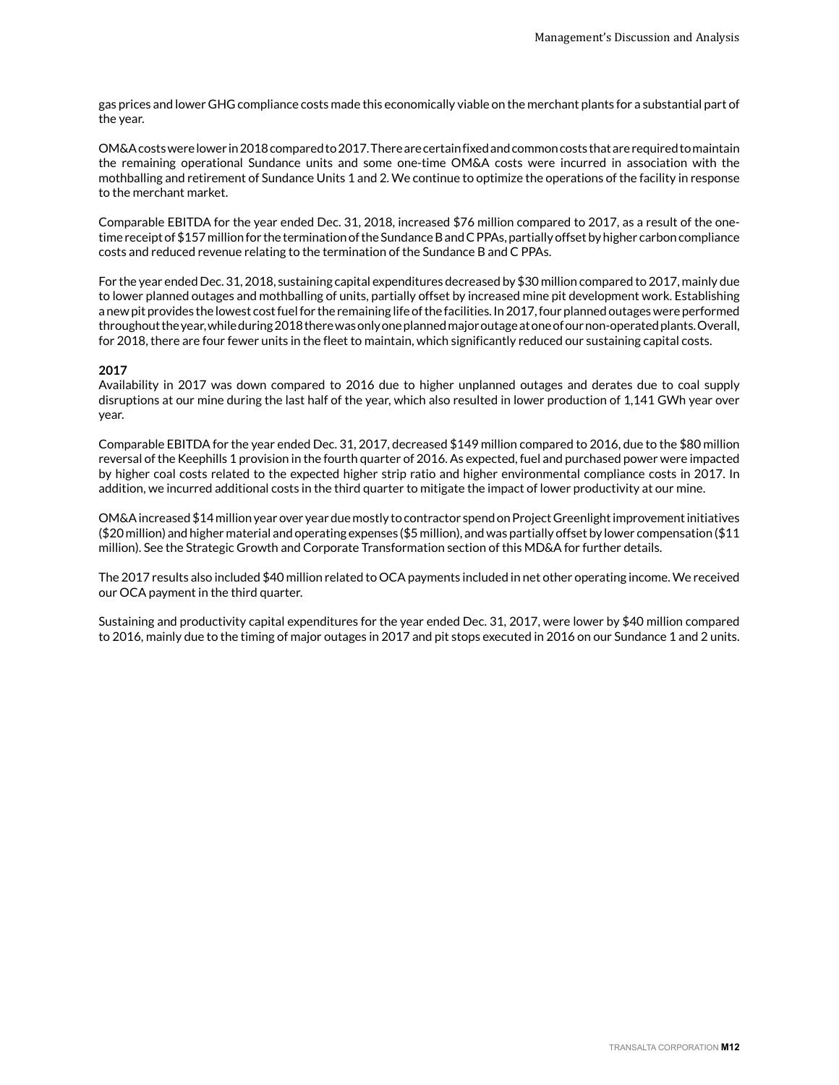gas prices and lower GHG compliance costs made this economically viable on the merchant plants for a substantial part of the year.

OM&A costs were lower in 2018 compared to 2017. There are certain fixed and common costs that are required to maintain the remaining operational Sundance units and some one-time OM&A costs were incurred in association with the mothballing and retirement of Sundance Units 1 and 2. We continue to optimize the operations of the facility in response to the merchant market.

Comparable EBITDA for the year ended Dec. 31, 2018, increased \$76 million compared to 2017, as a result of the onetime receipt of \$157 million for the termination of the Sundance B and C PPAs, partially offset by higher carbon compliance costs and reduced revenue relating to the termination of the Sundance B and C PPAs.

For the year ended Dec. 31, 2018, sustaining capital expenditures decreased by \$30 million compared to 2017, mainly due to lower planned outages and mothballing of units, partially offset by increased mine pit development work. Establishing a new pit provides the lowest cost fuel for the remaining life of the facilities. In 2017, four planned outages were performed throughout the year, while during 2018 there was only one planned major outage at one of our non-operated plants. Overall, for 2018, there are four fewer units in the fleet to maintain, which significantly reduced our sustaining capital costs.

#### **2017**

Availability in 2017 was down compared to 2016 due to higher unplanned outages and derates due to coal supply disruptions at our mine during the last half of the year, which also resulted in lower production of 1,141 GWh year over year.

Comparable EBITDA for the year ended Dec. 31, 2017, decreased \$149 million compared to 2016, due to the \$80 million reversal of the Keephills 1 provision in the fourth quarter of 2016. As expected, fuel and purchased power were impacted by higher coal costs related to the expected higher strip ratio and higher environmental compliance costs in 2017. In addition, we incurred additional costs in the third quarter to mitigate the impact of lower productivity at our mine.

OM&A increased \$14 million year over year due mostly to contractor spend on Project Greenlight improvement initiatives (\$20 million) and higher material and operating expenses (\$5 million), and was partially offset by lower compensation (\$11 million). See the Strategic Growth and Corporate Transformation section of this MD&A for further details.

The 2017 results also included \$40 million related to OCA payments included in net other operating income. We received our OCA payment in the third quarter.

Sustaining and productivity capital expenditures for the year ended Dec. 31, 2017, were lower by \$40 million compared to 2016, mainly due to the timing of major outages in 2017 and pit stops executed in 2016 on our Sundance 1 and 2 units.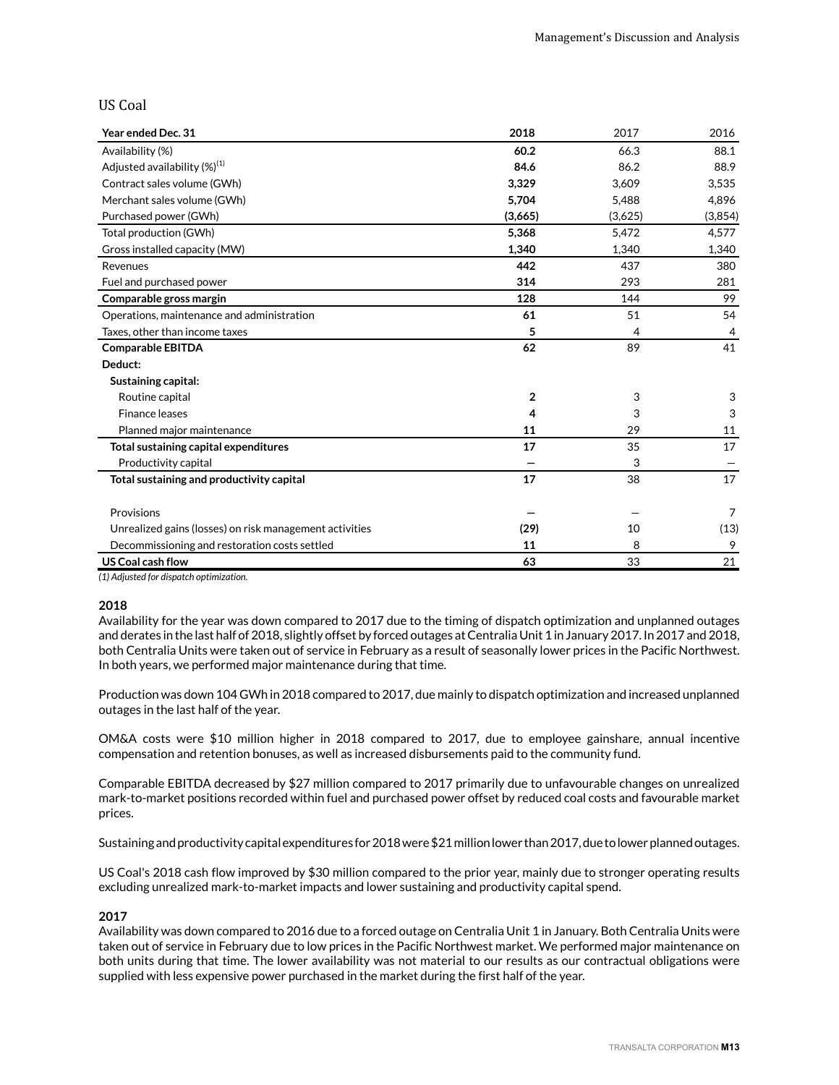### US Coal

| Year ended Dec. 31                                      | 2018           | 2017    | 2016    |
|---------------------------------------------------------|----------------|---------|---------|
| Availability (%)                                        | 60.2           | 66.3    | 88.1    |
| Adjusted availability $(\%)^{(1)}$                      | 84.6           | 86.2    | 88.9    |
| Contract sales volume (GWh)                             | 3,329          | 3,609   | 3,535   |
| Merchant sales volume (GWh)                             | 5,704          | 5,488   | 4,896   |
| Purchased power (GWh)                                   | (3,665)        | (3,625) | (3,854) |
| Total production (GWh)                                  | 5,368          | 5,472   | 4,577   |
| Gross installed capacity (MW)                           | 1,340          | 1,340   | 1,340   |
| Revenues                                                | 442            | 437     | 380     |
| Fuel and purchased power                                | 314            | 293     | 281     |
| Comparable gross margin                                 | 128            | 144     | 99      |
| Operations, maintenance and administration              | 61             | 51      | 54      |
| Taxes, other than income taxes                          | 5              | 4       | 4       |
| <b>Comparable EBITDA</b>                                | 62             | 89      | 41      |
| Deduct:                                                 |                |         |         |
| Sustaining capital:                                     |                |         |         |
| Routine capital                                         | $\overline{2}$ | 3       | 3       |
| <b>Finance leases</b>                                   | 4              | 3       | 3       |
| Planned major maintenance                               | 11             | 29      | 11      |
| Total sustaining capital expenditures                   | 17             | 35      | 17      |
| Productivity capital                                    |                | 3       |         |
| Total sustaining and productivity capital               | 17             | 38      | 17      |
|                                                         |                |         |         |
| Provisions                                              |                |         | 7       |
| Unrealized gains (losses) on risk management activities | (29)           | 10      | (13)    |
| Decommissioning and restoration costs settled           | 11             | 8       | 9       |
| US Coal cash flow                                       | 63             | 33      | 21      |

*(1) Adjusted for dispatch optimization.*

#### **2018**

Availability for the year was down compared to 2017 due to the timing of dispatch optimization and unplanned outages and derates in the last half of 2018, slightly offset by forced outages at Centralia Unit 1 in January 2017. In 2017 and 2018, both Centralia Units were taken out of service in February as a result of seasonally lower prices in the Pacific Northwest. In both years, we performed major maintenance during that time.

Production was down 104 GWh in 2018 compared to 2017, due mainly to dispatch optimization and increased unplanned outages in the last half of the year.

OM&A costs were \$10 million higher in 2018 compared to 2017, due to employee gainshare, annual incentive compensation and retention bonuses, as well as increased disbursements paid to the community fund.

Comparable EBITDA decreased by \$27 million compared to 2017 primarily due to unfavourable changes on unrealized mark-to-market positions recorded within fuel and purchased power offset by reduced coal costs and favourable market prices.

Sustaining and productivity capital expenditures for 2018 were \$21 million lower than 2017, due to lower planned outages.

US Coal's 2018 cash flow improved by \$30 million compared to the prior year, mainly due to stronger operating results excluding unrealized mark-to-market impacts and lower sustaining and productivity capital spend.

#### **2017**

Availability was down compared to 2016 due to a forced outage on Centralia Unit 1 in January. Both Centralia Units were taken out of service in February due to low prices in the Pacific Northwest market. We performed major maintenance on both units during that time. The lower availability was not material to our results as our contractual obligations were supplied with less expensive power purchased in the market during the first half of the year.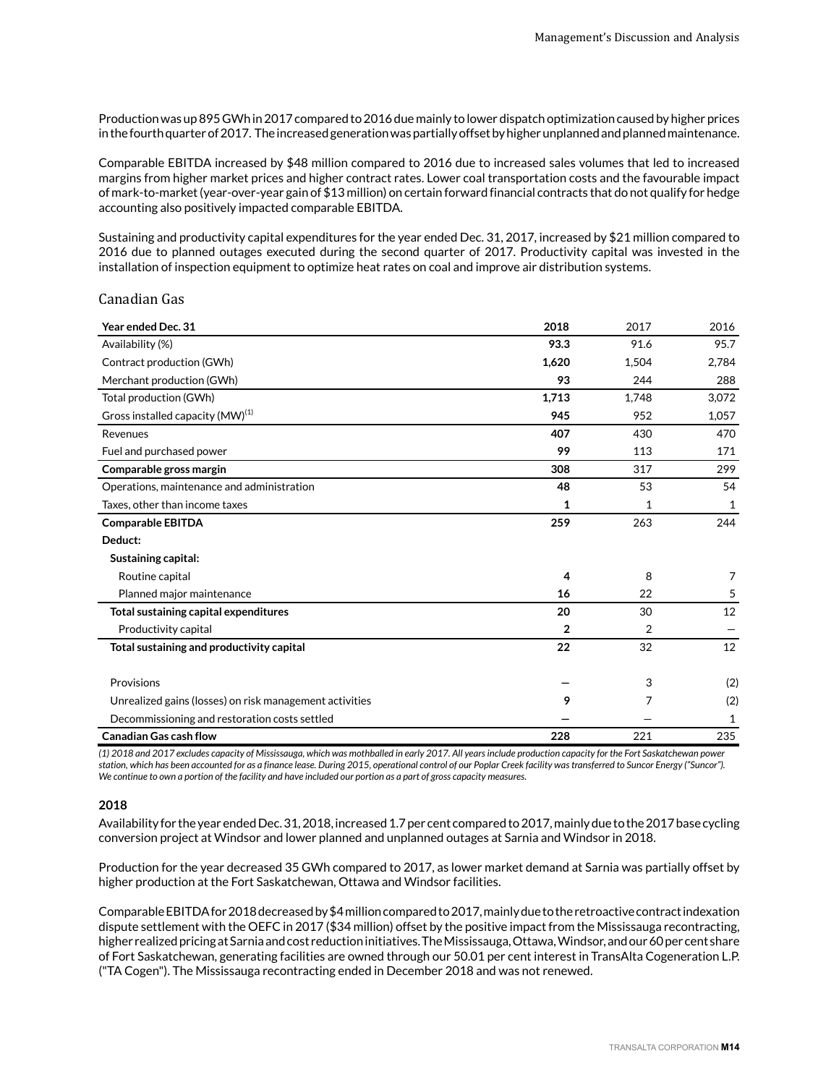Production was up 895 GWh in 2017 compared to 2016 due mainly to lower dispatch optimization caused by higher prices in the fourth quarter of 2017. The increased generation was partially offset by higher unplanned and planned maintenance.

Comparable EBITDA increased by \$48 million compared to 2016 due to increased sales volumes that led to increased margins from higher market prices and higher contract rates. Lower coal transportation costs and the favourable impact of mark-to-market (year-over-year gain of \$13 million) on certain forward financial contracts that do not qualify for hedge accounting also positively impacted comparable EBITDA.

Sustaining and productivity capital expenditures for the year ended Dec. 31, 2017, increased by \$21 million compared to 2016 due to planned outages executed during the second quarter of 2017. Productivity capital was invested in the installation of inspection equipment to optimize heat rates on coal and improve air distribution systems.

#### Canadian Gas

| Year ended Dec. 31                                      | 2018         | 2017           | 2016  |
|---------------------------------------------------------|--------------|----------------|-------|
| Availability (%)                                        | 93.3         | 91.6           | 95.7  |
| Contract production (GWh)                               | 1,620        | 1,504          | 2,784 |
| Merchant production (GWh)                               | 93           | 244            | 288   |
| Total production (GWh)                                  | 1,713        | 1.748          | 3,072 |
| Gross installed capacity (MW) <sup>(1)</sup>            | 945          | 952            | 1,057 |
| Revenues                                                | 407          | 430            | 470   |
| Fuel and purchased power                                | 99           | 113            | 171   |
| Comparable gross margin                                 | 308          | 317            | 299   |
| Operations, maintenance and administration              | 48           | 53             | 54    |
| Taxes, other than income taxes                          | 1            | 1              | 1     |
| <b>Comparable EBITDA</b>                                | 259          | 263            | 244   |
| Deduct:                                                 |              |                |       |
| Sustaining capital:                                     |              |                |       |
| Routine capital                                         | 4            | 8              | 7     |
| Planned major maintenance                               | 16           | 22             | 5     |
| Total sustaining capital expenditures                   | 20           | 30             | 12    |
| Productivity capital                                    | $\mathbf{2}$ | $\overline{2}$ |       |
| Total sustaining and productivity capital               | 22           | 32             | 12    |
|                                                         |              |                |       |
| Provisions                                              |              | 3              | (2)   |
| Unrealized gains (losses) on risk management activities | 9            | 7              | (2)   |
| Decommissioning and restoration costs settled           |              |                | 1     |
| <b>Canadian Gas cash flow</b>                           | 228          | 221            | 235   |

*(1) 2018 and 2017 excludes capacity of Mississauga, which was mothballed in early 2017. All years include production capacity for the Fort Saskatchewan power station, which has been accounted for as a finance lease. During 2015, operational control of our Poplar Creek facility was transferred to Suncor Energy ("Suncor"). We continue to own a portion of the facility and have included our portion as a part of gross capacity measures.* 

#### **2018**

Availability for the year ended Dec. 31, 2018, increased 1.7 per cent compared to 2017, mainly due to the 2017 base cycling conversion project at Windsor and lower planned and unplanned outages at Sarnia and Windsor in 2018.

Production for the year decreased 35 GWh compared to 2017, as lower market demand at Sarnia was partially offset by higher production at the Fort Saskatchewan, Ottawa and Windsor facilities.

Comparable EBITDA for 2018 decreased by \$4 million compared to 2017, mainly due to the retroactive contract indexation dispute settlement with the OEFC in 2017 (\$34 million) offset by the positive impact from the Mississauga recontracting, higher realized pricing at Sarnia and cost reduction initiatives. The Mississauga, Ottawa, Windsor, and our 60 per cent share of Fort Saskatchewan, generating facilities are owned through our 50.01 per cent interest in TransAlta Cogeneration L.P. ("TA Cogen"). The Mississauga recontracting ended in December 2018 and was not renewed.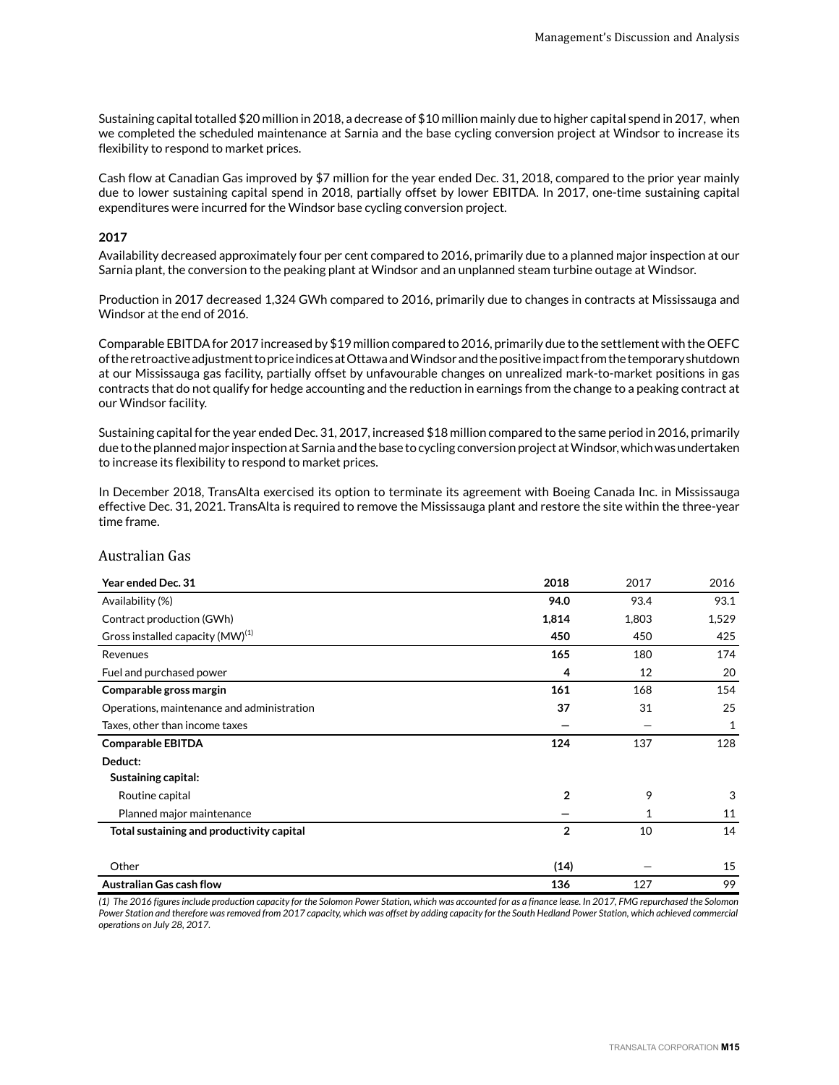Sustaining capital totalled \$20 million in 2018, a decrease of \$10 million mainly due to higher capital spend in 2017, when we completed the scheduled maintenance at Sarnia and the base cycling conversion project at Windsor to increase its flexibility to respond to market prices.

Cash flow at Canadian Gas improved by \$7 million for the year ended Dec. 31, 2018, compared to the prior year mainly due to lower sustaining capital spend in 2018, partially offset by lower EBITDA. In 2017, one-time sustaining capital expenditures were incurred for the Windsor base cycling conversion project.

#### **2017**

Availability decreased approximately four per cent compared to 2016, primarily due to a planned major inspection at our Sarnia plant, the conversion to the peaking plant at Windsor and an unplanned steam turbine outage at Windsor.

Production in 2017 decreased 1,324 GWh compared to 2016, primarily due to changes in contracts at Mississauga and Windsor at the end of 2016.

Comparable EBITDA for 2017 increased by \$19 million compared to 2016, primarily due to the settlement with the OEFC of the retroactive adjustment to price indices at Ottawa and Windsor and the positive impact from the temporary shutdown at our Mississauga gas facility, partially offset by unfavourable changes on unrealized mark-to-market positions in gas contracts that do not qualify for hedge accounting and the reduction in earnings from the change to a peaking contract at our Windsor facility.

Sustaining capital for the year ended Dec. 31, 2017, increased \$18 million compared to the same period in 2016, primarily due to the planned major inspection at Sarnia and the base to cycling conversion project at Windsor, which was undertaken to increase its flexibility to respond to market prices.

In December 2018, TransAlta exercised its option to terminate its agreement with Boeing Canada Inc. in Mississauga effective Dec. 31, 2021. TransAlta is required to remove the Mississauga plant and restore the site within the three-year time frame.

### Australian Gas

| Year ended Dec. 31                           | 2018           | 2017  | 2016  |
|----------------------------------------------|----------------|-------|-------|
| Availability (%)                             | 94.0           | 93.4  | 93.1  |
| Contract production (GWh)                    | 1,814          | 1,803 | 1,529 |
| Gross installed capacity (MW) <sup>(1)</sup> | 450            | 450   | 425   |
| Revenues                                     | 165            | 180   | 174   |
| Fuel and purchased power                     | 4              | 12    | 20    |
| Comparable gross margin                      | 161            | 168   | 154   |
| Operations, maintenance and administration   | 37             | 31    | 25    |
| Taxes, other than income taxes               |                |       | 1     |
| <b>Comparable EBITDA</b>                     | 124            | 137   | 128   |
| Deduct:                                      |                |       |       |
| Sustaining capital:                          |                |       |       |
| Routine capital                              | $\overline{2}$ | 9     | 3     |
| Planned major maintenance                    |                | 1     | 11    |
| Total sustaining and productivity capital    | $\overline{2}$ | 10    | 14    |
|                                              |                |       |       |
| Other                                        | (14)           |       | 15    |
| <b>Australian Gas cash flow</b>              | 136            | 127   | 99    |

*(1) The 2016 figures include production capacity for the Solomon Power Station, which was accounted for as a finance lease. In 2017, FMG repurchased the Solomon Power Station and therefore was removed from 2017 capacity, which was offset by adding capacity for the South Hedland Power Station, which achieved commercial operations on July 28, 2017.*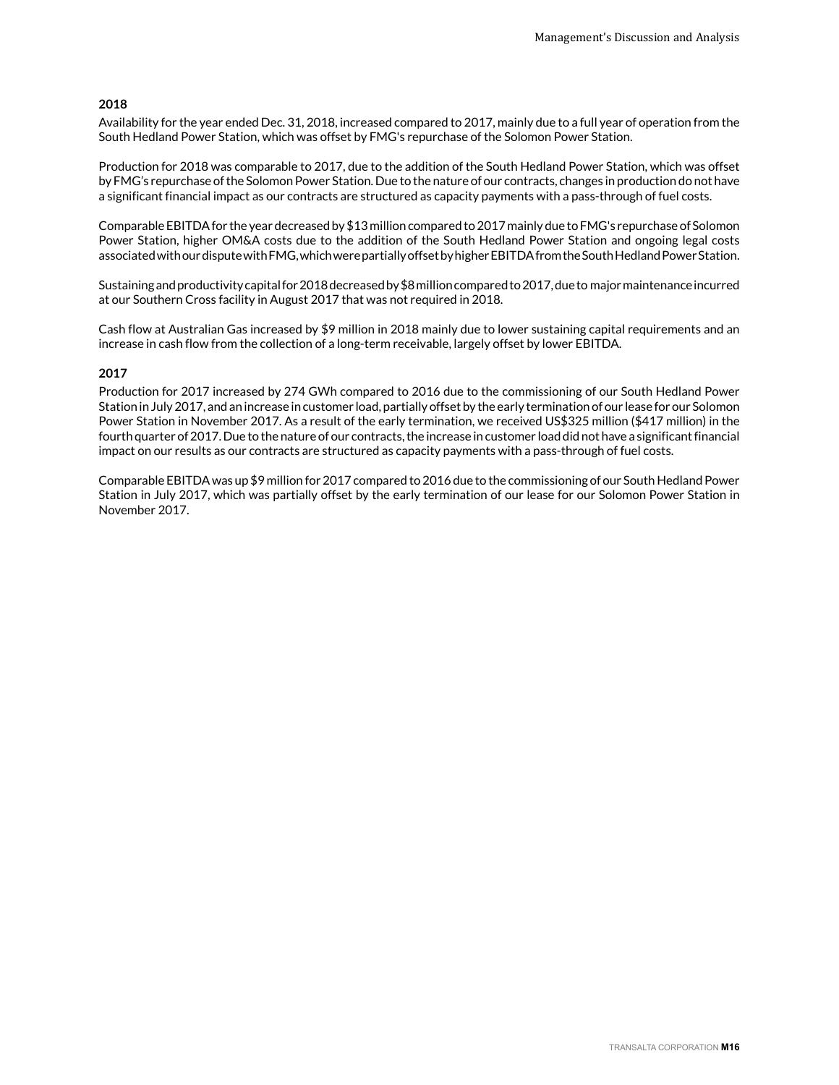#### **2018**

Availability for the year ended Dec. 31, 2018, increased compared to 2017, mainly due to a full year of operation from the South Hedland Power Station, which was offset by FMG's repurchase of the Solomon Power Station.

Production for 2018 was comparable to 2017, due to the addition of the South Hedland Power Station, which was offset by FMG's repurchase of the Solomon Power Station. Due to the nature of our contracts, changes in production do not have a significant financial impact as our contracts are structured as capacity payments with a pass-through of fuel costs.

Comparable EBITDA for the year decreased by \$13 million compared to 2017 mainly due to FMG's repurchase of Solomon Power Station, higher OM&A costs due to the addition of the South Hedland Power Station and ongoing legal costs associated with our dispute with FMG, which were partially offset by higher EBITDA from the South Hedland Power Station.

Sustaining and productivity capital for 2018 decreased by \$8 million compared to 2017, due to major maintenance incurred at our Southern Cross facility in August 2017 that was not required in 2018.

Cash flow at Australian Gas increased by \$9 million in 2018 mainly due to lower sustaining capital requirements and an increase in cash flow from the collection of a long-term receivable, largely offset by lower EBITDA.

#### **2017**

Production for 2017 increased by 274 GWh compared to 2016 due to the commissioning of our South Hedland Power Station in July 2017, and an increase in customer load, partially offset by the early termination of our lease for our Solomon Power Station in November 2017. As a result of the early termination, we received US\$325 million (\$417 million) in the fourth quarter of 2017. Due to the nature of our contracts, the increase in customer load did not have a significant financial impact on our results as our contracts are structured as capacity payments with a pass-through of fuel costs.

Comparable EBITDA was up \$9 million for 2017 compared to 2016 due to the commissioning of our South Hedland Power Station in July 2017, which was partially offset by the early termination of our lease for our Solomon Power Station in November 2017.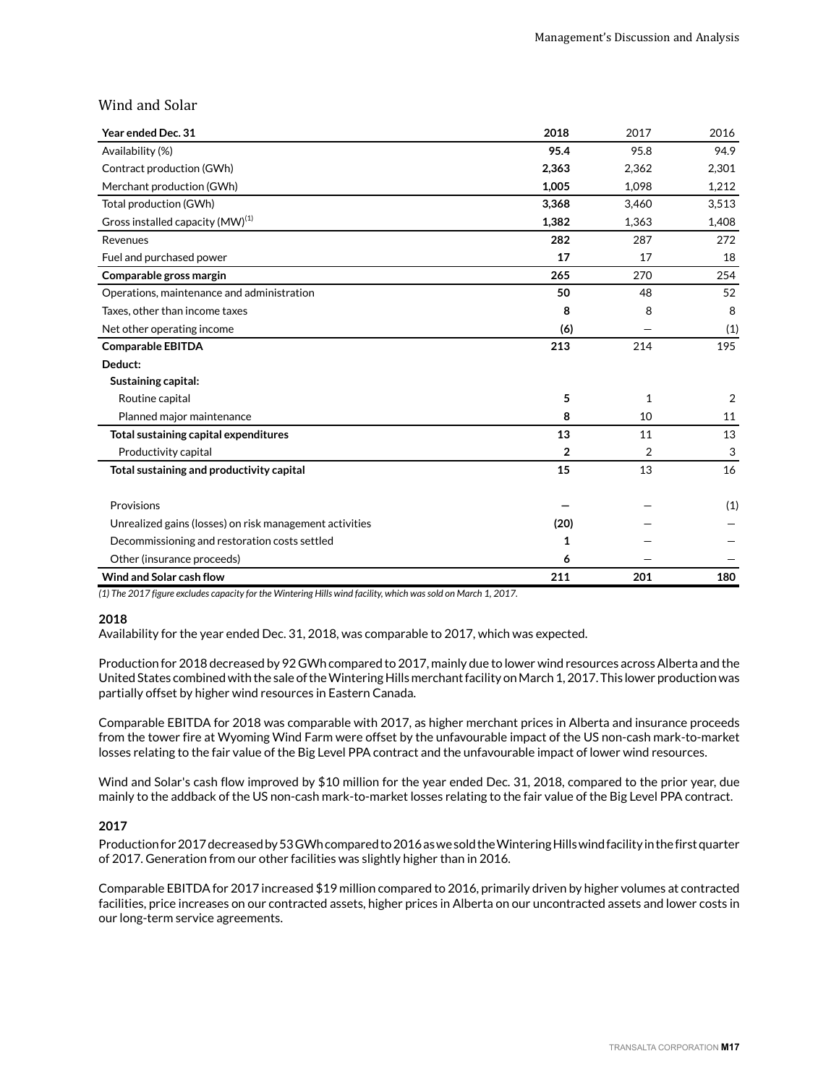## Wind and Solar

| Year ended Dec. 31                                      | 2018         | 2017  | 2016           |
|---------------------------------------------------------|--------------|-------|----------------|
| Availability (%)                                        | 95.4         | 95.8  | 94.9           |
| Contract production (GWh)                               | 2,363        | 2,362 | 2,301          |
| Merchant production (GWh)                               | 1,005        | 1,098 | 1,212          |
| Total production (GWh)                                  | 3,368        | 3,460 | 3,513          |
| Gross installed capacity (MW) <sup>(1)</sup>            | 1,382        | 1,363 | 1,408          |
| Revenues                                                | 282          | 287   | 272            |
| Fuel and purchased power                                | 17           | 17    | 18             |
| Comparable gross margin                                 | 265          | 270   | 254            |
| Operations, maintenance and administration              | 50           | 48    | 52             |
| Taxes, other than income taxes                          | 8            | 8     | 8              |
| Net other operating income                              | (6)          |       | (1)            |
| <b>Comparable EBITDA</b>                                | 213          | 214   | 195            |
| Deduct:                                                 |              |       |                |
| Sustaining capital:                                     |              |       |                |
| Routine capital                                         | 5            | 1     | $\overline{2}$ |
| Planned major maintenance                               | 8            | 10    | 11             |
| Total sustaining capital expenditures                   | 13           | 11    | 13             |
| Productivity capital                                    | $\mathbf{2}$ | 2     | 3              |
| Total sustaining and productivity capital               | 15           | 13    | 16             |
| Provisions                                              |              |       | (1)            |
| Unrealized gains (losses) on risk management activities | (20)         |       |                |
| Decommissioning and restoration costs settled           | 1            |       |                |
| Other (insurance proceeds)                              | 6            |       |                |
| Wind and Solar cash flow                                | 211          | 201   | 180            |

*(1) The 2017 figure excludes capacity for the Wintering Hills wind facility, which was sold on March 1, 2017.* 

#### **2018**

Availability for the year ended Dec. 31, 2018, was comparable to 2017, which was expected.

Production for 2018 decreased by 92 GWh compared to 2017, mainly due to lower wind resources across Alberta and the United States combined with the sale of the Wintering Hills merchant facility on March 1, 2017. This lower production was partially offset by higher wind resources in Eastern Canada.

Comparable EBITDA for 2018 was comparable with 2017, as higher merchant prices in Alberta and insurance proceeds from the tower fire at Wyoming Wind Farm were offset by the unfavourable impact of the US non-cash mark-to-market losses relating to the fair value of the Big Level PPA contract and the unfavourable impact of lower wind resources.

Wind and Solar's cash flow improved by \$10 million for the year ended Dec. 31, 2018, compared to the prior year, due mainly to the addback of the US non-cash mark-to-market losses relating to the fair value of the Big Level PPA contract.

#### **2017**

Production for 2017 decreased by 53 GWh compared to 2016 as we sold the Wintering Hills wind facility in the first quarter of 2017. Generation from our other facilities was slightly higher than in 2016.

Comparable EBITDA for 2017 increased \$19 million compared to 2016, primarily driven by higher volumes at contracted facilities, price increases on our contracted assets, higher prices in Alberta on our uncontracted assets and lower costs in our long-term service agreements.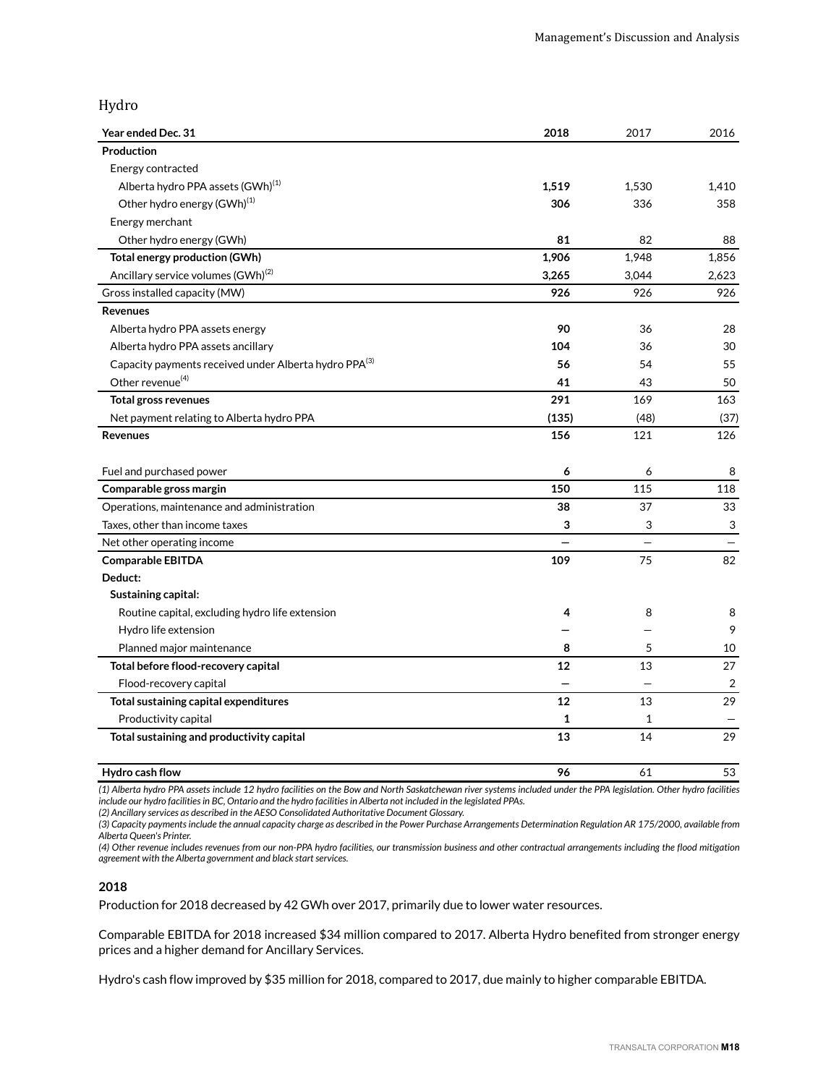## Hydro

| Year ended Dec. 31                                    | 2018  | 2017  | 2016           |
|-------------------------------------------------------|-------|-------|----------------|
| Production                                            |       |       |                |
| Energy contracted                                     |       |       |                |
| Alberta hydro PPA assets (GWh) <sup>(1)</sup>         | 1,519 | 1,530 | 1,410          |
| Other hydro energy (GWh) <sup>(1)</sup>               | 306   | 336   | 358            |
| Energy merchant                                       |       |       |                |
| Other hydro energy (GWh)                              | 81    | 82    | 88             |
| <b>Total energy production (GWh)</b>                  | 1,906 | 1,948 | 1,856          |
| Ancillary service volumes (GWh) <sup>(2)</sup>        | 3,265 | 3,044 | 2,623          |
| Gross installed capacity (MW)                         | 926   | 926   | 926            |
| <b>Revenues</b>                                       |       |       |                |
| Alberta hydro PPA assets energy                       | 90    | 36    | 28             |
| Alberta hydro PPA assets ancillary                    | 104   | 36    | 30             |
| Capacity payments received under Alberta hydro PPA(3) | 56    | 54    | 55             |
| Other revenue <sup>(4)</sup>                          | 41    | 43    | 50             |
| <b>Total gross revenues</b>                           | 291   | 169   | 163            |
| Net payment relating to Alberta hydro PPA             | (135) | (48)  | (37)           |
| <b>Revenues</b>                                       | 156   | 121   | 126            |
| Fuel and purchased power                              | 6     | 6     | 8              |
| Comparable gross margin                               | 150   | 115   | 118            |
| Operations, maintenance and administration            | 38    | 37    | 33             |
| Taxes, other than income taxes                        | 3     | 3     | 3              |
| Net other operating income                            |       |       |                |
| <b>Comparable EBITDA</b>                              | 109   | 75    | 82             |
| Deduct:                                               |       |       |                |
| Sustaining capital:                                   |       |       |                |
| Routine capital, excluding hydro life extension       | 4     | 8     | 8              |
| Hydro life extension                                  |       |       | 9              |
| Planned major maintenance                             | 8     | 5     | 10             |
| Total before flood-recovery capital                   | 12    | 13    | 27             |
| Flood-recovery capital                                |       |       | $\overline{2}$ |
| Total sustaining capital expenditures                 | 12    | 13    | 29             |
| Productivity capital                                  | 1     | 1     |                |
| Total sustaining and productivity capital             | 13    | 14    | 29             |
| Hydro cash flow                                       | 96    | 61    | 53             |

*(1) Alberta hydro PPA assets include 12 hydro facilities on the Bow and North Saskatchewan river systems included under the PPA legislation. Other hydro facilities include our hydro facilities in BC, Ontario and the hydro facilities in Alberta not included in the legislated PPAs.* 

*(2) Ancillary services as described in the AESO Consolidated Authoritative Document Glossary.*

*(3) Capacity payments include the annual capacity charge as described in the Power Purchase Arrangements Determination Regulation AR 175/2000, available from Alberta Queen's Printer.*

*(4) Other revenue includes revenues from our non-PPA hydro facilities, our transmission business and other contractual arrangements including the flood mitigation agreement with the Alberta government and black start services.* 

#### **2018**

Production for 2018 decreased by 42 GWh over 2017, primarily due to lower water resources.

Comparable EBITDA for 2018 increased \$34 million compared to 2017. Alberta Hydro benefited from stronger energy prices and a higher demand for Ancillary Services.

Hydro's cash flow improved by \$35 million for 2018, compared to 2017, due mainly to higher comparable EBITDA.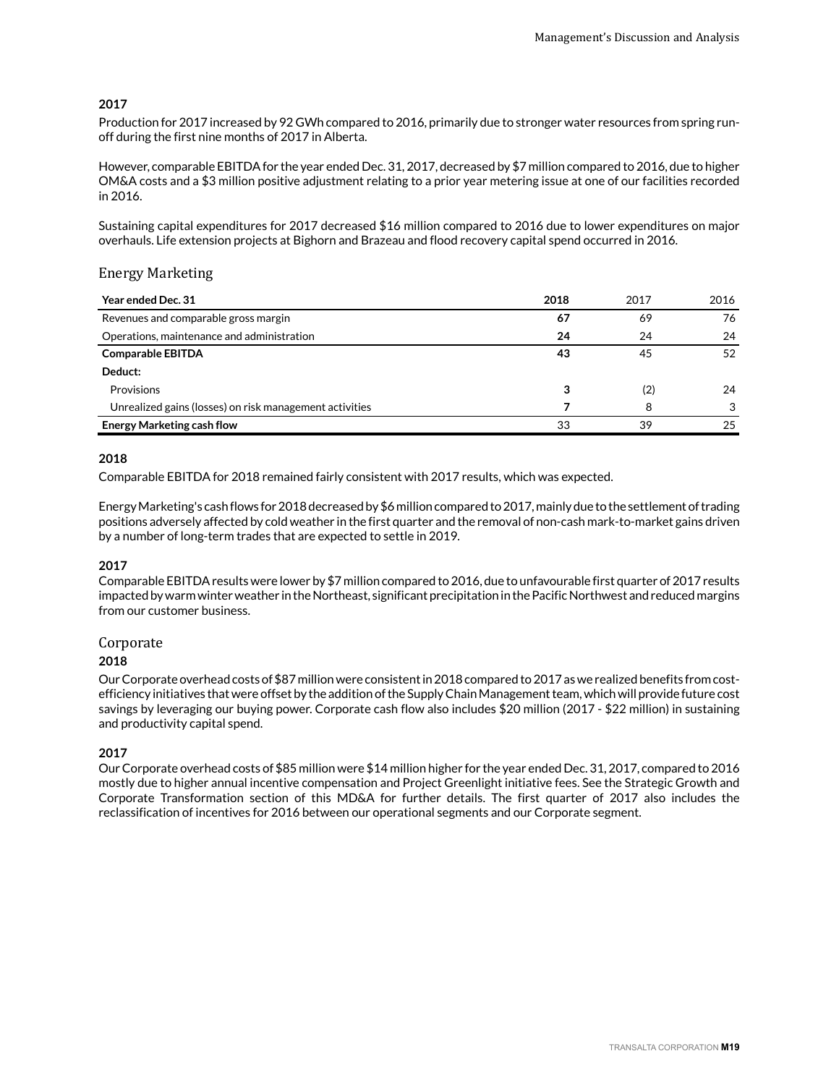### **2017**

Production for 2017 increased by 92 GWh compared to 2016, primarily due to stronger water resources from spring runoff during the first nine months of 2017 in Alberta.

However, comparable EBITDA for the year ended Dec. 31, 2017, decreased by \$7 million compared to 2016, due to higher OM&A costs and a \$3 million positive adjustment relating to a prior year metering issue at one of our facilities recorded in 2016.

Sustaining capital expenditures for 2017 decreased \$16 million compared to 2016 due to lower expenditures on major overhauls. Life extension projects at Bighorn and Brazeau and flood recovery capital spend occurred in 2016.

### Energy Marketing

| <b>Year ended Dec. 31</b>                               | 2018 | 2017 | 2016 |
|---------------------------------------------------------|------|------|------|
| Revenues and comparable gross margin                    | 67   | 69   | 76   |
| Operations, maintenance and administration              | 24   | 24   | 24   |
| <b>Comparable EBITDA</b>                                | 43   | 45   | 52   |
| Deduct:                                                 |      |      |      |
| Provisions                                              | 3    | (2)  | 24   |
| Unrealized gains (losses) on risk management activities |      | 8    | 3    |
| <b>Energy Marketing cash flow</b>                       | 33   | 39   | 25   |

#### **2018**

Comparable EBITDA for 2018 remained fairly consistent with 2017 results, which was expected.

Energy Marketing's cash flows for 2018 decreased by \$6 million compared to 2017, mainly due to the settlement of trading positions adversely affected by cold weather in the first quarter and the removal of non-cash mark-to-market gains driven by a number of long-term trades that are expected to settle in 2019.

## **2017**

Comparable EBITDA results were lower by \$7 million compared to 2016, due to unfavourable first quarter of 2017 results impacted by warm winter weather in the Northeast, significant precipitation in the Pacific Northwest and reduced margins from our customer business.

#### Corporate

#### **2018**

Our Corporate overhead costs of \$87 million were consistent in 2018 compared to 2017 as we realized benefits from costefficiency initiatives that were offset by the addition of the Supply Chain Management team, which will provide future cost savings by leveraging our buying power. Corporate cash flow also includes \$20 million (2017 - \$22 million) in sustaining and productivity capital spend.

## **2017**

Our Corporate overhead costs of \$85 million were \$14 million higher for the year ended Dec. 31, 2017, compared to 2016 mostly due to higher annual incentive compensation and Project Greenlight initiative fees. See the Strategic Growth and Corporate Transformation section of this MD&A for further details. The first quarter of 2017 also includes the reclassification of incentives for 2016 between our operational segments and our Corporate segment.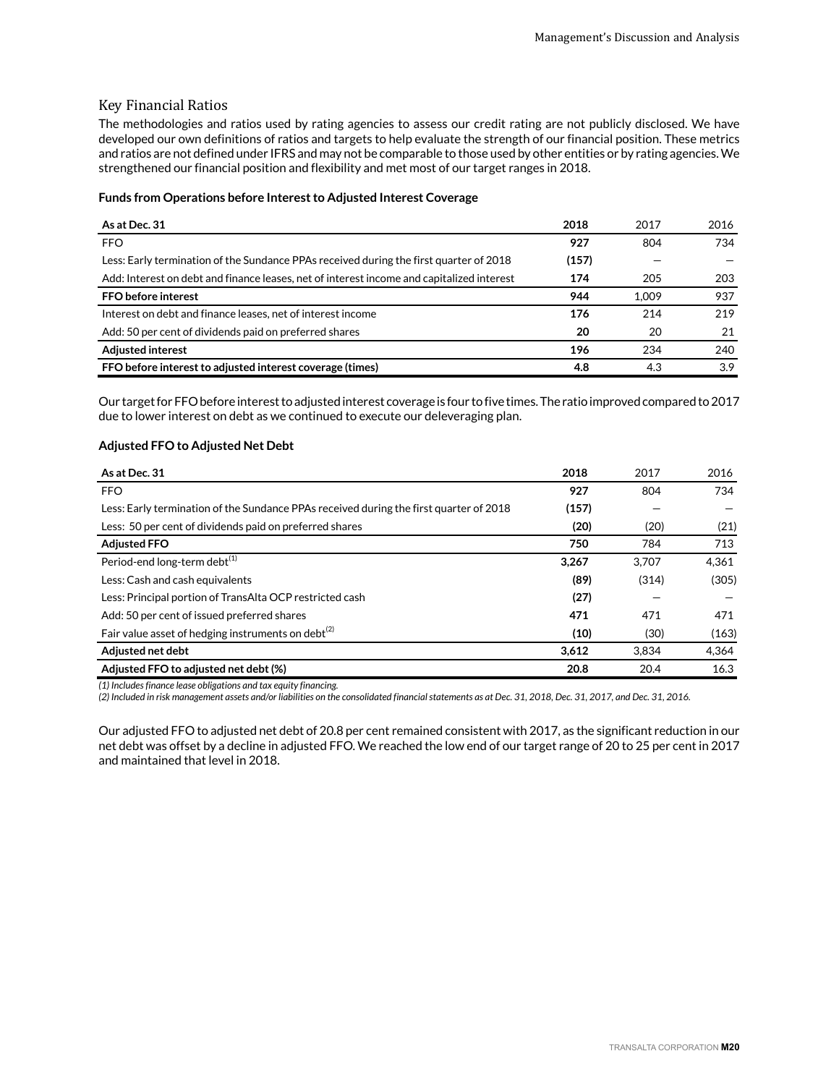### Key Financial Ratios

The methodologies and ratios used by rating agencies to assess our credit rating are not publicly disclosed. We have developed our own definitions of ratios and targets to help evaluate the strength of our financial position. These metrics and ratios are not defined under IFRS and may not be comparable to those used by other entities or by rating agencies. We strengthened our financial position and flexibility and met most of our target ranges in 2018.

#### **Funds from Operations before Interest to Adjusted Interest Coverage**

| As at Dec. 31                                                                             | 2018  | 2017  | 2016 |
|-------------------------------------------------------------------------------------------|-------|-------|------|
| <b>FFO</b>                                                                                | 927   | 804   | 734  |
| Less: Early termination of the Sundance PPAs received during the first quarter of 2018    | (157) |       |      |
| Add: Interest on debt and finance leases, net of interest income and capitalized interest | 174   | 205   | 203  |
| FFO before interest                                                                       | 944   | 1.009 | 937  |
| Interest on debt and finance leases, net of interest income                               | 176   | 214   | 219  |
| Add: 50 per cent of dividends paid on preferred shares                                    | 20    | 20    | 21   |
| <b>Adjusted interest</b>                                                                  | 196   | 234   | 240  |
| FFO before interest to adjusted interest coverage (times)                                 | 4.8   | 4.3   | 3.9  |

Our target for FFO before interest to adjusted interest coverage is four to five times. The ratio improved compared to 2017 due to lower interest on debt as we continued to execute our deleveraging plan.

### **Adjusted FFO to Adjusted Net Debt**

| As at Dec. 31                                                                          | 2018  | 2017  | 2016  |
|----------------------------------------------------------------------------------------|-------|-------|-------|
| <b>FFO</b>                                                                             | 927   | 804   | 734   |
| Less: Early termination of the Sundance PPAs received during the first quarter of 2018 | (157) |       |       |
| Less: 50 per cent of dividends paid on preferred shares                                | (20)  | (20)  | (21)  |
| <b>Adjusted FFO</b>                                                                    | 750   | 784   | 713   |
| Period-end long-term debt <sup>(1)</sup>                                               | 3,267 | 3.707 | 4.361 |
| Less: Cash and cash equivalents                                                        | (89)  | (314) | (305) |
| Less: Principal portion of TransAlta OCP restricted cash                               | (27)  |       |       |
| Add: 50 per cent of issued preferred shares                                            | 471   | 471   | 471   |
| Fair value asset of hedging instruments on debt <sup>(2)</sup>                         | (10)  | (30)  | (163) |
| Adiusted net debt                                                                      | 3.612 | 3.834 | 4,364 |
| Adjusted FFO to adjusted net debt (%)                                                  | 20.8  | 20.4  | 16.3  |

*(1) Includes finance lease obligations and tax equity financing.*

*(2) Included in risk management assets and/or liabilities on the consolidated financial statements as at Dec. 31, 2018, Dec. 31, 2017, and Dec. 31, 2016.*

Our adjusted FFO to adjusted net debt of 20.8 per cent remained consistent with 2017, as the significant reduction in our net debt was offset by a decline in adjusted FFO. We reached the low end of our target range of 20 to 25 per cent in 2017 and maintained that level in 2018.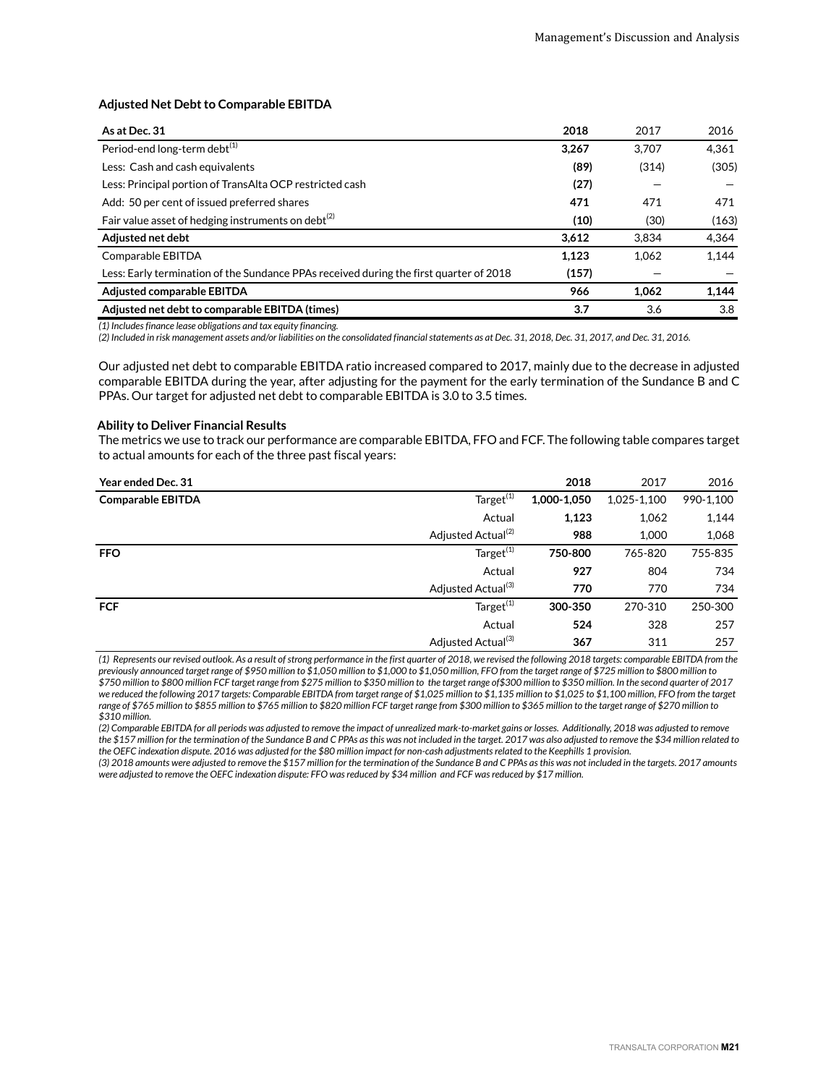#### **Adjusted Net Debt to Comparable EBITDA**

| As at Dec. 31                                                                          | 2018  | 2017  | 2016  |
|----------------------------------------------------------------------------------------|-------|-------|-------|
| Period-end long-term debt <sup>(1)</sup>                                               | 3.267 | 3.707 | 4,361 |
| Less: Cash and cash equivalents                                                        | (89)  | (314) | (305) |
| Less: Principal portion of TransAlta OCP restricted cash                               | (27)  |       |       |
| Add: 50 per cent of issued preferred shares                                            | 471   | 471   | 471   |
| Fair value asset of hedging instruments on debt <sup>(2)</sup>                         | (10)  | (30)  | (163) |
| Adiusted net debt                                                                      | 3.612 | 3.834 | 4,364 |
| Comparable EBITDA                                                                      | 1,123 | 1.062 | 1.144 |
| Less: Early termination of the Sundance PPAs received during the first quarter of 2018 | (157) |       |       |
| Adjusted comparable EBITDA                                                             | 966   | 1.062 | 1,144 |
| Adjusted net debt to comparable EBITDA (times)                                         | 3.7   | 3.6   | 3.8   |

*(1) Includes finance lease obligations and tax equity financing.*

*(2) Included in risk management assets and/or liabilities on the consolidated financial statements as at Dec. 31, 2018, Dec. 31, 2017, and Dec. 31, 2016.*

Our adjusted net debt to comparable EBITDA ratio increased compared to 2017, mainly due to the decrease in adjusted comparable EBITDA during the year, after adjusting for the payment for the early termination of the Sundance B and C PPAs. Our target for adjusted net debt to comparable EBITDA is 3.0 to 3.5 times.

#### **Ability to Deliver Financial Results**

The metrics we use to track our performance are comparable EBITDA, FFO and FCF. The following table compares target to actual amounts for each of the three past fiscal years:

| <b>Year ended Dec. 31</b> |                                | 2018        | 2017        | 2016      |
|---------------------------|--------------------------------|-------------|-------------|-----------|
| <b>Comparable EBITDA</b>  | Target <sup>(1)</sup>          | 1,000-1,050 | 1,025-1,100 | 990-1,100 |
|                           | Actual                         | 1,123       | 1,062       | 1,144     |
|                           | Adjusted Actual <sup>(2)</sup> | 988         | 1,000       | 1,068     |
| <b>FFO</b>                | $\text{Target}^{(1)}$          | 750-800     | 765-820     | 755-835   |
|                           | Actual                         | 927         | 804         | 734       |
|                           | Adjusted Actual <sup>(3)</sup> | 770         | 770         | 734       |
| <b>FCF</b>                | Target <sup>(1)</sup>          | 300-350     | 270-310     | 250-300   |
|                           | Actual                         | 524         | 328         | 257       |
|                           | Adjusted Actual <sup>(3)</sup> | 367         | 311         | 257       |

*(1) Represents our revised outlook. As a result of strong performance in the first quarter of 2018, we revised the following 2018 targets: comparable EBITDA from the previously announced target range of \$950 million to \$1,050 million to \$1,000 to \$1,050 million, FFO from the target range of \$725 million to \$800 million to \$750 million to \$800 million FCF target range from \$275 million to \$350 million to the target range of\$300 million to \$350 million. In the second quarter of 2017 we reduced the following 2017 targets: Comparable EBITDA from target range of \$1,025 million to \$1,135 million to \$1,025 to \$1,100 million, FFO from the target range of \$765 million to \$855 million to \$765 million to \$820 million FCF target range from \$300 million to \$365 million to the target range of \$270 million to \$310 million.*

*(2) Comparable EBITDA for all periods was adjusted to remove the impact of unrealized mark-to-market gains or losses. Additionally, 2018 was adjusted to remove the \$157 million for the termination of the Sundance B and C PPAs as this was not included in the target. 2017 was also adjusted to remove the \$34 million related to the OEFC indexation dispute. 2016 was adjusted for the \$80 million impact for non-cash adjustments related to the Keephills 1 provision.* 

*(3) 2018 amounts were adjusted to remove the \$157 million for the termination of the Sundance B and C PPAs as this was not included in the targets. 2017 amounts were adjusted to remove the OEFC indexation dispute: FFO was reduced by \$34 million and FCF was reduced by \$17 million.*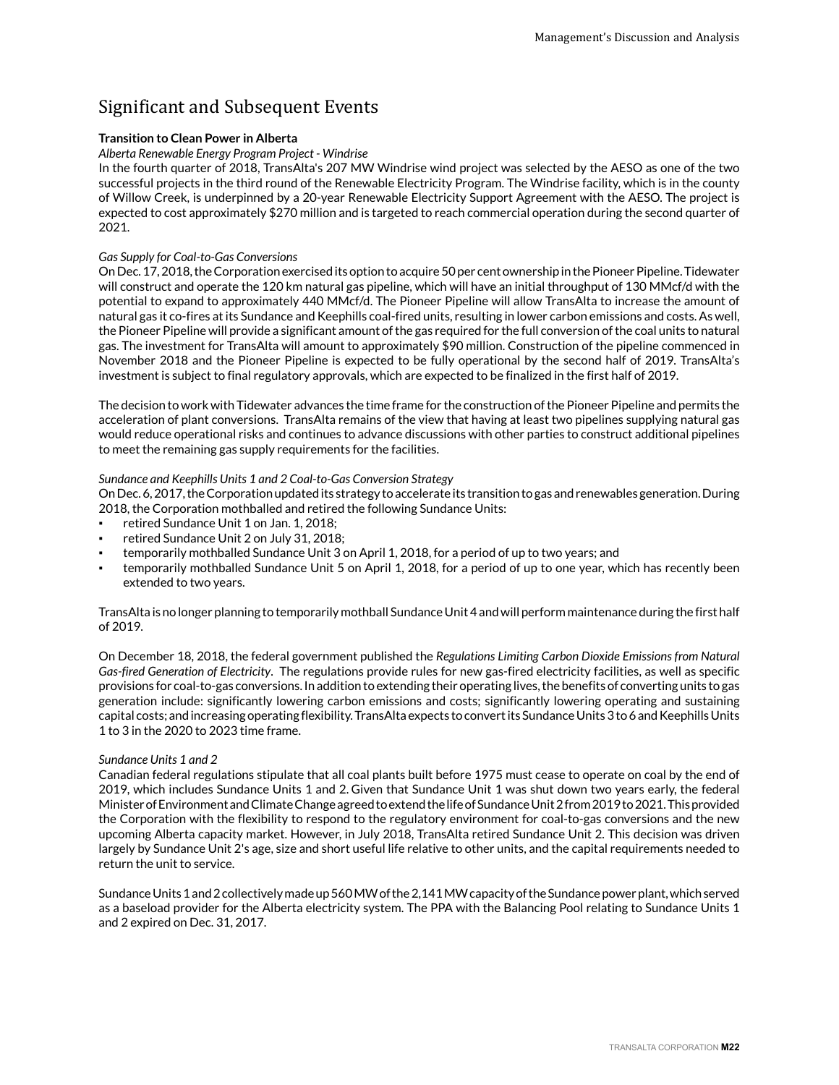## <span id="page-21-0"></span>Significant and Subsequent Events

### **Transition to Clean Power in Alberta**

#### *Alberta Renewable Energy Program Project - Windrise*

In the fourth quarter of 2018, TransAlta's 207 MW Windrise wind project was selected by the AESO as one of the two successful projects in the third round of the Renewable Electricity Program. The Windrise facility, which is in the county of Willow Creek, is underpinned by a 20-year Renewable Electricity Support Agreement with the AESO. The project is expected to cost approximately \$270 million and is targeted to reach commercial operation during the second quarter of 2021.

#### *Gas Supply for Coal-to-Gas Conversions*

On Dec. 17, 2018, the Corporation exercised its option to acquire 50 per cent ownership in the Pioneer Pipeline. Tidewater will construct and operate the 120 km natural gas pipeline, which will have an initial throughput of 130 MMcf/d with the potential to expand to approximately 440 MMcf/d. The Pioneer Pipeline will allow TransAlta to increase the amount of natural gas it co-fires at its Sundance and Keephills coal-fired units, resulting in lower carbon emissions and costs. As well, the Pioneer Pipeline will provide a significant amount of the gas required for the full conversion of the coal units to natural gas. The investment for TransAlta will amount to approximately \$90 million. Construction of the pipeline commenced in November 2018 and the Pioneer Pipeline is expected to be fully operational by the second half of 2019. TransAlta's investment is subject to final regulatory approvals, which are expected to be finalized in the first half of 2019.

The decision to work with Tidewater advances the time frame for the construction of the Pioneer Pipeline and permits the acceleration of plant conversions. TransAlta remains of the view that having at least two pipelines supplying natural gas would reduce operational risks and continues to advance discussions with other parties to construct additional pipelines to meet the remaining gas supply requirements for the facilities.

### *Sundance and Keephills Units 1 and 2 Coal-to-Gas Conversion Strategy*

On Dec. 6, 2017, the Corporation updated its strategy to accelerate its transition to gas and renewables generation. During 2018, the Corporation mothballed and retired the following Sundance Units:

- retired Sundance Unit 1 on Jan. 1, 2018;
- retired Sundance Unit 2 on July 31, 2018;
- temporarily mothballed Sundance Unit 3 on April 1, 2018, for a period of up to two years; and
- temporarily mothballed Sundance Unit 5 on April 1, 2018, for a period of up to one year, which has recently been extended to two years.

TransAlta is no longer planning to temporarily mothball Sundance Unit 4 and will perform maintenance during the first half of 2019.

On December 18, 2018, the federal government published the *Regulations Limiting Carbon Dioxide Emissions from Natural Gas-fired Generation of Electricity*. The regulations provide rules for new gas-fired electricity facilities, as well as specific provisions for coal-to-gas conversions. In addition to extending their operating lives, the benefits of converting units to gas generation include: significantly lowering carbon emissions and costs; significantly lowering operating and sustaining capital costs; and increasing operating flexibility. TransAlta expects to convert its Sundance Units 3 to 6 and Keephills Units 1 to 3 in the 2020 to 2023 time frame.

#### *Sundance Units 1 and 2*

Canadian federal regulations stipulate that all coal plants built before 1975 must cease to operate on coal by the end of 2019, which includes Sundance Units 1 and 2. Given that Sundance Unit 1 was shut down two years early, the federal Minister of Environment and Climate Change agreed to extend the life of Sundance Unit 2 from 2019 to 2021. This provided the Corporation with the flexibility to respond to the regulatory environment for coal-to-gas conversions and the new upcoming Alberta capacity market. However, in July 2018, TransAlta retired Sundance Unit 2. This decision was driven largely by Sundance Unit 2's age, size and short useful life relative to other units, and the capital requirements needed to return the unit to service.

Sundance Units 1 and 2 collectively made up 560 MW of the 2,141 MW capacity of the Sundance power plant, which served as a baseload provider for the Alberta electricity system. The PPA with the Balancing Pool relating to Sundance Units 1 and 2 expired on Dec. 31, 2017.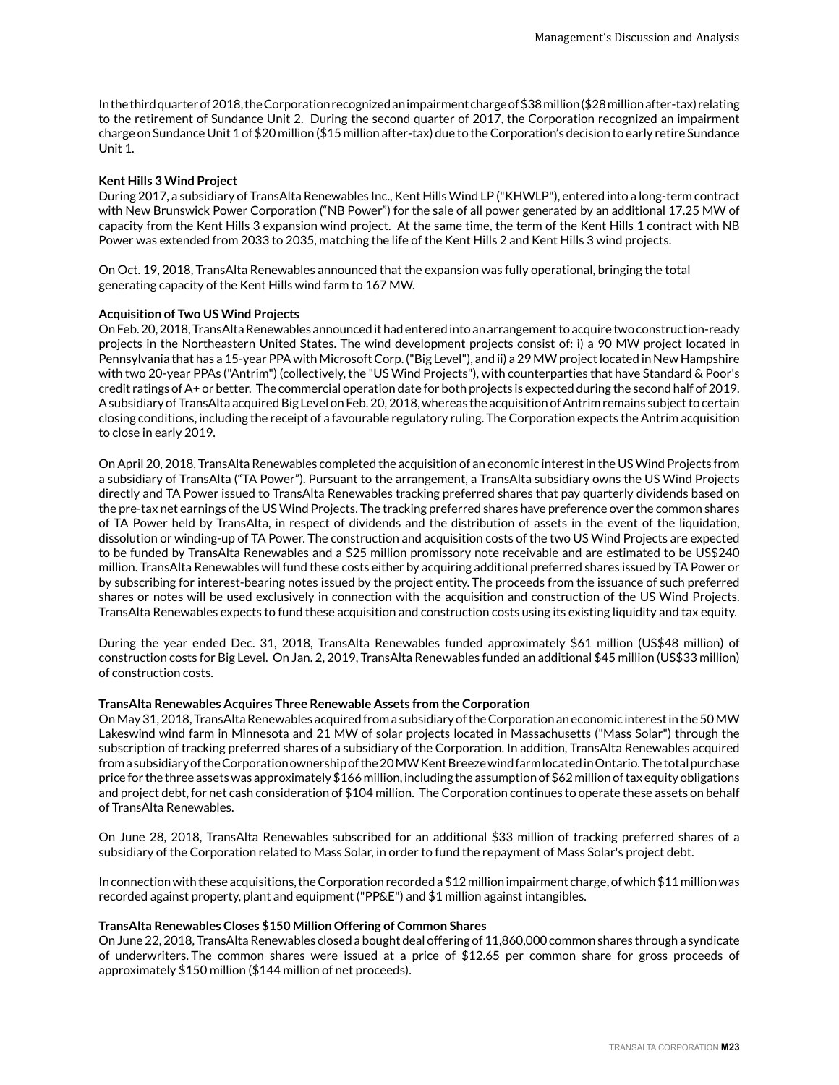In the third quarter of 2018, the Corporation recognized an impairment charge of \$38 million (\$28 million after-tax) relating to the retirement of Sundance Unit 2. During the second quarter of 2017, the Corporation recognized an impairment charge on Sundance Unit 1 of \$20 million (\$15 million after-tax) due to the Corporation's decision to early retire Sundance Unit 1.

#### **Kent Hills 3 Wind Project**

During 2017, a subsidiary of TransAlta Renewables Inc., Kent Hills Wind LP ("KHWLP"), entered into a long-term contract with New Brunswick Power Corporation ("NB Power") for the sale of all power generated by an additional 17.25 MW of capacity from the Kent Hills 3 expansion wind project. At the same time, the term of the Kent Hills 1 contract with NB Power was extended from 2033 to 2035, matching the life of the Kent Hills 2 and Kent Hills 3 wind projects.

On Oct. 19, 2018, TransAlta Renewables announced that the expansion was fully operational, bringing the total generating capacity of the Kent Hills wind farm to 167 MW.

#### **Acquisition of Two US Wind Projects**

On Feb. 20, 2018, TransAlta Renewables announced it had entered into an arrangement to acquire two construction-ready projects in the Northeastern United States. The wind development projects consist of: i) a 90 MW project located in Pennsylvania that has a 15-year PPA with Microsoft Corp. ("Big Level"), and ii) a 29 MW project located in New Hampshire with two 20-year PPAs ("Antrim") (collectively, the "US Wind Projects"), with counterparties that have Standard & Poor's credit ratings of A+ or better. The commercial operation date for both projects is expected during the second half of 2019. A subsidiary of TransAlta acquired Big Level on Feb. 20, 2018, whereas the acquisition of Antrim remains subject to certain closing conditions, including the receipt of a favourable regulatory ruling. The Corporation expects the Antrim acquisition to close in early 2019.

On April 20, 2018, TransAlta Renewables completed the acquisition of an economic interest in the US Wind Projects from a subsidiary of TransAlta ("TA Power"). Pursuant to the arrangement, a TransAlta subsidiary owns the US Wind Projects directly and TA Power issued to TransAlta Renewables tracking preferred shares that pay quarterly dividends based on the pre-tax net earnings of the US Wind Projects. The tracking preferred shares have preference over the common shares of TA Power held by TransAlta, in respect of dividends and the distribution of assets in the event of the liquidation, dissolution or winding-up of TA Power. The construction and acquisition costs of the two US Wind Projects are expected to be funded by TransAlta Renewables and a \$25 million promissory note receivable and are estimated to be US\$240 million. TransAlta Renewables will fund these costs either by acquiring additional preferred shares issued by TA Power or by subscribing for interest-bearing notes issued by the project entity. The proceeds from the issuance of such preferred shares or notes will be used exclusively in connection with the acquisition and construction of the US Wind Projects. TransAlta Renewables expects to fund these acquisition and construction costs using its existing liquidity and tax equity.

During the year ended Dec. 31, 2018, TransAlta Renewables funded approximately \$61 million (US\$48 million) of construction costs for Big Level. On Jan. 2, 2019, TransAlta Renewables funded an additional \$45 million (US\$33 million) of construction costs.

#### **TransAlta Renewables Acquires Three Renewable Assets from the Corporation**

On May 31, 2018, TransAlta Renewables acquired from a subsidiary of the Corporation an economic interest in the 50 MW Lakeswind wind farm in Minnesota and 21 MW of solar projects located in Massachusetts ("Mass Solar") through the subscription of tracking preferred shares of a subsidiary of the Corporation. In addition, TransAlta Renewables acquired from a subsidiary of the Corporation ownership of the 20 MW Kent Breeze wind farm located in Ontario. The total purchase price for the three assets was approximately \$166 million, including the assumption of \$62 million of tax equity obligations and project debt, for net cash consideration of \$104 million. The Corporation continues to operate these assets on behalf of TransAlta Renewables.

On June 28, 2018, TransAlta Renewables subscribed for an additional \$33 million of tracking preferred shares of a subsidiary of the Corporation related to Mass Solar, in order to fund the repayment of Mass Solar's project debt.

In connection with these acquisitions, the Corporation recorded a \$12 million impairment charge, of which \$11 million was recorded against property, plant and equipment ("PP&E") and \$1 million against intangibles.

#### **TransAlta Renewables Closes \$150 Million Offering of Common Shares**

On June 22, 2018, TransAlta Renewables closed a bought deal offering of 11,860,000 common shares through a syndicate of underwriters. The common shares were issued at a price of \$12.65 per common share for gross proceeds of approximately \$150 million (\$144 million of net proceeds).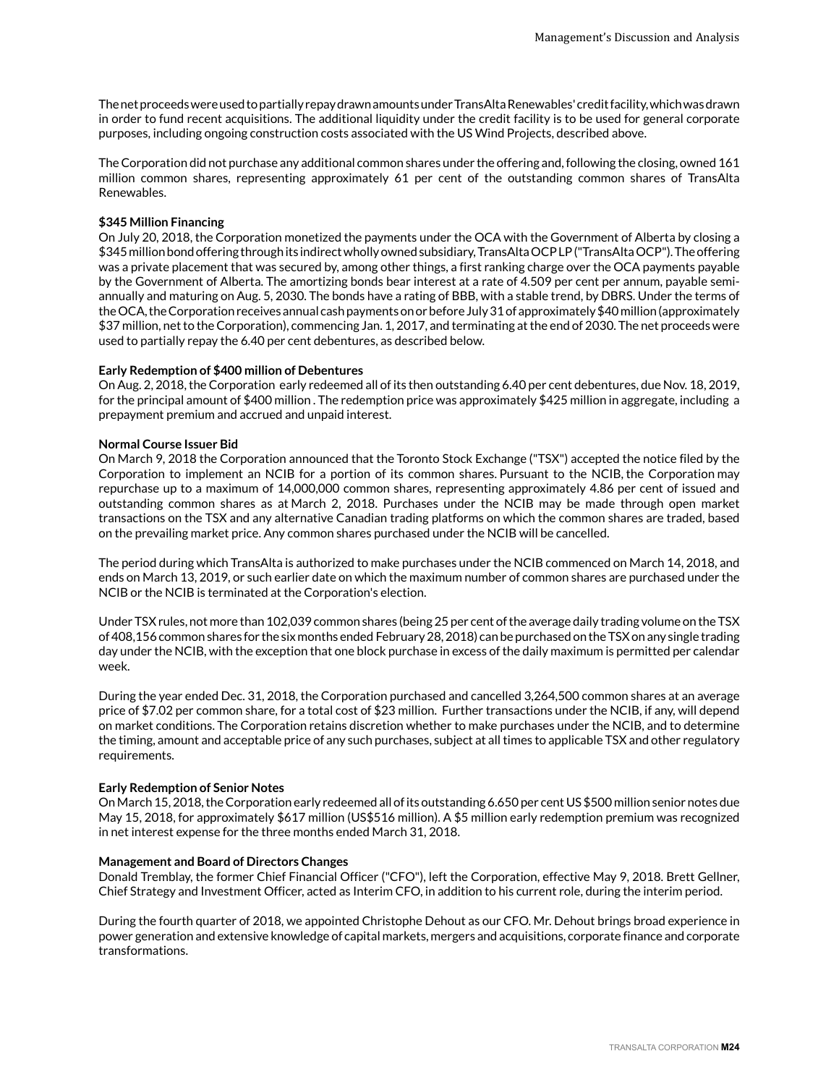The net proceeds were used to partially repay drawn amounts under TransAlta Renewables' credit facility, which was drawn in order to fund recent acquisitions. The additional liquidity under the credit facility is to be used for general corporate purposes, including ongoing construction costs associated with the US Wind Projects, described above.

The Corporation did not purchase any additional common shares under the offering and, following the closing, owned 161 million common shares, representing approximately 61 per cent of the outstanding common shares of TransAlta Renewables.

### **\$345 Million Financing**

On July 20, 2018, the Corporation monetized the payments under the OCA with the Government of Alberta by closing a \$345 million bond offering through its indirect wholly owned subsidiary, TransAlta OCP LP ("TransAlta OCP"). The offering was a private placement that was secured by, among other things, a first ranking charge over the OCA payments payable by the Government of Alberta. The amortizing bonds bear interest at a rate of 4.509 per cent per annum, payable semiannually and maturing on Aug. 5, 2030. The bonds have a rating of BBB, with a stable trend, by DBRS. Under the terms of the OCA, the Corporation receives annual cash payments on or before July 31 of approximately \$40 million (approximately \$37 million, net to the Corporation), commencing Jan. 1, 2017, and terminating at the end of 2030. The net proceeds were used to partially repay the 6.40 per cent debentures, as described below.

#### **Early Redemption of \$400 million of Debentures**

On Aug. 2, 2018, the Corporation early redeemed all of its then outstanding 6.40 per cent debentures, due Nov. 18, 2019, for the principal amount of \$400 million . The redemption price was approximately \$425 million in aggregate, including a prepayment premium and accrued and unpaid interest.

#### **Normal Course Issuer Bid**

On March 9, 2018 the Corporation announced that the Toronto Stock Exchange ("TSX") accepted the notice filed by the Corporation to implement an NCIB for a portion of its common shares. Pursuant to the NCIB, the Corporation may repurchase up to a maximum of 14,000,000 common shares, representing approximately 4.86 per cent of issued and outstanding common shares as at March 2, 2018. Purchases under the NCIB may be made through open market transactions on the TSX and any alternative Canadian trading platforms on which the common shares are traded, based on the prevailing market price. Any common shares purchased under the NCIB will be cancelled.

The period during which TransAlta is authorized to make purchases under the NCIB commenced on March 14, 2018, and ends on March 13, 2019, or such earlier date on which the maximum number of common shares are purchased under the NCIB or the NCIB is terminated at the Corporation's election.

Under TSX rules, not more than 102,039 common shares (being 25 per cent of the average daily trading volume on the TSX of 408,156 common shares for the six months ended February 28, 2018) can be purchased on the TSX on any single trading day under the NCIB, with the exception that one block purchase in excess of the daily maximum is permitted per calendar week.

During the year ended Dec. 31, 2018, the Corporation purchased and cancelled 3,264,500 common shares at an average price of \$7.02 per common share, for a total cost of \$23 million. Further transactions under the NCIB, if any, will depend on market conditions. The Corporation retains discretion whether to make purchases under the NCIB, and to determine the timing, amount and acceptable price of any such purchases, subject at all times to applicable TSX and other regulatory requirements.

#### **Early Redemption of Senior Notes**

On March 15, 2018, the Corporation early redeemed all of its outstanding 6.650 per cent US \$500 million senior notes due May 15, 2018, for approximately \$617 million (US\$516 million). A \$5 million early redemption premium was recognized in net interest expense for the three months ended March 31, 2018.

#### **Management and Board of Directors Changes**

Donald Tremblay, the former Chief Financial Officer ("CFO"), left the Corporation, effective May 9, 2018. Brett Gellner, Chief Strategy and Investment Officer, acted as Interim CFO, in addition to his current role, during the interim period.

During the fourth quarter of 2018, we appointed Christophe Dehout as our CFO. Mr. Dehout brings broad experience in power generation and extensive knowledge of capital markets, mergers and acquisitions, corporate finance and corporate transformations.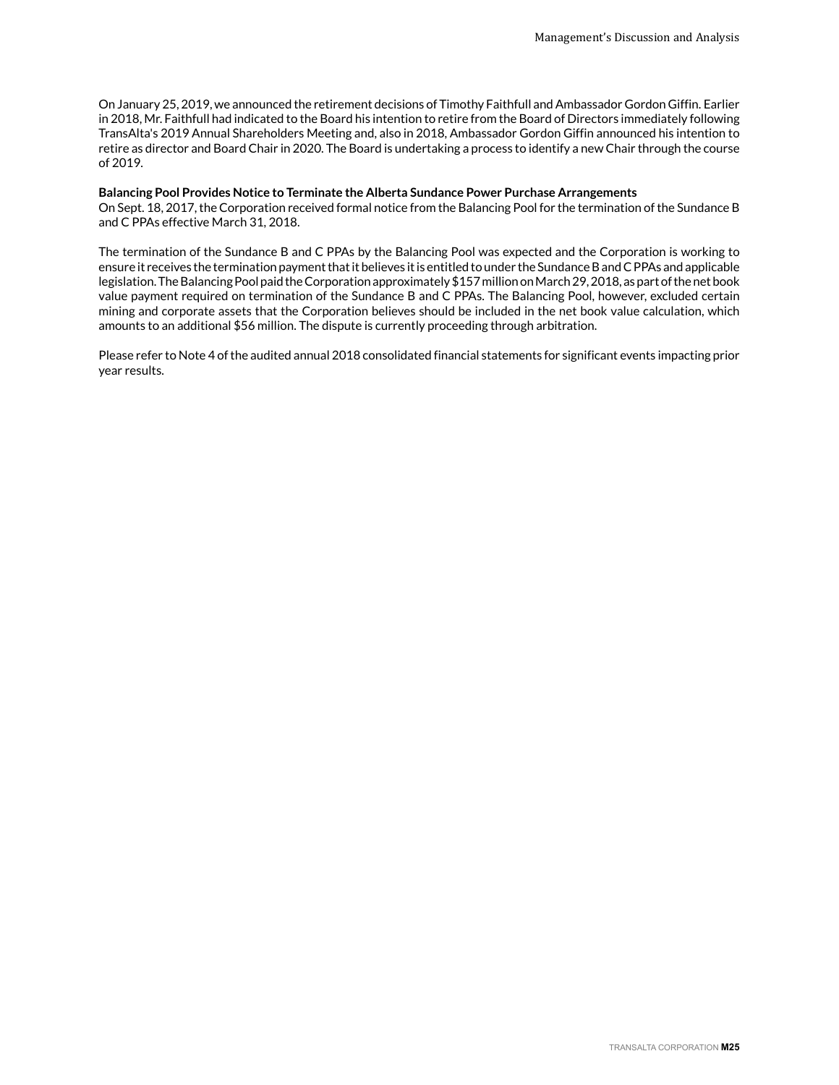On January 25, 2019, we announced the retirement decisions of Timothy Faithfull and Ambassador Gordon Giffin. Earlier in 2018, Mr. Faithfull had indicated to the Board his intention to retire from the Board of Directors immediately following TransAlta's 2019 Annual Shareholders Meeting and, also in 2018, Ambassador Gordon Giffin announced his intention to retire as director and Board Chair in 2020. The Board is undertaking a process to identify a new Chair through the course of 2019.

#### **Balancing Pool Provides Notice to Terminate the Alberta Sundance Power Purchase Arrangements**

On Sept. 18, 2017, the Corporation received formal notice from the Balancing Pool for the termination of the Sundance B and C PPAs effective March 31, 2018.

The termination of the Sundance B and C PPAs by the Balancing Pool was expected and the Corporation is working to ensure it receives the termination payment that it believes it is entitled to under the Sundance B and C PPAs and applicable legislation. The Balancing Pool paid the Corporation approximately \$157 million on March 29, 2018, as part of the net book value payment required on termination of the Sundance B and C PPAs. The Balancing Pool, however, excluded certain mining and corporate assets that the Corporation believes should be included in the net book value calculation, which amounts to an additional \$56 million. The dispute is currently proceeding through arbitration.

Please refer to Note 4 of the audited annual 2018 consolidated financial statements for significant events impacting prior year results.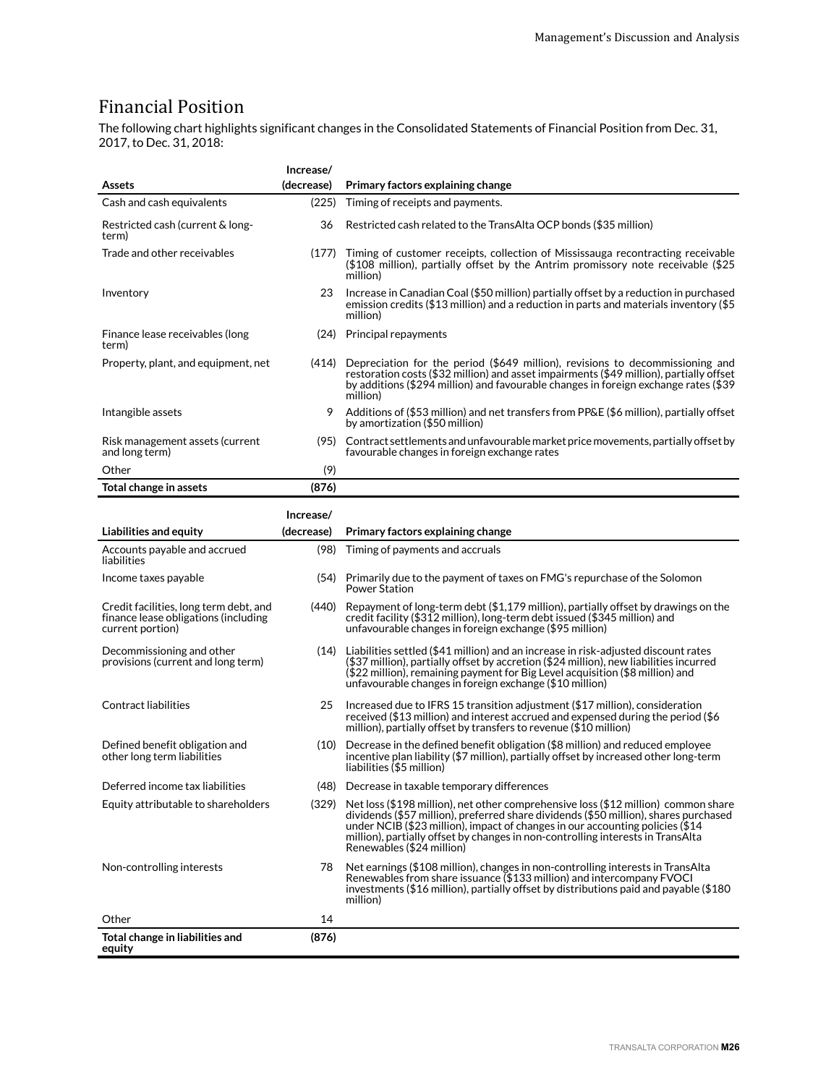## <span id="page-25-0"></span>Financial Position

The following chart highlights significant changes in the Consolidated Statements of Financial Position from Dec. 31, 2017, to Dec. 31, 2018:

|                                                                                                    | Increase/  |                                                                                                                                                                                                                                                                                                                                                                             |
|----------------------------------------------------------------------------------------------------|------------|-----------------------------------------------------------------------------------------------------------------------------------------------------------------------------------------------------------------------------------------------------------------------------------------------------------------------------------------------------------------------------|
| <b>Assets</b>                                                                                      | (decrease) | Primary factors explaining change                                                                                                                                                                                                                                                                                                                                           |
| Cash and cash equivalents                                                                          | (225)      | Timing of receipts and payments.                                                                                                                                                                                                                                                                                                                                            |
| Restricted cash (current & long-<br>term)                                                          | 36         | Restricted cash related to the TransAlta OCP bonds (\$35 million)                                                                                                                                                                                                                                                                                                           |
| Trade and other receivables                                                                        | (177)      | Timing of customer receipts, collection of Mississauga recontracting receivable<br>(\$108 million), partially offset by the Antrim promissory note receivable (\$25<br>million)                                                                                                                                                                                             |
| Inventory                                                                                          | 23         | Increase in Canadian Coal (\$50 million) partially offset by a reduction in purchased<br>emission credits (\$13 million) and a reduction in parts and materials inventory (\$5<br>million)                                                                                                                                                                                  |
| Finance lease receivables (long<br>term)                                                           |            | (24) Principal repayments                                                                                                                                                                                                                                                                                                                                                   |
| Property, plant, and equipment, net                                                                | (414)      | Depreciation for the period $($649 \text{ million})$ , revisions to decommissioning and<br>restoration costs (\$32 million) and asset impairments (\$49 million), partially offset<br>by additions (\$294 million) and favourable changes in foreign exchange rates (\$39<br>million)                                                                                       |
| Intangible assets                                                                                  | 9          | Additions of (\$53 million) and net transfers from PP&E (\$6 million), partially offset<br>by amortization (\$50 million)                                                                                                                                                                                                                                                   |
| Risk management assets (current<br>and long term)                                                  |            | (95) Contract settlements and unfavourable market price movements, partially offset by<br>favourable changes in foreign exchange rates                                                                                                                                                                                                                                      |
| Other                                                                                              | (9)        |                                                                                                                                                                                                                                                                                                                                                                             |
| Total change in assets                                                                             | (876)      |                                                                                                                                                                                                                                                                                                                                                                             |
|                                                                                                    | Increase/  |                                                                                                                                                                                                                                                                                                                                                                             |
| Liabilities and equity                                                                             | (decrease) | Primary factors explaining change                                                                                                                                                                                                                                                                                                                                           |
| Accounts payable and accrued<br>liabilities                                                        | (98)       | Timing of payments and accruals                                                                                                                                                                                                                                                                                                                                             |
| Income taxes payable                                                                               |            | (54) Primarily due to the payment of taxes on FMG's repurchase of the Solomon<br><b>Power Station</b>                                                                                                                                                                                                                                                                       |
| Credit facilities, long term debt, and<br>finance lease obligations (including<br>current portion) | (440)      | Repayment of long-term debt (\$1,179 million), partially offset by drawings on the<br>credit facility (\$312 million), long-term debt issued (\$345 million) and<br>unfavourable changes in foreign exchange (\$95 million)                                                                                                                                                 |
| Decommissioning and other<br>provisions (current and long term)                                    | (14)       | Liabilities settled (\$41 million) and an increase in risk-adjusted discount rates<br>$($37$ million), partially offset by accretion $($24$ million), new liabilities incurred<br>(\$22 million), remaining payment for Big Level acquisition (\$8 million) and<br>unfavourable changes in foreign exchange (\$10 million)                                                  |
| <b>Contract liabilities</b>                                                                        | 25         | Increased due to IFRS 15 transition adjustment (\$17 million), consideration<br>received (\$13 million) and interest accrued and expensed during the period (\$6<br>million), partially offset by transfers to revenue (\$10 million)                                                                                                                                       |
| Defined benefit obligation and<br>other long term liabilities                                      | (10)       | Decrease in the defined benefit obligation (\$8 million) and reduced employee<br>incentive plan liability (\$7 million), partially offset by increased other long-term<br>liabilities (\$5 million)                                                                                                                                                                         |
| Deferred income tax liabilities                                                                    |            | (48) Decrease in taxable temporary differences                                                                                                                                                                                                                                                                                                                              |
| Equity attributable to shareholders                                                                | (329)      | Net loss (\$198 million), net other comprehensive loss (\$12 million) common share<br>dividends (\$57 million), preferred share dividends (\$50 million), shares purchased<br>under NCIB (\$23 million), impact of changes in our accounting policies (\$14<br>million), partially offset by changes in non-controlling interests in TransAlta<br>Renewables (\$24 million) |
| Non-controlling interests                                                                          | 78         | Net earnings (\$108 million), changes in non-controlling interests in TransAlta<br>Renewables from share issuance (\$133 million) and intercompany FVOCI<br>investments (\$16 million), partially offset by distributions paid and payable (\$180<br>million)                                                                                                               |
| Other                                                                                              | 14         |                                                                                                                                                                                                                                                                                                                                                                             |
| Total change in liabilities and<br>equity                                                          | (876)      |                                                                                                                                                                                                                                                                                                                                                                             |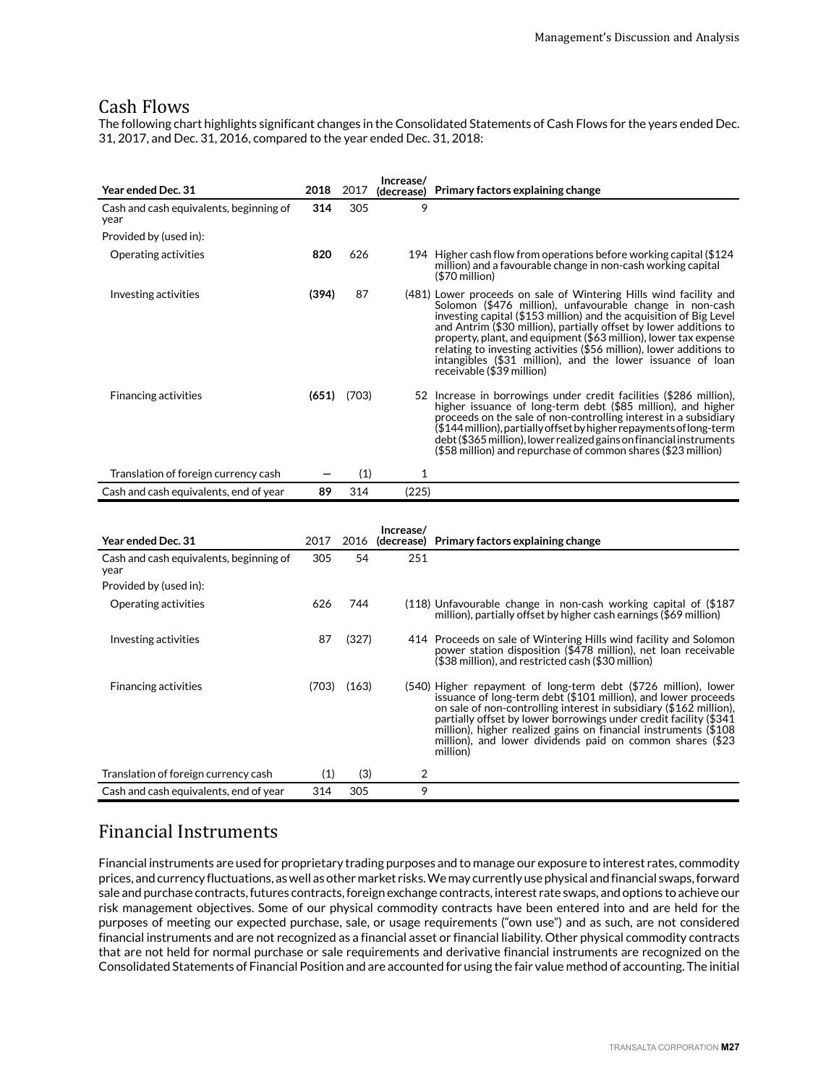## <span id="page-26-0"></span>Cash Flows

The following chart highlights significant changes in the Consolidated Statements of Cash Flows for the years ended Dec. 31, 2017, and Dec. 31, 2016, compared to the year ended Dec. 31, 2018:

| Year ended Dec. 31                              | 2018  | 2017            | Increase/<br>(decrease) | Primary factors explaining change                                                                                                                                                                                                                                                                                                                                                                                                                                                                              |
|-------------------------------------------------|-------|-----------------|-------------------------|----------------------------------------------------------------------------------------------------------------------------------------------------------------------------------------------------------------------------------------------------------------------------------------------------------------------------------------------------------------------------------------------------------------------------------------------------------------------------------------------------------------|
| Cash and cash equivalents, beginning of<br>year | 314   | 305             | 9                       |                                                                                                                                                                                                                                                                                                                                                                                                                                                                                                                |
| Provided by (used in):                          |       |                 |                         |                                                                                                                                                                                                                                                                                                                                                                                                                                                                                                                |
| Operating activities                            | 820   | 626             |                         | 194 Higher cash flow from operations before working capital (\$124<br>million) and a favourable change in non-cash working capital<br>$$70$ million)                                                                                                                                                                                                                                                                                                                                                           |
| Investing activities                            | (394) | 87              |                         | (481) Lower proceeds on sale of Wintering Hills wind facility and<br>Solomon (\$476 million), unfavourable change in non-cash<br>investing capital (\$153 million) and the acquisition of Big Level<br>and Antrim (\$30 million), partially offset by lower additions to<br>property, plant, and equipment (\$63 million), lower tax expense<br>relating to investing activities (\$56 million), lower additions to<br>intangibles (\$31 million), and the lower issuance of loan<br>receivable (\$39 million) |
| <b>Financing activities</b>                     |       | $(651)$ $(703)$ |                         | 52 Increase in borrowings under credit facilities (\$286 million),<br>higher issuance of long-term debt (\$85 million), and higher<br>proceeds on the sale of non-controlling interest in a subsidiary<br>(\$144 million), partially offset by higher repayments of long-term<br>debt (\$365 million), lower realized gains on financial instruments<br>(\$58 million) and repurchase of common shares (\$23 million)                                                                                          |
| Translation of foreign currency cash            |       | (1)             | 1                       |                                                                                                                                                                                                                                                                                                                                                                                                                                                                                                                |
| Cash and cash equivalents, end of year          | 89    | 314             | (225)                   |                                                                                                                                                                                                                                                                                                                                                                                                                                                                                                                |
| Year ended Dec. 31                              | 2017  | 2016            | Increase/               | (decrease) Primary factors explaining change                                                                                                                                                                                                                                                                                                                                                                                                                                                                   |
| Cash and cash equivalents, beginning of<br>year | 305   | 54              | 251                     |                                                                                                                                                                                                                                                                                                                                                                                                                                                                                                                |
| Provided by (used in):                          |       |                 |                         |                                                                                                                                                                                                                                                                                                                                                                                                                                                                                                                |
| Operating activities                            | 626   | 744             |                         | $(118)$ Unfavourable change in non-cash working capital of $$187$<br>million), partially offset by higher cash earnings (\$69 million)                                                                                                                                                                                                                                                                                                                                                                         |
| Investing activities                            | 87    | (327)           |                         | 414 Proceeds on sale of Wintering Hills wind facility and Solomon<br>power station disposition (\$478 million), net loan receivable<br>(\$38 million), and restricted cash (\$30 million)                                                                                                                                                                                                                                                                                                                      |
| <b>Financing activities</b>                     |       | $(703)$ $(163)$ |                         | (540) Higher repayment of long-term debt (\$726 million), lower<br>issuance of long-term debt (\$101 million), and lower proceeds<br>on sale of non-controlling interest in subsidiary (\$162 million),<br>partially offset by lower borrowings under credit facility (\$341)<br>million), higher realized gains on financial instruments (\$108<br>million), and lower dividends paid on common shares (\$23<br>million)                                                                                      |
|                                                 |       |                 |                         |                                                                                                                                                                                                                                                                                                                                                                                                                                                                                                                |
| Translation of foreign currency cash            | (1)   | (3)             | 2                       |                                                                                                                                                                                                                                                                                                                                                                                                                                                                                                                |

## Financial Instruments

Financial instruments are used for proprietary trading purposes and to manage our exposure to interest rates, commodity prices, and currency fluctuations, as well as other market risks. We may currently use physical and financial swaps, forward sale and purchase contracts, futures contracts, foreign exchange contracts, interest rate swaps, and options to achieve our risk management objectives. Some of our physical commodity contracts have been entered into and are held for the purposes of meeting our expected purchase, sale, or usage requirements ("own use") and as such, are not considered financial instruments and are not recognized as a financial asset or financial liability. Other physical commodity contracts that are not held for normal purchase or sale requirements and derivative financial instruments are recognized on the Consolidated Statements of Financial Position and are accounted for using the fair value method of accounting. The initial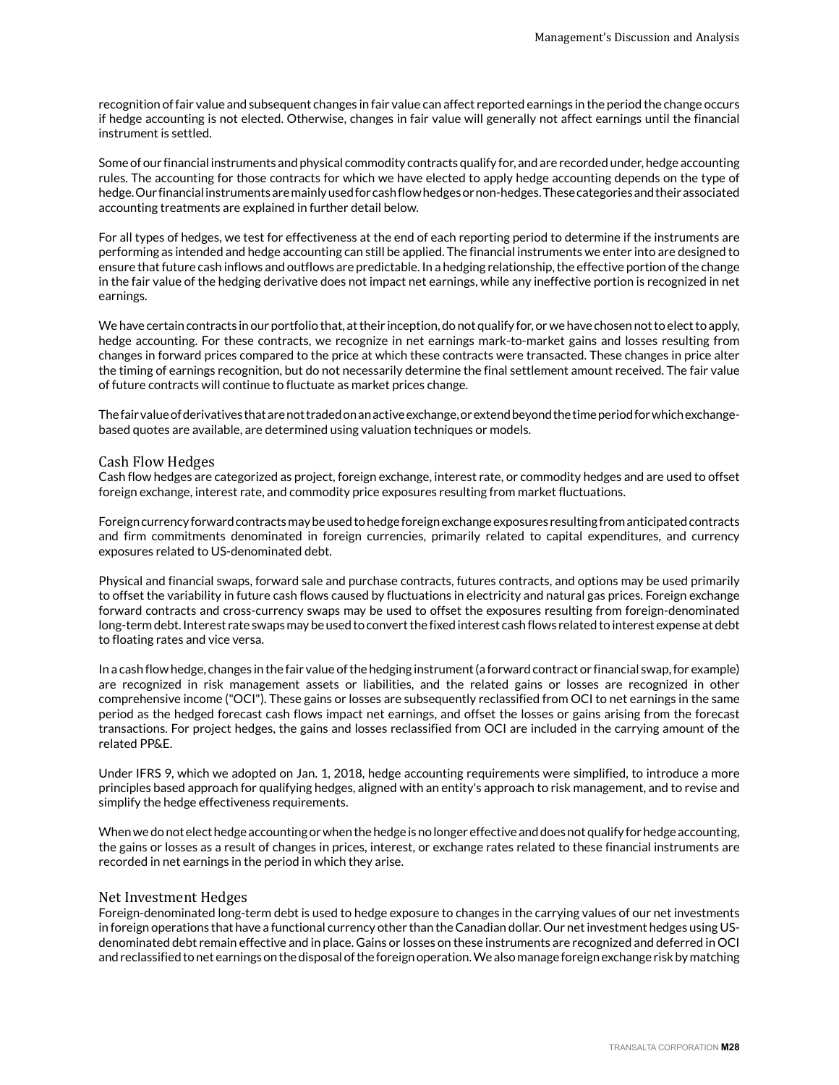recognition of fair value and subsequent changes in fair value can affect reported earnings in the period the change occurs if hedge accounting is not elected. Otherwise, changes in fair value will generally not affect earnings until the financial instrument is settled.

Some of our financial instruments and physical commodity contracts qualify for, and are recorded under, hedge accounting rules. The accounting for those contracts for which we have elected to apply hedge accounting depends on the type of hedge. Our financial instruments are mainly used for cash flow hedges or non-hedges. These categories and their associated accounting treatments are explained in further detail below.

For all types of hedges, we test for effectiveness at the end of each reporting period to determine if the instruments are performing as intended and hedge accounting can still be applied. The financial instruments we enter into are designed to ensure that future cash inflows and outflows are predictable. In a hedging relationship, the effective portion of the change in the fair value of the hedging derivative does not impact net earnings, while any ineffective portion is recognized in net earnings.

We have certain contracts in our portfolio that, at their inception, do not qualify for, or we have chosen not to elect to apply, hedge accounting. For these contracts, we recognize in net earnings mark-to-market gains and losses resulting from changes in forward prices compared to the price at which these contracts were transacted. These changes in price alter the timing of earnings recognition, but do not necessarily determine the final settlement amount received. The fair value of future contracts will continue to fluctuate as market prices change.

The fair value of derivatives that are not traded on an active exchange, or extend beyond the time period for which exchangebased quotes are available, are determined using valuation techniques or models.

#### Cash Flow Hedges

Cash flow hedges are categorized as project, foreign exchange, interest rate, or commodity hedges and are used to offset foreign exchange, interest rate, and commodity price exposures resulting from market fluctuations.

Foreign currency forward contracts may be used to hedge foreign exchange exposures resulting from anticipated contracts and firm commitments denominated in foreign currencies, primarily related to capital expenditures, and currency exposures related to US-denominated debt.

Physical and financial swaps, forward sale and purchase contracts, futures contracts, and options may be used primarily to offset the variability in future cash flows caused by fluctuations in electricity and natural gas prices. Foreign exchange forward contracts and cross-currency swaps may be used to offset the exposures resulting from foreign-denominated long-term debt. Interest rate swaps may be used to convert the fixed interest cash flows related to interest expense at debt to floating rates and vice versa.

In a cash flow hedge, changes in the fair value of the hedging instrument (a forward contract or financial swap, for example) are recognized in risk management assets or liabilities, and the related gains or losses are recognized in other comprehensive income ("OCI"). These gains or losses are subsequently reclassified from OCI to net earnings in the same period as the hedged forecast cash flows impact net earnings, and offset the losses or gains arising from the forecast transactions. For project hedges, the gains and losses reclassified from OCI are included in the carrying amount of the related PP&E.

Under IFRS 9, which we adopted on Jan. 1, 2018, hedge accounting requirements were simplified, to introduce a more principles based approach for qualifying hedges, aligned with an entity's approach to risk management, and to revise and simplify the hedge effectiveness requirements.

When we do not elect hedge accounting or when the hedge is no longer effective and does not qualify for hedge accounting, the gains or losses as a result of changes in prices, interest, or exchange rates related to these financial instruments are recorded in net earnings in the period in which they arise.

#### Net Investment Hedges

Foreign-denominated long-term debt is used to hedge exposure to changes in the carrying values of our net investments in foreign operations that have a functional currency other than the Canadian dollar. Our net investment hedges using USdenominated debt remain effective and in place. Gains or losses on these instruments are recognized and deferred in OCI and reclassified to net earnings on the disposal of the foreign operation. We also manage foreign exchange risk by matching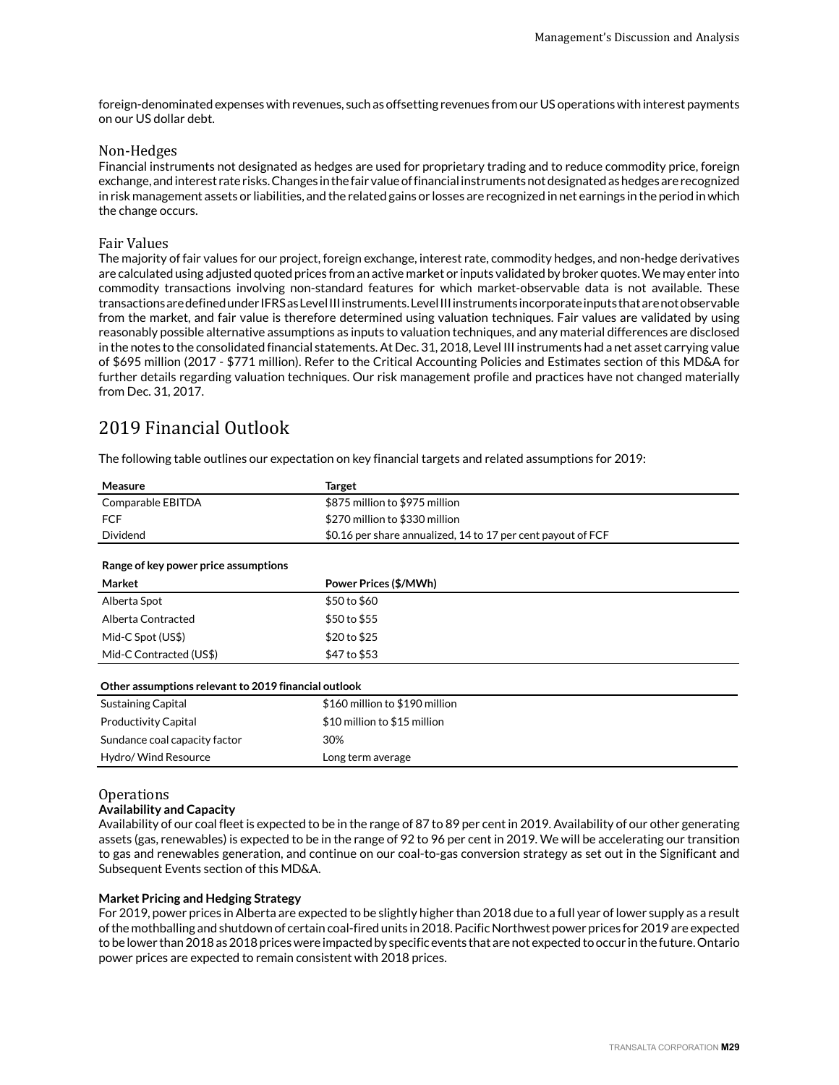<span id="page-28-0"></span>foreign-denominated expenses with revenues, such as offsetting revenues from our US operations with interest payments on our US dollar debt.

#### Non-Hedges

Financial instruments not designated as hedges are used for proprietary trading and to reduce commodity price, foreign exchange, and interest rate risks. Changes in the fair value of financial instruments not designated as hedges are recognized in risk management assets or liabilities, and the related gains or losses are recognized in net earnings in the period in which the change occurs.

#### Fair Values

The majority of fair values for our project, foreign exchange, interest rate, commodity hedges, and non-hedge derivatives are calculated using adjusted quoted prices from an active market or inputs validated by broker quotes. We may enter into commodity transactions involving non-standard features for which market-observable data is not available. These transactions are defined under IFRS as Level III instruments. Level III instruments incorporate inputs that are not observable from the market, and fair value is therefore determined using valuation techniques. Fair values are validated by using reasonably possible alternative assumptions as inputs to valuation techniques, and any material differences are disclosed in the notes to the consolidated financial statements. At Dec. 31, 2018, Level III instruments had a net asset carrying value of \$695 million (2017 - \$771 million). Refer to the Critical Accounting Policies and Estimates section of this MD&A for further details regarding valuation techniques. Our risk management profile and practices have not changed materially from Dec. 31, 2017.

## 2019 Financial Outlook

The following table outlines our expectation on key financial targets and related assumptions for 2019:

| Measure                                              | <b>Target</b>                                                |
|------------------------------------------------------|--------------------------------------------------------------|
| Comparable EBITDA                                    | \$875 million to \$975 million                               |
| <b>FCF</b>                                           | \$270 million to \$330 million                               |
| Dividend                                             | \$0.16 per share annualized, 14 to 17 per cent payout of FCF |
|                                                      |                                                              |
| Range of key power price assumptions                 |                                                              |
| Market                                               | Power Prices (\$/MWh)                                        |
| Alberta Spot                                         | \$50 to \$60                                                 |
| Alberta Contracted                                   | \$50 to \$55                                                 |
| Mid-C Spot (US\$)                                    | \$20 to \$25                                                 |
| Mid-C Contracted (US\$)                              | \$47 to \$53                                                 |
|                                                      |                                                              |
| Other assumptions relevant to 2019 financial outlook |                                                              |
| Sustaining Capital                                   | \$160 million to \$190 million                               |
| <b>Productivity Capital</b>                          | \$10 million to \$15 million                                 |
| Sundance coal capacity factor                        | 30%                                                          |
| Hydro/ Wind Resource                                 | Long term average                                            |

#### **Operations**

#### **Availability and Capacity**

Availability of our coal fleet is expected to be in the range of 87 to 89 per cent in 2019. Availability of our other generating assets (gas, renewables) is expected to be in the range of 92 to 96 per cent in 2019. We will be accelerating our transition to gas and renewables generation, and continue on our coal-to-gas conversion strategy as set out in the Significant and Subsequent Events section of this MD&A.

#### **Market Pricing and Hedging Strategy**

For 2019, power prices in Alberta are expected to be slightly higher than 2018 due to a full year of lower supply as a result of the mothballing and shutdown of certain coal-fired units in 2018. Pacific Northwest power prices for 2019 are expected to be lower than 2018 as 2018 prices were impacted by specific events that are not expected to occur in the future. Ontario power prices are expected to remain consistent with 2018 prices.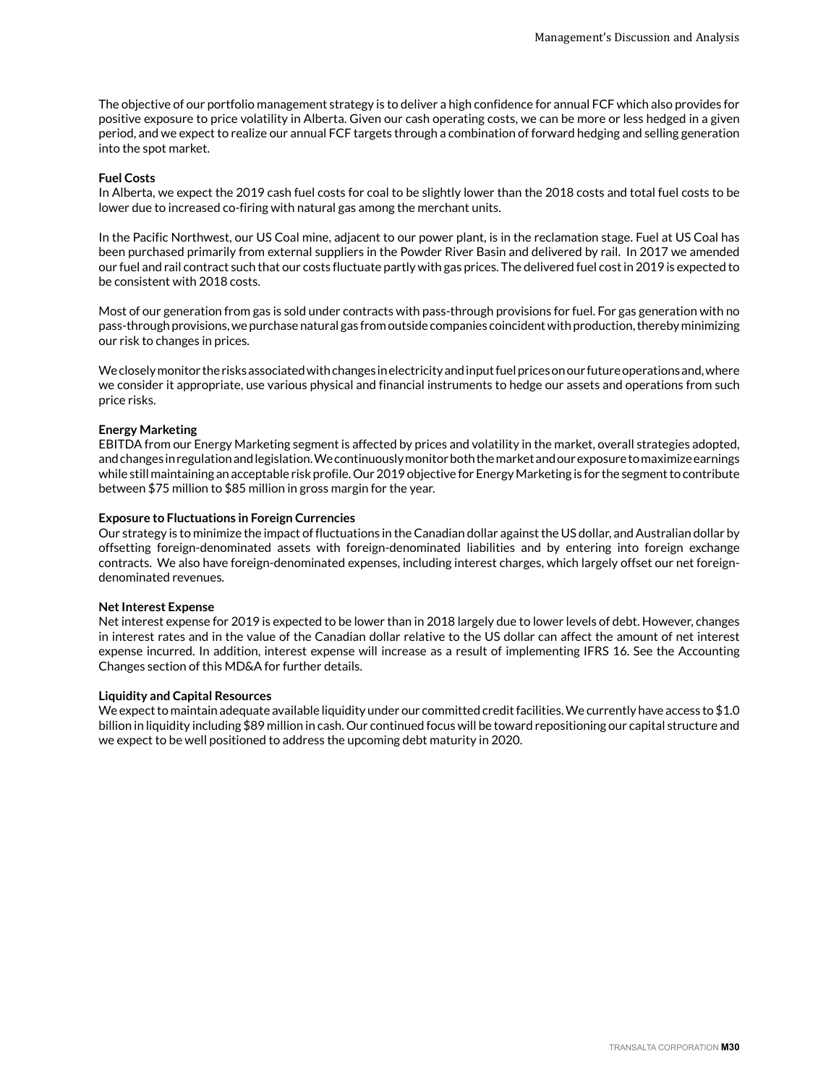The objective of our portfolio management strategy is to deliver a high confidence for annual FCF which also provides for positive exposure to price volatility in Alberta. Given our cash operating costs, we can be more or less hedged in a given period, and we expect to realize our annual FCF targets through a combination of forward hedging and selling generation into the spot market.

#### **Fuel Costs**

In Alberta, we expect the 2019 cash fuel costs for coal to be slightly lower than the 2018 costs and total fuel costs to be lower due to increased co-firing with natural gas among the merchant units.

In the Pacific Northwest, our US Coal mine, adjacent to our power plant, is in the reclamation stage. Fuel at US Coal has been purchased primarily from external suppliers in the Powder River Basin and delivered by rail. In 2017 we amended our fuel and rail contract such that our costs fluctuate partly with gas prices. The delivered fuel cost in 2019 is expected to be consistent with 2018 costs.

Most of our generation from gas is sold under contracts with pass-through provisions for fuel. For gas generation with no pass-through provisions, we purchase natural gas from outside companies coincident with production, thereby minimizing our risk to changes in prices.

We closely monitor the risks associated with changes in electricity and input fuel prices on our future operations and, where we consider it appropriate, use various physical and financial instruments to hedge our assets and operations from such price risks.

#### **Energy Marketing**

EBITDA from our Energy Marketing segment is affected by prices and volatility in the market, overall strategies adopted, and changes in regulation and legislation. We continuously monitor both the market and our exposure to maximize earnings while still maintaining an acceptable risk profile. Our 2019 objective for Energy Marketing is for the segment to contribute between \$75 million to \$85 million in gross margin for the year.

#### **Exposure to Fluctuations in Foreign Currencies**

Our strategy is to minimize the impact of fluctuations in the Canadian dollar against the US dollar, and Australian dollar by offsetting foreign-denominated assets with foreign-denominated liabilities and by entering into foreign exchange contracts. We also have foreign-denominated expenses, including interest charges, which largely offset our net foreigndenominated revenues.

#### **Net Interest Expense**

Net interest expense for 2019 is expected to be lower than in 2018 largely due to lower levels of debt. However, changes in interest rates and in the value of the Canadian dollar relative to the US dollar can affect the amount of net interest expense incurred. In addition, interest expense will increase as a result of implementing IFRS 16. See the Accounting Changes section of this MD&A for further details.

#### **Liquidity and Capital Resources**

We expect to maintain adequate available liquidity under our committed credit facilities. We currently have access to \$1.0 billion in liquidity including \$89 million in cash. Our continued focus will be toward repositioning our capital structure and we expect to be well positioned to address the upcoming debt maturity in 2020.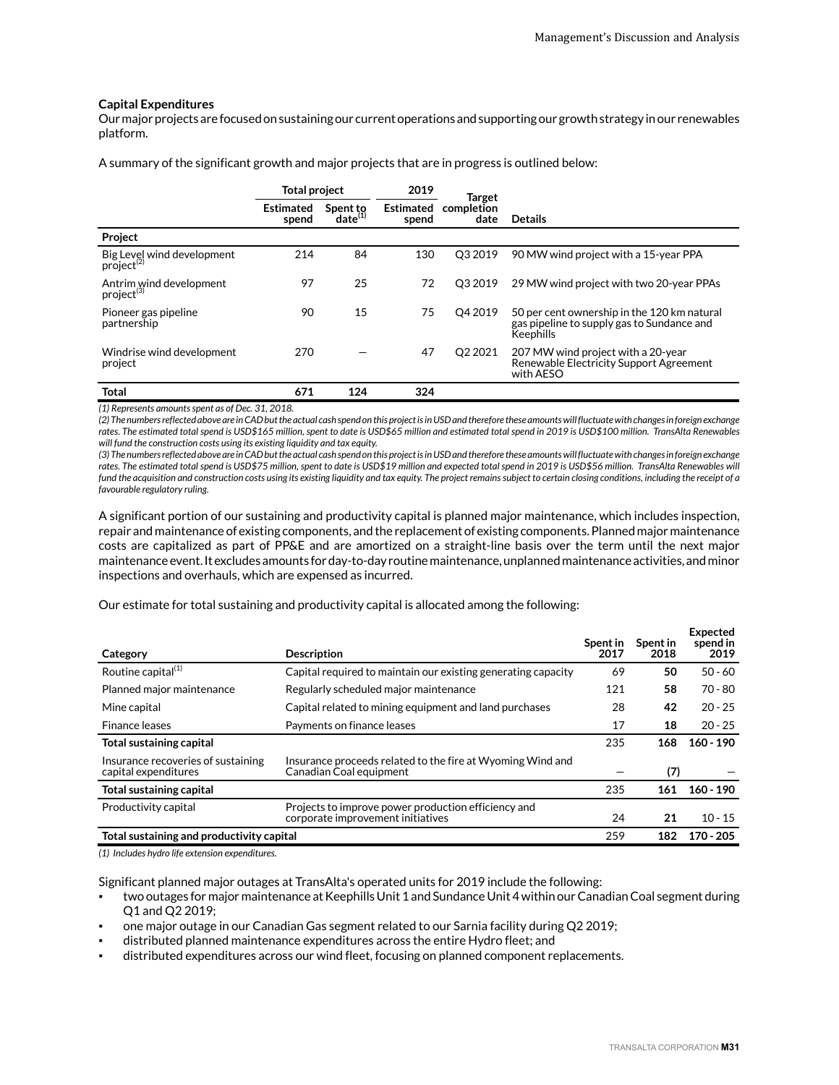#### **Capital Expenditures**

Our major projects are focused on sustaining our current operations and supporting our growth strategy in our renewables platform.

A summary of the significant growth and major projects that are in progress is outlined below:

|                                                      | <b>Total project</b>      |                                 | 2019                      | Target              |                                                                                                        |
|------------------------------------------------------|---------------------------|---------------------------------|---------------------------|---------------------|--------------------------------------------------------------------------------------------------------|
|                                                      | <b>Estimated</b><br>spend | Spent to<br>$\text{date}^{(1)}$ | <b>Estimated</b><br>spend | completion<br>date  | <b>Details</b>                                                                                         |
| Project                                              |                           |                                 |                           |                     |                                                                                                        |
| Big Level wind development<br>project <sup>(2)</sup> | 214                       | 84                              | 130                       | O <sub>3</sub> 2019 | 90 MW wind project with a 15-year PPA                                                                  |
| Antrim wind development<br>project <sup>(3)</sup>    | 97                        | 25                              | 72                        | O <sub>3</sub> 2019 | 29 MW wind project with two 20-year PPAs                                                               |
| Pioneer gas pipeline<br>partnership                  | 90                        | 15                              | 75                        | O <sub>4</sub> 2019 | 50 per cent ownership in the 120 km natural<br>gas pipeline to supply gas to Sundance and<br>Keephills |
| Windrise wind development<br>project                 | 270                       |                                 | 47                        | Q2 2021             | 207 MW wind project with a 20-year<br>Renewable Electricity Support Agreement<br>with AESO             |
| <b>Total</b>                                         | 671                       | 124                             | 324                       |                     |                                                                                                        |

*(1) Represents amounts spent as of Dec. 31, 2018.*

*(2) The numbers reflected above are in CAD but the actual cash spend on this project is in USD and therefore these amounts will fluctuate with changes in foreign exchange rates. The estimated total spend is USD\$165 million, spent to date is USD\$65 million and estimated total spend in 2019 is USD\$100 million. TransAlta Renewables will fund the construction costs using its existing liquidity and tax equity.*

*(3) The numbers reflected above are in CAD but the actual cash spend on this project is in USD and therefore these amounts will fluctuate with changes in foreign exchange rates. The estimated total spend is USD\$75 million, spent to date is USD\$19 million and expected total spend in 2019 is USD\$56 million. TransAlta Renewables will fund the acquisition and construction costs using its existing liquidity and tax equity. The project remains subject to certain closing conditions, including the receipt of a favourable regulatory ruling.* 

A significant portion of our sustaining and productivity capital is planned major maintenance, which includes inspection, repair and maintenance of existing components, and the replacement of existing components. Planned major maintenance costs are capitalized as part of PP&E and are amortized on a straight-line basis over the term until the next major maintenance event. It excludes amounts for day-to-day routine maintenance, unplanned maintenance activities, and minor inspections and overhauls, which are expensed as incurred.

Our estimate for total sustaining and productivity capital is allocated among the following:

| Category                                                   | <b>Description</b>                                                                       | Spent in<br>2017 | Spent in<br>2018 | <b>Expected</b><br>spend in<br>2019 |
|------------------------------------------------------------|------------------------------------------------------------------------------------------|------------------|------------------|-------------------------------------|
| Routine capital <sup>(1)</sup>                             | Capital required to maintain our existing generating capacity                            | 69               | 50               | $50 - 60$                           |
| Planned major maintenance                                  | Regularly scheduled major maintenance                                                    | 121              | 58               | $70 - 80$                           |
| Mine capital                                               | Capital related to mining equipment and land purchases                                   | 28               | 42               | $20 - 25$                           |
| Finance leases                                             | Payments on finance leases                                                               | 17               | 18               | $20 - 25$                           |
| <b>Total sustaining capital</b>                            |                                                                                          | 235              | 168              | $160 - 190$                         |
| Insurance recoveries of sustaining<br>capital expenditures | Insurance proceeds related to the fire at Wyoming Wind and<br>Canadian Coal equipment    |                  | (7)              |                                     |
| Total sustaining capital                                   |                                                                                          | 235              | 161              | $160 - 190$                         |
| Productivity capital                                       | Projects to improve power production efficiency and<br>corporate improvement initiatives | 24               | 21               | $10 - 15$                           |
| Total sustaining and productivity capital                  |                                                                                          | 259              | 182              | $170 - 205$                         |

*(1) Includes hydro life extension expenditures.*

Significant planned major outages at TransAlta's operated units for 2019 include the following:

- two outages for major maintenance at Keephills Unit 1 and Sundance Unit 4 within our Canadian Coal segment during Q1 and Q2 2019;
- one major outage in our Canadian Gas segment related to our Sarnia facility during Q2 2019;
- distributed planned maintenance expenditures across the entire Hydro fleet; and
- distributed expenditures across our wind fleet, focusing on planned component replacements.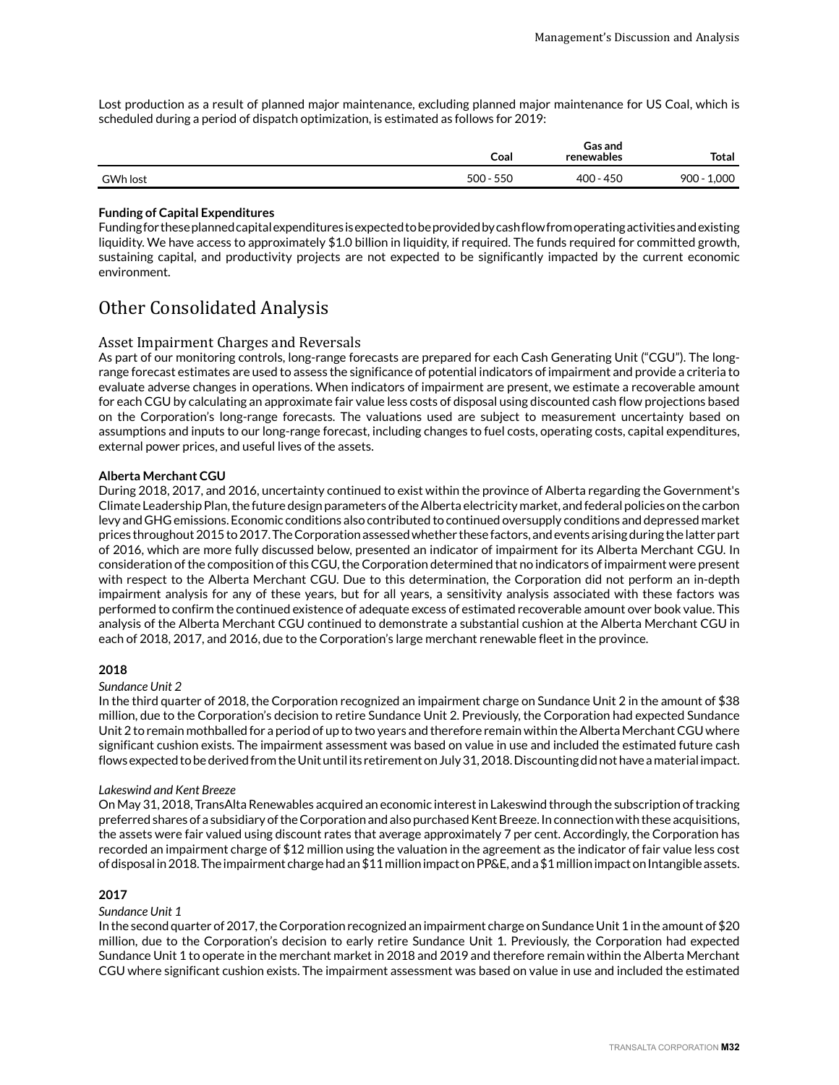<span id="page-31-0"></span>Lost production as a result of planned major maintenance, excluding planned major maintenance for US Coal, which is scheduled during a period of dispatch optimization, is estimated as follows for 2019:

|          | Coal           | Gas and<br>renewables | <b>Total</b>     |
|----------|----------------|-----------------------|------------------|
| GWh lost | 550<br>$500 -$ | 400 - 450             | 1,000<br>$900 -$ |

#### **Funding of Capital Expenditures**

Funding for these planned capital expenditures is expected to be provided by cash flow from operating activities and existing liquidity. We have access to approximately \$1.0 billion in liquidity, if required. The funds required for committed growth, sustaining capital, and productivity projects are not expected to be significantly impacted by the current economic environment.

## Other Consolidated Analysis

#### Asset Impairment Charges and Reversals

As part of our monitoring controls, long-range forecasts are prepared for each Cash Generating Unit ("CGU"). The longrange forecast estimates are used to assess the significance of potential indicators of impairment and provide a criteria to evaluate adverse changes in operations. When indicators of impairment are present, we estimate a recoverable amount for each CGU by calculating an approximate fair value less costs of disposal using discounted cash flow projections based on the Corporation's long-range forecasts. The valuations used are subject to measurement uncertainty based on assumptions and inputs to our long-range forecast, including changes to fuel costs, operating costs, capital expenditures, external power prices, and useful lives of the assets.

#### **Alberta Merchant CGU**

During 2018, 2017, and 2016, uncertainty continued to exist within the province of Alberta regarding the Government's Climate Leadership Plan, the future design parameters of the Alberta electricity market, and federal policies on the carbon levy and GHG emissions. Economic conditions also contributed to continued oversupply conditions and depressed market prices throughout 2015 to 2017. The Corporation assessed whether these factors, and events arising during the latter part of 2016, which are more fully discussed below, presented an indicator of impairment for its Alberta Merchant CGU. In consideration of the composition of this CGU, the Corporation determined that no indicators of impairment were present with respect to the Alberta Merchant CGU. Due to this determination, the Corporation did not perform an in-depth impairment analysis for any of these years, but for all years, a sensitivity analysis associated with these factors was performed to confirm the continued existence of adequate excess of estimated recoverable amount over book value. This analysis of the Alberta Merchant CGU continued to demonstrate a substantial cushion at the Alberta Merchant CGU in each of 2018, 2017, and 2016, due to the Corporation's large merchant renewable fleet in the province.

#### **2018**

#### *Sundance Unit 2*

In the third quarter of 2018, the Corporation recognized an impairment charge on Sundance Unit 2 in the amount of \$38 million, due to the Corporation's decision to retire Sundance Unit 2. Previously, the Corporation had expected Sundance Unit 2 to remain mothballed for a period of up to two years and therefore remain within the Alberta Merchant CGU where significant cushion exists. The impairment assessment was based on value in use and included the estimated future cash flows expected to be derived from the Unit until its retirement on July 31, 2018. Discounting did not have a material impact.

#### *Lakeswind and Kent Breeze*

On May 31, 2018, TransAlta Renewables acquired an economic interest in Lakeswind through the subscription of tracking preferred shares of a subsidiary of the Corporation and also purchased Kent Breeze. In connection with these acquisitions, the assets were fair valued using discount rates that average approximately 7 per cent. Accordingly, the Corporation has recorded an impairment charge of \$12 million using the valuation in the agreement as the indicator of fair value less cost of disposal in 2018. The impairment charge had an \$11 million impact on PP&E, and a \$1 million impact on Intangible assets.

### **2017**

#### *Sundance Unit 1*

In the second quarter of 2017, the Corporation recognized an impairment charge on Sundance Unit 1 in the amount of \$20 million, due to the Corporation's decision to early retire Sundance Unit 1. Previously, the Corporation had expected Sundance Unit 1 to operate in the merchant market in 2018 and 2019 and therefore remain within the Alberta Merchant CGU where significant cushion exists. The impairment assessment was based on value in use and included the estimated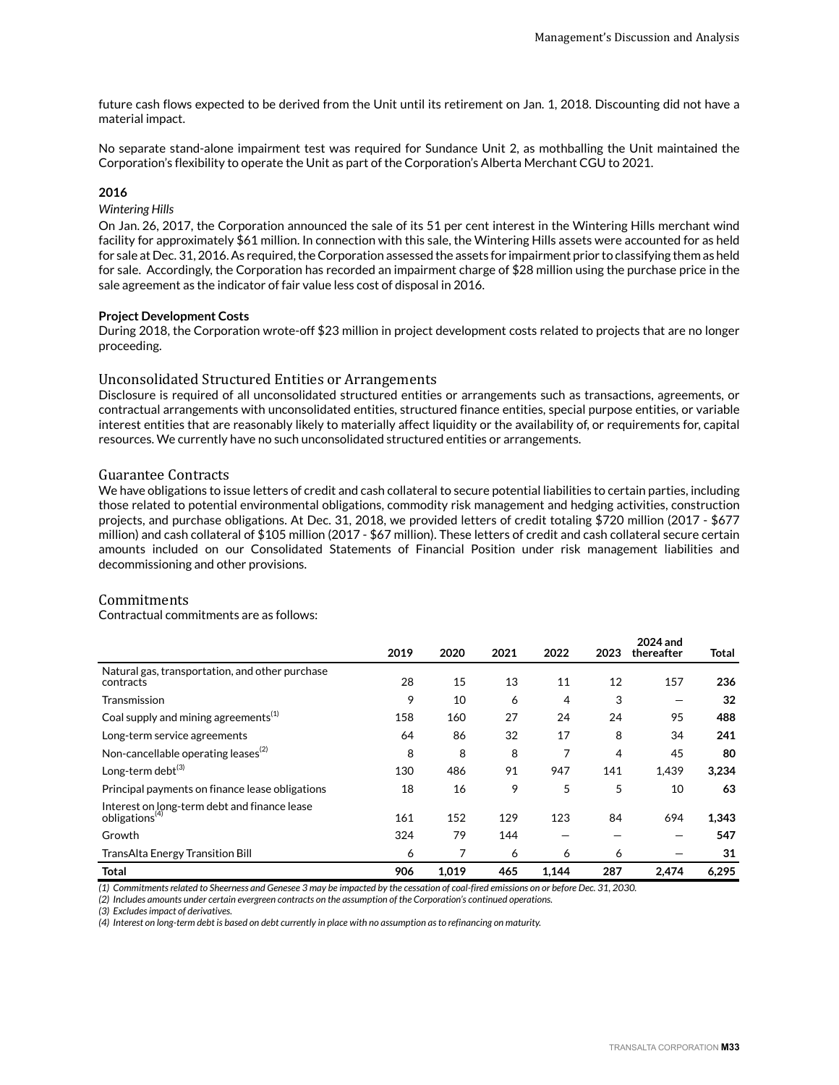future cash flows expected to be derived from the Unit until its retirement on Jan. 1, 2018. Discounting did not have a material impact.

No separate stand-alone impairment test was required for Sundance Unit 2, as mothballing the Unit maintained the Corporation's flexibility to operate the Unit as part of the Corporation's Alberta Merchant CGU to 2021.

#### **2016**

#### *Wintering Hills*

On Jan. 26, 2017, the Corporation announced the sale of its 51 per cent interest in the Wintering Hills merchant wind facility for approximately \$61 million. In connection with this sale, the Wintering Hills assets were accounted for as held for sale at Dec. 31, 2016. As required, the Corporation assessed the assets for impairment prior to classifying them as held for sale. Accordingly, the Corporation has recorded an impairment charge of \$28 million using the purchase price in the sale agreement as the indicator of fair value less cost of disposal in 2016.

#### **Project Development Costs**

During 2018, the Corporation wrote-off \$23 million in project development costs related to projects that are no longer proceeding.

#### Unconsolidated Structured Entities or Arrangements

Disclosure is required of all unconsolidated structured entities or arrangements such as transactions, agreements, or contractual arrangements with unconsolidated entities, structured finance entities, special purpose entities, or variable interest entities that are reasonably likely to materially affect liquidity or the availability of, or requirements for, capital resources. We currently have no such unconsolidated structured entities or arrangements.

#### Guarantee Contracts

We have obligations to issue letters of credit and cash collateral to secure potential liabilities to certain parties, including those related to potential environmental obligations, commodity risk management and hedging activities, construction projects, and purchase obligations. At Dec. 31, 2018, we provided letters of credit totaling \$720 million (2017 - \$677 million) and cash collateral of \$105 million (2017 - \$67 million). These letters of credit and cash collateral secure certain amounts included on our Consolidated Statements of Financial Position under risk management liabilities and decommissioning and other provisions.

#### Commitments

Contractual commitments are as follows:

|                                                                            | 2019 | 2020  | 2021 | 2022  | 2023 | 2024 and<br>thereafter | Total |
|----------------------------------------------------------------------------|------|-------|------|-------|------|------------------------|-------|
| Natural gas, transportation, and other purchase<br>contracts               | 28   | 15    | 13   | 11    | 12   | 157                    | 236   |
| Transmission                                                               | 9    | 10    | 6    | 4     | 3    |                        | 32    |
| Coal supply and mining agreements <sup>(1)</sup>                           | 158  | 160   | 27   | 24    | 24   | 95                     | 488   |
| Long-term service agreements                                               | 64   | 86    | 32   | 17    | 8    | 34                     | 241   |
| Non-cancellable operating leases $^{(2)}$                                  | 8    | 8     | 8    | 7     | 4    | 45                     | 80    |
| Long-term debt $^{(3)}$                                                    | 130  | 486   | 91   | 947   | 141  | 1.439                  | 3,234 |
| Principal payments on finance lease obligations                            | 18   | 16    | 9    | 5     | 5    | 10                     | 63    |
| Interest on long-term debt and finance lease<br>obligations <sup>(4)</sup> | 161  | 152   | 129  | 123   | 84   | 694                    | 1,343 |
| Growth                                                                     | 324  | 79    | 144  |       |      |                        | 547   |
| <b>TransAlta Energy Transition Bill</b>                                    | 6    | 7     | 6    | 6     | 6    |                        | 31    |
| <b>Total</b>                                                               | 906  | 1.019 | 465  | 1,144 | 287  | 2,474                  | 6.295 |

*(1) Commitments related to Sheerness and Genesee 3 may be impacted by the cessation of coal-fired emissions on or before Dec. 31, 2030.*

*(2) Includes amounts under certain evergreen contracts on the assumption of the Corporation's continued operations.*

*(3) Excludes impact of derivatives.*

*(4) Interest on long-term debt is based on debt currently in place with no assumption as to refinancing on maturity.*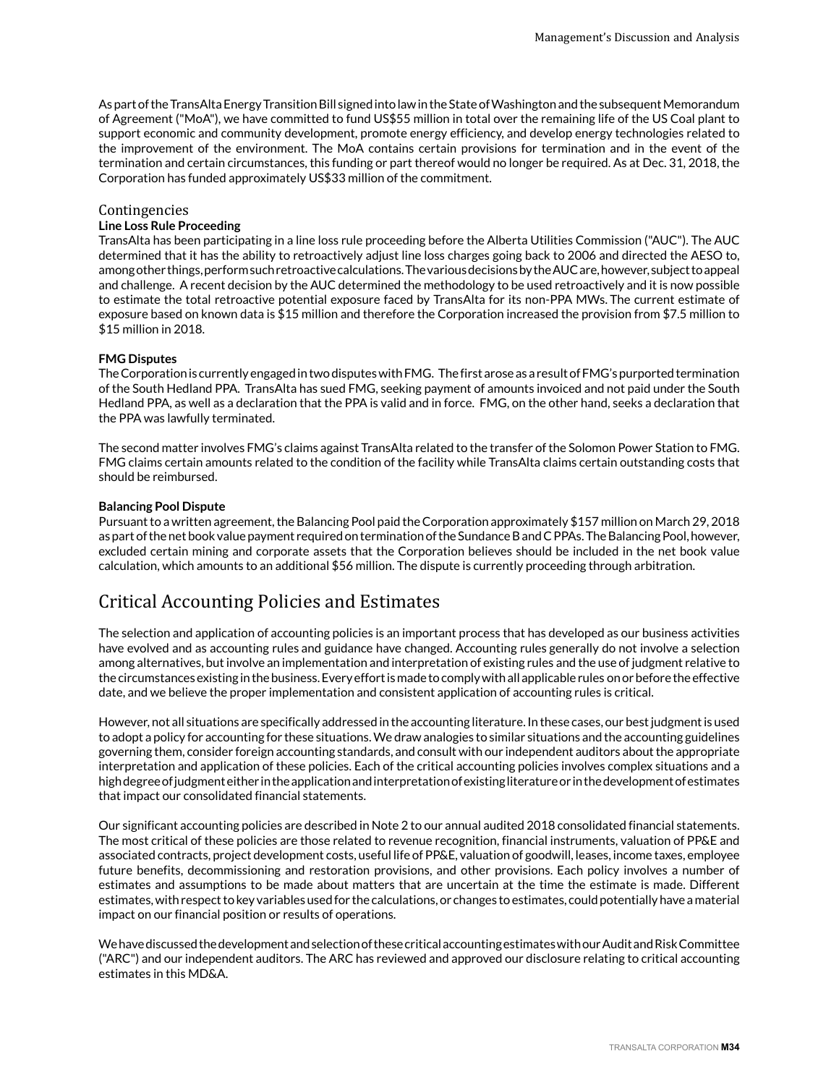<span id="page-33-0"></span>As part of the TransAlta Energy Transition Bill signed into law in the State of Washington and the subsequent Memorandum of Agreement ("MoA"), we have committed to fund US\$55 million in total over the remaining life of the US Coal plant to support economic and community development, promote energy efficiency, and develop energy technologies related to the improvement of the environment. The MoA contains certain provisions for termination and in the event of the termination and certain circumstances, this funding or part thereof would no longer be required. As at Dec. 31, 2018, the Corporation has funded approximately US\$33 million of the commitment.

#### Contingencies

#### **Line Loss Rule Proceeding**

TransAlta has been participating in a line loss rule proceeding before the Alberta Utilities Commission ("AUC"). The AUC determined that it has the ability to retroactively adjust line loss charges going back to 2006 and directed the AESO to, among other things, perform such retroactive calculations. The various decisions by the AUC are, however, subject to appeal and challenge. A recent decision by the AUC determined the methodology to be used retroactively and it is now possible to estimate the total retroactive potential exposure faced by TransAlta for its non-PPA MWs. The current estimate of exposure based on known data is \$15 million and therefore the Corporation increased the provision from \$7.5 million to \$15 million in 2018.

#### **FMG Disputes**

The Corporation is currently engaged in two disputes with FMG. The first arose as a result of FMG's purported termination of the South Hedland PPA. TransAlta has sued FMG, seeking payment of amounts invoiced and not paid under the South Hedland PPA, as well as a declaration that the PPA is valid and in force. FMG, on the other hand, seeks a declaration that the PPA was lawfully terminated.

The second matter involves FMG's claims against TransAlta related to the transfer of the Solomon Power Station to FMG. FMG claims certain amounts related to the condition of the facility while TransAlta claims certain outstanding costs that should be reimbursed.

#### **Balancing Pool Dispute**

Pursuant to a written agreement, the Balancing Pool paid the Corporation approximately \$157 million on March 29, 2018 as part of the net book value payment required on termination of the Sundance B and C PPAs. The Balancing Pool, however, excluded certain mining and corporate assets that the Corporation believes should be included in the net book value calculation, which amounts to an additional \$56 million. The dispute is currently proceeding through arbitration.

## Critical Accounting Policies and Estimates

The selection and application of accounting policies is an important process that has developed as our business activities have evolved and as accounting rules and guidance have changed. Accounting rules generally do not involve a selection among alternatives, but involve an implementation and interpretation of existing rules and the use of judgment relative to the circumstances existing in the business. Every effort is made to comply with all applicable rules on or before the effective date, and we believe the proper implementation and consistent application of accounting rules is critical.

However, not all situations are specifically addressed in the accounting literature. In these cases, our best judgment is used to adopt a policy for accounting for these situations. We draw analogies to similar situations and the accounting guidelines governing them, consider foreign accounting standards, and consult with our independent auditors about the appropriate interpretation and application of these policies. Each of the critical accounting policies involves complex situations and a high degree of judgment either in the application and interpretation of existing literature or in the development of estimates that impact our consolidated financial statements.

Our significant accounting policies are described in Note 2 to our annual audited 2018 consolidated financial statements. The most critical of these policies are those related to revenue recognition, financial instruments, valuation of PP&E and associated contracts, project development costs, useful life of PP&E, valuation of goodwill, leases, income taxes, employee future benefits, decommissioning and restoration provisions, and other provisions. Each policy involves a number of estimates and assumptions to be made about matters that are uncertain at the time the estimate is made. Different estimates, with respect to key variables used for the calculations, or changes to estimates, could potentially have a material impact on our financial position or results of operations.

We have discussed the development and selection of these critical accounting estimates with our Audit and Risk Committee ("ARC") and our independent auditors. The ARC has reviewed and approved our disclosure relating to critical accounting estimates in this MD&A.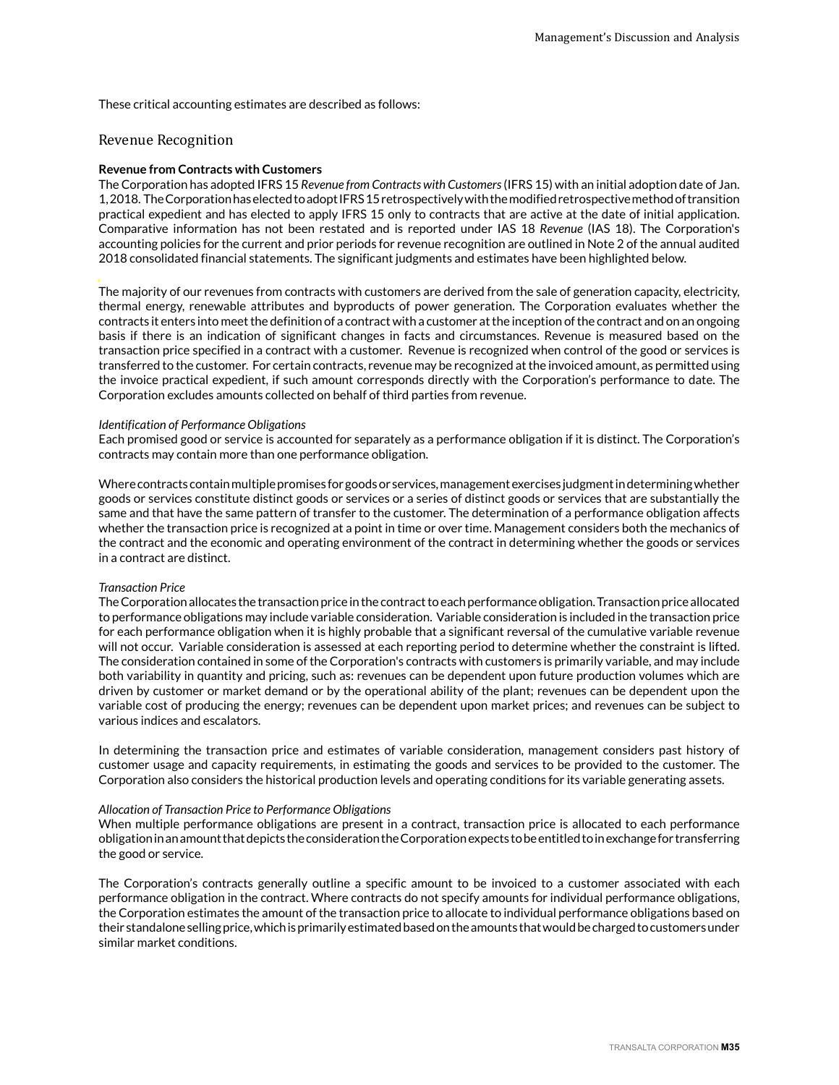These critical accounting estimates are described as follows:

#### Revenue Recognition

#### **Revenue from Contracts with Customers**

The Corporation has adopted IFRS 15 *Revenue from Contracts with Customers* (IFRS 15) with an initial adoption date of Jan. 1, 2018. The Corporation has elected to adopt IFRS 15 retrospectively with the modified retrospective method of transition practical expedient and has elected to apply IFRS 15 only to contracts that are active at the date of initial application. Comparative information has not been restated and is reported under IAS 18 *Revenue* (IAS 18). The Corporation's accounting policies for the current and prior periods for revenue recognition are outlined in Note 2 of the annual audited 2018 consolidated financial statements. The significant judgments and estimates have been highlighted below.

The majority of our revenues from contracts with customers are derived from the sale of generation capacity, electricity, thermal energy, renewable attributes and byproducts of power generation. The Corporation evaluates whether the contracts it enters into meet the definition of a contract with a customer at the inception of the contract and on an ongoing basis if there is an indication of significant changes in facts and circumstances. Revenue is measured based on the transaction price specified in a contract with a customer. Revenue is recognized when control of the good or services is transferred to the customer. For certain contracts, revenue may be recognized at the invoiced amount, as permitted using the invoice practical expedient, if such amount corresponds directly with the Corporation's performance to date. The Corporation excludes amounts collected on behalf of third parties from revenue.

#### *Identification of Performance Obligations*

Each promised good or service is accounted for separately as a performance obligation if it is distinct. The Corporation's contracts may contain more than one performance obligation.

Where contracts contain multiple promises for goods or services, management exercises judgment in determining whether goods or services constitute distinct goods or services or a series of distinct goods or services that are substantially the same and that have the same pattern of transfer to the customer. The determination of a performance obligation affects whether the transaction price is recognized at a point in time or over time. Management considers both the mechanics of the contract and the economic and operating environment of the contract in determining whether the goods or services in a contract are distinct.

#### *Transaction Price*

The Corporation allocates the transaction price in the contract to each performance obligation. Transaction price allocated to performance obligations may include variable consideration. Variable consideration is included in the transaction price for each performance obligation when it is highly probable that a significant reversal of the cumulative variable revenue will not occur. Variable consideration is assessed at each reporting period to determine whether the constraint is lifted. The consideration contained in some of the Corporation's contracts with customers is primarily variable, and may include both variability in quantity and pricing, such as: revenues can be dependent upon future production volumes which are driven by customer or market demand or by the operational ability of the plant; revenues can be dependent upon the variable cost of producing the energy; revenues can be dependent upon market prices; and revenues can be subject to various indices and escalators.

In determining the transaction price and estimates of variable consideration, management considers past history of customer usage and capacity requirements, in estimating the goods and services to be provided to the customer. The Corporation also considers the historical production levels and operating conditions for its variable generating assets.

#### *Allocation of Transaction Price to Performance Obligations*

When multiple performance obligations are present in a contract, transaction price is allocated to each performance obligation in an amount that depicts the consideration the Corporation expects to be entitled to in exchange for transferring the good or service.

The Corporation's contracts generally outline a specific amount to be invoiced to a customer associated with each performance obligation in the contract. Where contracts do not specify amounts for individual performance obligations, the Corporation estimates the amount of the transaction price to allocate to individual performance obligations based on their standalone selling price, which is primarily estimated based on the amounts that would be charged to customers under similar market conditions.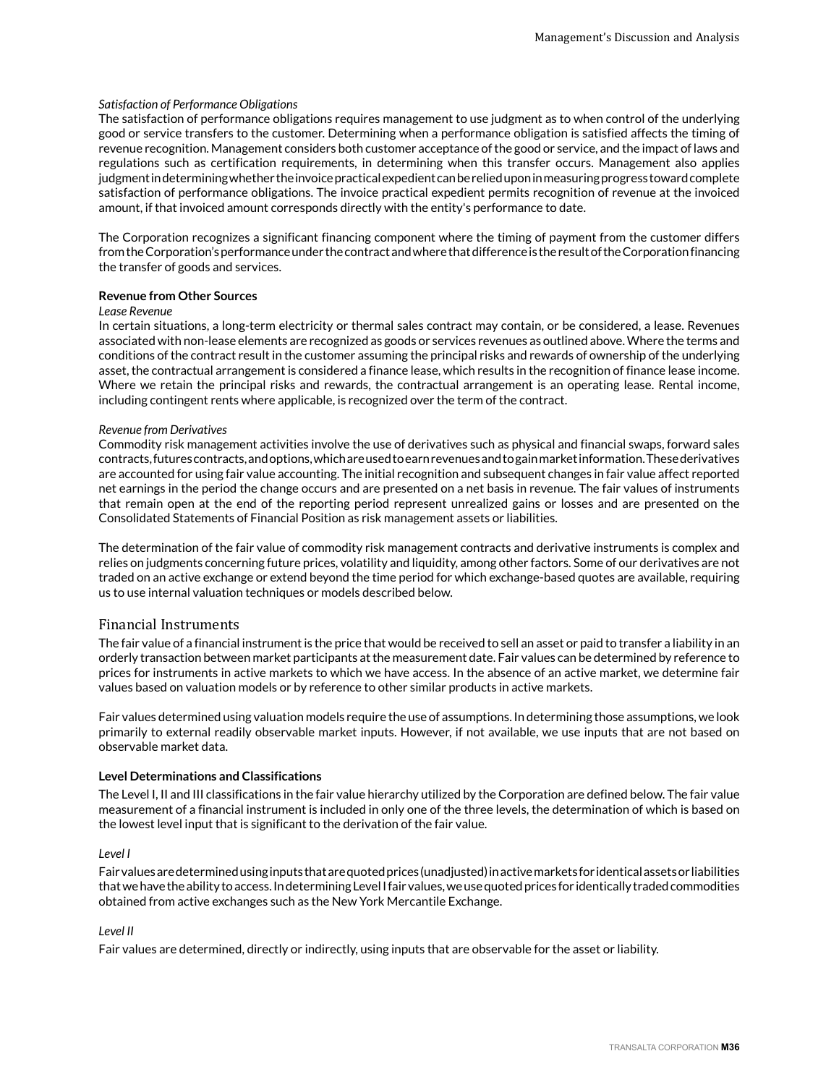#### *Satisfaction of Performance Obligations*

The satisfaction of performance obligations requires management to use judgment as to when control of the underlying good or service transfers to the customer. Determining when a performance obligation is satisfied affects the timing of revenue recognition. Management considers both customer acceptance of the good or service, and the impact of laws and regulations such as certification requirements, in determining when this transfer occurs. Management also applies judgment in determining whether the invoice practical expedient can be relied upon in measuring progress toward complete satisfaction of performance obligations. The invoice practical expedient permits recognition of revenue at the invoiced amount, if that invoiced amount corresponds directly with the entity's performance to date.

The Corporation recognizes a significant financing component where the timing of payment from the customer differs from the Corporation's performance under the contract and where that difference is the result of the Corporation financing the transfer of goods and services.

#### **Revenue from Other Sources**

#### *Lease Revenue*

In certain situations, a long-term electricity or thermal sales contract may contain, or be considered, a lease. Revenues associated with non-lease elements are recognized as goods or services revenues as outlined above. Where the terms and conditions of the contract result in the customer assuming the principal risks and rewards of ownership of the underlying asset, the contractual arrangement is considered a finance lease, which results in the recognition of finance lease income. Where we retain the principal risks and rewards, the contractual arrangement is an operating lease. Rental income, including contingent rents where applicable, is recognized over the term of the contract.

#### *Revenue from Derivatives*

Commodity risk management activities involve the use of derivatives such as physical and financial swaps, forward sales contracts, futures contracts, and options, which are used to earn revenues and to gain market information. These derivatives are accounted for using fair value accounting. The initial recognition and subsequent changes in fair value affect reported net earnings in the period the change occurs and are presented on a net basis in revenue. The fair values of instruments that remain open at the end of the reporting period represent unrealized gains or losses and are presented on the Consolidated Statements of Financial Position as risk management assets or liabilities.

The determination of the fair value of commodity risk management contracts and derivative instruments is complex and relies on judgments concerning future prices, volatility and liquidity, among other factors. Some of our derivatives are not traded on an active exchange or extend beyond the time period for which exchange-based quotes are available, requiring us to use internal valuation techniques or models described below.

#### Financial Instruments

The fair value of a financial instrument is the price that would be received to sell an asset or paid to transfer a liability in an orderly transaction between market participants at the measurement date. Fair values can be determined by reference to prices for instruments in active markets to which we have access. In the absence of an active market, we determine fair values based on valuation models or by reference to other similar products in active markets.

Fair values determined using valuation models require the use of assumptions. In determining those assumptions, we look primarily to external readily observable market inputs. However, if not available, we use inputs that are not based on observable market data.

#### **Level Determinations and Classifications**

The Level I, II and III classifications in the fair value hierarchy utilized by the Corporation are defined below. The fair value measurement of a financial instrument is included in only one of the three levels, the determination of which is based on the lowest level input that is significant to the derivation of the fair value.

#### *Level I*

Fair values are determined using inputs that are quoted prices (unadjusted) in active markets for identical assets or liabilities that we have the ability to access. In determining Level I fair values, we use quoted prices for identically traded commodities obtained from active exchanges such as the New York Mercantile Exchange.

#### *Level II*

Fair values are determined, directly or indirectly, using inputs that are observable for the asset or liability.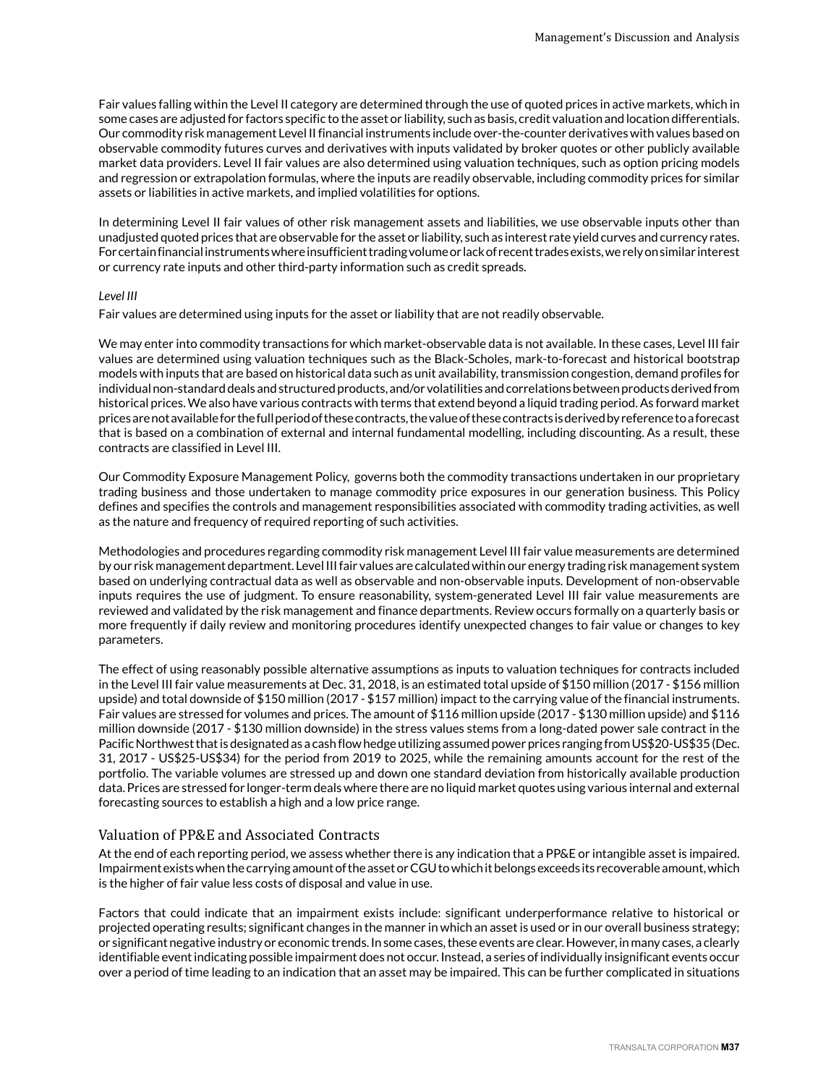Fair values falling within the Level II category are determined through the use of quoted prices in active markets, which in some cases are adjusted for factors specific to the asset or liability, such as basis, credit valuation and location differentials. Our commodity risk management Level II financial instruments include over-the-counter derivatives with values based on observable commodity futures curves and derivatives with inputs validated by broker quotes or other publicly available market data providers. Level II fair values are also determined using valuation techniques, such as option pricing models and regression or extrapolation formulas, where the inputs are readily observable, including commodity prices for similar assets or liabilities in active markets, and implied volatilities for options.

In determining Level II fair values of other risk management assets and liabilities, we use observable inputs other than unadjusted quoted prices that are observable for the asset or liability, such as interest rate yield curves and currency rates. For certain financial instruments where insufficient trading volume or lack of recent trades exists, we rely on similar interest or currency rate inputs and other third-party information such as credit spreads.

#### *Level III*

Fair values are determined using inputs for the asset or liability that are not readily observable.

We may enter into commodity transactions for which market-observable data is not available. In these cases, Level III fair values are determined using valuation techniques such as the Black-Scholes, mark-to-forecast and historical bootstrap models with inputs that are based on historical data such as unit availability, transmission congestion, demand profiles for individual non-standard deals and structured products, and/or volatilities and correlations between products derived from historical prices. We also have various contracts with terms that extend beyond a liquid trading period. As forward market prices are not available for the full period of these contracts, the value of these contracts is derived by reference to a forecast that is based on a combination of external and internal fundamental modelling, including discounting. As a result, these contracts are classified in Level III.

Our Commodity Exposure Management Policy, governs both the commodity transactions undertaken in our proprietary trading business and those undertaken to manage commodity price exposures in our generation business. This Policy defines and specifies the controls and management responsibilities associated with commodity trading activities, as well as the nature and frequency of required reporting of such activities.

Methodologies and procedures regarding commodity risk management Level III fair value measurements are determined by our risk management department. Level III fair values are calculated within our energy trading risk management system based on underlying contractual data as well as observable and non-observable inputs. Development of non-observable inputs requires the use of judgment. To ensure reasonability, system-generated Level III fair value measurements are reviewed and validated by the risk management and finance departments. Review occurs formally on a quarterly basis or more frequently if daily review and monitoring procedures identify unexpected changes to fair value or changes to key parameters.

The effect of using reasonably possible alternative assumptions as inputs to valuation techniques for contracts included in the Level III fair value measurements at Dec. 31, 2018, is an estimated total upside of \$150 million (2017 - \$156 million upside) and total downside of \$150 million (2017 - \$157 million) impact to the carrying value of the financial instruments. Fair values are stressed for volumes and prices. The amount of \$116 million upside (2017 - \$130 million upside) and \$116 million downside (2017 - \$130 million downside) in the stress values stems from a long-dated power sale contract in the Pacific Northwest that is designated as a cash flow hedge utilizing assumed power prices ranging from US\$20-US\$35 (Dec. 31, 2017 - US\$25-US\$34) for the period from 2019 to 2025, while the remaining amounts account for the rest of the portfolio. The variable volumes are stressed up and down one standard deviation from historically available production data. Prices are stressed for longer-term deals where there are no liquid market quotes using various internal and external forecasting sources to establish a high and a low price range.

# Valuation of PP&E and Associated Contracts

At the end of each reporting period, we assess whether there is any indication that a PP&E or intangible asset is impaired. Impairment exists when the carrying amount of the asset or CGU to which it belongs exceeds its recoverable amount, which is the higher of fair value less costs of disposal and value in use.

Factors that could indicate that an impairment exists include: significant underperformance relative to historical or projected operating results; significant changes in the manner in which an asset is used or in our overall business strategy; or significant negative industry or economic trends. In some cases, these events are clear. However, in many cases, a clearly identifiable event indicating possible impairment does not occur. Instead, a series of individually insignificant events occur over a period of time leading to an indication that an asset may be impaired. This can be further complicated in situations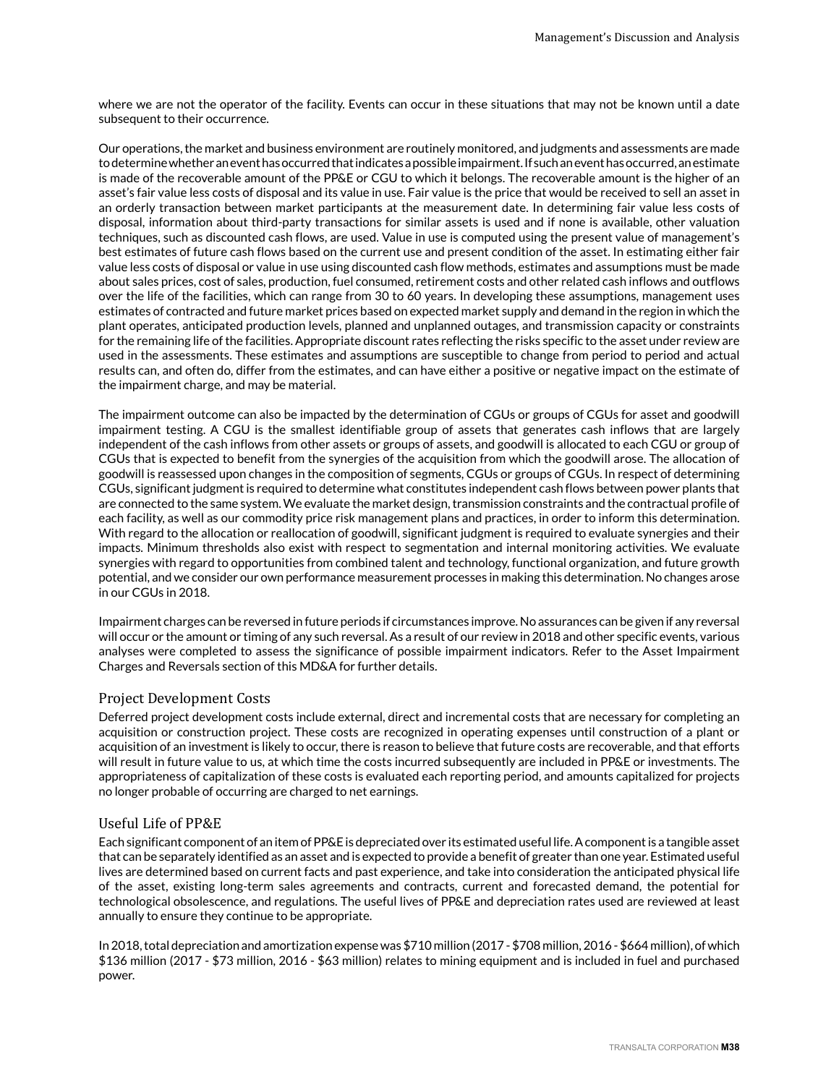where we are not the operator of the facility. Events can occur in these situations that may not be known until a date subsequent to their occurrence.

Our operations, the market and business environment are routinely monitored, and judgments and assessments are made to determine whether an event has occurred that indicates a possible impairment. If such an event has occurred, an estimate is made of the recoverable amount of the PP&E or CGU to which it belongs. The recoverable amount is the higher of an asset's fair value less costs of disposal and its value in use. Fair value is the price that would be received to sell an asset in an orderly transaction between market participants at the measurement date. In determining fair value less costs of disposal, information about third-party transactions for similar assets is used and if none is available, other valuation techniques, such as discounted cash flows, are used. Value in use is computed using the present value of management's best estimates of future cash flows based on the current use and present condition of the asset. In estimating either fair value less costs of disposal or value in use using discounted cash flow methods, estimates and assumptions must be made about sales prices, cost of sales, production, fuel consumed, retirement costs and other related cash inflows and outflows over the life of the facilities, which can range from 30 to 60 years. In developing these assumptions, management uses estimates of contracted and future market prices based on expected market supply and demand in the region in which the plant operates, anticipated production levels, planned and unplanned outages, and transmission capacity or constraints for the remaining life of the facilities. Appropriate discount rates reflecting the risks specific to the asset under review are used in the assessments. These estimates and assumptions are susceptible to change from period to period and actual results can, and often do, differ from the estimates, and can have either a positive or negative impact on the estimate of the impairment charge, and may be material.

The impairment outcome can also be impacted by the determination of CGUs or groups of CGUs for asset and goodwill impairment testing. A CGU is the smallest identifiable group of assets that generates cash inflows that are largely independent of the cash inflows from other assets or groups of assets, and goodwill is allocated to each CGU or group of CGUs that is expected to benefit from the synergies of the acquisition from which the goodwill arose. The allocation of goodwill is reassessed upon changes in the composition of segments, CGUs or groups of CGUs. In respect of determining CGUs, significant judgment is required to determine what constitutes independent cash flows between power plants that are connected to the same system. We evaluate the market design, transmission constraints and the contractual profile of each facility, as well as our commodity price risk management plans and practices, in order to inform this determination. With regard to the allocation or reallocation of goodwill, significant judgment is required to evaluate synergies and their impacts. Minimum thresholds also exist with respect to segmentation and internal monitoring activities. We evaluate synergies with regard to opportunities from combined talent and technology, functional organization, and future growth potential, and we consider our own performance measurement processes in making this determination. No changes arose in our CGUs in 2018.

Impairment charges can be reversed in future periods if circumstances improve. No assurances can be given if any reversal will occur or the amount or timing of any such reversal. As a result of our review in 2018 and other specific events, various analyses were completed to assess the significance of possible impairment indicators. Refer to the Asset Impairment Charges and Reversals section of this MD&A for further details.

# Project Development Costs

Deferred project development costs include external, direct and incremental costs that are necessary for completing an acquisition or construction project. These costs are recognized in operating expenses until construction of a plant or acquisition of an investment is likely to occur, there is reason to believe that future costs are recoverable, and that efforts will result in future value to us, at which time the costs incurred subsequently are included in PP&E or investments. The appropriateness of capitalization of these costs is evaluated each reporting period, and amounts capitalized for projects no longer probable of occurring are charged to net earnings.

# Useful Life of PP&E

Each significant component of an item of PP&E is depreciated over its estimated useful life. A component is a tangible asset that can be separately identified as an asset and is expected to provide a benefit of greater than one year. Estimated useful lives are determined based on current facts and past experience, and take into consideration the anticipated physical life of the asset, existing long-term sales agreements and contracts, current and forecasted demand, the potential for technological obsolescence, and regulations. The useful lives of PP&E and depreciation rates used are reviewed at least annually to ensure they continue to be appropriate.

In 2018, total depreciation and amortization expense was \$710 million (2017 - \$708 million, 2016 - \$664 million), of which \$136 million (2017 - \$73 million, 2016 - \$63 million) relates to mining equipment and is included in fuel and purchased power.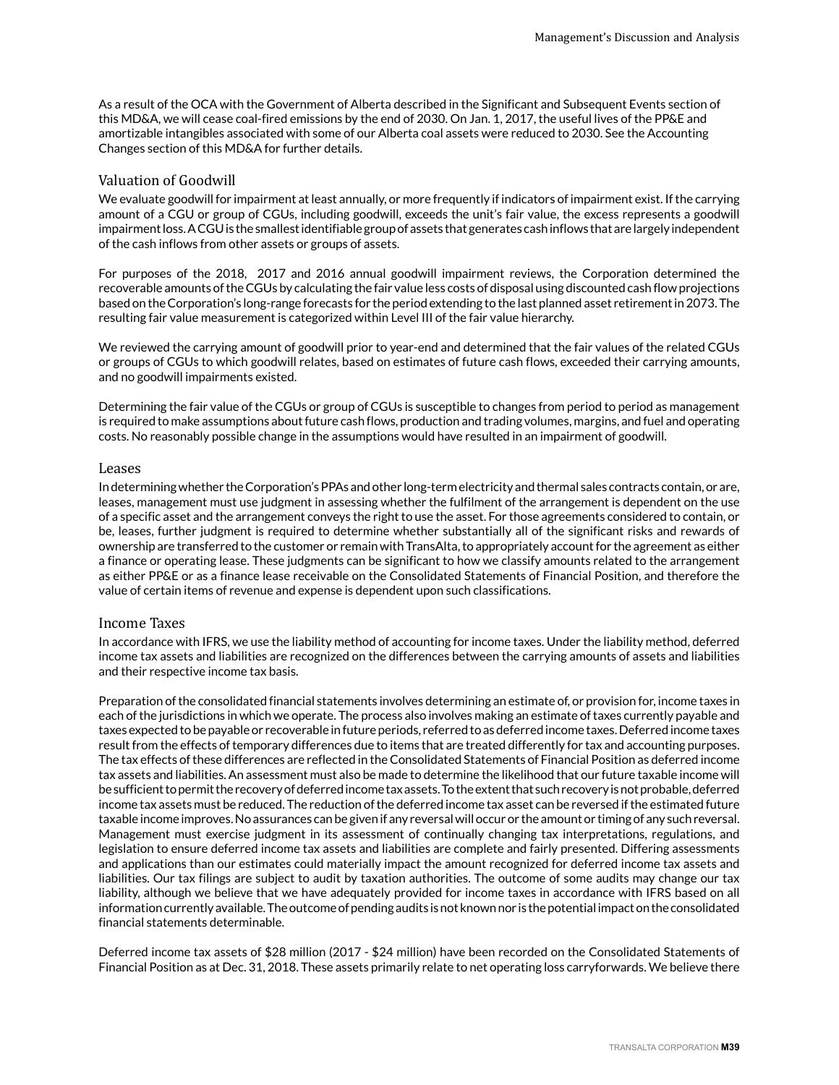As a result of the OCA with the Government of Alberta described in the Significant and Subsequent Events section of this MD&A, we will cease coal-fired emissions by the end of 2030. On Jan. 1, 2017, the useful lives of the PP&E and amortizable intangibles associated with some of our Alberta coal assets were reduced to 2030. See the Accounting Changes section of this MD&A for further details.

# Valuation of Goodwill

We evaluate goodwill for impairment at least annually, or more frequently if indicators of impairment exist. If the carrying amount of a CGU or group of CGUs, including goodwill, exceeds the unit's fair value, the excess represents a goodwill impairment loss. A CGU is the smallest identifiable group of assets that generates cash inflows that are largely independent of the cash inflows from other assets or groups of assets.

For purposes of the 2018, 2017 and 2016 annual goodwill impairment reviews, the Corporation determined the recoverable amounts of the CGUs by calculating the fair value less costs of disposal using discounted cash flow projections based on the Corporation's long-range forecasts for the period extending to the last planned asset retirement in 2073. The resulting fair value measurement is categorized within Level III of the fair value hierarchy.

We reviewed the carrying amount of goodwill prior to year-end and determined that the fair values of the related CGUs or groups of CGUs to which goodwill relates, based on estimates of future cash flows, exceeded their carrying amounts, and no goodwill impairments existed.

Determining the fair value of the CGUs or group of CGUs is susceptible to changes from period to period as management is required to make assumptions about future cash flows, production and trading volumes, margins, and fuel and operating costs. No reasonably possible change in the assumptions would have resulted in an impairment of goodwill.

# Leases

In determining whether the Corporation's PPAs and other long-term electricity and thermal sales contracts contain, or are, leases, management must use judgment in assessing whether the fulfilment of the arrangement is dependent on the use of a specific asset and the arrangement conveys the right to use the asset. For those agreements considered to contain, or be, leases, further judgment is required to determine whether substantially all of the significant risks and rewards of ownership are transferred to the customer or remain with TransAlta, to appropriately account for the agreement as either a finance or operating lease. These judgments can be significant to how we classify amounts related to the arrangement as either PP&E or as a finance lease receivable on the Consolidated Statements of Financial Position, and therefore the value of certain items of revenue and expense is dependent upon such classifications.

# Income Taxes

In accordance with IFRS, we use the liability method of accounting for income taxes. Under the liability method, deferred income tax assets and liabilities are recognized on the differences between the carrying amounts of assets and liabilities and their respective income tax basis.

Preparation of the consolidated financial statements involves determining an estimate of, or provision for, income taxes in each of the jurisdictions in which we operate. The process also involves making an estimate of taxes currently payable and taxes expected to be payable or recoverable in future periods, referred to as deferred income taxes. Deferred income taxes result from the effects of temporary differences due to items that are treated differently for tax and accounting purposes. The tax effects of these differences are reflected in the Consolidated Statements of Financial Position as deferred income tax assets and liabilities. An assessment must also be made to determine the likelihood that our future taxable income will be sufficient to permit the recovery of deferred income tax assets. To the extent that such recovery is not probable, deferred income tax assets must be reduced. The reduction of the deferred income tax asset can be reversed if the estimated future taxable income improves. No assurances can be given if any reversal will occur or the amount or timing of any such reversal. Management must exercise judgment in its assessment of continually changing tax interpretations, regulations, and legislation to ensure deferred income tax assets and liabilities are complete and fairly presented. Differing assessments and applications than our estimates could materially impact the amount recognized for deferred income tax assets and liabilities. Our tax filings are subject to audit by taxation authorities. The outcome of some audits may change our tax liability, although we believe that we have adequately provided for income taxes in accordance with IFRS based on all information currently available. The outcome of pending audits is not known nor is the potential impact on the consolidated financial statements determinable.

Deferred income tax assets of \$28 million (2017 - \$24 million) have been recorded on the Consolidated Statements of Financial Position as at Dec. 31, 2018. These assets primarily relate to net operating loss carryforwards. We believe there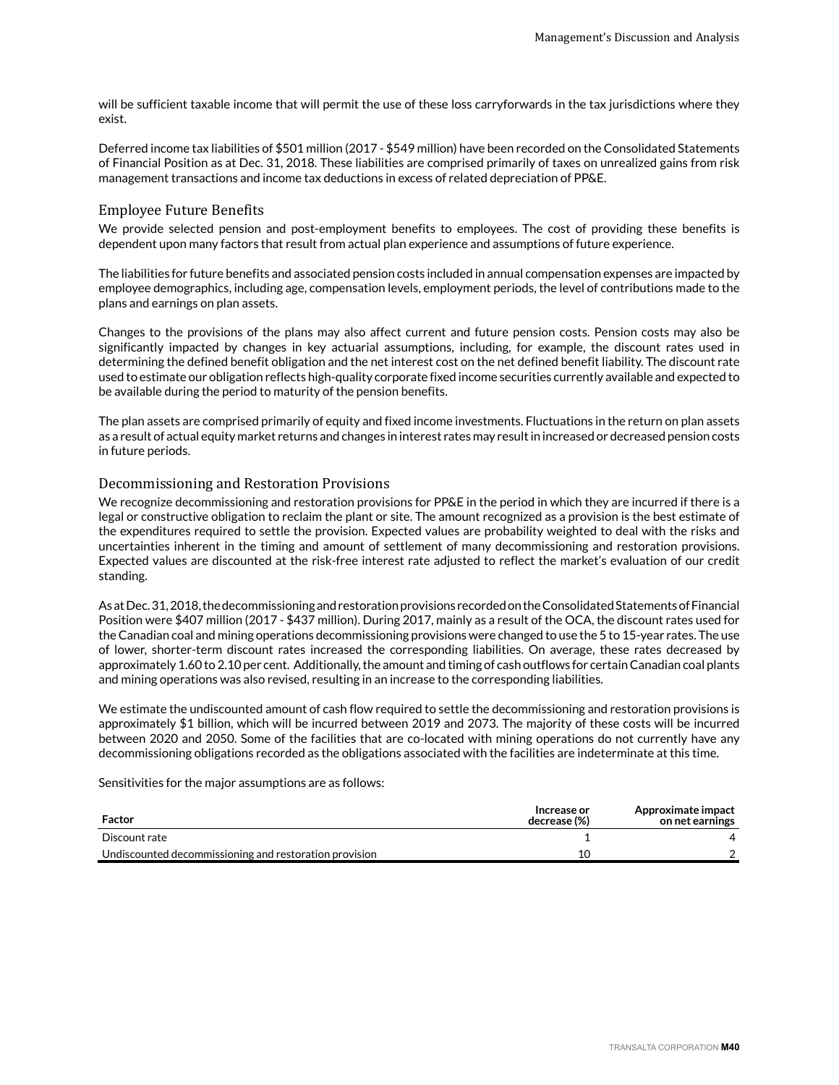will be sufficient taxable income that will permit the use of these loss carryforwards in the tax jurisdictions where they exist.

Deferred income tax liabilities of \$501 million (2017 - \$549 million) have been recorded on the Consolidated Statements of Financial Position as at Dec. 31, 2018. These liabilities are comprised primarily of taxes on unrealized gains from risk management transactions and income tax deductions in excess of related depreciation of PP&E.

# Employee Future Benefits

We provide selected pension and post-employment benefits to employees. The cost of providing these benefits is dependent upon many factors that result from actual plan experience and assumptions of future experience.

The liabilities for future benefits and associated pension costs included in annual compensation expenses are impacted by employee demographics, including age, compensation levels, employment periods, the level of contributions made to the plans and earnings on plan assets.

Changes to the provisions of the plans may also affect current and future pension costs. Pension costs may also be significantly impacted by changes in key actuarial assumptions, including, for example, the discount rates used in determining the defined benefit obligation and the net interest cost on the net defined benefit liability. The discount rate used to estimate our obligation reflects high-quality corporate fixed income securities currently available and expected to be available during the period to maturity of the pension benefits.

The plan assets are comprised primarily of equity and fixed income investments. Fluctuations in the return on plan assets as a result of actual equity market returns and changes in interest rates may result in increased or decreased pension costs in future periods.

# Decommissioning and Restoration Provisions

We recognize decommissioning and restoration provisions for PP&E in the period in which they are incurred if there is a legal or constructive obligation to reclaim the plant or site. The amount recognized as a provision is the best estimate of the expenditures required to settle the provision. Expected values are probability weighted to deal with the risks and uncertainties inherent in the timing and amount of settlement of many decommissioning and restoration provisions. Expected values are discounted at the risk-free interest rate adjusted to reflect the market's evaluation of our credit standing.

As at Dec. 31, 2018, the decommissioning and restoration provisions recorded on the Consolidated Statements of Financial Position were \$407 million (2017 - \$437 million). During 2017, mainly as a result of the OCA, the discount rates used for the Canadian coal and mining operations decommissioning provisions were changed to use the 5 to 15-year rates. The use of lower, shorter-term discount rates increased the corresponding liabilities. On average, these rates decreased by approximately 1.60 to 2.10 per cent. Additionally, the amount and timing of cash outflows for certain Canadian coal plants and mining operations was also revised, resulting in an increase to the corresponding liabilities.

We estimate the undiscounted amount of cash flow required to settle the decommissioning and restoration provisions is approximately \$1 billion, which will be incurred between 2019 and 2073. The majority of these costs will be incurred between 2020 and 2050. Some of the facilities that are co-located with mining operations do not currently have any decommissioning obligations recorded as the obligations associated with the facilities are indeterminate at this time.

Sensitivities for the major assumptions are as follows:

| Factor                                                 | Increase or<br>decrease (%) | Approximate impact<br>on net earnings |
|--------------------------------------------------------|-----------------------------|---------------------------------------|
| Discount rate                                          |                             |                                       |
| Undiscounted decommissioning and restoration provision |                             |                                       |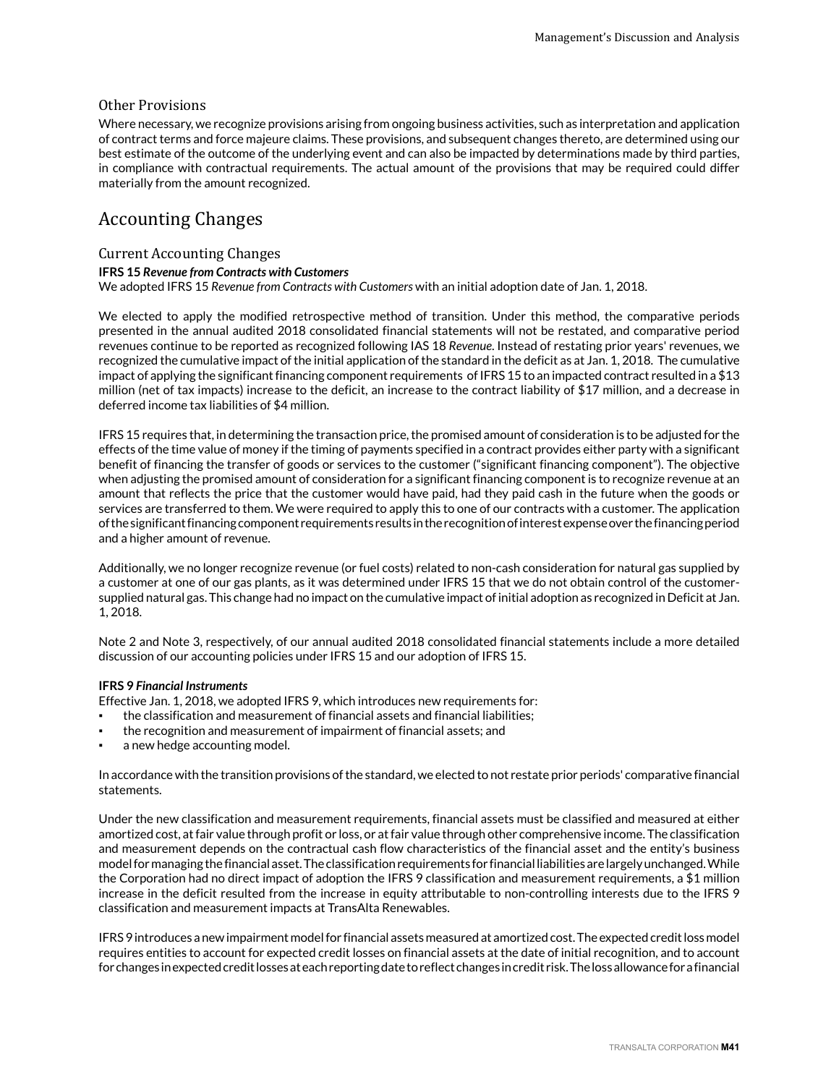# Other Provisions

Where necessary, we recognize provisions arising from ongoing business activities, such as interpretation and application of contract terms and force majeure claims. These provisions, and subsequent changes thereto, are determined using our best estimate of the outcome of the underlying event and can also be impacted by determinations made by third parties, in compliance with contractual requirements. The actual amount of the provisions that may be required could differ materially from the amount recognized.

# Accounting Changes

# Current Accounting Changes

# **IFRS 15** *Revenue from Contracts with Customers*

We adopted IFRS 15 *Revenue from Contracts with Customers* with an initial adoption date of Jan. 1, 2018.

We elected to apply the modified retrospective method of transition. Under this method, the comparative periods presented in the annual audited 2018 consolidated financial statements will not be restated, and comparative period revenues continue to be reported as recognized following IAS 18 *Revenue*. Instead of restating prior years' revenues, we recognized the cumulative impact of the initial application of the standard in the deficit as at Jan. 1, 2018. The cumulative impact of applying the significant financing component requirements of IFRS 15 to an impacted contract resulted in a \$13 million (net of tax impacts) increase to the deficit, an increase to the contract liability of \$17 million, and a decrease in deferred income tax liabilities of \$4 million.

IFRS 15 requires that, in determining the transaction price, the promised amount of consideration is to be adjusted for the effects of the time value of money if the timing of payments specified in a contract provides either party with a significant benefit of financing the transfer of goods or services to the customer ("significant financing component"). The objective when adjusting the promised amount of consideration for a significant financing component is to recognize revenue at an amount that reflects the price that the customer would have paid, had they paid cash in the future when the goods or services are transferred to them. We were required to apply this to one of our contracts with a customer. The application of the significant financing component requirements results in the recognition of interest expense over the financing period and a higher amount of revenue.

Additionally, we no longer recognize revenue (or fuel costs) related to non-cash consideration for natural gas supplied by a customer at one of our gas plants, as it was determined under IFRS 15 that we do not obtain control of the customersupplied natural gas. This change had no impact on the cumulative impact of initial adoption as recognized in Deficit at Jan. 1, 2018.

Note 2 and Note 3, respectively, of our annual audited 2018 consolidated financial statements include a more detailed discussion of our accounting policies under IFRS 15 and our adoption of IFRS 15.

# **IFRS 9** *Financial Instruments*

Effective Jan. 1, 2018, we adopted IFRS 9, which introduces new requirements for:

- the classification and measurement of financial assets and financial liabilities;
- the recognition and measurement of impairment of financial assets; and
- a new hedge accounting model.

In accordance with the transition provisions of the standard, we elected to not restate prior periods' comparative financial statements.

Under the new classification and measurement requirements, financial assets must be classified and measured at either amortized cost, at fair value through profit or loss, or at fair value through other comprehensive income. The classification and measurement depends on the contractual cash flow characteristics of the financial asset and the entity's business model for managing the financial asset. The classification requirements for financial liabilities are largely unchanged. While the Corporation had no direct impact of adoption the IFRS 9 classification and measurement requirements, a \$1 million increase in the deficit resulted from the increase in equity attributable to non-controlling interests due to the IFRS 9 classification and measurement impacts at TransAlta Renewables.

IFRS 9 introduces a new impairment model for financial assets measured at amortized cost. The expected credit loss model requires entities to account for expected credit losses on financial assets at the date of initial recognition, and to account for changes in expected credit losses at each reporting date to reflect changes in credit risk. The loss allowance for a financial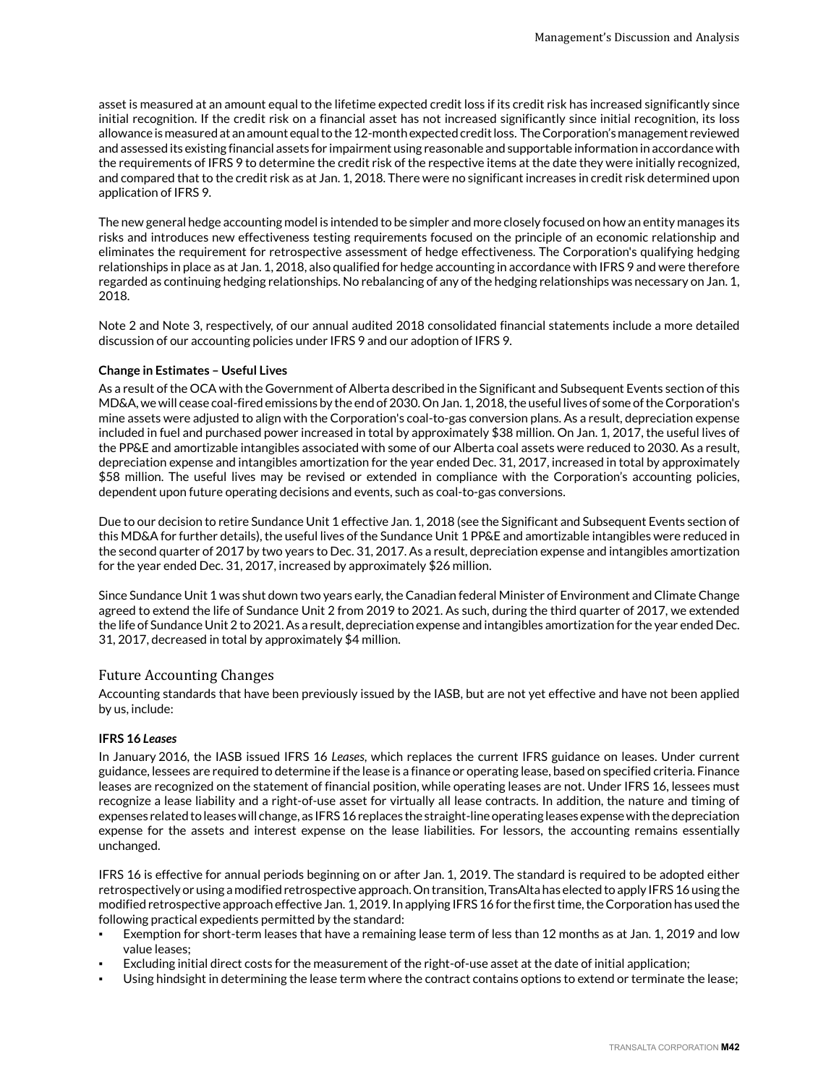asset is measured at an amount equal to the lifetime expected credit loss if its credit risk has increased significantly since initial recognition. If the credit risk on a financial asset has not increased significantly since initial recognition, its loss allowance is measured at an amount equal to the 12-month expected credit loss. The Corporation's management reviewed and assessed its existing financial assets for impairment using reasonable and supportable information in accordance with the requirements of IFRS 9 to determine the credit risk of the respective items at the date they were initially recognized, and compared that to the credit risk as at Jan. 1, 2018. There were no significant increases in credit risk determined upon application of IFRS 9.

The new general hedge accounting model is intended to be simpler and more closely focused on how an entity manages its risks and introduces new effectiveness testing requirements focused on the principle of an economic relationship and eliminates the requirement for retrospective assessment of hedge effectiveness. The Corporation's qualifying hedging relationships in place as at Jan. 1, 2018, also qualified for hedge accounting in accordance with IFRS 9 and were therefore regarded as continuing hedging relationships. No rebalancing of any of the hedging relationships was necessary on Jan. 1, 2018.

Note 2 and Note 3, respectively, of our annual audited 2018 consolidated financial statements include a more detailed discussion of our accounting policies under IFRS 9 and our adoption of IFRS 9.

# **Change in Estimates – Useful Lives**

As a result of the OCA with the Government of Alberta described in the Significant and Subsequent Events section of this MD&A, we will cease coal-fired emissions by the end of 2030. On Jan. 1, 2018, the useful lives of some of the Corporation's mine assets were adjusted to align with the Corporation's coal-to-gas conversion plans. As a result, depreciation expense included in fuel and purchased power increased in total by approximately \$38 million. On Jan. 1, 2017, the useful lives of the PP&E and amortizable intangibles associated with some of our Alberta coal assets were reduced to 2030. As a result, depreciation expense and intangibles amortization for the year ended Dec. 31, 2017, increased in total by approximately \$58 million. The useful lives may be revised or extended in compliance with the Corporation's accounting policies, dependent upon future operating decisions and events, such as coal-to-gas conversions.

Due to our decision to retire Sundance Unit 1 effective Jan. 1, 2018 (see the Significant and Subsequent Events section of this MD&A for further details), the useful lives of the Sundance Unit 1 PP&E and amortizable intangibles were reduced in the second quarter of 2017 by two years to Dec. 31, 2017. As a result, depreciation expense and intangibles amortization for the year ended Dec. 31, 2017, increased by approximately \$26 million.

Since Sundance Unit 1 was shut down two years early, the Canadian federal Minister of Environment and Climate Change agreed to extend the life of Sundance Unit 2 from 2019 to 2021. As such, during the third quarter of 2017, we extended the life of Sundance Unit 2 to 2021. As a result, depreciation expense and intangibles amortization for the year ended Dec. 31, 2017, decreased in total by approximately \$4 million.

# Future Accounting Changes

Accounting standards that have been previously issued by the IASB, but are not yet effective and have not been applied by us, include:

# **IFRS 16** *Leases*

In January 2016, the IASB issued IFRS 16 *Leases*, which replaces the current IFRS guidance on leases. Under current guidance, lessees are required to determine if the lease is a finance or operating lease, based on specified criteria. Finance leases are recognized on the statement of financial position, while operating leases are not. Under IFRS 16, lessees must recognize a lease liability and a right-of-use asset for virtually all lease contracts. In addition, the nature and timing of expenses related to leases will change, as IFRS 16 replaces the straight-line operating leases expense with the depreciation expense for the assets and interest expense on the lease liabilities. For lessors, the accounting remains essentially unchanged.

IFRS 16 is effective for annual periods beginning on or after Jan. 1, 2019. The standard is required to be adopted either retrospectively or using a modified retrospective approach. On transition, TransAlta has elected to apply IFRS 16 using the modified retrospective approach effective Jan. 1, 2019. In applying IFRS 16 for the first time, the Corporation has used the following practical expedients permitted by the standard:

- Exemption for short-term leases that have a remaining lease term of less than 12 months as at Jan. 1, 2019 and low value leases;
- Excluding initial direct costs for the measurement of the right-of-use asset at the date of initial application;
- Using hindsight in determining the lease term where the contract contains options to extend or terminate the lease;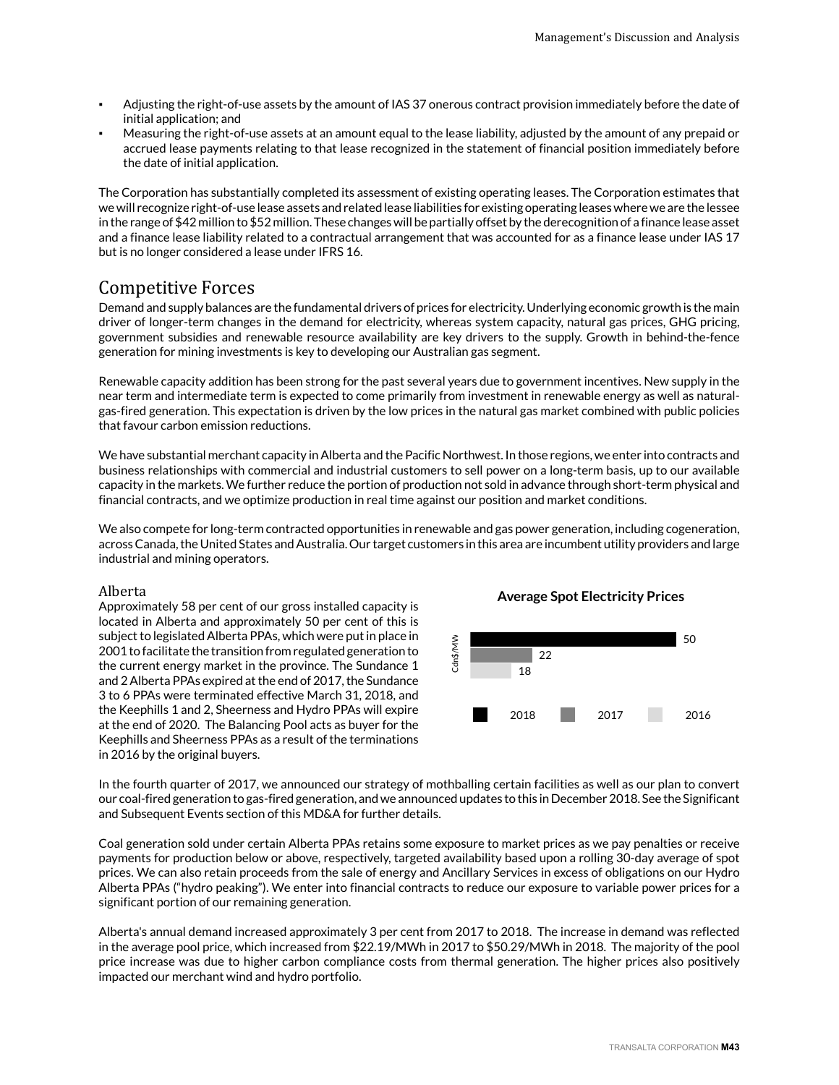- Adjusting the right-of-use assets by the amount of IAS 37 onerous contract provision immediately before the date of initial application; and
- Measuring the right-of-use assets at an amount equal to the lease liability, adjusted by the amount of any prepaid or accrued lease payments relating to that lease recognized in the statement of financial position immediately before the date of initial application.

The Corporation has substantially completed its assessment of existing operating leases. The Corporation estimates that we will recognize right-of-use lease assets and related lease liabilities for existing operating leases where we are the lessee in the range of \$42 million to \$52 million. These changes will be partially offset by the derecognition of a finance lease asset and a finance lease liability related to a contractual arrangement that was accounted for as a finance lease under IAS 17 but is no longer considered a lease under IFRS 16.

# Competitive Forces

Demand and supply balances are the fundamental drivers of prices for electricity. Underlying economic growth is the main driver of longer-term changes in the demand for electricity, whereas system capacity, natural gas prices, GHG pricing, government subsidies and renewable resource availability are key drivers to the supply. Growth in behind-the-fence generation for mining investments is key to developing our Australian gas segment.

Renewable capacity addition has been strong for the past several years due to government incentives. New supply in the near term and intermediate term is expected to come primarily from investment in renewable energy as well as naturalgas-fired generation. This expectation is driven by the low prices in the natural gas market combined with public policies that favour carbon emission reductions.

We have substantial merchant capacity in Alberta and the Pacific Northwest. In those regions, we enter into contracts and business relationships with commercial and industrial customers to sell power on a long-term basis, up to our available capacity in the markets. We further reduce the portion of production not sold in advance through short-term physical and financial contracts, and we optimize production in real time against our position and market conditions.

We also compete for long-term contracted opportunities in renewable and gas power generation, including cogeneration, across Canada, the United States and Australia. Our target customers in this area are incumbent utility providers and large industrial and mining operators.

# Alberta

Approximately 58 per cent of our gross installed capacity is located in Alberta and approximately 50 per cent of this is subject to legislated Alberta PPAs, which were put in place in 2001 to facilitate the transition from regulated generation to the current energy market in the province. The Sundance 1 and 2 Alberta PPAs expired at the end of 2017, the Sundance 3 to 6 PPAs were terminated effective March 31, 2018, and the Keephills 1 and 2, Sheerness and Hydro PPAs will expire at the end of 2020. The Balancing Pool acts as buyer for the Keephills and Sheerness PPAs as a result of the terminations in 2016 by the original buyers.

# **Average Spot Electricity Prices**



In the fourth quarter of 2017, we announced our strategy of mothballing certain facilities as well as our plan to convert our coal-fired generation to gas-fired generation, and we announced updates to this in December 2018. See the Significant and Subsequent Events section of this MD&A for further details.

Coal generation sold under certain Alberta PPAs retains some exposure to market prices as we pay penalties or receive payments for production below or above, respectively, targeted availability based upon a rolling 30-day average of spot prices. We can also retain proceeds from the sale of energy and Ancillary Services in excess of obligations on our Hydro Alberta PPAs ("hydro peaking"). We enter into financial contracts to reduce our exposure to variable power prices for a significant portion of our remaining generation.

Alberta's annual demand increased approximately 3 per cent from 2017 to 2018. The increase in demand was reflected in the average pool price, which increased from \$22.19/MWh in 2017 to \$50.29/MWh in 2018. The majority of the pool price increase was due to higher carbon compliance costs from thermal generation. The higher prices also positively impacted our merchant wind and hydro portfolio.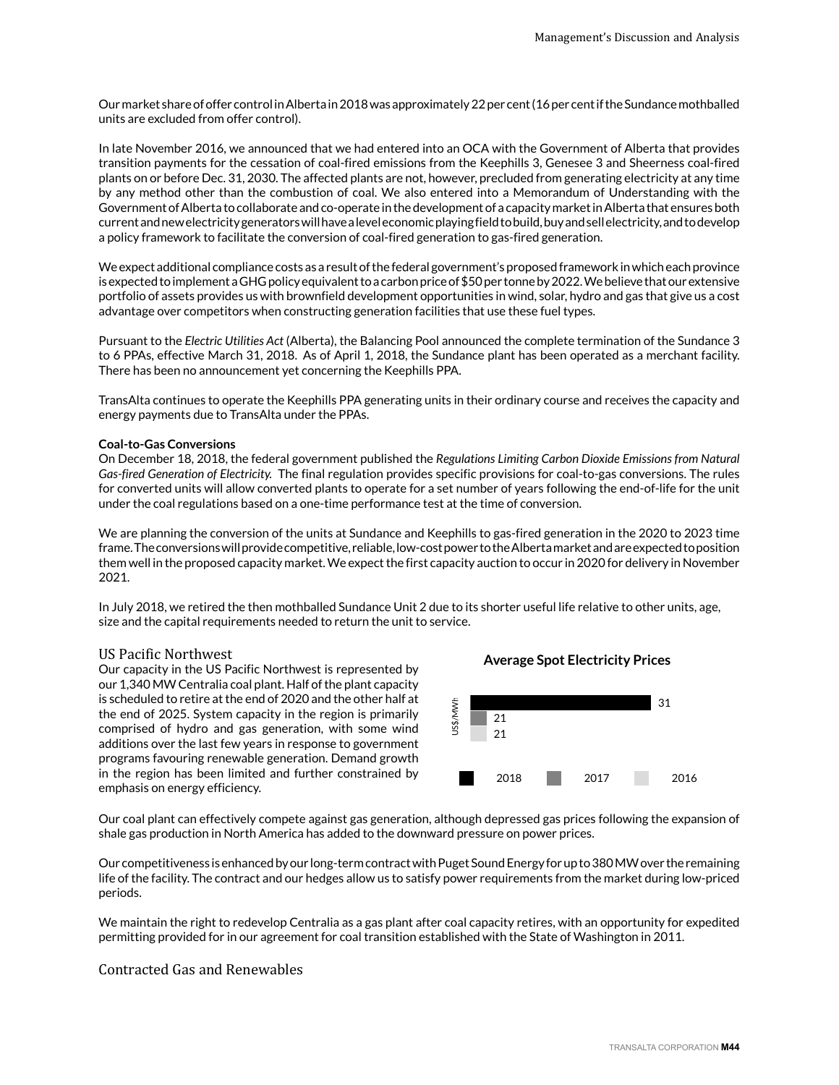Our market share of offer control in Alberta in 2018 was approximately 22 per cent (16 per cent if the Sundance mothballed units are excluded from offer control).

In late November 2016, we announced that we had entered into an OCA with the Government of Alberta that provides transition payments for the cessation of coal-fired emissions from the Keephills 3, Genesee 3 and Sheerness coal-fired plants on or before Dec. 31, 2030. The affected plants are not, however, precluded from generating electricity at any time by any method other than the combustion of coal. We also entered into a Memorandum of Understanding with the Government of Alberta to collaborate and co-operate in the development of a capacity market in Alberta that ensures both current and new electricity generators will have a level economic playing field to build, buy and sell electricity, and to develop a policy framework to facilitate the conversion of coal-fired generation to gas-fired generation.

We expect additional compliance costs as a result of the federal government's proposed framework in which each province is expected to implement a GHG policy equivalent to a carbon price of \$50 per tonne by 2022. We believe that our extensive portfolio of assets provides us with brownfield development opportunities in wind, solar, hydro and gas that give us a cost advantage over competitors when constructing generation facilities that use these fuel types.

Pursuant to the *Electric Utilities Act* (Alberta), the Balancing Pool announced the complete termination of the Sundance 3 to 6 PPAs, effective March 31, 2018. As of April 1, 2018, the Sundance plant has been operated as a merchant facility. There has been no announcement yet concerning the Keephills PPA.

TransAlta continues to operate the Keephills PPA generating units in their ordinary course and receives the capacity and energy payments due to TransAlta under the PPAs.

# **Coal-to-Gas Conversions**

On December 18, 2018, the federal government published the *Regulations Limiting Carbon Dioxide Emissions from Natural Gas-fired Generation of Electricity.* The final regulation provides specific provisions for coal-to-gas conversions. The rules for converted units will allow converted plants to operate for a set number of years following the end-of-life for the unit under the coal regulations based on a one-time performance test at the time of conversion.

We are planning the conversion of the units at Sundance and Keephills to gas-fired generation in the 2020 to 2023 time frame. The conversions will provide competitive, reliable, low-cost power to the Alberta market and are expected to position them well in the proposed capacity market. We expect the first capacity auction to occur in 2020 for delivery in November 2021.

In July 2018, we retired the then mothballed Sundance Unit 2 due to its shorter useful life relative to other units, age, size and the capital requirements needed to return the unit to service.

# US Pacific Northwest

Our capacity in the US Pacific Northwest is represented by our 1,340 MW Centralia coal plant. Half of the plant capacity is scheduled to retire at the end of 2020 and the other half at the end of 2025. System capacity in the region is primarily comprised of hydro and gas generation, with some wind additions over the last few years in response to government programs favouring renewable generation. Demand growth in the region has been limited and further constrained by emphasis on energy efficiency.



**Average Spot Electricity Prices**

Our coal plant can effectively compete against gas generation, although depressed gas prices following the expansion of shale gas production in North America has added to the downward pressure on power prices.

Our competitiveness is enhanced by our long-term contract with Puget Sound Energy for up to 380 MW over the remaining life of the facility. The contract and our hedges allow us to satisfy power requirements from the market during low-priced periods.

We maintain the right to redevelop Centralia as a gas plant after coal capacity retires, with an opportunity for expedited permitting provided for in our agreement for coal transition established with the State of Washington in 2011.

# Contracted Gas and Renewables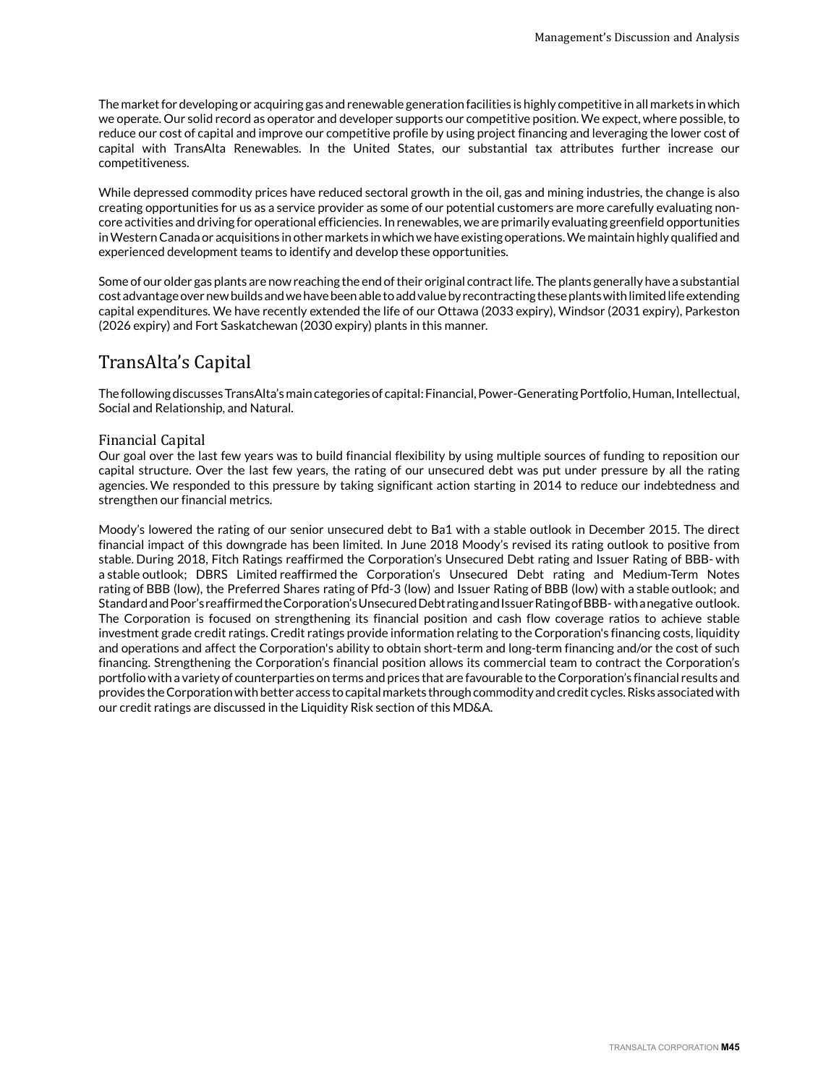The market for developing or acquiring gas and renewable generation facilities is highly competitive in all markets in which we operate. Our solid record as operator and developer supports our competitive position. We expect, where possible, to reduce our cost of capital and improve our competitive profile by using project financing and leveraging the lower cost of capital with TransAlta Renewables. In the United States, our substantial tax attributes further increase our competitiveness.

While depressed commodity prices have reduced sectoral growth in the oil, gas and mining industries, the change is also creating opportunities for us as a service provider as some of our potential customers are more carefully evaluating noncore activities and driving for operational efficiencies. In renewables, we are primarily evaluating greenfield opportunities in Western Canada or acquisitions in other markets in which we have existing operations. We maintain highly qualified and experienced development teams to identify and develop these opportunities.

Some of our older gas plants are now reaching the end of their original contract life. The plants generally have a substantial cost advantage over new builds and we have been able to add value by recontracting these plants with limited life extending capital expenditures. We have recently extended the life of our Ottawa (2033 expiry), Windsor (2031 expiry), Parkeston (2026 expiry) and Fort Saskatchewan (2030 expiry) plants in this manner.

# TransAlta's Capital

The following discusses TransAlta's main categories of capital: Financial, Power-Generating Portfolio, Human, Intellectual, Social and Relationship, and Natural.

# Financial Capital

Our goal over the last few years was to build financial flexibility by using multiple sources of funding to reposition our capital structure. Over the last few years, the rating of our unsecured debt was put under pressure by all the rating agencies. We responded to this pressure by taking significant action starting in 2014 to reduce our indebtedness and strengthen our financial metrics.

Moody's lowered the rating of our senior unsecured debt to Ba1 with a stable outlook in December 2015. The direct financial impact of this downgrade has been limited. In June 2018 Moody's revised its rating outlook to positive from stable. During 2018, Fitch Ratings reaffirmed the Corporation's Unsecured Debt rating and Issuer Rating of BBB- with a stable outlook; DBRS Limited reaffirmed the Corporation's Unsecured Debt rating and Medium-Term Notes rating of BBB (low), the Preferred Shares rating of Pfd-3 (low) and Issuer Rating of BBB (low) with a stable outlook; and Standard and Poor's reaffirmed the Corporation's Unsecured Debt rating and Issuer Rating of BBB- with a negative outlook. The Corporation is focused on strengthening its financial position and cash flow coverage ratios to achieve stable investment grade credit ratings. Credit ratings provide information relating to the Corporation's financing costs, liquidity and operations and affect the Corporation's ability to obtain short-term and long-term financing and/or the cost of such financing. Strengthening the Corporation's financial position allows its commercial team to contract the Corporation's portfolio with a variety of counterparties on terms and prices that are favourable to the Corporation's financial results and provides the Corporation with better access to capital markets through commodity and credit cycles. Risks associated with our credit ratings are discussed in the Liquidity Risk section of this MD&A.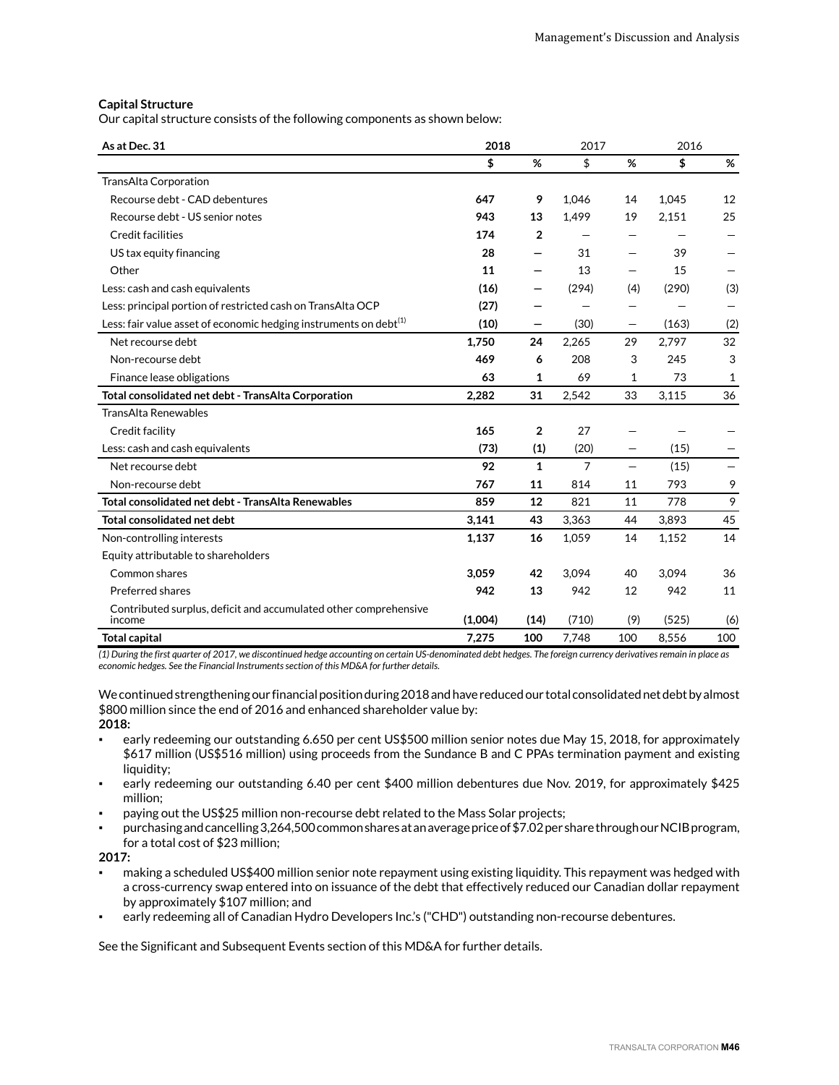# **Capital Structure**

Our capital structure consists of the following components as shown below:

| As at Dec. 31                                                                 | 2018    |                          | 2017           |     | 2016  |     |
|-------------------------------------------------------------------------------|---------|--------------------------|----------------|-----|-------|-----|
|                                                                               | \$      | %                        | \$             | %   | \$    | %   |
| TransAlta Corporation                                                         |         |                          |                |     |       |     |
| Recourse debt - CAD debentures                                                | 647     | 9                        | 1.046          | 14  | 1.045 | 12  |
| Recourse debt - US senior notes                                               | 943     | 13                       | 1,499          | 19  | 2,151 | 25  |
| Credit facilities                                                             | 174     | $\overline{2}$           |                |     |       |     |
| US tax equity financing                                                       | 28      | —                        | 31             |     | 39    |     |
| Other                                                                         | 11      | $\overline{\phantom{0}}$ | 13             |     | 15    |     |
| Less: cash and cash equivalents                                               | (16)    | —                        | (294)          | (4) | (290) | (3) |
| Less: principal portion of restricted cash on TransAlta OCP                   | (27)    |                          |                |     |       |     |
| Less: fair value asset of economic hedging instruments on debt <sup>(1)</sup> | (10)    | —                        | (30)           | —   | (163) | (2) |
| Net recourse debt                                                             | 1,750   | 24                       | 2,265          | 29  | 2,797 | 32  |
| Non-recourse debt                                                             | 469     | 6                        | 208            | 3   | 245   | 3   |
| Finance lease obligations                                                     | 63      | 1                        | 69             | 1   | 73    | 1   |
| Total consolidated net debt - TransAlta Corporation                           | 2,282   | 31                       | 2,542          | 33  | 3,115 | 36  |
| <b>TransAlta Renewables</b>                                                   |         |                          |                |     |       |     |
| Credit facility                                                               | 165     | $\overline{2}$           | 27             |     |       |     |
| Less: cash and cash equivalents                                               | (73)    | (1)                      | (20)           | —   | (15)  |     |
| Net recourse debt                                                             | 92      | $\mathbf{1}$             | $\overline{7}$ |     | (15)  | —   |
| Non-recourse debt                                                             | 767     | 11                       | 814            | 11  | 793   | 9   |
| Total consolidated net debt - TransAlta Renewables                            | 859     | 12                       | 821            | 11  | 778   | 9   |
| <b>Total consolidated net debt</b>                                            | 3,141   | 43                       | 3.363          | 44  | 3.893 | 45  |
| Non-controlling interests                                                     | 1,137   | 16                       | 1.059          | 14  | 1,152 | 14  |
| Equity attributable to shareholders                                           |         |                          |                |     |       |     |
| Common shares                                                                 | 3.059   | 42                       | 3.094          | 40  | 3.094 | 36  |
| Preferred shares                                                              | 942     | 13                       | 942            | 12  | 942   | 11  |
| Contributed surplus, deficit and accumulated other comprehensive<br>income    | (1,004) | (14)                     | (710)          | (9) | (525) | (6) |
| <b>Total capital</b>                                                          | 7,275   | 100                      | 7,748          | 100 | 8,556 | 100 |

*(1) During the first quarter of 2017, we discontinued hedge accounting on certain US-denominated debt hedges. The foreign currency derivatives remain in place as economic hedges. See the Financial Instruments section of this MD&A for further details.* 

We continued strengthening our financial position during 2018 and have reduced our total consolidated net debt by almost \$800 million since the end of 2016 and enhanced shareholder value by: **2018:**

- early redeeming our outstanding 6.650 per cent US\$500 million senior notes due May 15, 2018, for approximately \$617 million (US\$516 million) using proceeds from the Sundance B and C PPAs termination payment and existing liquidity;
- early redeeming our outstanding 6.40 per cent \$400 million debentures due Nov. 2019, for approximately \$425 million;
- paying out the US\$25 million non-recourse debt related to the Mass Solar projects;
- purchasing and cancelling 3,264,500 common shares at an average price of \$7.02 per share through our NCIB program, for a total cost of \$23 million;

**2017:**

- making a scheduled US\$400 million senior note repayment using existing liquidity. This repayment was hedged with a cross-currency swap entered into on issuance of the debt that effectively reduced our Canadian dollar repayment by approximately \$107 million; and
- early redeeming all of Canadian Hydro Developers Inc.'s ("CHD") outstanding non-recourse debentures.

See the Significant and Subsequent Events section of this MD&A for further details.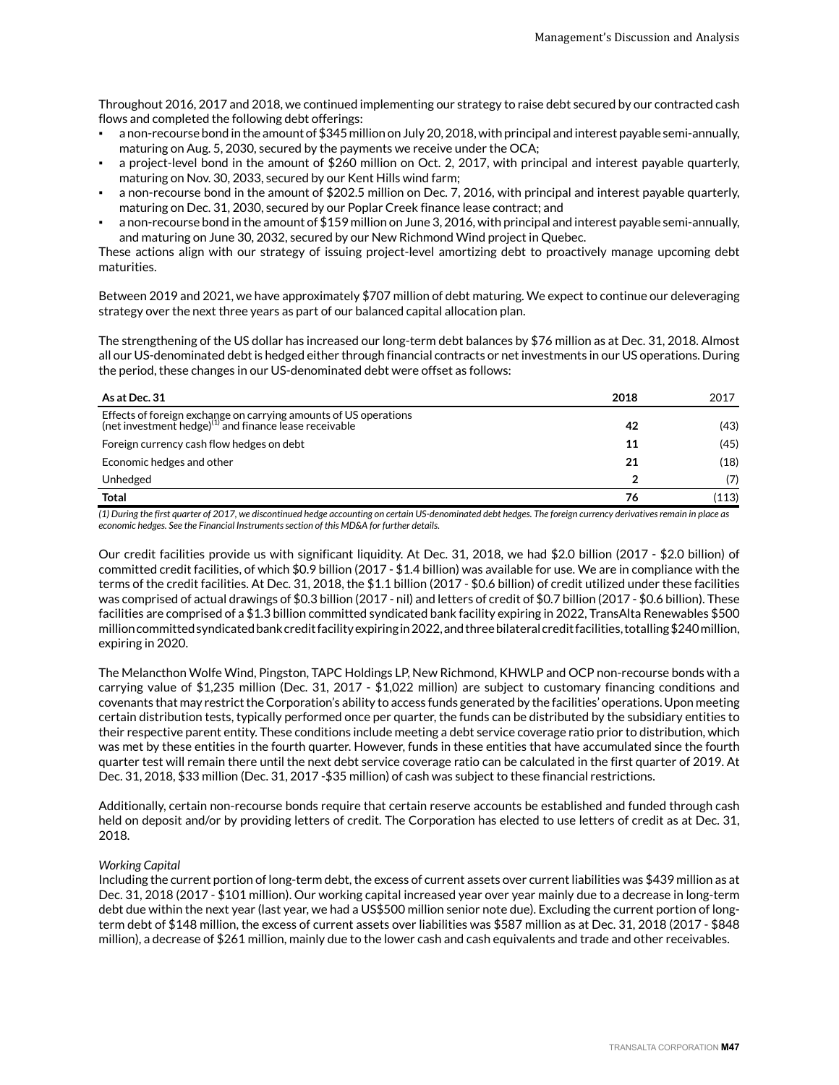Throughout 2016, 2017 and 2018, we continued implementing our strategy to raise debt secured by our contracted cash flows and completed the following debt offerings:

- a non-recourse bond in the amount of \$345 million on July 20, 2018, with principal and interest payable semi-annually, maturing on Aug. 5, 2030, secured by the payments we receive under the OCA;
- a project-level bond in the amount of \$260 million on Oct. 2, 2017, with principal and interest payable quarterly, maturing on Nov. 30, 2033, secured by our Kent Hills wind farm;
- a non-recourse bond in the amount of \$202.5 million on Dec. 7, 2016, with principal and interest payable quarterly, maturing on Dec. 31, 2030, secured by our Poplar Creek finance lease contract; and
- a non-recourse bond in the amount of \$159 million on June 3, 2016, with principal and interest payable semi-annually, and maturing on June 30, 2032, secured by our New Richmond Wind project in Quebec.

These actions align with our strategy of issuing project-level amortizing debt to proactively manage upcoming debt maturities.

Between 2019 and 2021, we have approximately \$707 million of debt maturing. We expect to continue our deleveraging strategy over the next three years as part of our balanced capital allocation plan.

The strengthening of the US dollar has increased our long-term debt balances by \$76 million as at Dec. 31, 2018. Almost all our US-denominated debt is hedged either through financial contracts or net investments in our US operations. During the period, these changes in our US-denominated debt were offset as follows:

| As at Dec. 31                                                                                                                          | 2018 | 2017  |
|----------------------------------------------------------------------------------------------------------------------------------------|------|-------|
| Effects of foreign exchange on carrying amounts of US operations<br>(net investment hedge) <sup>(1)</sup> and finance lease receivable | 42   | (43)  |
| Foreign currency cash flow hedges on debt                                                                                              | 11   | (45)  |
| Economic hedges and other                                                                                                              | 21   | (18)  |
| Unhedged                                                                                                                               |      | (7)   |
| <b>Total</b>                                                                                                                           | 76   | (113) |

*(1) During the first quarter of 2017, we discontinued hedge accounting on certain US-denominated debt hedges. The foreign currency derivatives remain in place as economic hedges. See the Financial Instruments section of this MD&A for further details.*

Our credit facilities provide us with significant liquidity. At Dec. 31, 2018, we had \$2.0 billion (2017 - \$2.0 billion) of committed credit facilities, of which \$0.9 billion (2017 - \$1.4 billion) was available for use. We are in compliance with the terms of the credit facilities. At Dec. 31, 2018, the \$1.1 billion (2017 - \$0.6 billion) of credit utilized under these facilities was comprised of actual drawings of \$0.3 billion (2017 - nil) and letters of credit of \$0.7 billion (2017 - \$0.6 billion). These facilities are comprised of a \$1.3 billion committed syndicated bank facility expiring in 2022, TransAlta Renewables \$500 million committed syndicated bank credit facility expiring in 2022, and three bilateral credit facilities, totalling \$240 million, expiring in 2020.

The Melancthon Wolfe Wind, Pingston, TAPC Holdings LP, New Richmond, KHWLP and OCP non-recourse bonds with a carrying value of \$1,235 million (Dec. 31, 2017 - \$1,022 million) are subject to customary financing conditions and covenants that may restrict the Corporation's ability to access funds generated by the facilities' operations. Upon meeting certain distribution tests, typically performed once per quarter, the funds can be distributed by the subsidiary entities to their respective parent entity. These conditions include meeting a debt service coverage ratio prior to distribution, which was met by these entities in the fourth quarter. However, funds in these entities that have accumulated since the fourth quarter test will remain there until the next debt service coverage ratio can be calculated in the first quarter of 2019. At Dec. 31, 2018, \$33 million (Dec. 31, 2017 -\$35 million) of cash was subject to these financial restrictions.

Additionally, certain non-recourse bonds require that certain reserve accounts be established and funded through cash held on deposit and/or by providing letters of credit. The Corporation has elected to use letters of credit as at Dec. 31, 2018.

# *Working Capital*

Including the current portion of long-term debt, the excess of current assets over current liabilities was \$439 million as at Dec. 31, 2018 (2017 - \$101 million). Our working capital increased year over year mainly due to a decrease in long-term debt due within the next year (last year, we had a US\$500 million senior note due). Excluding the current portion of longterm debt of \$148 million, the excess of current assets over liabilities was \$587 million as at Dec. 31, 2018 (2017 - \$848 million), a decrease of \$261 million, mainly due to the lower cash and cash equivalents and trade and other receivables.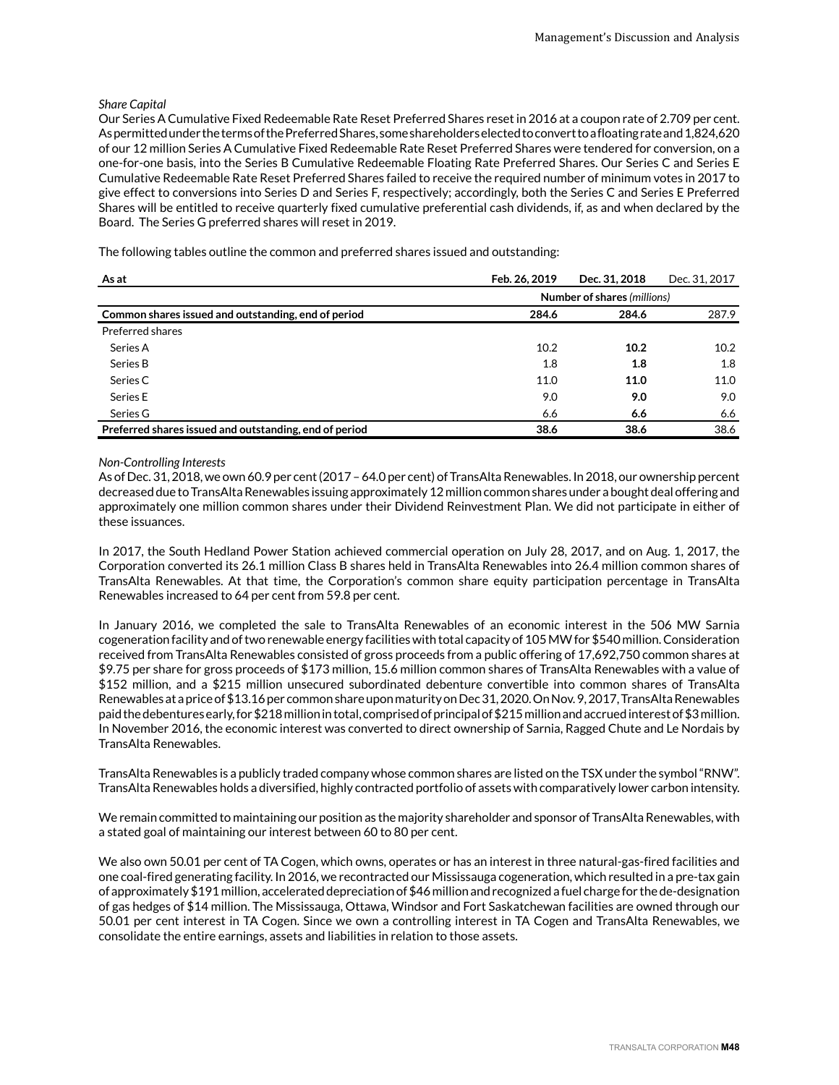## *Share Capital*

Our Series A Cumulative Fixed Redeemable Rate Reset Preferred Shares reset in 2016 at a coupon rate of 2.709 per cent. As permitted under the terms of the Preferred Shares, some shareholders elected to convert to a floating rate and 1,824,620 of our 12 million Series A Cumulative Fixed Redeemable Rate Reset Preferred Shares were tendered for conversion, on a one-for-one basis, into the Series B Cumulative Redeemable Floating Rate Preferred Shares. Our Series C and Series E Cumulative Redeemable Rate Reset Preferred Shares failed to receive the required number of minimum votes in 2017 to give effect to conversions into Series D and Series F, respectively; accordingly, both the Series C and Series E Preferred Shares will be entitled to receive quarterly fixed cumulative preferential cash dividends, if, as and when declared by the Board. The Series G preferred shares will reset in 2019.

The following tables outline the common and preferred shares issued and outstanding:

| As at                                                  | Feb. 26, 2019               | Dec. 31, 2018 | Dec. 31, 2017 |  |
|--------------------------------------------------------|-----------------------------|---------------|---------------|--|
|                                                        | Number of shares (millions) |               |               |  |
| Common shares issued and outstanding, end of period    | 284.6                       | 284.6         | 287.9         |  |
| Preferred shares                                       |                             |               |               |  |
| Series A                                               | 10.2                        | 10.2          | 10.2          |  |
| Series B                                               | 1.8                         | 1.8           | 1.8           |  |
| Series C                                               | 11.0                        | 11.0          | 11.0          |  |
| Series E                                               | 9.0                         | 9.0           | 9.0           |  |
| Series G                                               | 6.6                         | 6.6           | 6.6           |  |
| Preferred shares issued and outstanding, end of period | 38.6                        | 38.6          | 38.6          |  |

#### *Non-Controlling Interests*

As of Dec. 31, 2018, we own 60.9 per cent (2017 – 64.0 per cent) of TransAlta Renewables. In 2018, our ownership percent decreased due to TransAlta Renewables issuing approximately 12 million common shares under a bought deal offering and approximately one million common shares under their Dividend Reinvestment Plan. We did not participate in either of these issuances.

In 2017, the South Hedland Power Station achieved commercial operation on July 28, 2017, and on Aug. 1, 2017, the Corporation converted its 26.1 million Class B shares held in TransAlta Renewables into 26.4 million common shares of TransAlta Renewables. At that time, the Corporation's common share equity participation percentage in TransAlta Renewables increased to 64 per cent from 59.8 per cent.

In January 2016, we completed the sale to TransAlta Renewables of an economic interest in the 506 MW Sarnia cogeneration facility and of two renewable energy facilities with total capacity of 105 MW for \$540 million. Consideration received from TransAlta Renewables consisted of gross proceeds from a public offering of 17,692,750 common shares at \$9.75 per share for gross proceeds of \$173 million, 15.6 million common shares of TransAlta Renewables with a value of \$152 million, and a \$215 million unsecured subordinated debenture convertible into common shares of TransAlta Renewables at a price of \$13.16 per common share upon maturity on Dec 31, 2020. On Nov. 9, 2017, TransAlta Renewables paid the debentures early, for \$218 million in total, comprised of principal of \$215 million and accrued interest of \$3 million. In November 2016, the economic interest was converted to direct ownership of Sarnia, Ragged Chute and Le Nordais by TransAlta Renewables.

TransAlta Renewables is a publicly traded company whose common shares are listed on the TSX under the symbol "RNW". TransAlta Renewables holds a diversified, highly contracted portfolio of assets with comparatively lower carbon intensity.

We remain committed to maintaining our position as the majority shareholder and sponsor of TransAlta Renewables, with a stated goal of maintaining our interest between 60 to 80 per cent.

We also own 50.01 per cent of TA Cogen, which owns, operates or has an interest in three natural-gas-fired facilities and one coal-fired generating facility. In 2016, we recontracted our Mississauga cogeneration, which resulted in a pre-tax gain of approximately \$191 million, accelerated depreciation of \$46 million and recognized a fuel charge for the de-designation of gas hedges of \$14 million. The Mississauga, Ottawa, Windsor and Fort Saskatchewan facilities are owned through our 50.01 per cent interest in TA Cogen. Since we own a controlling interest in TA Cogen and TransAlta Renewables, we consolidate the entire earnings, assets and liabilities in relation to those assets.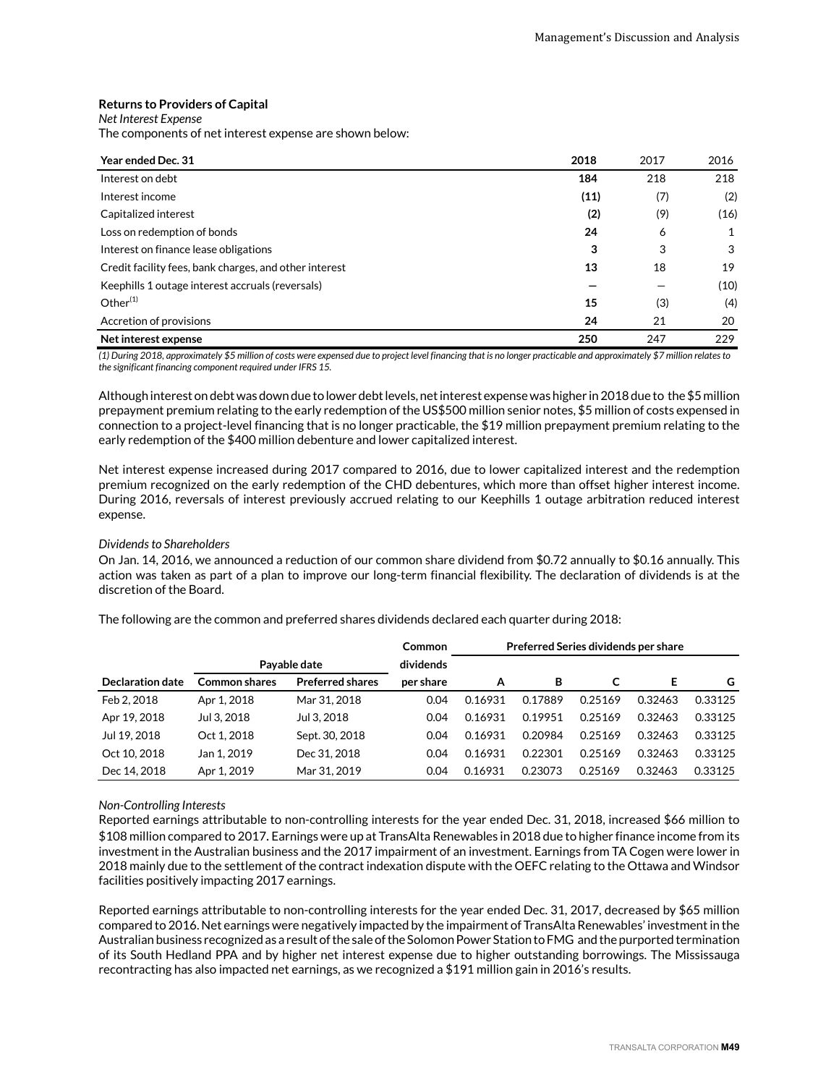## **Returns to Providers of Capital**

*Net Interest Expense*

The components of net interest expense are shown below:

| Year ended Dec. 31                                     | 2018 | 2017 | 2016 |
|--------------------------------------------------------|------|------|------|
| Interest on debt                                       | 184  | 218  | 218  |
| Interest income                                        | (11) | (7)  | (2)  |
| Capitalized interest                                   | (2)  | (9)  | (16) |
| Loss on redemption of bonds                            | 24   | 6    | 1    |
| Interest on finance lease obligations                  | 3    | 3    | 3    |
| Credit facility fees, bank charges, and other interest | 13   | 18   | 19   |
| Keephills 1 outage interest accruals (reversals)       |      |      | (10) |
| Other $(1)$                                            | 15   | (3)  | (4)  |
| Accretion of provisions                                | 24   | 21   | 20   |
| Net interest expense                                   | 250  | 247  | 229  |

*(1) During 2018, approximately \$5 million of costs were expensed due to project level financing that is no longer practicable and approximately \$7 million relates to the significant financing component required under IFRS 15.*

Although interest on debt was down due to lower debt levels, net interest expense was higher in 2018 due to the \$5 million prepayment premium relating to the early redemption of the US\$500 million senior notes, \$5 million of costs expensed in connection to a project-level financing that is no longer practicable, the \$19 million prepayment premium relating to the early redemption of the \$400 million debenture and lower capitalized interest.

Net interest expense increased during 2017 compared to 2016, due to lower capitalized interest and the redemption premium recognized on the early redemption of the CHD debentures, which more than offset higher interest income. During 2016, reversals of interest previously accrued relating to our Keephills 1 outage arbitration reduced interest expense.

#### *Dividends to Shareholders*

On Jan. 14, 2016, we announced a reduction of our common share dividend from \$0.72 annually to \$0.16 annually. This action was taken as part of a plan to improve our long-term financial flexibility. The declaration of dividends is at the discretion of the Board.

The following are the common and preferred shares dividends declared each quarter during 2018:

|                  |                      |                         | <b>Common</b> | Preferred Series dividends per share |         |         |         |         |  |
|------------------|----------------------|-------------------------|---------------|--------------------------------------|---------|---------|---------|---------|--|
|                  |                      | Payable date            | dividends     |                                      |         |         |         |         |  |
| Declaration date | <b>Common shares</b> | <b>Preferred shares</b> | per share     | А                                    | в       | C       | Е       | G       |  |
| Feb 2, 2018      | Apr 1, 2018          | Mar 31, 2018            | 0.04          | 0.16931                              | 0.17889 | 0.25169 | 0.32463 | 0.33125 |  |
| Apr 19, 2018     | Jul 3, 2018          | Jul 3, 2018             | 0.04          | 0.16931                              | 0.19951 | 0.25169 | 0.32463 | 0.33125 |  |
| Jul 19, 2018     | Oct 1, 2018          | Sept. 30, 2018          | 0.04          | 0.16931                              | 0.20984 | 0.25169 | 0.32463 | 0.33125 |  |
| Oct 10, 2018     | Jan 1, 2019          | Dec 31, 2018            | 0.04          | 0.16931                              | 0.22301 | 0.25169 | 0.32463 | 0.33125 |  |
| Dec 14, 2018     | Apr 1, 2019          | Mar 31, 2019            | 0.04          | 0.16931                              | 0.23073 | 0.25169 | 0.32463 | 0.33125 |  |

#### *Non-Controlling Interests*

Reported earnings attributable to non-controlling interests for the year ended Dec. 31, 2018, increased \$66 million to \$108 million compared to 2017. Earnings were up at TransAlta Renewables in 2018 due to higher finance income from its investment in the Australian business and the 2017 impairment of an investment. Earnings from TA Cogen were lower in 2018 mainly due to the settlement of the contract indexation dispute with the OEFC relating to the Ottawa and Windsor facilities positively impacting 2017 earnings.

Reported earnings attributable to non-controlling interests for the year ended Dec. 31, 2017, decreased by \$65 million compared to 2016. Net earnings were negatively impacted by the impairment of TransAlta Renewables' investment in the Australian business recognized as a result of the sale of the Solomon Power Station to FMG and the purported termination of its South Hedland PPA and by higher net interest expense due to higher outstanding borrowings. The Mississauga recontracting has also impacted net earnings, as we recognized a \$191 million gain in 2016's results.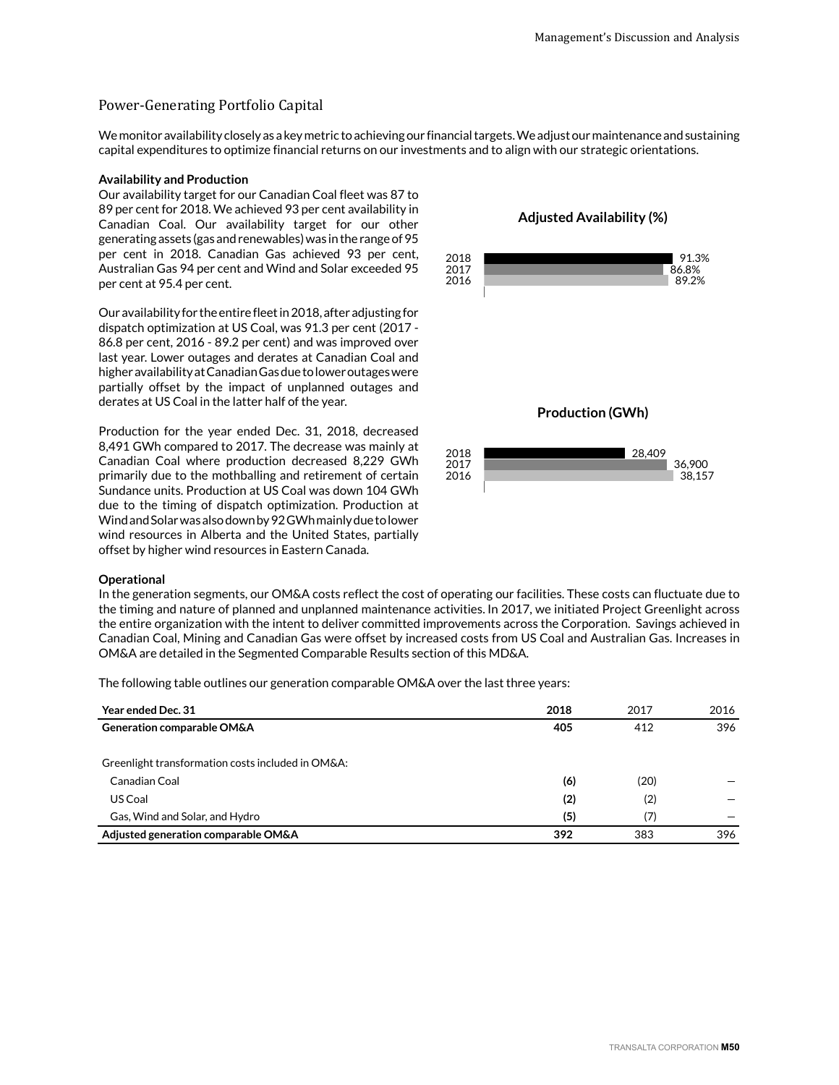# Power-Generating Portfolio Capital

We monitor availability closely as a key metric to achieving our financial targets. We adjust our maintenance and sustaining capital expenditures to optimize financial returns on our investments and to align with our strategic orientations.

#### **Availability and Production**

Our availability target for our Canadian Coal fleet was 87 to 89 per cent for 2018. We achieved 93 per cent availability in Canadian Coal. Our availability target for our other generating assets (gas and renewables) was in the range of 95 per cent in 2018. Canadian Gas achieved 93 per cent, Australian Gas 94 per cent and Wind and Solar exceeded 95 per cent at 95.4 per cent.

Our availability for the entire fleet in 2018, after adjusting for dispatch optimization at US Coal, was 91.3 per cent (2017 - 86.8 per cent, 2016 - 89.2 per cent) and was improved over last year. Lower outages and derates at Canadian Coal and higher availability at Canadian Gas due to lower outages were partially offset by the impact of unplanned outages and derates at US Coal in the latter half of the year.

Production for the year ended Dec. 31, 2018, decreased 8,491 GWh compared to 2017. The decrease was mainly at Canadian Coal where production decreased 8,229 GWh primarily due to the mothballing and retirement of certain Sundance units. Production at US Coal was down 104 GWh due to the timing of dispatch optimization. Production at Wind and Solar was also down by 92 GWh mainly due to lower wind resources in Alberta and the United States, partially offset by higher wind resources in Eastern Canada.

#### **Operational**

In the generation segments, our OM&A costs reflect the cost of operating our facilities. These costs can fluctuate due to the timing and nature of planned and unplanned maintenance activities. In 2017, we initiated Project Greenlight across the entire organization with the intent to deliver committed improvements across the Corporation. Savings achieved in Canadian Coal, Mining and Canadian Gas were offset by increased costs from US Coal and Australian Gas. Increases in OM&A are detailed in the Segmented Comparable Results section of this MD&A.

The following table outlines our generation comparable OM&A over the last three years:

| <b>Year ended Dec. 31</b>                         | 2018 | 2017 | 2016 |
|---------------------------------------------------|------|------|------|
| Generation comparable OM&A                        | 405  | 412  | 396  |
| Greenlight transformation costs included in OM&A: |      |      |      |
| Canadian Coal                                     | (6)  | (20) |      |
| US Coal                                           | (2)  | (2)  |      |
| Gas, Wind and Solar, and Hydro                    | (5)  | (7)  |      |
| Adjusted generation comparable OM&A               | 392  | 383  | 396  |

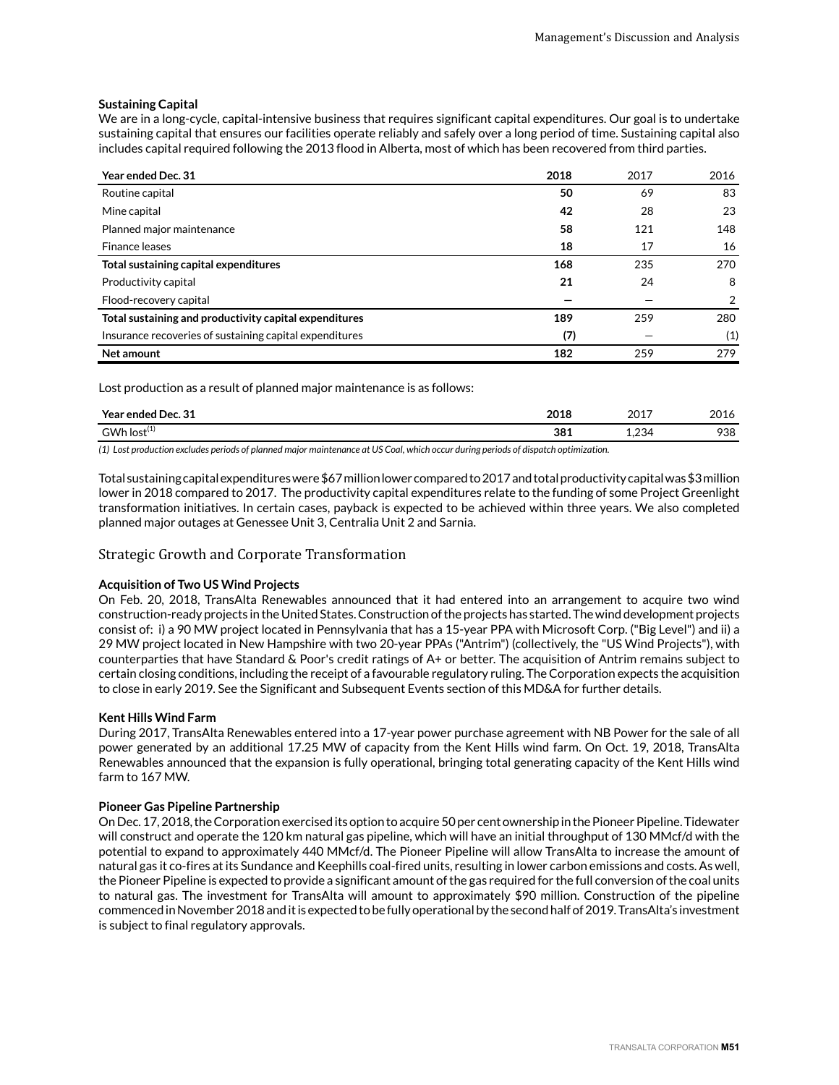# **Sustaining Capital**

We are in a long-cycle, capital-intensive business that requires significant capital expenditures. Our goal is to undertake sustaining capital that ensures our facilities operate reliably and safely over a long period of time. Sustaining capital also includes capital required following the 2013 flood in Alberta, most of which has been recovered from third parties.

| Year ended Dec. 31                                      | 2018 | 2017 | 2016          |
|---------------------------------------------------------|------|------|---------------|
| Routine capital                                         | 50   | 69   | 83            |
| Mine capital                                            | 42   | 28   | 23            |
| Planned major maintenance                               | 58   | 121  | 148           |
| Finance leases                                          | 18   | 17   | 16            |
| Total sustaining capital expenditures                   | 168  | 235  | 270           |
| Productivity capital                                    | 21   | 24   | 8             |
| Flood-recovery capital                                  |      |      | $\mathcal{P}$ |
| Total sustaining and productivity capital expenditures  | 189  | 259  | 280           |
| Insurance recoveries of sustaining capital expenditures | (7)  |      | (1)           |
| Net amount                                              | 182  | 259  | 279           |

Lost production as a result of planned major maintenance is as follows:

| Year enu<br>-21<br><b>Dec</b> | 2018 | 2017<br>∠∪⊥<br>the contract of the contract of the | า∩1<br>-710 |
|-------------------------------|------|----------------------------------------------------|-------------|
| $GWh$ lost $(1)$              | 381  | .02 <sub>0</sub><br>72<br>⊥,∠ ∪ ¬                  | 938         |

*(1) Lost production excludes periods of planned major maintenance at US Coal, which occur during periods of dispatch optimization.*

Total sustaining capital expenditures were \$67 million lower compared to 2017 and total productivity capital was \$3 million lower in 2018 compared to 2017. The productivity capital expenditures relate to the funding of some Project Greenlight transformation initiatives. In certain cases, payback is expected to be achieved within three years. We also completed planned major outages at Genessee Unit 3, Centralia Unit 2 and Sarnia.

# Strategic Growth and Corporate Transformation

#### **Acquisition of Two US Wind Projects**

On Feb. 20, 2018, TransAlta Renewables announced that it had entered into an arrangement to acquire two wind construction-ready projects in the United States. Construction of the projects has started. The wind development projects consist of: i) a 90 MW project located in Pennsylvania that has a 15-year PPA with Microsoft Corp. ("Big Level") and ii) a 29 MW project located in New Hampshire with two 20-year PPAs ("Antrim") (collectively, the "US Wind Projects"), with counterparties that have Standard & Poor's credit ratings of A+ or better. The acquisition of Antrim remains subject to certain closing conditions, including the receipt of a favourable regulatory ruling. The Corporation expects the acquisition to close in early 2019. See the Significant and Subsequent Events section of this MD&A for further details.

#### **Kent Hills Wind Farm**

During 2017, TransAlta Renewables entered into a 17-year power purchase agreement with NB Power for the sale of all power generated by an additional 17.25 MW of capacity from the Kent Hills wind farm. On Oct. 19, 2018, TransAlta Renewables announced that the expansion is fully operational, bringing total generating capacity of the Kent Hills wind farm to 167 MW.

#### **Pioneer Gas Pipeline Partnership**

On Dec. 17, 2018, the Corporation exercised its option to acquire 50 per cent ownership in the Pioneer Pipeline. Tidewater will construct and operate the 120 km natural gas pipeline, which will have an initial throughput of 130 MMcf/d with the potential to expand to approximately 440 MMcf/d. The Pioneer Pipeline will allow TransAlta to increase the amount of natural gas it co-fires at its Sundance and Keephills coal-fired units, resulting in lower carbon emissions and costs. As well, the Pioneer Pipeline is expected to provide a significant amount of the gas required for the full conversion of the coal units to natural gas. The investment for TransAlta will amount to approximately \$90 million. Construction of the pipeline commenced in November 2018 and it is expected to be fully operational by the second half of 2019. TransAlta's investment is subject to final regulatory approvals.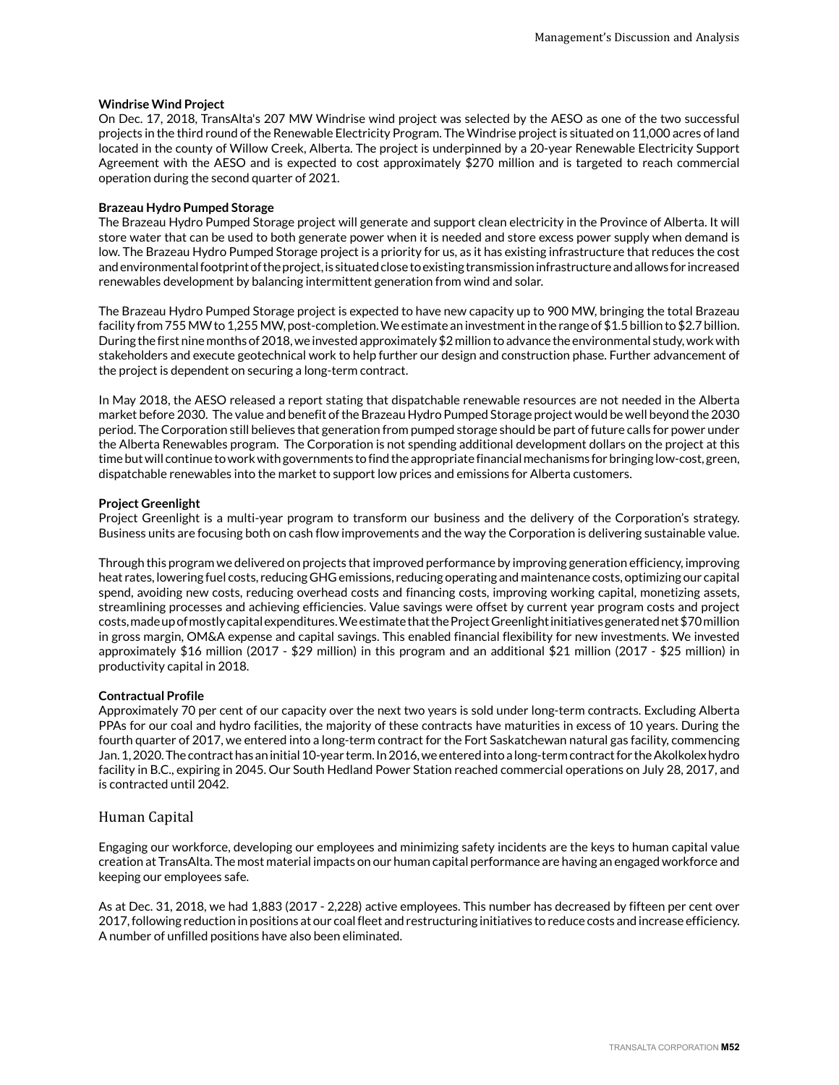#### **Windrise Wind Project**

On Dec. 17, 2018, TransAlta's 207 MW Windrise wind project was selected by the AESO as one of the two successful projects in the third round of the Renewable Electricity Program. The Windrise project is situated on 11,000 acres of land located in the county of Willow Creek, Alberta. The project is underpinned by a 20-year Renewable Electricity Support Agreement with the AESO and is expected to cost approximately \$270 million and is targeted to reach commercial operation during the second quarter of 2021.

#### **Brazeau Hydro Pumped Storage**

The Brazeau Hydro Pumped Storage project will generate and support clean electricity in the Province of Alberta. It will store water that can be used to both generate power when it is needed and store excess power supply when demand is low. The Brazeau Hydro Pumped Storage project is a priority for us, as it has existing infrastructure that reduces the cost and environmental footprint of the project, is situated close to existing transmission infrastructure and allows for increased renewables development by balancing intermittent generation from wind and solar.

The Brazeau Hydro Pumped Storage project is expected to have new capacity up to 900 MW, bringing the total Brazeau facility from 755 MW to 1,255 MW, post-completion. We estimate an investment in the range of \$1.5 billion to \$2.7 billion. During the first nine months of 2018, we invested approximately \$2 million to advance the environmental study, work with stakeholders and execute geotechnical work to help further our design and construction phase. Further advancement of the project is dependent on securing a long-term contract.

In May 2018, the AESO released a report stating that dispatchable renewable resources are not needed in the Alberta market before 2030. The value and benefit of the Brazeau Hydro Pumped Storage project would be well beyond the 2030 period. The Corporation still believes that generation from pumped storage should be part of future calls for power under the Alberta Renewables program. The Corporation is not spending additional development dollars on the project at this time but will continue to work with governments to find the appropriate financial mechanisms for bringing low-cost, green, dispatchable renewables into the market to support low prices and emissions for Alberta customers.

## **Project Greenlight**

Project Greenlight is a multi-year program to transform our business and the delivery of the Corporation's strategy. Business units are focusing both on cash flow improvements and the way the Corporation is delivering sustainable value.

Through this program we delivered on projects that improved performance by improving generation efficiency, improving heat rates, lowering fuel costs, reducing GHG emissions, reducing operating and maintenance costs, optimizing our capital spend, avoiding new costs, reducing overhead costs and financing costs, improving working capital, monetizing assets, streamlining processes and achieving efficiencies. Value savings were offset by current year program costs and project costs, made up of mostly capital expenditures. We estimate that the Project Greenlight initiatives generated net \$70 million in gross margin, OM&A expense and capital savings. This enabled financial flexibility for new investments. We invested approximately \$16 million (2017 - \$29 million) in this program and an additional \$21 million (2017 - \$25 million) in productivity capital in 2018.

#### **Contractual Profile**

Approximately 70 per cent of our capacity over the next two years is sold under long-term contracts. Excluding Alberta PPAs for our coal and hydro facilities, the majority of these contracts have maturities in excess of 10 years. During the fourth quarter of 2017, we entered into a long-term contract for the Fort Saskatchewan natural gas facility, commencing Jan. 1, 2020. The contract has an initial 10-year term. In 2016, we entered into a long-term contract for the Akolkolex hydro facility in B.C., expiring in 2045. Our South Hedland Power Station reached commercial operations on July 28, 2017, and is contracted until 2042.

#### Human Capital

Engaging our workforce, developing our employees and minimizing safety incidents are the keys to human capital value creation at TransAlta. The most material impacts on our human capital performance are having an engaged workforce and keeping our employees safe.

As at Dec. 31, 2018, we had 1,883 (2017 - 2,228) active employees. This number has decreased by fifteen per cent over 2017, following reduction in positions at our coal fleet and restructuring initiatives to reduce costs and increase efficiency. A number of unfilled positions have also been eliminated.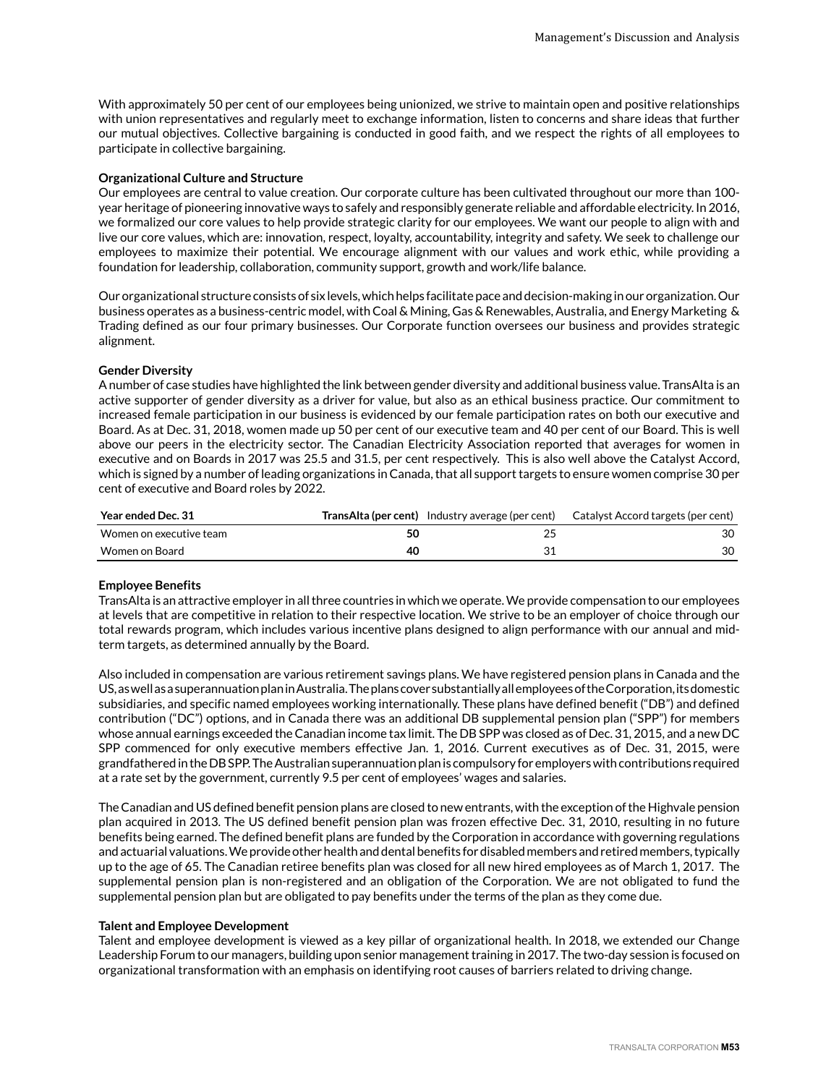With approximately 50 per cent of our employees being unionized, we strive to maintain open and positive relationships with union representatives and regularly meet to exchange information, listen to concerns and share ideas that further our mutual objectives. Collective bargaining is conducted in good faith, and we respect the rights of all employees to participate in collective bargaining.

# **Organizational Culture and Structure**

Our employees are central to value creation. Our corporate culture has been cultivated throughout our more than 100 year heritage of pioneering innovative ways to safely and responsibly generate reliable and affordable electricity. In 2016, we formalized our core values to help provide strategic clarity for our employees. We want our people to align with and live our core values, which are: innovation, respect, loyalty, accountability, integrity and safety. We seek to challenge our employees to maximize their potential. We encourage alignment with our values and work ethic, while providing a foundation for leadership, collaboration, community support, growth and work/life balance.

Our organizational structure consists of six levels, which helps facilitate pace and decision-making in our organization. Our business operates as a business-centric model, with Coal & Mining, Gas & Renewables, Australia, and Energy Marketing & Trading defined as our four primary businesses. Our Corporate function oversees our business and provides strategic alignment.

# **Gender Diversity**

A number of case studies have highlighted the link between gender diversity and additional business value. TransAlta is an active supporter of gender diversity as a driver for value, but also as an ethical business practice. Our commitment to increased female participation in our business is evidenced by our female participation rates on both our executive and Board. As at Dec. 31, 2018, women made up 50 per cent of our executive team and 40 per cent of our Board. This is well above our peers in the electricity sector. The Canadian Electricity Association reported that averages for women in executive and on Boards in 2017 was 25.5 and 31.5, per cent respectively. This is also well above the Catalyst Accord, which is signed by a number of leading organizations in Canada, that all support targets to ensure women comprise 30 per cent of executive and Board roles by 2022.

| <b>Year ended Dec. 31</b> |    | <b>TransAlta (per cent)</b> Industry average (per cent) Catalyst Accord targets (per cent) |
|---------------------------|----|--------------------------------------------------------------------------------------------|
| Women on executive team   | 50 |                                                                                            |
| Women on Board            | 40 |                                                                                            |

# **Employee Benefits**

TransAlta is an attractive employer in all three countries in which we operate. We provide compensation to our employees at levels that are competitive in relation to their respective location. We strive to be an employer of choice through our total rewards program, which includes various incentive plans designed to align performance with our annual and midterm targets, as determined annually by the Board.

Also included in compensation are various retirement savings plans. We have registered pension plans in Canada and the US, as well as a superannuation plan in Australia. The plans cover substantially all employees of the Corporation, its domestic subsidiaries, and specific named employees working internationally. These plans have defined benefit ("DB") and defined contribution ("DC") options, and in Canada there was an additional DB supplemental pension plan ("SPP") for members whose annual earnings exceeded the Canadian income tax limit. The DB SPP was closed as of Dec. 31, 2015, and a new DC SPP commenced for only executive members effective Jan. 1, 2016. Current executives as of Dec. 31, 2015, were grandfathered in the DB SPP. The Australian superannuation plan is compulsory for employers with contributions required at a rate set by the government, currently 9.5 per cent of employees' wages and salaries.

The Canadian and US defined benefit pension plans are closed to new entrants, with the exception of the Highvale pension plan acquired in 2013. The US defined benefit pension plan was frozen effective Dec. 31, 2010, resulting in no future benefits being earned. The defined benefit plans are funded by the Corporation in accordance with governing regulations and actuarial valuations. We provide other health and dental benefits for disabled members and retired members, typically up to the age of 65. The Canadian retiree benefits plan was closed for all new hired employees as of March 1, 2017. The supplemental pension plan is non-registered and an obligation of the Corporation. We are not obligated to fund the supplemental pension plan but are obligated to pay benefits under the terms of the plan as they come due.

#### **Talent and Employee Development**

Talent and employee development is viewed as a key pillar of organizational health. In 2018, we extended our Change Leadership Forum to our managers, building upon senior management training in 2017. The two-day session is focused on organizational transformation with an emphasis on identifying root causes of barriers related to driving change.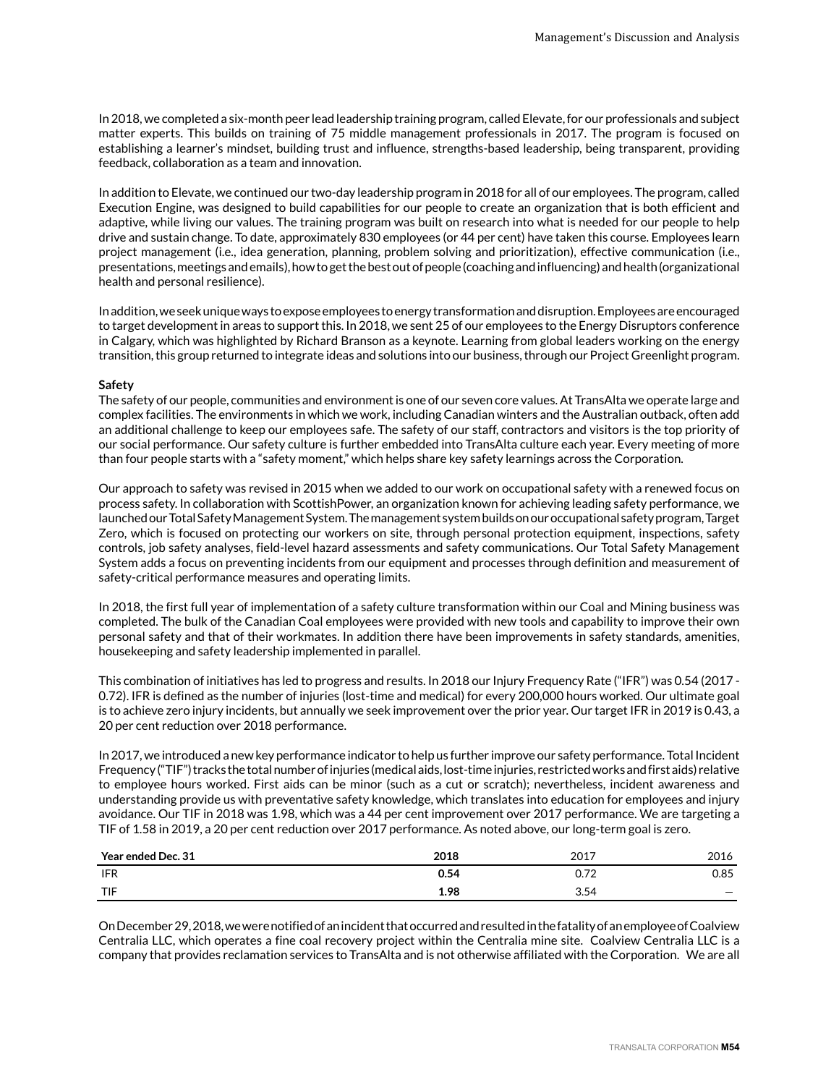In 2018, we completed a six-month peer lead leadership training program, called Elevate, for our professionals and subject matter experts. This builds on training of 75 middle management professionals in 2017. The program is focused on establishing a learner's mindset, building trust and influence, strengths-based leadership, being transparent, providing feedback, collaboration as a team and innovation.

In addition to Elevate, we continued our two-day leadership program in 2018 for all of our employees. The program, called Execution Engine, was designed to build capabilities for our people to create an organization that is both efficient and adaptive, while living our values. The training program was built on research into what is needed for our people to help drive and sustain change. To date, approximately 830 employees (or 44 per cent) have taken this course. Employees learn project management (i.e., idea generation, planning, problem solving and prioritization), effective communication (i.e., presentations, meetings and emails), how to get the best out of people (coaching and influencing) and health (organizational health and personal resilience).

In addition, we seek unique ways to expose employees to energy transformation and disruption. Employees are encouraged to target development in areas to support this. In 2018, we sent 25 of our employees to the Energy Disruptors conference in Calgary, which was highlighted by Richard Branson as a keynote. Learning from global leaders working on the energy transition, this group returned to integrate ideas and solutions into our business, through our Project Greenlight program.

# **Safety**

The safety of our people, communities and environment is one of our seven core values. At TransAlta we operate large and complex facilities. The environments in which we work, including Canadian winters and the Australian outback, often add an additional challenge to keep our employees safe. The safety of our staff, contractors and visitors is the top priority of our social performance. Our safety culture is further embedded into TransAlta culture each year. Every meeting of more than four people starts with a "safety moment," which helps share key safety learnings across the Corporation.

Our approach to safety was revised in 2015 when we added to our work on occupational safety with a renewed focus on process safety. In collaboration with ScottishPower, an organization known for achieving leading safety performance, we launched our Total Safety Management System. The management system builds on our occupational safety program, Target Zero, which is focused on protecting our workers on site, through personal protection equipment, inspections, safety controls, job safety analyses, field-level hazard assessments and safety communications. Our Total Safety Management System adds a focus on preventing incidents from our equipment and processes through definition and measurement of safety-critical performance measures and operating limits.

In 2018, the first full year of implementation of a safety culture transformation within our Coal and Mining business was completed. The bulk of the Canadian Coal employees were provided with new tools and capability to improve their own personal safety and that of their workmates. In addition there have been improvements in safety standards, amenities, housekeeping and safety leadership implemented in parallel.

This combination of initiatives has led to progress and results. In 2018 our Injury Frequency Rate ("IFR") was 0.54 (2017 - 0.72). IFR is defined as the number of injuries (lost-time and medical) for every 200,000 hours worked. Our ultimate goal is to achieve zero injury incidents, but annually we seek improvement over the prior year. Our target IFR in 2019 is 0.43, a 20 per cent reduction over 2018 performance.

In 2017, we introduced a new key performance indicator to help us further improve our safety performance. Total Incident Frequency ("TIF") tracks the total number of injuries (medical aids, lost-time injuries, restricted works and first aids) relative to employee hours worked. First aids can be minor (such as a cut or scratch); nevertheless, incident awareness and understanding provide us with preventative safety knowledge, which translates into education for employees and injury avoidance. Our TIF in 2018 was 1.98, which was a 44 per cent improvement over 2017 performance. We are targeting a TIF of 1.58 in 2019, a 20 per cent reduction over 2017 performance. As noted above, our long-term goal is zero.

| Year ended Dec. 31 | 2018 | 2017        | 2016 |
|--------------------|------|-------------|------|
| <b>IFR</b>         | 0.54 | 70<br>v., 2 | 0.85 |
| TIF                | 1.98 | 3.54        |      |

On December 29, 2018, we were notified of an incident that occurred and resulted in the fatality of an employee of Coalview Centralia LLC, which operates a fine coal recovery project within the Centralia mine site. Coalview Centralia LLC is a company that provides reclamation services to TransAlta and is not otherwise affiliated with the Corporation. We are all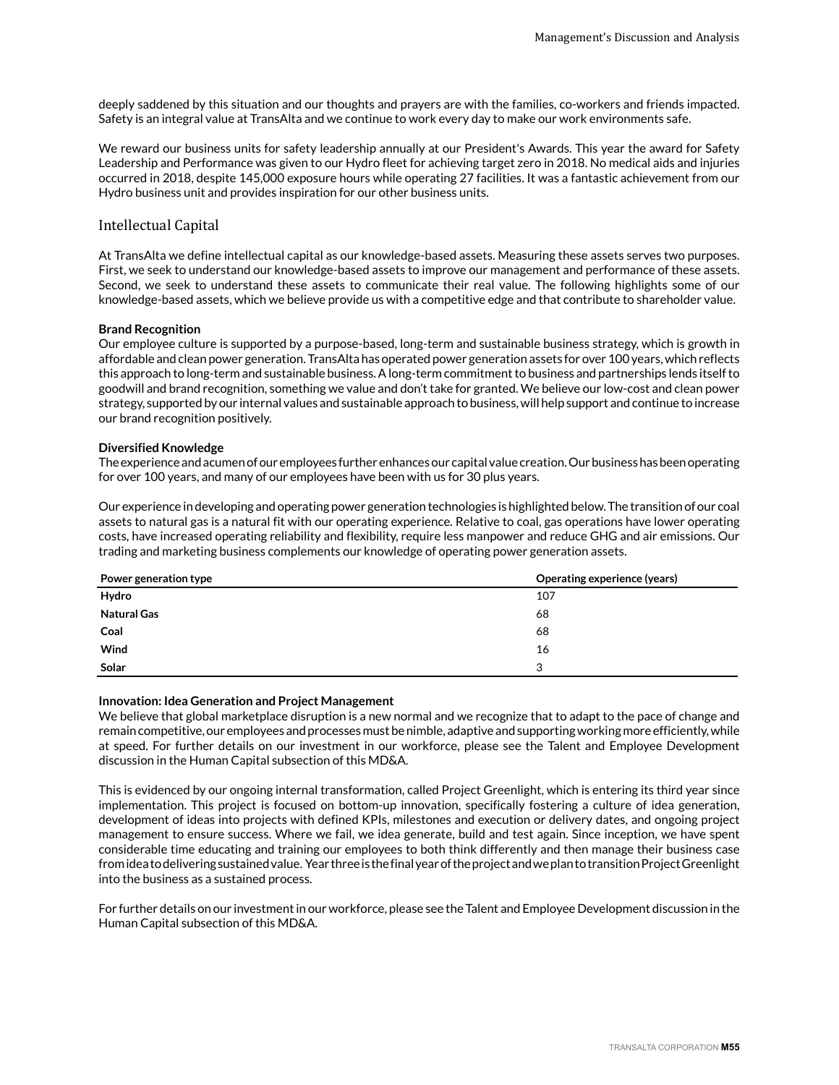deeply saddened by this situation and our thoughts and prayers are with the families, co-workers and friends impacted. Safety is an integral value at TransAlta and we continue to work every day to make our work environments safe.

We reward our business units for safety leadership annually at our President's Awards. This year the award for Safety Leadership and Performance was given to our Hydro fleet for achieving target zero in 2018. No medical aids and injuries occurred in 2018, despite 145,000 exposure hours while operating 27 facilities. It was a fantastic achievement from our Hydro business unit and provides inspiration for our other business units.

# Intellectual Capital

At TransAlta we define intellectual capital as our knowledge-based assets. Measuring these assets serves two purposes. First, we seek to understand our knowledge-based assets to improve our management and performance of these assets. Second, we seek to understand these assets to communicate their real value. The following highlights some of our knowledge-based assets, which we believe provide us with a competitive edge and that contribute to shareholder value.

# **Brand Recognition**

Our employee culture is supported by a purpose-based, long-term and sustainable business strategy, which is growth in affordable and clean power generation. TransAlta has operated power generation assets for over 100 years, which reflects this approach to long-term and sustainable business. A long-term commitment to business and partnerships lends itself to goodwill and brand recognition, something we value and don't take for granted. We believe our low-cost and clean power strategy, supported by our internal values and sustainable approach to business, will help support and continue to increase our brand recognition positively.

# **Diversified Knowledge**

The experience and acumen of our employees further enhances our capital value creation. Our business has been operating for over 100 years, and many of our employees have been with us for 30 plus years.

Our experience in developing and operating power generation technologies is highlighted below. The transition of our coal assets to natural gas is a natural fit with our operating experience. Relative to coal, gas operations have lower operating costs, have increased operating reliability and flexibility, require less manpower and reduce GHG and air emissions. Our trading and marketing business complements our knowledge of operating power generation assets.

| Power generation type | Operating experience (years) |
|-----------------------|------------------------------|
| Hydro                 | 107                          |
| <b>Natural Gas</b>    | 68                           |
| Coal                  | 68                           |
| Wind                  | 16                           |
| Solar                 | 3                            |

#### **Innovation: Idea Generation and Project Management**

We believe that global marketplace disruption is a new normal and we recognize that to adapt to the pace of change and remain competitive, our employees and processes must be nimble, adaptive and supporting working more efficiently, while at speed. For further details on our investment in our workforce, please see the Talent and Employee Development discussion in the Human Capital subsection of this MD&A.

This is evidenced by our ongoing internal transformation, called Project Greenlight, which is entering its third year since implementation. This project is focused on bottom-up innovation, specifically fostering a culture of idea generation, development of ideas into projects with defined KPIs, milestones and execution or delivery dates, and ongoing project management to ensure success. Where we fail, we idea generate, build and test again. Since inception, we have spent considerable time educating and training our employees to both think differently and then manage their business case from idea to delivering sustained value. Year three is the final year of the project and we plan to transition Project Greenlight into the business as a sustained process.

For further details on our investment in our workforce, please see the Talent and Employee Development discussion in the Human Capital subsection of this MD&A.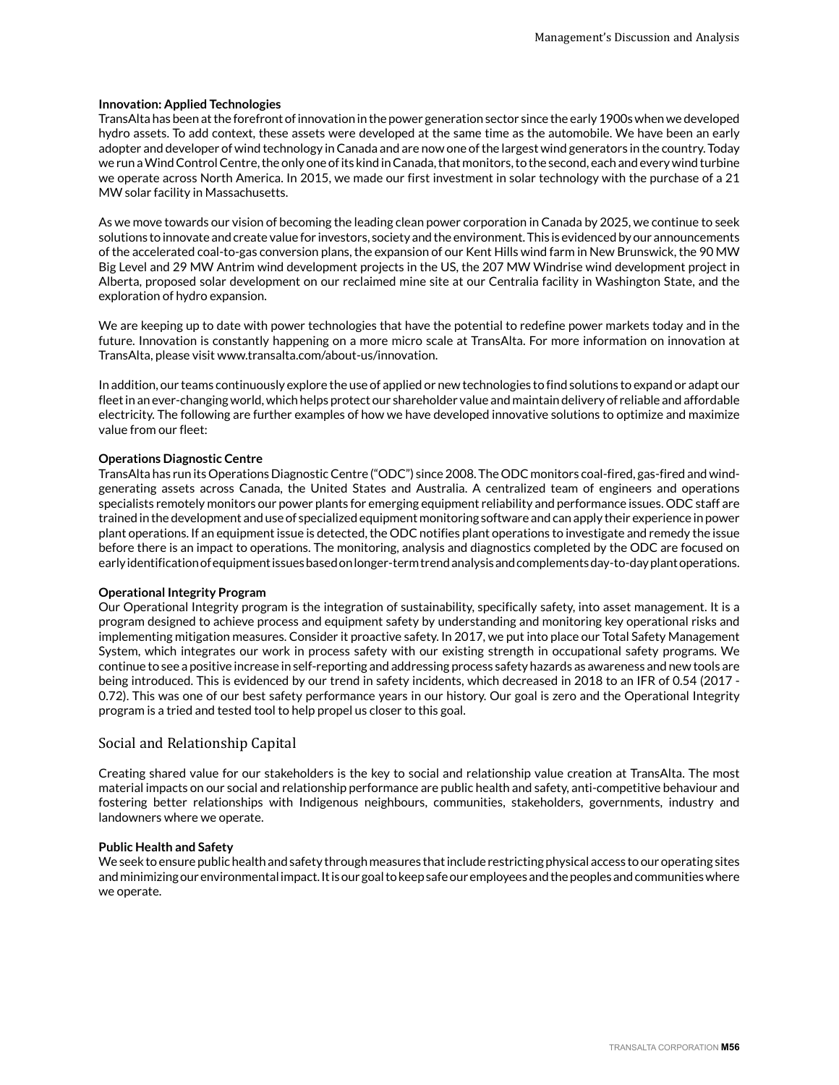## **Innovation: Applied Technologies**

TransAlta has been at the forefront of innovation in the power generation sector since the early 1900s when we developed hydro assets. To add context, these assets were developed at the same time as the automobile. We have been an early adopter and developer of wind technology in Canada and are now one of the largest wind generators in the country. Today we run a Wind Control Centre, the only one of its kind in Canada, that monitors, to the second, each and every wind turbine we operate across North America. In 2015, we made our first investment in solar technology with the purchase of a 21 MW solar facility in Massachusetts.

As we move towards our vision of becoming the leading clean power corporation in Canada by 2025, we continue to seek solutions to innovate and create value for investors, society and the environment. This is evidenced by our announcements of the accelerated coal-to-gas conversion plans, the expansion of our Kent Hills wind farm in New Brunswick, the 90 MW Big Level and 29 MW Antrim wind development projects in the US, the 207 MW Windrise wind development project in Alberta, proposed solar development on our reclaimed mine site at our Centralia facility in Washington State, and the exploration of hydro expansion.

We are keeping up to date with power technologies that have the potential to redefine power markets today and in the future. Innovation is constantly happening on a more micro scale at TransAlta. For more information on innovation at TransAlta, please visit www.transalta.com/about-us/innovation.

In addition, our teams continuously explore the use of applied or new technologies to find solutions to expand or adapt our fleet in an ever-changing world, which helps protect our shareholder value and maintain delivery of reliable and affordable electricity. The following are further examples of how we have developed innovative solutions to optimize and maximize value from our fleet:

# **Operations Diagnostic Centre**

TransAlta has run its Operations Diagnostic Centre ("ODC") since 2008. The ODC monitors coal-fired, gas-fired and windgenerating assets across Canada, the United States and Australia. A centralized team of engineers and operations specialists remotely monitors our power plants for emerging equipment reliability and performance issues. ODC staff are trained in the development and use of specialized equipment monitoring software and can apply their experience in power plant operations. If an equipment issue is detected, the ODC notifies plant operations to investigate and remedy the issue before there is an impact to operations. The monitoring, analysis and diagnostics completed by the ODC are focused on early identification of equipment issues based on longer-term trend analysis and complements day-to-day plant operations.

#### **Operational Integrity Program**

Our Operational Integrity program is the integration of sustainability, specifically safety, into asset management. It is a program designed to achieve process and equipment safety by understanding and monitoring key operational risks and implementing mitigation measures. Consider it proactive safety. In 2017, we put into place our Total Safety Management System, which integrates our work in process safety with our existing strength in occupational safety programs. We continue to see a positive increase in self-reporting and addressing process safety hazards as awareness and new tools are being introduced. This is evidenced by our trend in safety incidents, which decreased in 2018 to an IFR of 0.54 (2017 - 0.72). This was one of our best safety performance years in our history. Our goal is zero and the Operational Integrity program is a tried and tested tool to help propel us closer to this goal.

# Social and Relationship Capital

Creating shared value for our stakeholders is the key to social and relationship value creation at TransAlta. The most material impacts on our social and relationship performance are public health and safety, anti-competitive behaviour and fostering better relationships with Indigenous neighbours, communities, stakeholders, governments, industry and landowners where we operate.

#### **Public Health and Safety**

We seek to ensure public health and safety through measures that include restricting physical access to our operating sites and minimizing our environmental impact. It is our goal to keep safe our employees and the peoples and communities where we operate.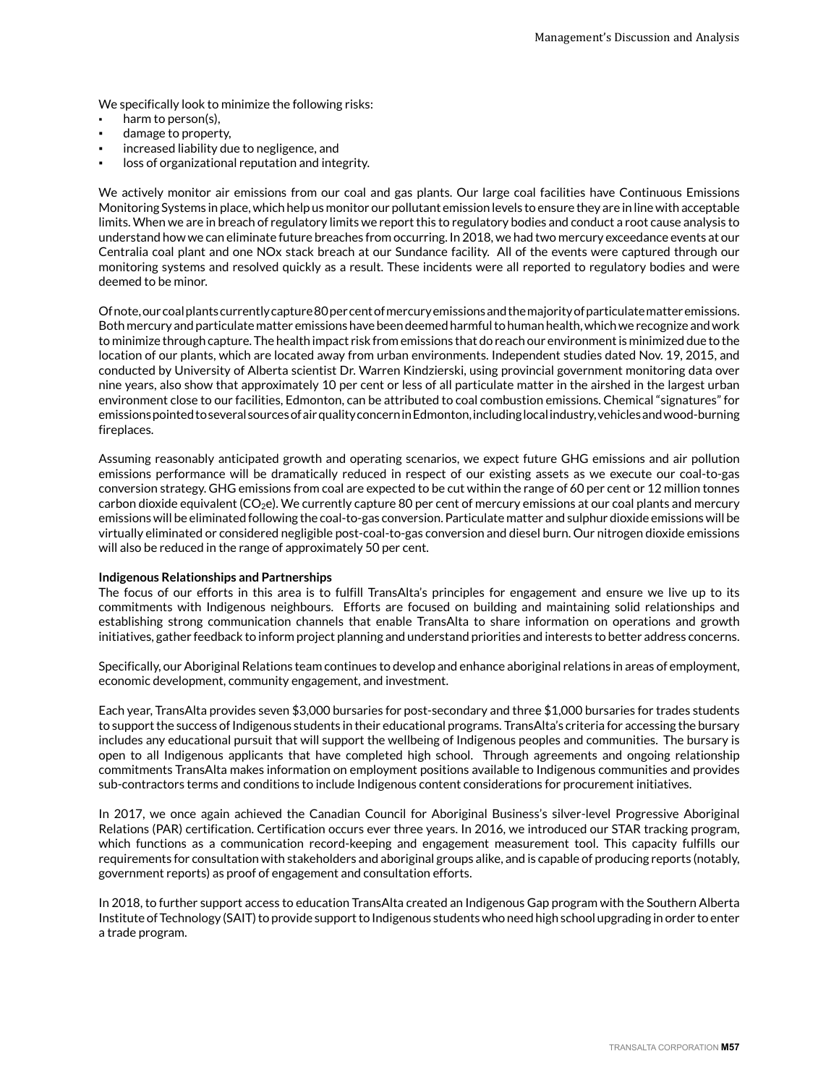We specifically look to minimize the following risks:

- harm to person(s),
- damage to property,
- increased liability due to negligence, and
- loss of organizational reputation and integrity.

We actively monitor air emissions from our coal and gas plants. Our large coal facilities have Continuous Emissions Monitoring Systems in place, which help us monitor our pollutant emission levels to ensure they are in line with acceptable limits. When we are in breach of regulatory limits we report this to regulatory bodies and conduct a root cause analysis to understand how we can eliminate future breaches from occurring. In 2018, we had two mercury exceedance events at our Centralia coal plant and one NOx stack breach at our Sundance facility. All of the events were captured through our monitoring systems and resolved quickly as a result. These incidents were all reported to regulatory bodies and were deemed to be minor.

Of note, our coal plants currently capture 80 per cent of mercury emissions and the majority of particulate matter emissions. Both mercury and particulate matter emissions have been deemed harmful to human health, which we recognize and work to minimize through capture. The health impact risk from emissions that do reach our environment is minimized due to the location of our plants, which are located away from urban environments. Independent studies dated Nov. 19, 2015, and conducted by University of Alberta scientist Dr. Warren Kindzierski, using provincial government monitoring data over nine years, also show that approximately 10 per cent or less of all particulate matter in the airshed in the largest urban environment close to our facilities, Edmonton, can be attributed to coal combustion emissions. Chemical "signatures" for emissions pointed to several sources of air quality concern in Edmonton, including local industry, vehicles and wood-burning fireplaces.

Assuming reasonably anticipated growth and operating scenarios, we expect future GHG emissions and air pollution emissions performance will be dramatically reduced in respect of our existing assets as we execute our coal-to-gas conversion strategy. GHG emissions from coal are expected to be cut within the range of 60 per cent or 12 million tonnes carbon dioxide equivalent ( $CO<sub>2</sub>e$ ). We currently capture 80 per cent of mercury emissions at our coal plants and mercury emissions will be eliminated following the coal-to-gas conversion. Particulate matter and sulphur dioxide emissions will be virtually eliminated or considered negligible post-coal-to-gas conversion and diesel burn. Our nitrogen dioxide emissions will also be reduced in the range of approximately 50 per cent.

#### **Indigenous Relationships and Partnerships**

The focus of our efforts in this area is to fulfill TransAlta's principles for engagement and ensure we live up to its commitments with Indigenous neighbours. Efforts are focused on building and maintaining solid relationships and establishing strong communication channels that enable TransAlta to share information on operations and growth initiatives, gather feedback to inform project planning and understand priorities and interests to better address concerns.

Specifically, our Aboriginal Relations team continues to develop and enhance aboriginal relations in areas of employment, economic development, community engagement, and investment.

Each year, TransAlta provides seven \$3,000 bursaries for post-secondary and three \$1,000 bursaries for trades students to support the success of Indigenous students in their educational programs. TransAlta's criteria for accessing the bursary includes any educational pursuit that will support the wellbeing of Indigenous peoples and communities. The bursary is open to all Indigenous applicants that have completed high school. Through agreements and ongoing relationship commitments TransAlta makes information on employment positions available to Indigenous communities and provides sub-contractors terms and conditions to include Indigenous content considerations for procurement initiatives.

In 2017, we once again achieved the Canadian Council for Aboriginal Business's silver-level Progressive Aboriginal Relations (PAR) certification. Certification occurs ever three years. In 2016, we introduced our STAR tracking program, which functions as a communication record-keeping and engagement measurement tool. This capacity fulfills our requirements for consultation with stakeholders and aboriginal groups alike, and is capable of producing reports (notably, government reports) as proof of engagement and consultation efforts.

In 2018, to further support access to education TransAlta created an Indigenous Gap program with the Southern Alberta Institute of Technology (SAIT) to provide support to Indigenous students who need high school upgrading in order to enter a trade program.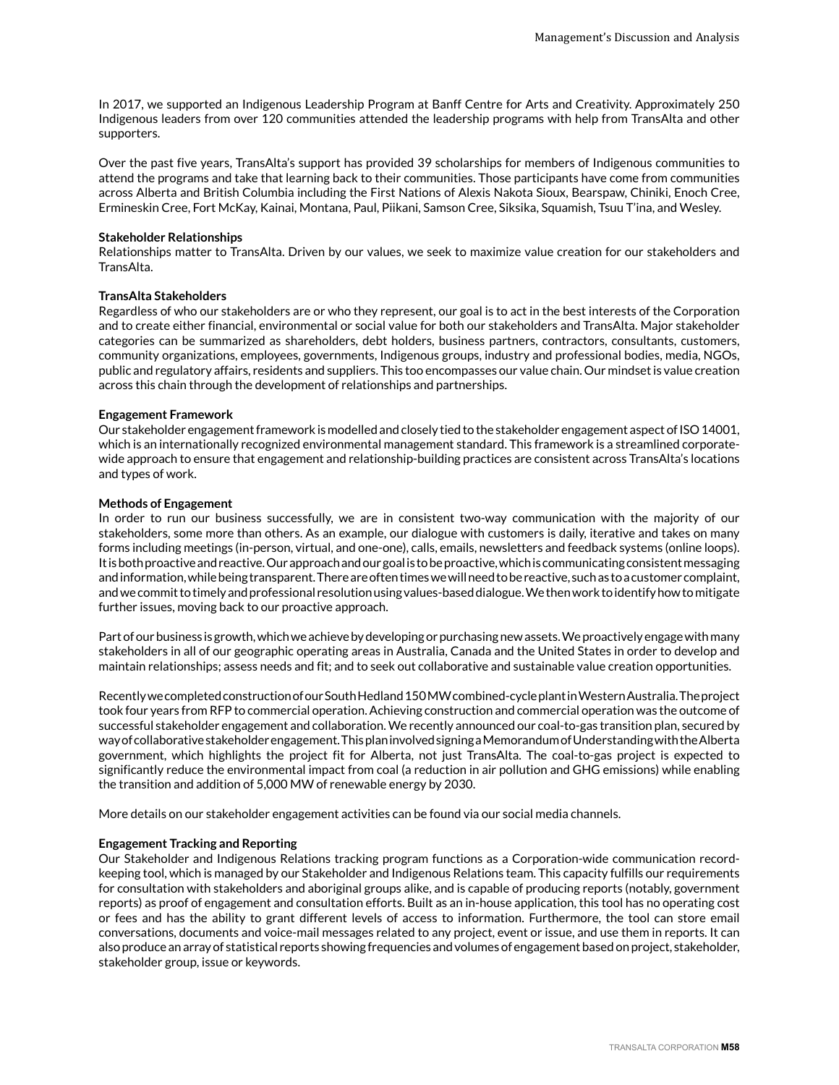In 2017, we supported an Indigenous Leadership Program at Banff Centre for Arts and Creativity. Approximately 250 Indigenous leaders from over 120 communities attended the leadership programs with help from TransAlta and other supporters.

Over the past five years, TransAlta's support has provided 39 scholarships for members of Indigenous communities to attend the programs and take that learning back to their communities. Those participants have come from communities across Alberta and British Columbia including the First Nations of Alexis Nakota Sioux, Bearspaw, Chiniki, Enoch Cree, Ermineskin Cree, Fort McKay, Kainai, Montana, Paul, Piikani, Samson Cree, Siksika, Squamish, Tsuu T'ina, and Wesley.

# **Stakeholder Relationships**

Relationships matter to TransAlta. Driven by our values, we seek to maximize value creation for our stakeholders and TransAlta.

# **TransAlta Stakeholders**

Regardless of who our stakeholders are or who they represent, our goal is to act in the best interests of the Corporation and to create either financial, environmental or social value for both our stakeholders and TransAlta. Major stakeholder categories can be summarized as shareholders, debt holders, business partners, contractors, consultants, customers, community organizations, employees, governments, Indigenous groups, industry and professional bodies, media, NGOs, public and regulatory affairs, residents and suppliers. This too encompasses our value chain. Our mindset is value creation across this chain through the development of relationships and partnerships.

# **Engagement Framework**

Our stakeholder engagement framework is modelled and closely tied to the stakeholder engagement aspect of ISO 14001, which is an internationally recognized environmental management standard. This framework is a streamlined corporatewide approach to ensure that engagement and relationship-building practices are consistent across TransAlta's locations and types of work.

## **Methods of Engagement**

In order to run our business successfully, we are in consistent two-way communication with the majority of our stakeholders, some more than others. As an example, our dialogue with customers is daily, iterative and takes on many forms including meetings (in-person, virtual, and one-one), calls, emails, newsletters and feedback systems (online loops). It is both proactive and reactive. Our approach and our goal is to be proactive, which is communicating consistent messaging and information, while being transparent. There are often times we will need to be reactive, such as to a customer complaint, and we commit to timely and professional resolution using values-based dialogue. We then work to identify how to mitigate further issues, moving back to our proactive approach.

Part of our business is growth, which we achieve by developing or purchasing new assets. We proactively engage with many stakeholders in all of our geographic operating areas in Australia, Canada and the United States in order to develop and maintain relationships; assess needs and fit; and to seek out collaborative and sustainable value creation opportunities.

Recently we completed construction of our South Hedland 150 MW combined-cycle plant in Western Australia. The project took four years from RFP to commercial operation. Achieving construction and commercial operation was the outcome of successful stakeholder engagement and collaboration. We recently announced our coal-to-gas transition plan, secured by way of collaborative stakeholder engagement. This plan involved signing a Memorandum of Understanding with the Alberta government, which highlights the project fit for Alberta, not just TransAlta. The coal-to-gas project is expected to significantly reduce the environmental impact from coal (a reduction in air pollution and GHG emissions) while enabling the transition and addition of 5,000 MW of renewable energy by 2030.

More details on our stakeholder engagement activities can be found via our social media channels.

# **Engagement Tracking and Reporting**

Our Stakeholder and Indigenous Relations tracking program functions as a Corporation-wide communication recordkeeping tool, which is managed by our Stakeholder and Indigenous Relations team. This capacity fulfills our requirements for consultation with stakeholders and aboriginal groups alike, and is capable of producing reports (notably, government reports) as proof of engagement and consultation efforts. Built as an in-house application, this tool has no operating cost or fees and has the ability to grant different levels of access to information. Furthermore, the tool can store email conversations, documents and voice-mail messages related to any project, event or issue, and use them in reports. It can also produce an array of statistical reports showing frequencies and volumes of engagement based on project, stakeholder, stakeholder group, issue or keywords.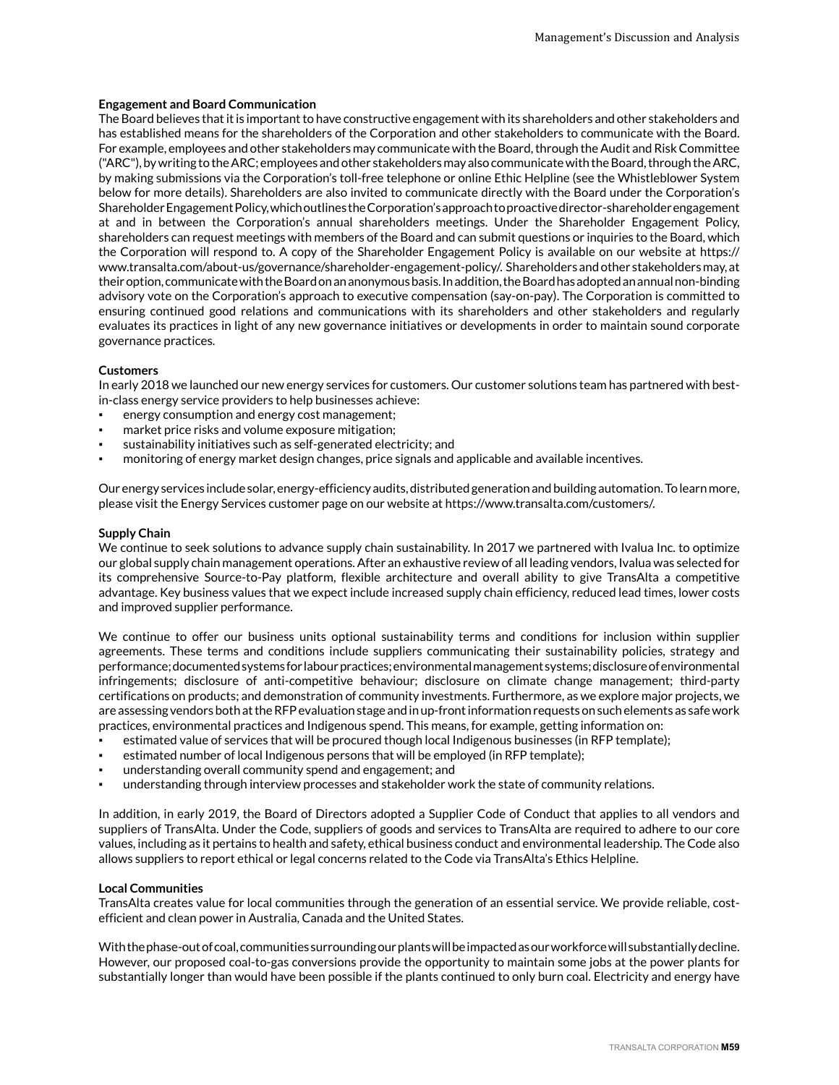# **Engagement and Board Communication**

The Board believes that it is important to have constructive engagement with its shareholders and other stakeholders and has established means for the shareholders of the Corporation and other stakeholders to communicate with the Board. For example, employees and other stakeholders may communicate with the Board, through the Audit and Risk Committee ("ARC"), by writing to the ARC; employees and other stakeholders may also communicate with the Board, through the ARC, by making submissions via the Corporation's toll-free telephone or online Ethic Helpline (see the Whistleblower System below for more details). Shareholders are also invited to communicate directly with the Board under the Corporation's Shareholder Engagement Policy, which outlines the Corporation's approach to proactive director-shareholder engagement at and in between the Corporation's annual shareholders meetings. Under the Shareholder Engagement Policy, shareholders can request meetings with members of the Board and can submit questions or inquiries to the Board, which the Corporation will respond to. A copy of the Shareholder Engagement Policy is available on our website at https:// www.transalta.com/about-us/governance/shareholder-engagement-policy/. Shareholders and other stakeholders may, at their option, communicate with the Board on an anonymous basis. In addition, the Board has adopted an annual non-binding advisory vote on the Corporation's approach to executive compensation (say-on-pay). The Corporation is committed to ensuring continued good relations and communications with its shareholders and other stakeholders and regularly evaluates its practices in light of any new governance initiatives or developments in order to maintain sound corporate governance practices.

# **Customers**

In early 2018 we launched our new energy services for customers. Our customer solutions team has partnered with bestin-class energy service providers to help businesses achieve:

- energy consumption and energy cost management;
- market price risks and volume exposure mitigation;
- sustainability initiatives such as self-generated electricity; and
- monitoring of energy market design changes, price signals and applicable and available incentives.

Our energy services include solar, energy-efficiency audits, distributed generation and building automation. To learn more, please visit the Energy Services customer page on our website at https://www.transalta.com/customers/.

#### **Supply Chain**

We continue to seek solutions to advance supply chain sustainability. In 2017 we partnered with Ivalua Inc. to optimize our global supply chain management operations. After an exhaustive review of all leading vendors, Ivalua was selected for its comprehensive Source-to-Pay platform, flexible architecture and overall ability to give TransAlta a competitive advantage. Key business values that we expect include increased supply chain efficiency, reduced lead times, lower costs and improved supplier performance.

We continue to offer our business units optional sustainability terms and conditions for inclusion within supplier agreements. These terms and conditions include suppliers communicating their sustainability policies, strategy and performance; documented systems for labour practices; environmental management systems; disclosure of environmental infringements; disclosure of anti-competitive behaviour; disclosure on climate change management; third-party certifications on products; and demonstration of community investments. Furthermore, as we explore major projects, we are assessing vendors both at the RFP evaluation stage and in up-front information requests on such elements as safe work practices, environmental practices and Indigenous spend. This means, for example, getting information on:

- estimated value of services that will be procured though local Indigenous businesses (in RFP template);
- estimated number of local Indigenous persons that will be employed (in RFP template);
- understanding overall community spend and engagement; and
- understanding through interview processes and stakeholder work the state of community relations.

In addition, in early 2019, the Board of Directors adopted a Supplier Code of Conduct that applies to all vendors and suppliers of TransAlta. Under the Code, suppliers of goods and services to TransAlta are required to adhere to our core values, including as it pertains to health and safety, ethical business conduct and environmental leadership. The Code also allows suppliers to report ethical or legal concerns related to the Code via TransAlta's Ethics Helpline.

#### **Local Communities**

TransAlta creates value for local communities through the generation of an essential service. We provide reliable, costefficient and clean power in Australia, Canada and the United States.

With the phase-out of coal, communities surrounding our plants will be impacted as our workforce will substantially decline. However, our proposed coal-to-gas conversions provide the opportunity to maintain some jobs at the power plants for substantially longer than would have been possible if the plants continued to only burn coal. Electricity and energy have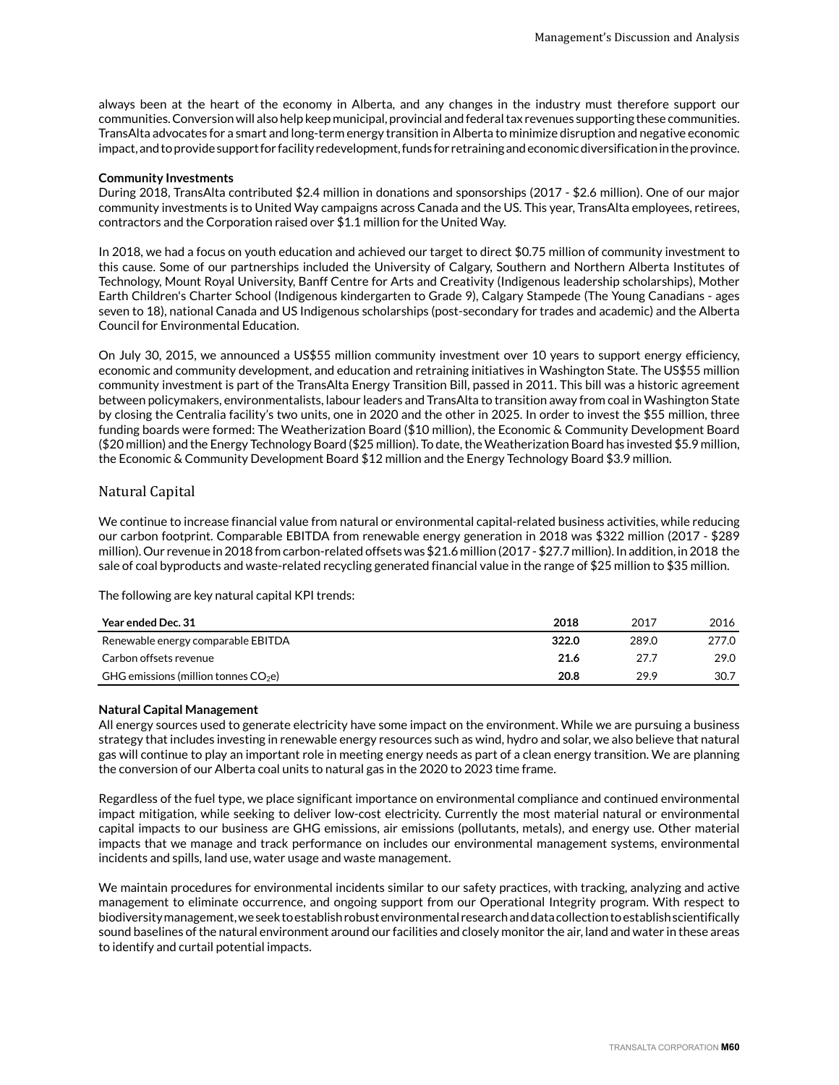always been at the heart of the economy in Alberta, and any changes in the industry must therefore support our communities. Conversion will also help keep municipal, provincial and federal tax revenues supporting these communities. TransAlta advocates for a smart and long-term energy transition in Alberta to minimize disruption and negative economic impact, and to provide support for facility redevelopment, funds for retraining and economic diversification in the province.

## **Community Investments**

During 2018, TransAlta contributed \$2.4 million in donations and sponsorships (2017 - \$2.6 million). One of our major community investments is to United Way campaigns across Canada and the US. This year, TransAlta employees, retirees, contractors and the Corporation raised over \$1.1 million for the United Way.

In 2018, we had a focus on youth education and achieved our target to direct \$0.75 million of community investment to this cause. Some of our partnerships included the University of Calgary, Southern and Northern Alberta Institutes of Technology, Mount Royal University, Banff Centre for Arts and Creativity (Indigenous leadership scholarships), Mother Earth Children's Charter School (Indigenous kindergarten to Grade 9), Calgary Stampede (The Young Canadians - ages seven to 18), national Canada and US Indigenous scholarships (post-secondary for trades and academic) and the Alberta Council for Environmental Education.

On July 30, 2015, we announced a US\$55 million community investment over 10 years to support energy efficiency, economic and community development, and education and retraining initiatives in Washington State. The US\$55 million community investment is part of the TransAlta Energy Transition Bill, passed in 2011. This bill was a historic agreement between policymakers, environmentalists, labour leaders and TransAlta to transition away from coal in Washington State by closing the Centralia facility's two units, one in 2020 and the other in 2025. In order to invest the \$55 million, three funding boards were formed: The Weatherization Board (\$10 million), the Economic & Community Development Board (\$20 million) and the Energy Technology Board (\$25 million). To date, the Weatherization Board has invested \$5.9 million, the Economic & Community Development Board \$12 million and the Energy Technology Board \$3.9 million.

# Natural Capital

We continue to increase financial value from natural or environmental capital-related business activities, while reducing our carbon footprint. Comparable EBITDA from renewable energy generation in 2018 was \$322 million (2017 - \$289 million). Our revenue in 2018 from carbon-related offsets was \$21.6 million (2017 - \$27.7 million). In addition, in 2018 the sale of coal byproducts and waste-related recycling generated financial value in the range of \$25 million to \$35 million.

The following are key natural capital KPI trends:

| Year ended Dec. 31                     | 2018  | 2017  | 2016  |
|----------------------------------------|-------|-------|-------|
| Renewable energy comparable EBITDA     | 322.0 | 289.0 | 277.0 |
| Carbon offsets revenue                 | 21.6  | 27.7  | 29.0  |
| GHG emissions (million tonnes $CO2e$ ) | 20.8  | 29.9  | 30.7  |

# **Natural Capital Management**

All energy sources used to generate electricity have some impact on the environment. While we are pursuing a business strategy that includes investing in renewable energy resources such as wind, hydro and solar, we also believe that natural gas will continue to play an important role in meeting energy needs as part of a clean energy transition. We are planning the conversion of our Alberta coal units to natural gas in the 2020 to 2023 time frame.

Regardless of the fuel type, we place significant importance on environmental compliance and continued environmental impact mitigation, while seeking to deliver low-cost electricity. Currently the most material natural or environmental capital impacts to our business are GHG emissions, air emissions (pollutants, metals), and energy use. Other material impacts that we manage and track performance on includes our environmental management systems, environmental incidents and spills, land use, water usage and waste management.

We maintain procedures for environmental incidents similar to our safety practices, with tracking, analyzing and active management to eliminate occurrence, and ongoing support from our Operational Integrity program. With respect to biodiversity management, we seek to establish robust environmental research and data collection to establish scientifically sound baselines of the natural environment around our facilities and closely monitor the air, land and water in these areas to identify and curtail potential impacts.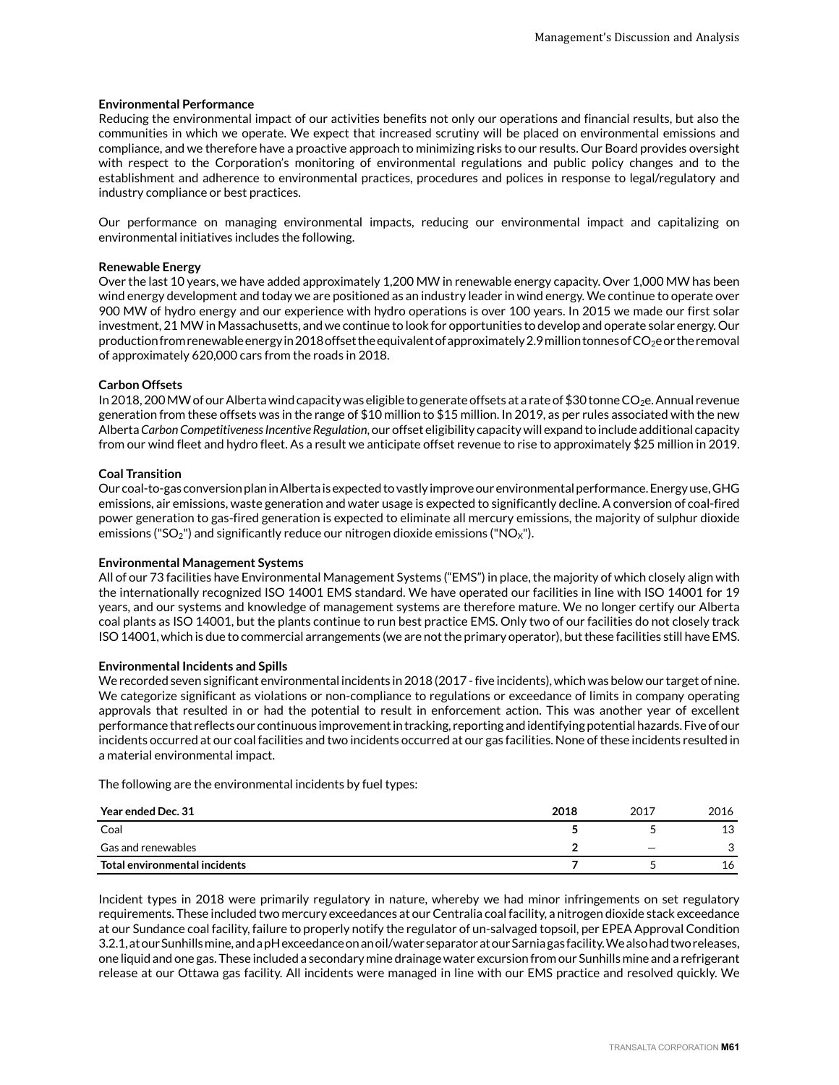## **Environmental Performance**

Reducing the environmental impact of our activities benefits not only our operations and financial results, but also the communities in which we operate. We expect that increased scrutiny will be placed on environmental emissions and compliance, and we therefore have a proactive approach to minimizing risks to our results. Our Board provides oversight with respect to the Corporation's monitoring of environmental regulations and public policy changes and to the establishment and adherence to environmental practices, procedures and polices in response to legal/regulatory and industry compliance or best practices.

Our performance on managing environmental impacts, reducing our environmental impact and capitalizing on environmental initiatives includes the following.

# **Renewable Energy**

Over the last 10 years, we have added approximately 1,200 MW in renewable energy capacity. Over 1,000 MW has been wind energy development and today we are positioned as an industry leader in wind energy. We continue to operate over 900 MW of hydro energy and our experience with hydro operations is over 100 years. In 2015 we made our first solar investment, 21 MW in Massachusetts, and we continue to look for opportunities to develop and operate solar energy. Our production from renewable energy in 2018 offset the equivalent of approximately 2.9 million tonnes of  $CO<sub>2</sub>$ e or the removal of approximately 620,000 cars from the roads in 2018.

# **Carbon Offsets**

In 2018, 200 MW of our Alberta wind capacity was eligible to generate offsets at a rate of \$30 tonne CO<sub>2</sub>e. Annual revenue generation from these offsets was in the range of \$10 million to \$15 million. In 2019, as per rules associated with the new Alberta *Carbon Competitiveness Incentive Regulation*, our offset eligibility capacity will expand to include additional capacity from our wind fleet and hydro fleet. As a result we anticipate offset revenue to rise to approximately \$25 million in 2019.

# **Coal Transition**

Our coal-to-gas conversion plan in Alberta is expected to vastly improve our environmental performance. Energy use, GHG emissions, air emissions, waste generation and water usage is expected to significantly decline. A conversion of coal-fired power generation to gas-fired generation is expected to eliminate all mercury emissions, the majority of sulphur dioxide emissions ("SO<sub>2</sub>") and significantly reduce our nitrogen dioxide emissions ("NO<sub>X</sub>").

## **Environmental Management Systems**

All of our 73 facilities have Environmental Management Systems ("EMS") in place, the majority of which closely align with the internationally recognized ISO 14001 EMS standard. We have operated our facilities in line with ISO 14001 for 19 years, and our systems and knowledge of management systems are therefore mature. We no longer certify our Alberta coal plants as ISO 14001, but the plants continue to run best practice EMS. Only two of our facilities do not closely track ISO 14001, which is due to commercial arrangements (we are not the primary operator), but these facilities still have EMS.

#### **Environmental Incidents and Spills**

We recorded seven significant environmental incidents in 2018 (2017 - five incidents), which was below our target of nine. We categorize significant as violations or non-compliance to regulations or exceedance of limits in company operating approvals that resulted in or had the potential to result in enforcement action. This was another year of excellent performance that reflects our continuous improvement in tracking, reporting and identifying potential hazards. Five of our incidents occurred at our coal facilities and two incidents occurred at our gas facilities. None of these incidents resulted in a material environmental impact.

The following are the environmental incidents by fuel types:

| Year ended Dec. 31            | 2018 | 2017                     | 2016 |
|-------------------------------|------|--------------------------|------|
| Coal                          |      |                          | 13   |
| Gas and renewables            |      | $\overline{\phantom{0}}$ |      |
| Total environmental incidents |      |                          | 16   |

Incident types in 2018 were primarily regulatory in nature, whereby we had minor infringements on set regulatory requirements. These included two mercury exceedances at our Centralia coal facility, a nitrogen dioxide stack exceedance at our Sundance coal facility, failure to properly notify the regulator of un-salvaged topsoil, per EPEA Approval Condition 3.2.1, at our Sunhills mine, and a pH exceedance on an oil/water separator at our Sarnia gas facility. We also had two releases, one liquid and one gas. These included a secondary mine drainage water excursion from our Sunhills mine and a refrigerant release at our Ottawa gas facility. All incidents were managed in line with our EMS practice and resolved quickly. We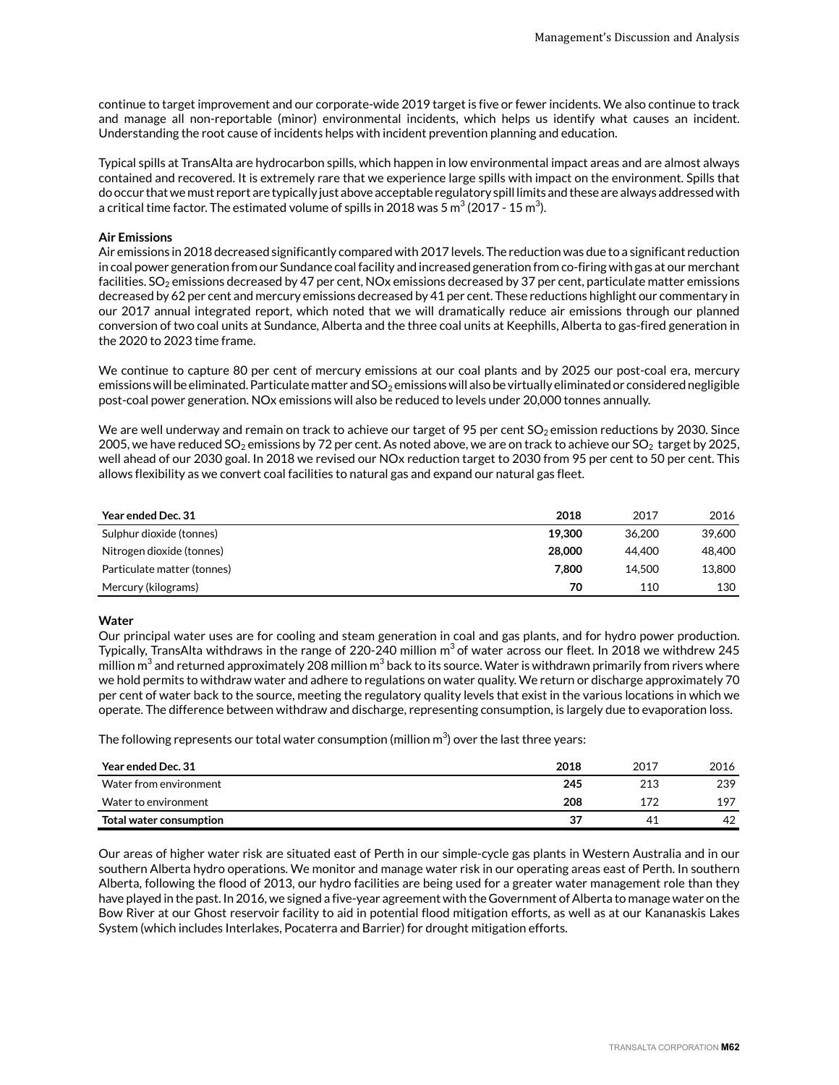continue to target improvement and our corporate-wide 2019 target is five or fewer incidents. We also continue to track and manage all non-reportable (minor) environmental incidents, which helps us identify what causes an incident. Understanding the root cause of incidents helps with incident prevention planning and education.

Typical spills at TransAlta are hydrocarbon spills, which happen in low environmental impact areas and are almost always contained and recovered. It is extremely rare that we experience large spills with impact on the environment. Spills that do occur that we must report are typically just above acceptable regulatory spill limits and these are always addressed with a critical time factor. The estimated volume of spills in 2018 was 5  $\mathrm{m}^3$  (2017 - 15  $\mathrm{m}^3$ ).

# **Air Emissions**

Air emissions in 2018 decreased significantly compared with 2017 levels. The reduction was due to a significant reduction in coal power generation from our Sundance coal facility and increased generation from co-firing with gas at our merchant facilities.  $SO_2$  emissions decreased by 47 per cent, NOx emissions decreased by 37 per cent, particulate matter emissions decreased by 62 per cent and mercury emissions decreased by 41 per cent. These reductions highlight our commentary in our 2017 annual integrated report, which noted that we will dramatically reduce air emissions through our planned conversion of two coal units at Sundance, Alberta and the three coal units at Keephills, Alberta to gas-fired generation in the 2020 to 2023 time frame.

We continue to capture 80 per cent of mercury emissions at our coal plants and by 2025 our post-coal era, mercury emissions will be eliminated. Particulate matter and SO<sub>2</sub> emissions will also be virtually eliminated or considered negligible post-coal power generation. NOx emissions will also be reduced to levels under 20,000 tonnes annually.

We are well underway and remain on track to achieve our target of 95 per cent  $SO_2$  emission reductions by 2030. Since 2005, we have reduced SO<sub>2</sub> emissions by 72 per cent. As noted above, we are on track to achieve our SO<sub>2</sub> target by 2025, well ahead of our 2030 goal. In 2018 we revised our NOx reduction target to 2030 from 95 per cent to 50 per cent. This allows flexibility as we convert coal facilities to natural gas and expand our natural gas fleet.

| <b>Year ended Dec. 31</b>   | 2018   | 2017   | 2016   |
|-----------------------------|--------|--------|--------|
| Sulphur dioxide (tonnes)    | 19.300 | 36.200 | 39.600 |
| Nitrogen dioxide (tonnes)   | 28,000 | 44.400 | 48,400 |
| Particulate matter (tonnes) | 7.800  | 14.500 | 13,800 |
| Mercury (kilograms)         | 70     | 110    | 130    |

# **Water**

Our principal water uses are for cooling and steam generation in coal and gas plants, and for hydro power production. Typically, TransAlta withdraws in the range of 220-240 million m $^3$ of water across our fleet. In 2018 we withdrew 245  $\,$ million m $^3$  and returned approximately 208 million m $^3$  back to its source. Water is withdrawn primarily from rivers where we hold permits to withdraw water and adhere to regulations on water quality. We return or discharge approximately 70 per cent of water back to the source, meeting the regulatory quality levels that exist in the various locations in which we operate. The difference between withdraw and discharge, representing consumption, is largely due to evaporation loss.

The following represents our total water consumption (million m $^3$ ) over the last three years:

| Year ended Dec. 31      | 2018 | 2017 | 2016 |
|-------------------------|------|------|------|
| Water from environment  | 245  | 213  | 239  |
| Water to environment    | 208  | 172  | 197  |
| Total water consumption | 37   | 41   | 42   |

Our areas of higher water risk are situated east of Perth in our simple-cycle gas plants in Western Australia and in our southern Alberta hydro operations. We monitor and manage water risk in our operating areas east of Perth. In southern Alberta, following the flood of 2013, our hydro facilities are being used for a greater water management role than they have played in the past. In 2016, we signed a five-year agreement with the Government of Alberta to manage water on the Bow River at our Ghost reservoir facility to aid in potential flood mitigation efforts, as well as at our Kananaskis Lakes System (which includes Interlakes, Pocaterra and Barrier) for drought mitigation efforts.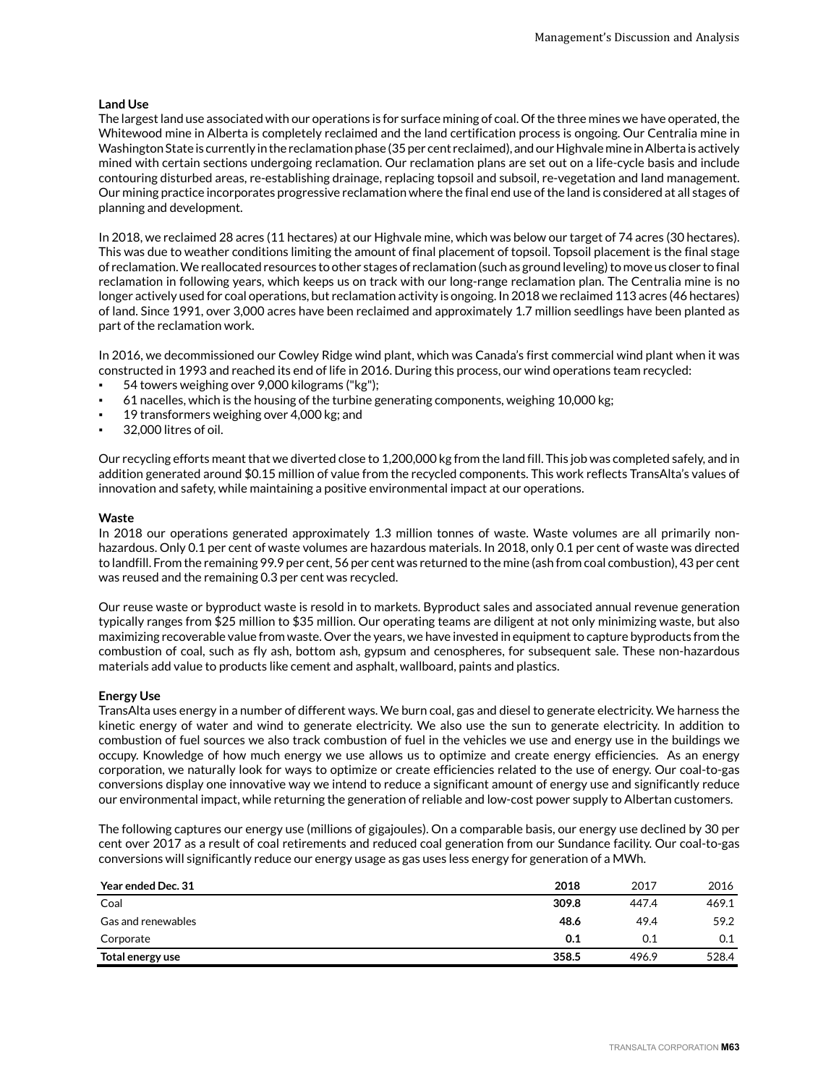## **Land Use**

The largest land use associated with our operations is for surface mining of coal. Of the three mines we have operated, the Whitewood mine in Alberta is completely reclaimed and the land certification process is ongoing. Our Centralia mine in Washington State is currently in the reclamation phase (35 per cent reclaimed), and our Highvale mine in Alberta is actively mined with certain sections undergoing reclamation. Our reclamation plans are set out on a life-cycle basis and include contouring disturbed areas, re-establishing drainage, replacing topsoil and subsoil, re-vegetation and land management. Our mining practice incorporates progressive reclamation where the final end use of the land is considered at all stages of planning and development.

In 2018, we reclaimed 28 acres (11 hectares) at our Highvale mine, which was below our target of 74 acres (30 hectares). This was due to weather conditions limiting the amount of final placement of topsoil. Topsoil placement is the final stage of reclamation. We reallocated resources to other stages of reclamation (such as ground leveling) to move us closer to final reclamation in following years, which keeps us on track with our long-range reclamation plan. The Centralia mine is no longer actively used for coal operations, but reclamation activity is ongoing. In 2018 we reclaimed 113 acres (46 hectares) of land. Since 1991, over 3,000 acres have been reclaimed and approximately 1.7 million seedlings have been planted as part of the reclamation work.

In 2016, we decommissioned our Cowley Ridge wind plant, which was Canada's first commercial wind plant when it was constructed in 1993 and reached its end of life in 2016. During this process, our wind operations team recycled:

- 54 towers weighing over 9,000 kilograms ("kg");
- 61 nacelles, which is the housing of the turbine generating components, weighing 10,000 kg;
- 19 transformers weighing over 4,000 kg; and
- 32,000 litres of oil.

Our recycling efforts meant that we diverted close to 1,200,000 kg from the land fill. This job was completed safely, and in addition generated around \$0.15 million of value from the recycled components. This work reflects TransAlta's values of innovation and safety, while maintaining a positive environmental impact at our operations.

#### **Waste**

In 2018 our operations generated approximately 1.3 million tonnes of waste. Waste volumes are all primarily nonhazardous. Only 0.1 per cent of waste volumes are hazardous materials. In 2018, only 0.1 per cent of waste was directed to landfill. From the remaining 99.9 per cent, 56 per cent was returned to the mine (ash from coal combustion), 43 per cent was reused and the remaining 0.3 per cent was recycled.

Our reuse waste or byproduct waste is resold in to markets. Byproduct sales and associated annual revenue generation typically ranges from \$25 million to \$35 million. Our operating teams are diligent at not only minimizing waste, but also maximizing recoverable value from waste. Over the years, we have invested in equipment to capture byproducts from the combustion of coal, such as fly ash, bottom ash, gypsum and cenospheres, for subsequent sale. These non-hazardous materials add value to products like cement and asphalt, wallboard, paints and plastics.

#### **Energy Use**

TransAlta uses energy in a number of different ways. We burn coal, gas and diesel to generate electricity. We harness the kinetic energy of water and wind to generate electricity. We also use the sun to generate electricity. In addition to combustion of fuel sources we also track combustion of fuel in the vehicles we use and energy use in the buildings we occupy. Knowledge of how much energy we use allows us to optimize and create energy efficiencies. As an energy corporation, we naturally look for ways to optimize or create efficiencies related to the use of energy. Our coal-to-gas conversions display one innovative way we intend to reduce a significant amount of energy use and significantly reduce our environmental impact, while returning the generation of reliable and low-cost power supply to Albertan customers.

The following captures our energy use (millions of gigajoules). On a comparable basis, our energy use declined by 30 per cent over 2017 as a result of coal retirements and reduced coal generation from our Sundance facility. Our coal-to-gas conversions will significantly reduce our energy usage as gas uses less energy for generation of a MWh.

| Year ended Dec. 31 | 2018  | 2017  | 2016  |
|--------------------|-------|-------|-------|
| Coal               | 309.8 | 447.4 | 469.1 |
| Gas and renewables | 48.6  | 49.4  | 59.2  |
| Corporate          | 0.1   | 0.1   | 0.1   |
| Total energy use   | 358.5 | 496.9 | 528.4 |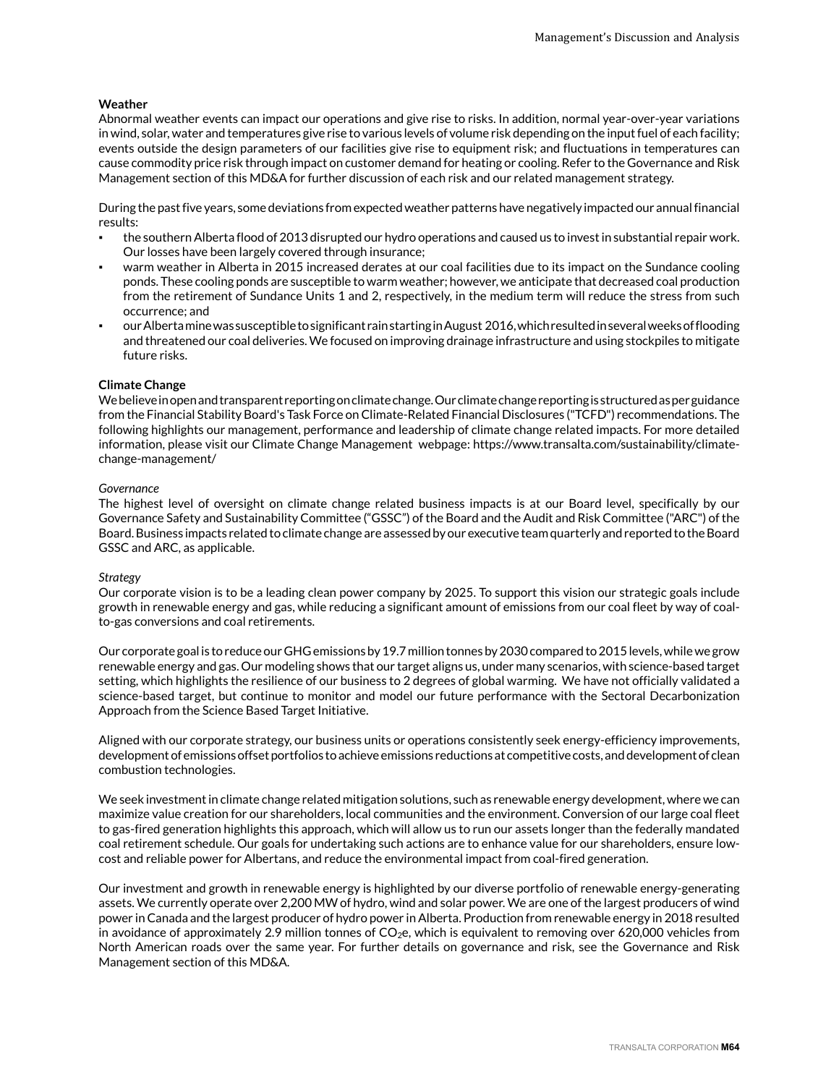# **Weather**

Abnormal weather events can impact our operations and give rise to risks. In addition, normal year-over-year variations in wind, solar, water and temperatures give rise to various levels of volume risk depending on the input fuel of each facility; events outside the design parameters of our facilities give rise to equipment risk; and fluctuations in temperatures can cause commodity price risk through impact on customer demand for heating or cooling. Refer to the Governance and Risk Management section of this MD&A for further discussion of each risk and our related management strategy.

During the past five years, some deviations from expected weather patterns have negatively impacted our annual financial results:

- the southern Alberta flood of 2013 disrupted our hydro operations and caused us to invest in substantial repair work. Our losses have been largely covered through insurance;
- warm weather in Alberta in 2015 increased derates at our coal facilities due to its impact on the Sundance cooling ponds. These cooling ponds are susceptible to warm weather; however, we anticipate that decreased coal production from the retirement of Sundance Units 1 and 2, respectively, in the medium term will reduce the stress from such occurrence; and
- our Alberta mine was susceptible to significant rain starting in August 2016, which resulted in several weeks of flooding and threatened our coal deliveries. We focused on improving drainage infrastructure and using stockpiles to mitigate future risks.

#### **Climate Change**

We believe in open and transparent reporting on climate change. Our climate change reporting is structured as per guidance from the Financial Stability Board's Task Force on Climate-Related Financial Disclosures ("TCFD") recommendations. The following highlights our management, performance and leadership of climate change related impacts. For more detailed information, please visit our Climate Change Management webpage: https://www.transalta.com/sustainability/climatechange-management/

#### *Governance*

The highest level of oversight on climate change related business impacts is at our Board level, specifically by our Governance Safety and Sustainability Committee ("GSSC") of the Board and the Audit and Risk Committee ("ARC") of the Board. Business impacts related to climate change are assessed by our executive team quarterly and reported to the Board GSSC and ARC, as applicable.

#### *Strategy*

Our corporate vision is to be a leading clean power company by 2025. To support this vision our strategic goals include growth in renewable energy and gas, while reducing a significant amount of emissions from our coal fleet by way of coalto-gas conversions and coal retirements.

Our corporate goal is to reduce our GHG emissions by 19.7 million tonnes by 2030 compared to 2015 levels, while we grow renewable energy and gas. Our modeling shows that our target aligns us, under many scenarios, with science-based target setting, which highlights the resilience of our business to 2 degrees of global warming. We have not officially validated a science-based target, but continue to monitor and model our future performance with the Sectoral Decarbonization Approach from the Science Based Target Initiative.

Aligned with our corporate strategy, our business units or operations consistently seek energy-efficiency improvements, development of emissions offset portfolios to achieve emissions reductions at competitive costs, and development of clean combustion technologies.

We seek investment in climate change related mitigation solutions, such as renewable energy development, where we can maximize value creation for our shareholders, local communities and the environment. Conversion of our large coal fleet to gas-fired generation highlights this approach, which will allow us to run our assets longer than the federally mandated coal retirement schedule. Our goals for undertaking such actions are to enhance value for our shareholders, ensure lowcost and reliable power for Albertans, and reduce the environmental impact from coal-fired generation.

Our investment and growth in renewable energy is highlighted by our diverse portfolio of renewable energy-generating assets. We currently operate over 2,200 MW of hydro, wind and solar power. We are one of the largest producers of wind power in Canada and the largest producer of hydro power in Alberta. Production from renewable energy in 2018 resulted in avoidance of approximately 2.9 million tonnes of  $CO<sub>2</sub>e$ , which is equivalent to removing over 620,000 vehicles from North American roads over the same year. For further details on governance and risk, see the Governance and Risk Management section of this MD&A.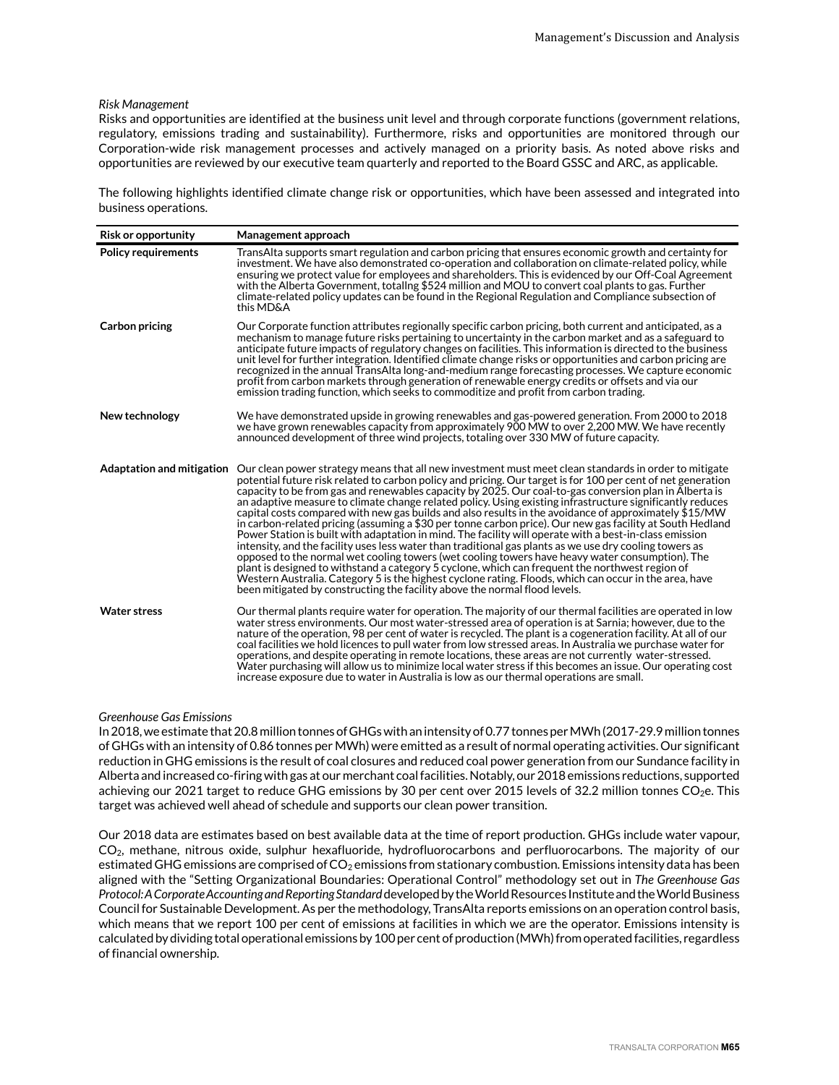#### *Risk Management*

Risks and opportunities are identified at the business unit level and through corporate functions (government relations, regulatory, emissions trading and sustainability). Furthermore, risks and opportunities are monitored through our Corporation-wide risk management processes and actively managed on a priority basis. As noted above risks and opportunities are reviewed by our executive team quarterly and reported to the Board GSSC and ARC, as applicable.

The following highlights identified climate change risk or opportunities, which have been assessed and integrated into business operations.

| <b>Risk or opportunity</b> | Management approach                                                                                                                                                                                                                                                                                                                                                                                                                                                                                                                                                                                                                                                                                                                                                                                                                                                                                                                                                                                                                                                                                                                                                                                                                                                                                              |
|----------------------------|------------------------------------------------------------------------------------------------------------------------------------------------------------------------------------------------------------------------------------------------------------------------------------------------------------------------------------------------------------------------------------------------------------------------------------------------------------------------------------------------------------------------------------------------------------------------------------------------------------------------------------------------------------------------------------------------------------------------------------------------------------------------------------------------------------------------------------------------------------------------------------------------------------------------------------------------------------------------------------------------------------------------------------------------------------------------------------------------------------------------------------------------------------------------------------------------------------------------------------------------------------------------------------------------------------------|
| <b>Policy requirements</b> | TransAlta supports smart regulation and carbon pricing that ensures economic growth and certainty for<br>investment. We have also demonstrated co-operation and collaboration on climate-related policy, while<br>ensuring we protect value for employees and shareholders. This is evidenced by our Off-Coal Agreement<br>with the Alberta Government, totaling \$524 million and MOU to convert coal plants to gas. Further<br>climate-related policy updates can be found in the Regional Regulation and Compliance subsection of<br>this MD&A                                                                                                                                                                                                                                                                                                                                                                                                                                                                                                                                                                                                                                                                                                                                                                |
| <b>Carbon pricing</b>      | Our Corporate function attributes regionally specific carbon pricing, both current and anticipated, as a<br>mechanism to manage future risks pertaining to uncertainty in the carbon market and as a safeguard to<br>anticipate future impacts of regulatory changes on facilities. This information is directed to the business<br>unit level for further integration. Identified climate change risks or opportunities and carbon pricing are<br>recognized in the annual TransAlta long-and-medium range forecasting processes. We capture economic<br>profit from carbon markets through generation of renewable energy credits or offsets and via our<br>emission trading function, which seeks to commoditize and profit from carbon trading.                                                                                                                                                                                                                                                                                                                                                                                                                                                                                                                                                              |
| New technology             | We have demonstrated upside in growing renewables and gas-powered generation. From 2000 to 2018<br>we have grown renewables capacity from approximately 900 MW to over 2,200 MW. We have recently<br>announced development of three wind projects, totaling over 330 MW of future capacity.                                                                                                                                                                                                                                                                                                                                                                                                                                                                                                                                                                                                                                                                                                                                                                                                                                                                                                                                                                                                                      |
|                            | Adaptation and mitigation Our clean power strategy means that all new investment must meet clean standards in order to mitigate<br>potential future risk related to carbon policy and pricing. Our target is for 100 per cent of net generation<br>capacity to be from gas and renewables capacity by 2025. Our coal-to-gas conversion plan in Alberta is<br>an adaptive measure to climate change related policy. Using existing infrastructure significantly reduces<br>capital costs compared with new gas builds and also results in the avoidance of approximately \$15/MW<br>in carbon-related pricing (assuming a \$30 per tonne carbon price). Our new gas facility at South Hedland<br>Power Station is built with adaptation in mind. The facility will operate with a best-in-class emission<br>intensity, and the facility uses less water than traditional gas plants as we use dry cooling towers as<br>opposed to the normal wet cooling towers (wet cooling towers have heavy water consumption). The<br>plant is designed to withstand a category 5 cyclone, which can frequent the northwest region of<br>Western Australia. Category 5 is the highest cyclone rating. Floods, which can occur in the area, have<br>been mitigated by constructing the facility above the normal flood levels. |
| <b>Water stress</b>        | Our thermal plants require water for operation. The majority of our thermal facilities are operated in low<br>water stress environments. Our most water-stressed area of operation is at Sarnia; however, due to the<br>nature of the operation, 98 per cent of water is recycled. The plant is a cogeneration facility. At all of our<br>coal facilities we hold licences to pull water from low stressed areas. In Australia we purchase water for<br>operations, and despite operating in remote locations, these areas are not currently water-stressed.<br>Water purchasing will allow us to minimize local water stress if this becomes an issue. Our operating cost<br>increase exposure due to water in Australia is low as our thermal operations are small.                                                                                                                                                                                                                                                                                                                                                                                                                                                                                                                                            |

# *Greenhouse Gas Emissions*

In 2018, we estimate that 20.8 million tonnes of GHGs with an intensity of 0.77 tonnes per MWh (2017-29.9 million tonnes of GHGs with an intensity of 0.86 tonnes per MWh) were emitted as a result of normal operating activities. Our significant reduction in GHG emissions is the result of coal closures and reduced coal power generation from our Sundance facility in Alberta and increased co-firing with gas at our merchant coal facilities. Notably, our 2018 emissions reductions, supported achieving our 2021 target to reduce GHG emissions by 30 per cent over 2015 levels of 32.2 million tonnes CO<sub>2</sub>e. This target was achieved well ahead of schedule and supports our clean power transition.

Our 2018 data are estimates based on best available data at the time of report production. GHGs include water vapour, CO2, methane, nitrous oxide, sulphur hexafluoride, hydrofluorocarbons and perfluorocarbons. The majority of our estimated GHG emissions are comprised of  $CO_2$  emissions from stationary combustion. Emissions intensity data has been aligned with the "Setting Organizational Boundaries: Operational Control" methodology set out in *The Greenhouse Gas Protocol: A Corporate Accounting and Reporting Standard* developed by the World Resources Institute and the World Business Council for Sustainable Development. As per the methodology, TransAlta reports emissions on an operation control basis, which means that we report 100 per cent of emissions at facilities in which we are the operator. Emissions intensity is calculated by dividing total operational emissions by 100 per cent of production (MWh) from operated facilities, regardless of financial ownership.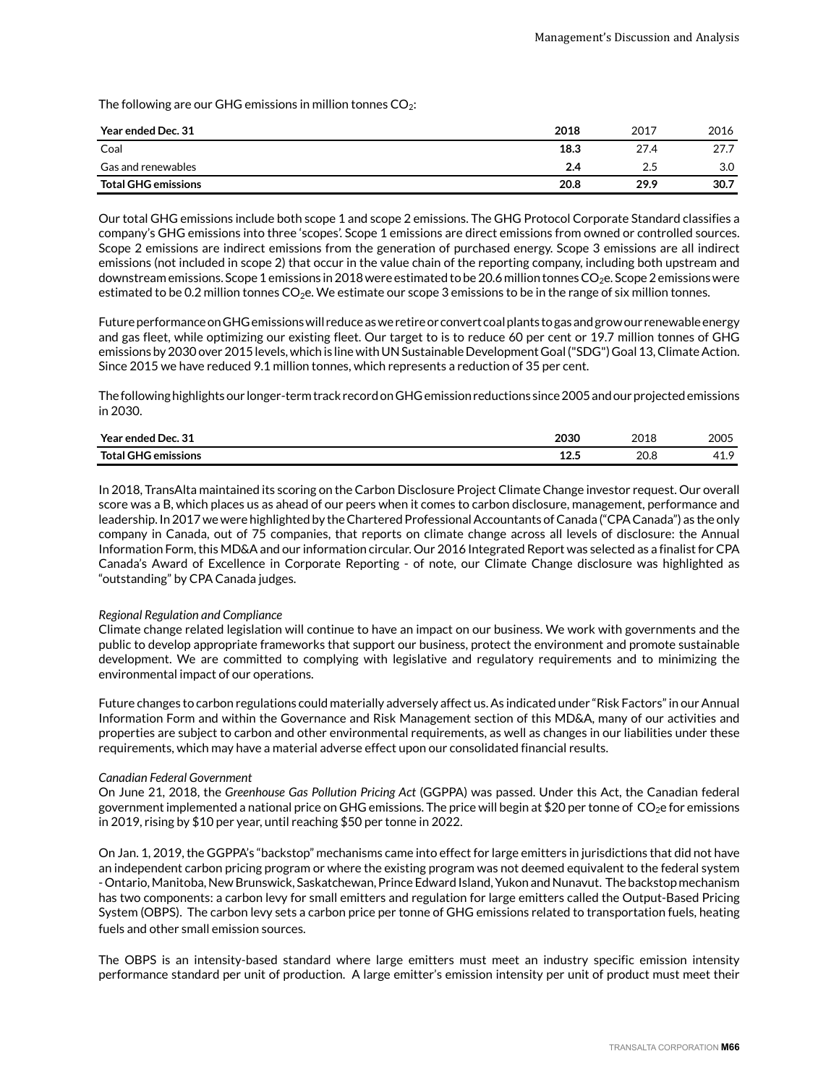The following are our GHG emissions in million tonnes  $CO<sub>2</sub>$ :

| Year ended Dec. 31         | 2018 | 2017 | 2016 |
|----------------------------|------|------|------|
| Coal                       | 18.3 | 27.4 | 27.7 |
| Gas and renewables         | 2.4  | 2.5  | 3.0  |
| <b>Total GHG emissions</b> | 20.8 | 29.9 | 30.7 |

Our total GHG emissions include both scope 1 and scope 2 emissions. The GHG Protocol Corporate Standard classifies a company's GHG emissions into three 'scopes'. Scope 1 emissions are direct emissions from owned or controlled sources. Scope 2 emissions are indirect emissions from the generation of purchased energy. Scope 3 emissions are all indirect emissions (not included in scope 2) that occur in the value chain of the reporting company, including both upstream and downstream emissions. Scope 1 emissions in 2018 were estimated to be 20.6 million tonnes CO<sub>2</sub>e. Scope 2 emissions were estimated to be 0.2 million tonnes  $CO<sub>2</sub>e$ . We estimate our scope 3 emissions to be in the range of six million tonnes.

Future performance on GHG emissions will reduce as we retire or convert coal plants to gas and grow our renewable energy and gas fleet, while optimizing our existing fleet. Our target to is to reduce 60 per cent or 19.7 million tonnes of GHG emissions by 2030 over 2015 levels, which is line with UN Sustainable Development Goal ("SDG") Goal 13, Climate Action. Since 2015 we have reduced 9.1 million tonnes, which represents a reduction of 35 per cent.

The following highlights our longer-term track record on GHG emission reductions since 2005 and our projected emissions in 2030.

| Year ended Dec. 31                                                                                                                                                                                                                                                                                                                                                                                                                                                                                | 2030               | 2018 | 2005                            |
|---------------------------------------------------------------------------------------------------------------------------------------------------------------------------------------------------------------------------------------------------------------------------------------------------------------------------------------------------------------------------------------------------------------------------------------------------------------------------------------------------|--------------------|------|---------------------------------|
| Total GHG emissions<br>$\frac{1}{2} \left( \frac{1}{2} \right) \left( \frac{1}{2} \right) \left( \frac{1}{2} \right) \left( \frac{1}{2} \right) \left( \frac{1}{2} \right) \left( \frac{1}{2} \right) \left( \frac{1}{2} \right) \left( \frac{1}{2} \right) \left( \frac{1}{2} \right) \left( \frac{1}{2} \right) \left( \frac{1}{2} \right) \left( \frac{1}{2} \right) \left( \frac{1}{2} \right) \left( \frac{1}{2} \right) \left( \frac{1}{2} \right) \left( \frac{1}{2} \right) \left( \frac$ | $\sqrt{2}$<br>12.J | 20.8 | $\overline{\phantom{a}}$<br>т⊥. |

In 2018, TransAlta maintained its scoring on the Carbon Disclosure Project Climate Change investor request. Our overall score was a B, which places us as ahead of our peers when it comes to carbon disclosure, management, performance and leadership. In 2017 we were highlighted by the Chartered Professional Accountants of Canada ("CPA Canada") as the only company in Canada, out of 75 companies, that reports on climate change across all levels of disclosure: the Annual Information Form, this MD&A and our information circular. Our 2016 Integrated Report was selected as a finalist for CPA Canada's Award of Excellence in Corporate Reporting - of note, our Climate Change disclosure was highlighted as "outstanding" by CPA Canada judges.

#### *Regional Regulation and Compliance*

Climate change related legislation will continue to have an impact on our business. We work with governments and the public to develop appropriate frameworks that support our business, protect the environment and promote sustainable development. We are committed to complying with legislative and regulatory requirements and to minimizing the environmental impact of our operations.

Future changes to carbon regulations could materially adversely affect us. As indicated under "Risk Factors" in our Annual Information Form and within the Governance and Risk Management section of this MD&A, many of our activities and properties are subject to carbon and other environmental requirements, as well as changes in our liabilities under these requirements, which may have a material adverse effect upon our consolidated financial results.

#### *Canadian Federal Government*

On June 21, 2018, the *Greenhouse Gas Pollution Pricing Act* (GGPPA) was passed. Under this Act, the Canadian federal government implemented a national price on GHG emissions. The price will begin at \$20 per tonne of  $CO<sub>2</sub>e$  for emissions in 2019, rising by \$10 per year, until reaching \$50 per tonne in 2022.

On Jan. 1, 2019, the GGPPA's "backstop" mechanisms came into effect for large emitters in jurisdictions that did not have an independent carbon pricing program or where the existing program was not deemed equivalent to the federal system - Ontario, Manitoba, New Brunswick, Saskatchewan, Prince Edward Island, Yukon and Nunavut. The backstop mechanism has two components: a carbon levy for small emitters and regulation for large emitters called the Output-Based Pricing System (OBPS). The carbon levy sets a carbon price per tonne of GHG emissions related to transportation fuels, heating fuels and other small emission sources.

The OBPS is an intensity-based standard where large emitters must meet an industry specific emission intensity performance standard per unit of production. A large emitter's emission intensity per unit of product must meet their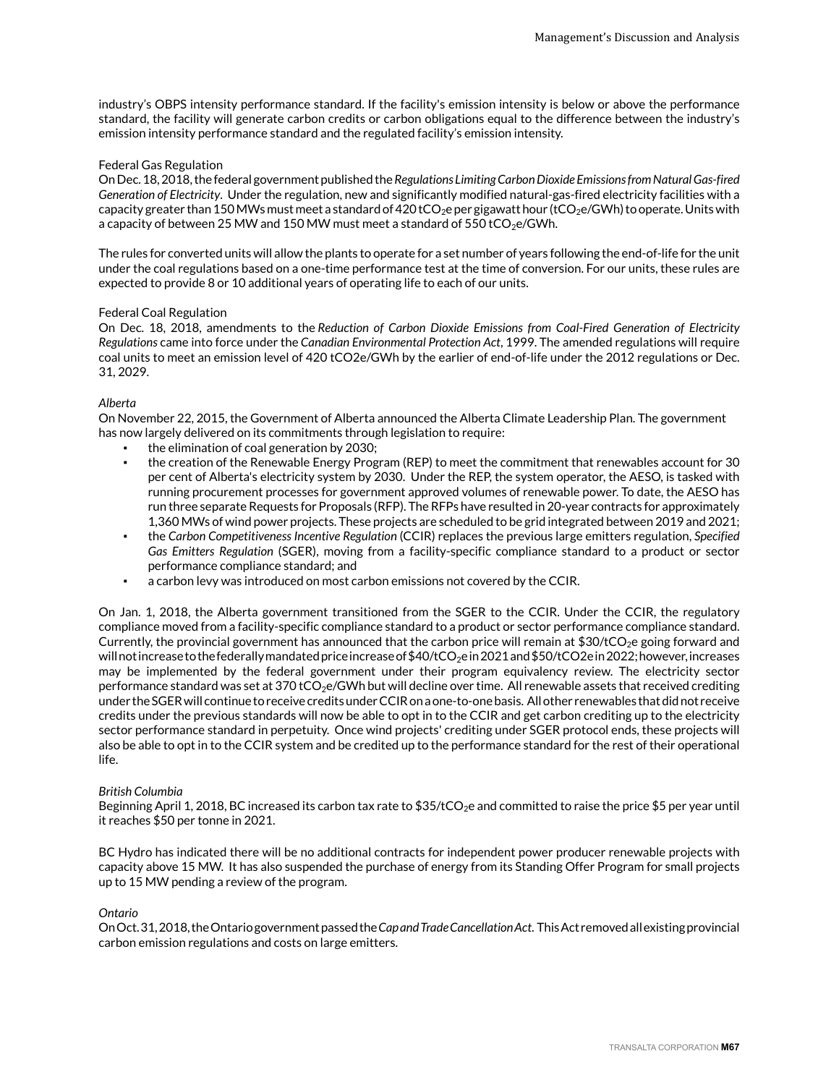industry's OBPS intensity performance standard. If the facility's emission intensity is below or above the performance standard, the facility will generate carbon credits or carbon obligations equal to the difference between the industry's emission intensity performance standard and the regulated facility's emission intensity.

#### Federal Gas Regulation

On Dec. 18, 2018, the federal government published the *Regulations Limiting Carbon Dioxide Emissions from Natural Gas-fired Generation of Electricity*. Under the regulation, new and significantly modified natural-gas-fired electricity facilities with a capacity greater than 150 MWs must meet a standard of 420 tCO<sub>2</sub>e per gigawatt hour (tCO<sub>2</sub>e/GWh) to operate. Units with a capacity of between 25 MW and 150 MW must meet a standard of 550 tCO<sub>2</sub>e/GWh.

The rules for converted units will allow the plants to operate for a set number of years following the end-of-life for the unit under the coal regulations based on a one-time performance test at the time of conversion. For our units, these rules are expected to provide 8 or 10 additional years of operating life to each of our units.

#### Federal Coal Regulation

On Dec. 18, 2018, amendments to the *Reduction of Carbon Dioxide Emissions from Coal-Fired Generation of Electricity Regulations* came into force under the *Canadian Environmental Protection Act*, 1999. The amended regulations will require coal units to meet an emission level of 420 tCO2e/GWh by the earlier of end-of-life under the 2012 regulations or Dec. 31, 2029.

#### *Alberta*

On November 22, 2015, the Government of Alberta announced the Alberta Climate Leadership Plan. The government has now largely delivered on its commitments through legislation to require:

- the elimination of coal generation by 2030;
- the creation of the Renewable Energy Program (REP) to meet the commitment that renewables account for 30 per cent of Alberta's electricity system by 2030. Under the REP, the system operator, the AESO, is tasked with running procurement processes for government approved volumes of renewable power. To date, the AESO has run three separate Requests for Proposals (RFP). The RFPs have resulted in 20-year contracts for approximately 1,360 MWs of wind power projects. These projects are scheduled to be grid integrated between 2019 and 2021;
- the *Carbon Competitiveness Incentive Regulation* (CCIR) replaces the previous large emitters regulation, *Specified Gas Emitters Regulation* (SGER), moving from a facility-specific compliance standard to a product or sector performance compliance standard; and
- a carbon levy was introduced on most carbon emissions not covered by the CCIR.

On Jan. 1, 2018, the Alberta government transitioned from the SGER to the CCIR. Under the CCIR, the regulatory compliance moved from a facility-specific compliance standard to a product or sector performance compliance standard. Currently, the provincial government has announced that the carbon price will remain at \$30/tCO<sub>2</sub>e going forward and will not increase to the federally mandated price increase of \$40/tCO<sub>2</sub>e in 2021 and \$50/tCO2e in 2022; however, increases may be implemented by the federal government under their program equivalency review. The electricity sector performance standard was set at 370 tCO<sub>2</sub>e/GWh but will decline over time. All renewable assets that received crediting under the SGER will continue to receive credits under CCIR on a one-to-one basis. All other renewables that did not receive credits under the previous standards will now be able to opt in to the CCIR and get carbon crediting up to the electricity sector performance standard in perpetuity. Once wind projects' crediting under SGER protocol ends, these projects will also be able to opt in to the CCIR system and be credited up to the performance standard for the rest of their operational life.

#### *British Columbia*

Beginning April 1, 2018, BC increased its carbon tax rate to \$35/tCO<sub>2</sub>e and committed to raise the price \$5 per year until it reaches \$50 per tonne in 2021.

BC Hydro has indicated there will be no additional contracts for independent power producer renewable projects with capacity above 15 MW. It has also suspended the purchase of energy from its Standing Offer Program for small projects up to 15 MW pending a review of the program.

#### *Ontario*

On Oct. 31, 2018, the Ontario government passedthe *Cap and Trade Cancellation Act*. This Act removed all existing provincial carbon emission regulations and costs on large emitters.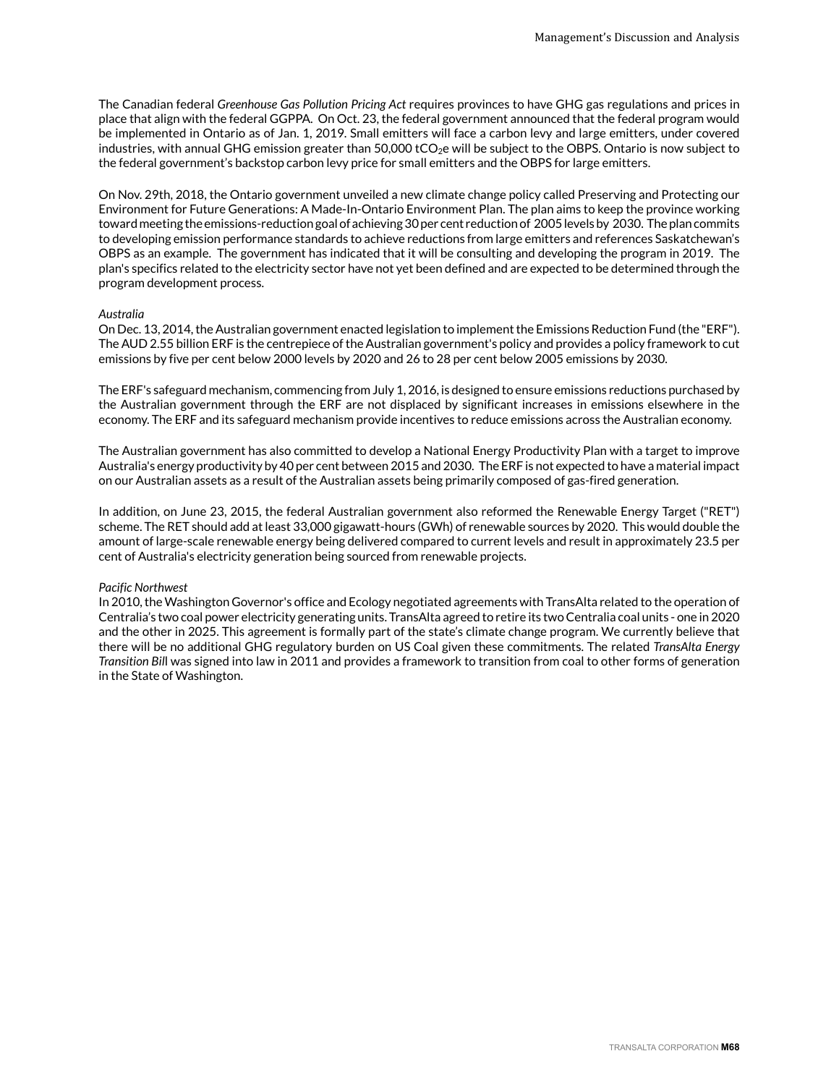The Canadian federal *Greenhouse Gas Pollution Pricing Act* requires provinces to have GHG gas regulations and prices in place that align with the federal GGPPA. On Oct. 23, the federal government announced that the federal program would be implemented in Ontario as of Jan. 1, 2019. Small emitters will face a carbon levy and large emitters, under covered industries, with annual GHG emission greater than  $50,000$  tCO<sub>2</sub>e will be subject to the OBPS. Ontario is now subject to the federal government's backstop carbon levy price for small emitters and the OBPS for large emitters.

On Nov. 29th, 2018, the Ontario government unveiled a new climate change policy called Preserving and Protecting our Environment for Future Generations: A Made-In-Ontario Environment Plan. The plan aims to keep the province working toward meeting the emissions-reduction goal of achieving 30 per cent reduction of 2005 levels by 2030. The plan commits to developing emission performance standards to achieve reductions from large emitters and references Saskatchewan's OBPS as an example. The government has indicated that it will be consulting and developing the program in 2019. The plan's specifics related to the electricity sector have not yet been defined and are expected to be determined through the program development process.

#### *Australia*

On Dec. 13, 2014, the Australian government enacted legislation to implement the Emissions Reduction Fund (the "ERF"). The AUD 2.55 billion ERF is the centrepiece of the Australian government's policy and provides a policy framework to cut emissions by five per cent below 2000 levels by 2020 and 26 to 28 per cent below 2005 emissions by 2030.

The ERF's safeguard mechanism, commencing from July 1, 2016, is designed to ensure emissions reductions purchased by the Australian government through the ERF are not displaced by significant increases in emissions elsewhere in the economy. The ERF and its safeguard mechanism provide incentives to reduce emissions across the Australian economy.

The Australian government has also committed to develop a National Energy Productivity Plan with a target to improve Australia's energy productivity by 40 per cent between 2015 and 2030. The ERF is not expected to have a material impact on our Australian assets as a result of the Australian assets being primarily composed of gas-fired generation.

In addition, on June 23, 2015, the federal Australian government also reformed the Renewable Energy Target ("RET") scheme. The RET should add at least 33,000 gigawatt-hours (GWh) of renewable sources by 2020. This would double the amount of large-scale renewable energy being delivered compared to current levels and result in approximately 23.5 per cent of Australia's electricity generation being sourced from renewable projects.

# *Pacific Northwest*

In 2010, the Washington Governor's office and Ecology negotiated agreements with TransAlta related to the operation of Centralia's two coal power electricity generating units. TransAlta agreed to retire its two Centralia coal units - one in 2020 and the other in 2025. This agreement is formally part of the state's climate change program. We currently believe that there will be no additional GHG regulatory burden on US Coal given these commitments. The related *TransAlta Energy Transition Bil*l was signed into law in 2011 and provides a framework to transition from coal to other forms of generation in the State of Washington.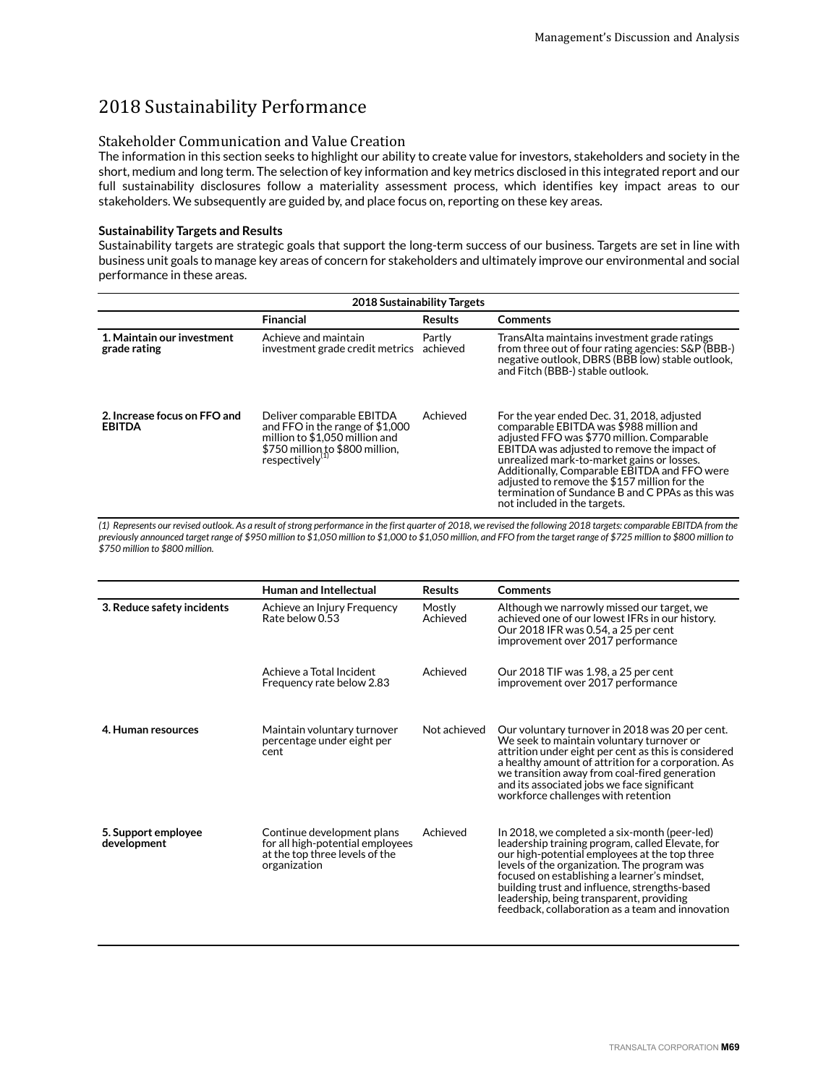# 2018 Sustainability Performance

# Stakeholder Communication and Value Creation

The information in this section seeks to highlight our ability to create value for investors, stakeholders and society in the short, medium and long term. The selection of key information and key metrics disclosed in this integrated report and our full sustainability disclosures follow a materiality assessment process, which identifies key impact areas to our stakeholders. We subsequently are guided by, and place focus on, reporting on these key areas.

## **Sustainability Targets and Results**

Sustainability targets are strategic goals that support the long-term success of our business. Targets are set in line with business unit goals to manage key areas of concern for stakeholders and ultimately improve our environmental and social performance in these areas.

| 2018 Sustainability Targets                   |                                                                                                                                                                  |                    |                                                                                                                                                                                                                                                                                                                                                                                                                      |  |
|-----------------------------------------------|------------------------------------------------------------------------------------------------------------------------------------------------------------------|--------------------|----------------------------------------------------------------------------------------------------------------------------------------------------------------------------------------------------------------------------------------------------------------------------------------------------------------------------------------------------------------------------------------------------------------------|--|
|                                               | Financial                                                                                                                                                        | <b>Results</b>     | <b>Comments</b>                                                                                                                                                                                                                                                                                                                                                                                                      |  |
| 1. Maintain our investment<br>grade rating    | Achieve and maintain<br>investment grade credit metrics                                                                                                          | Partly<br>achieved | TransAlta maintains investment grade ratings<br>from three out of four rating agencies: S&P (BBB-)<br>negative outlook, DBRS (BBB low) stable outlook,<br>and Fitch (BBB-) stable outlook.                                                                                                                                                                                                                           |  |
| 2. Increase focus on FFO and<br><b>EBITDA</b> | Deliver comparable EBITDA<br>and FFO in the range of \$1,000<br>million to \$1,050 million and<br>\$750 million to \$800 million,<br>respectively <sup>(1)</sup> | Achieved           | For the year ended Dec. 31, 2018, adjusted<br>comparable EBITDA was \$988 million and<br>adjusted FFO was \$770 million. Comparable<br>EBITDA was adjusted to remove the impact of<br>unrealized mark-to-market gains or losses.<br>Additionally, Comparable EBITDA and FFO were<br>adjusted to remove the \$157 million for the<br>termination of Sundance B and C PPAs as this was<br>not included in the targets. |  |

*(1) Represents our revised outlook. As a result of strong performance in the first quarter of 2018, we revised the following 2018 targets: comparable EBITDA from the previously announced target range of \$950 million to \$1,050 million to \$1,000 to \$1,050 million, and FFO from the target range of \$725 million to \$800 million to \$750 million to \$800 million.*

|                                    | Human and Intellectual                                                                                           | <b>Results</b>     | <b>Comments</b>                                                                                                                                                                                                                                                                                                                                                                                   |
|------------------------------------|------------------------------------------------------------------------------------------------------------------|--------------------|---------------------------------------------------------------------------------------------------------------------------------------------------------------------------------------------------------------------------------------------------------------------------------------------------------------------------------------------------------------------------------------------------|
| 3. Reduce safety incidents         | Achieve an Injury Frequency<br>Rate below $0.53$                                                                 | Mostly<br>Achieved | Although we narrowly missed our target, we<br>achieved one of our lowest IFRs in our history.<br>Our 2018 IFR was 0.54, a 25 per cent<br>improvement over 2017 performance                                                                                                                                                                                                                        |
|                                    | Achieve a Total Incident<br>Frequency rate below 2.83                                                            | Achieved           | Our 2018 TIF was 1.98, a 25 per cent<br>improvement over 2017 performance                                                                                                                                                                                                                                                                                                                         |
| 4. Human resources                 | Maintain voluntary turnover<br>percentage under eight per<br>cent                                                | Not achieved       | Our voluntary turnover in 2018 was 20 per cent.<br>We seek to maintain voluntary turnover or<br>attrition under eight per cent as this is considered<br>a healthy amount of attrition for a corporation. As<br>we transition away from coal-fired generation<br>and its associated jobs we face significant<br>workforce challenges with retention                                                |
| 5. Support employee<br>development | Continue development plans<br>for all high-potential employees<br>at the top three levels of the<br>organization | Achieved           | In 2018, we completed a six-month (peer-led)<br>leadership training program, called Elevate, for<br>our high-potential employees at the top three<br>levels of the organization. The program was<br>focused on establishing a learner's mindset,<br>building trust and influence, strengths-based<br>leadership, being transparent, providing<br>feedback, collaboration as a team and innovation |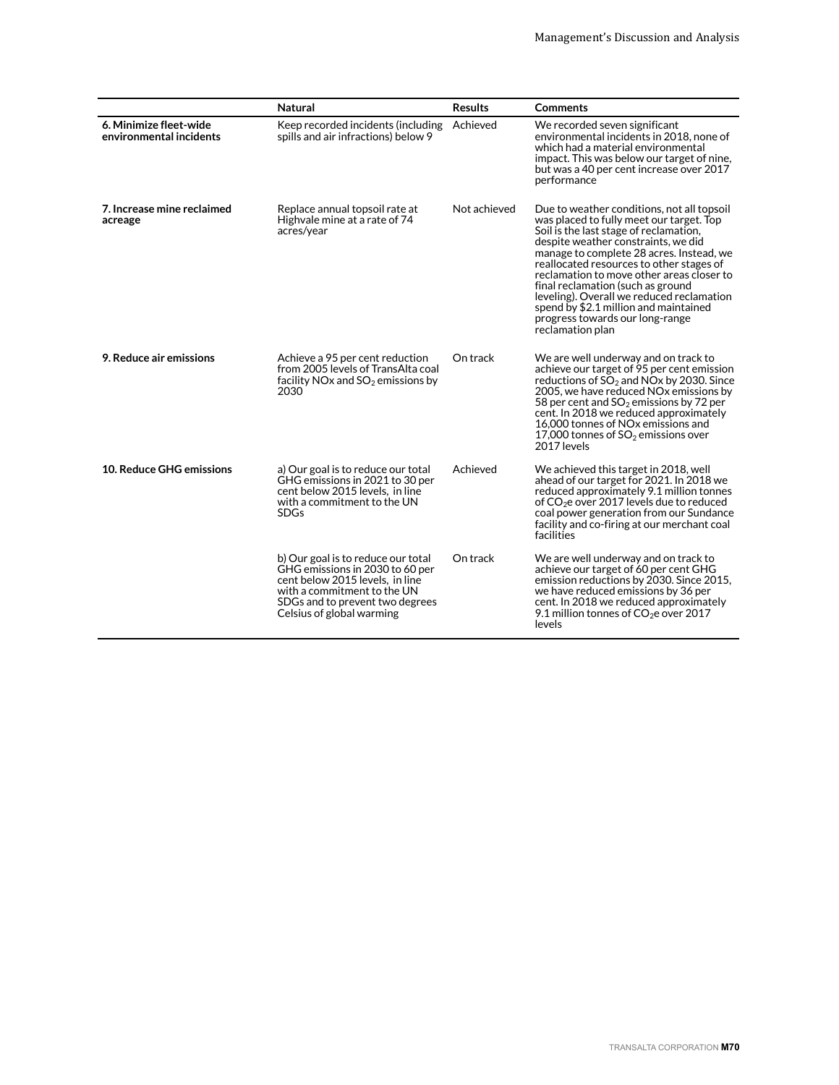|                                                   | <b>Natural</b>                                                                                                                                                                                          | <b>Results</b> | <b>Comments</b>                                                                                                                                                                                                                                                                                                                                                                                                                                                                                |
|---------------------------------------------------|---------------------------------------------------------------------------------------------------------------------------------------------------------------------------------------------------------|----------------|------------------------------------------------------------------------------------------------------------------------------------------------------------------------------------------------------------------------------------------------------------------------------------------------------------------------------------------------------------------------------------------------------------------------------------------------------------------------------------------------|
| 6. Minimize fleet-wide<br>environmental incidents | Keep recorded incidents (including Achieved<br>spills and air infractions) below 9                                                                                                                      |                | We recorded seven significant<br>environmental incidents in 2018, none of<br>which had a material environmental<br>impact. This was below our target of nine,<br>but was a 40 per cent increase over 2017<br>performance                                                                                                                                                                                                                                                                       |
| 7. Increase mine reclaimed<br>acreage             | Replace annual topsoil rate at<br>Highvale mine at a rate of 74<br>acres/year                                                                                                                           | Not achieved   | Due to weather conditions, not all topsoil<br>was placed to fully meet our target. Top<br>Soil is the last stage of reclamation,<br>despite weather constraints, we did<br>manage to complete 28 acres. Instead, we<br>reallocated resources to other stages of<br>reclamation to move other areas closer to<br>final reclamation (such as ground<br>leveling). Overall we reduced reclamation<br>spend by \$2.1 million and maintained<br>progress towards our long-range<br>reclamation plan |
| 9. Reduce air emissions                           | Achieve a 95 per cent reduction<br>from 2005 levels of TransAlta coal<br>facility NO <sub>x</sub> and $SO2$ emissions by<br>2030                                                                        | On track       | We are well underway and on track to<br>achieve our target of 95 per cent emission<br>reductions of $SO_2$ and NOx by 2030. Since<br>2005, we have reduced NO <sub>x</sub> emissions by<br>58 per cent and $SO_2$ emissions by 72 per<br>cent. In 2018 we reduced approximately<br>16,000 tonnes of NOx emissions and<br>17,000 tonnes of $SO2$ emissions over<br>2017 levels                                                                                                                  |
| 10. Reduce GHG emissions                          | a) Our goal is to reduce our total<br>GHG emissions in 2021 to 30 per<br>cent below 2015 levels, in line<br>with a commitment to the UN<br><b>SDGs</b>                                                  | Achieved       | We achieved this target in 2018, well<br>ahead of our target for 2021. In 2018 we<br>reduced approximately 9.1 million tonnes<br>of $CO2e$ over 2017 levels due to reduced<br>coal power generation from our Sundance<br>facility and co-firing at our merchant coal<br>facilities                                                                                                                                                                                                             |
|                                                   | b) Our goal is to reduce our total<br>GHG emissions in 2030 to 60 per<br>cent below 2015 levels. in line<br>with a commitment to the UN<br>SDGs and to prevent two degrees<br>Celsius of global warming | On track       | We are well underway and on track to<br>achieve our target of 60 per cent GHG<br>emission reductions by 2030. Since 2015,<br>we have reduced emissions by 36 per<br>cent. In 2018 we reduced approximately<br>9.1 million tonnes of $CO2e$ over 2017<br>levels                                                                                                                                                                                                                                 |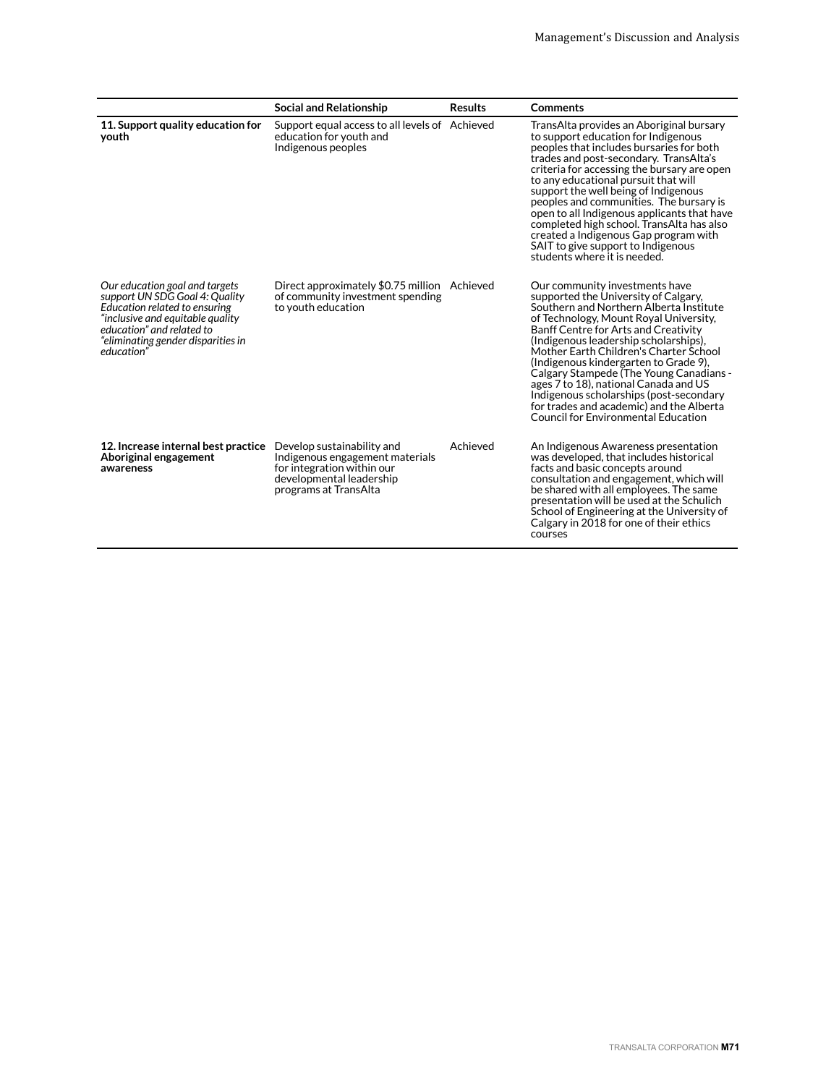|                                                                                                                                                                                                                        | <b>Social and Relationship</b>                                                                                                                   | <b>Results</b> | <b>Comments</b>                                                                                                                                                                                                                                                                                                                                                                                                                                                                                                                                            |
|------------------------------------------------------------------------------------------------------------------------------------------------------------------------------------------------------------------------|--------------------------------------------------------------------------------------------------------------------------------------------------|----------------|------------------------------------------------------------------------------------------------------------------------------------------------------------------------------------------------------------------------------------------------------------------------------------------------------------------------------------------------------------------------------------------------------------------------------------------------------------------------------------------------------------------------------------------------------------|
| 11. Support quality education for<br>vouth                                                                                                                                                                             | Support equal access to all levels of Achieved<br>education for youth and<br>Indigenous peoples                                                  |                | TransAlta provides an Aboriginal bursary<br>to support education for Indigenous<br>peoples that includes bursaries for both<br>trades and post-secondary. TransAlta's<br>criteria for accessing the bursary are open<br>to any educational pursuit that will<br>support the well being of Indigenous<br>peoples and communities. The bursary is<br>open to all Indigenous applicants that have<br>completed high school. TransAlta has also<br>created a Indigenous Gap program with<br>SAIT to give support to Indigenous<br>students where it is needed. |
| Our education goal and targets<br>support UN SDG Goal 4: Quality<br>Education related to ensuring<br>"inclusive and equitable quality<br>education" and related to<br>"eliminating gender disparities in<br>education" | Direct approximately \$0.75 million Achieved<br>of community investment spending<br>to youth education                                           |                | Our community investments have<br>supported the University of Calgary,<br>Southern and Northern Alberta Institute<br>of Technology, Mount Royal University,<br>Banff Centre for Arts and Creativity<br>(Indigenous leadership scholarships),<br>Mother Earth Children's Charter School<br>(Indigenous kindergarten to Grade 9),<br>Calgary Stampede (The Young Canadians -<br>ages 7 to 18), national Canada and US<br>Indigenous scholarships (post-secondary<br>for trades and academic) and the Alberta<br>Council for Environmental Education          |
| 12. Increase internal best practice<br>Aboriginal engagement<br>awareness                                                                                                                                              | Develop sustainability and<br>Indigenous engagement materials<br>for integration within our<br>developmental leadership<br>programs at TransAlta | Achieved       | An Indigenous Awareness presentation<br>was developed, that includes historical<br>facts and basic concepts around<br>consultation and engagement, which will<br>be shared with all employees. The same<br>presentation will be used at the Schulich<br>School of Engineering at the University of<br>Calgary in 2018 for one of their ethics<br>courses                                                                                                                                                                                                   |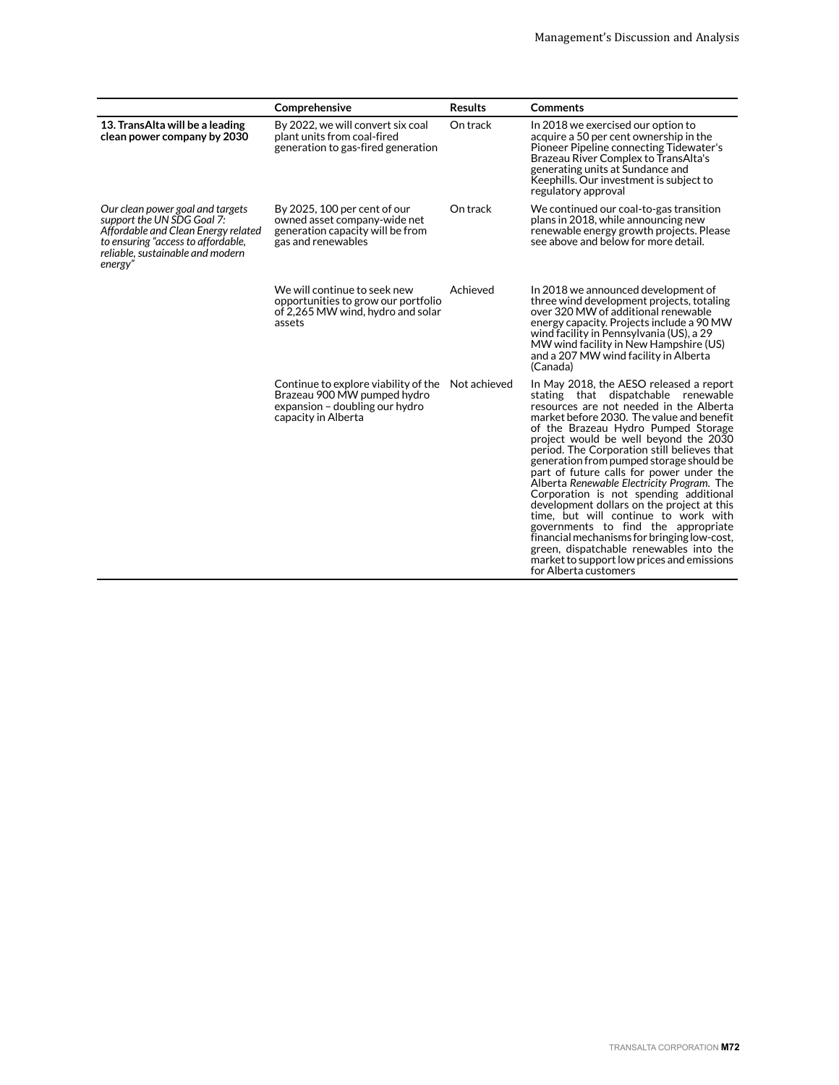|                                                                                                                                                                                            | Comprehensive                                                                                                                | <b>Results</b> | <b>Comments</b>                                                                                                                                                                                                                                                                                                                                                                                                                                                                                                                                                                                                                                                                                                                                                                     |
|--------------------------------------------------------------------------------------------------------------------------------------------------------------------------------------------|------------------------------------------------------------------------------------------------------------------------------|----------------|-------------------------------------------------------------------------------------------------------------------------------------------------------------------------------------------------------------------------------------------------------------------------------------------------------------------------------------------------------------------------------------------------------------------------------------------------------------------------------------------------------------------------------------------------------------------------------------------------------------------------------------------------------------------------------------------------------------------------------------------------------------------------------------|
| 13. TransAlta will be a leading<br>clean power company by 2030                                                                                                                             | By 2022, we will convert six coal<br>plant units from coal-fired<br>generation to gas-fired generation                       | On track       | In 2018 we exercised our option to<br>acquire a 50 per cent ownership in the<br>Pioneer Pipeline connecting Tidewater's<br>Brazeau River Complex to TransAlta's<br>generating units at Sundance and<br>Keephills. Our investment is subject to<br>regulatory approval                                                                                                                                                                                                                                                                                                                                                                                                                                                                                                               |
| Our clean power goal and targets<br>support the UN SDG Goal 7:<br>Affordable and Clean Energy related<br>to ensuring "access to affordable,<br>reliable, sustainable and modern<br>energy" | By 2025, 100 per cent of our<br>owned asset company-wide net<br>generation capacity will be from<br>gas and renewables       | On track       | We continued our coal-to-gas transition<br>plans in 2018, while announcing new<br>renewable energy growth projects. Please<br>see above and below for more detail.                                                                                                                                                                                                                                                                                                                                                                                                                                                                                                                                                                                                                  |
|                                                                                                                                                                                            | We will continue to seek new<br>opportunities to grow our portfolio<br>of 2,265 MW wind, hydro and solar<br>assets           | Achieved       | In 2018 we announced development of<br>three wind development projects, totaling<br>over 320 MW of additional renewable<br>energy capacity. Projects include a 90 MW<br>wind facility in Pennsylvania (US), a 29<br>MW wind facility in New Hampshire (US)<br>and a 207 MW wind facility in Alberta<br>(Canada)                                                                                                                                                                                                                                                                                                                                                                                                                                                                     |
|                                                                                                                                                                                            | Continue to explore viability of the<br>Brazeau 900 MW pumped hydro<br>expansion - doubling our hydro<br>capacity in Alberta | Not achieved   | In May 2018, the AESO released a report<br>stating that dispatchable renewable<br>resources are not needed in the Alberta<br>market before 2030. The value and benefit<br>of the Brazeau Hydro Pumped Storage<br>project would be well beyond the 2030<br>period. The Corporation still believes that<br>generation from pumped storage should be<br>part of future calls for power under the<br>Alberta Renewable Electricity Program. The<br>Corporation is not spending additional<br>development dollars on the project at this<br>time, but will continue to work with<br>governments to find the appropriate<br>financial mechanisms for bringing low-cost,<br>green, dispatchable renewables into the<br>market to support low prices and emissions<br>for Alberta customers |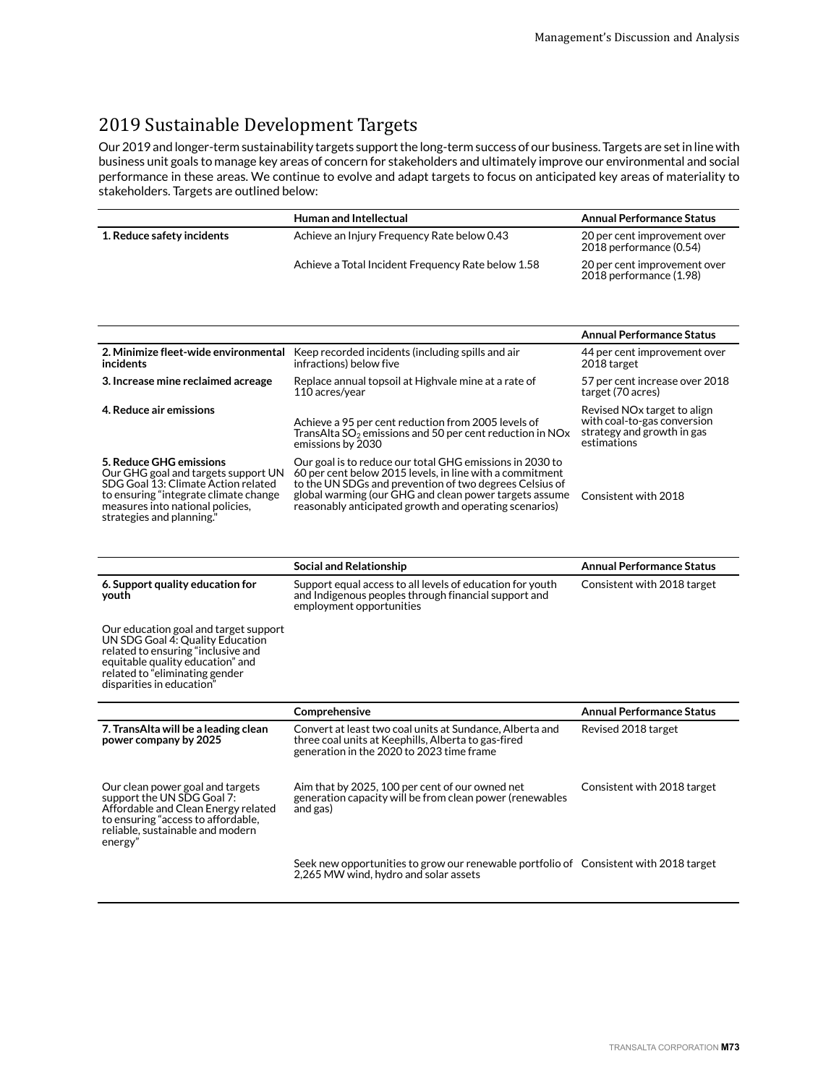# 2019 Sustainable Development Targets

Our 2019 and longer-term sustainability targets support the long-term success of our business. Targets are set in line with business unit goals to manage key areas of concern for stakeholders and ultimately improve our environmental and social performance in these areas. We continue to evolve and adapt targets to focus on anticipated key areas of materiality to stakeholders. Targets are outlined below:

|                            | <b>Human and Intellectual</b>                      | <b>Annual Performance Status</b>                        |
|----------------------------|----------------------------------------------------|---------------------------------------------------------|
| 1. Reduce safety incidents | Achieve an Injury Frequency Rate below 0.43        | 20 per cent improvement over<br>2018 performance (0.54) |
|                            | Achieve a Total Incident Frequency Rate below 1.58 | 20 per cent improvement over<br>2018 performance (1.98) |

|                                                                                                                                                                                                                 |                                                                                                                                                                                                                                                                                                     | <b>Annual Performance Status</b>                                                                                    |
|-----------------------------------------------------------------------------------------------------------------------------------------------------------------------------------------------------------------|-----------------------------------------------------------------------------------------------------------------------------------------------------------------------------------------------------------------------------------------------------------------------------------------------------|---------------------------------------------------------------------------------------------------------------------|
| 2. Minimize fleet-wide environmental<br>incidents                                                                                                                                                               | Keep recorded incidents (including spills and air<br>infractions) below five                                                                                                                                                                                                                        | 44 per cent improvement over<br>2018 target                                                                         |
| 3. Increase mine reclaimed acreage                                                                                                                                                                              | Replace annual topsoil at Highvale mine at a rate of<br>110 acres/year                                                                                                                                                                                                                              | 57 per cent increase over 2018<br>target (70 acres)                                                                 |
| 4. Reduce air emissions                                                                                                                                                                                         | Achieve a 95 per cent reduction from 2005 levels of<br>Trans Alta $SO_2$ emissions and 50 per cent reduction in NO <sub>x</sub><br>emissions by 2030                                                                                                                                                | Revised NO <sub>x</sub> target to align<br>with coal-to-gas conversion<br>strategy and growth in gas<br>estimations |
| 5. Reduce GHG emissions<br>Our GHG goal and targets support UN<br>SDG Goal 13: Climate Action related<br>to ensuring "integrate climate change<br>measures into national policies,<br>strategies and planning." | Our goal is to reduce our total GHG emissions in 2030 to<br>60 per cent below 2015 levels, in line with a commitment<br>to the UN SDGs and prevention of two degrees Celsius of<br>global warming (our GHG and clean power targets assume<br>reasonably anticipated growth and operating scenarios) | Consistent with 2018                                                                                                |

|                                                                                                                                                                                                                    | Social and Relationship                                                                                                                                      | <b>Annual Performance Status</b> |
|--------------------------------------------------------------------------------------------------------------------------------------------------------------------------------------------------------------------|--------------------------------------------------------------------------------------------------------------------------------------------------------------|----------------------------------|
| 6. Support quality education for<br>youth                                                                                                                                                                          | Support equal access to all levels of education for youth<br>and Indigenous peoples through financial support and<br>employment opportunities                | Consistent with 2018 target      |
| Our education goal and target support<br>UN SDG Goal 4: Quality Education<br>related to ensuring "inclusive and<br>equitable quality education" and<br>related to "eliminating gender<br>disparities in education" |                                                                                                                                                              |                                  |
|                                                                                                                                                                                                                    | Comprehensive                                                                                                                                                | <b>Annual Performance Status</b> |
| 7. TransAlta will be a leading clean<br>power company by 2025                                                                                                                                                      | Convert at least two coal units at Sundance, Alberta and<br>three coal units at Keephills, Alberta to gas-fired<br>generation in the 2020 to 2023 time frame | Revised 2018 target              |
| Our clean power goal and targets<br>support the UN SDG Goal 7:<br>Affordable and Clean Energy related<br>to ensuring "access to affordable,<br>reliable, sustainable and modern<br>energy"                         | Aim that by 2025, 100 per cent of our owned net<br>generation capacity will be from clean power (renewables<br>and gas)                                      | Consistent with 2018 target      |
|                                                                                                                                                                                                                    | Seek new opportunities to grow our renewable portfolio of Consistent with 2018 target<br>2,265 MW wind, hydro and solar assets                               |                                  |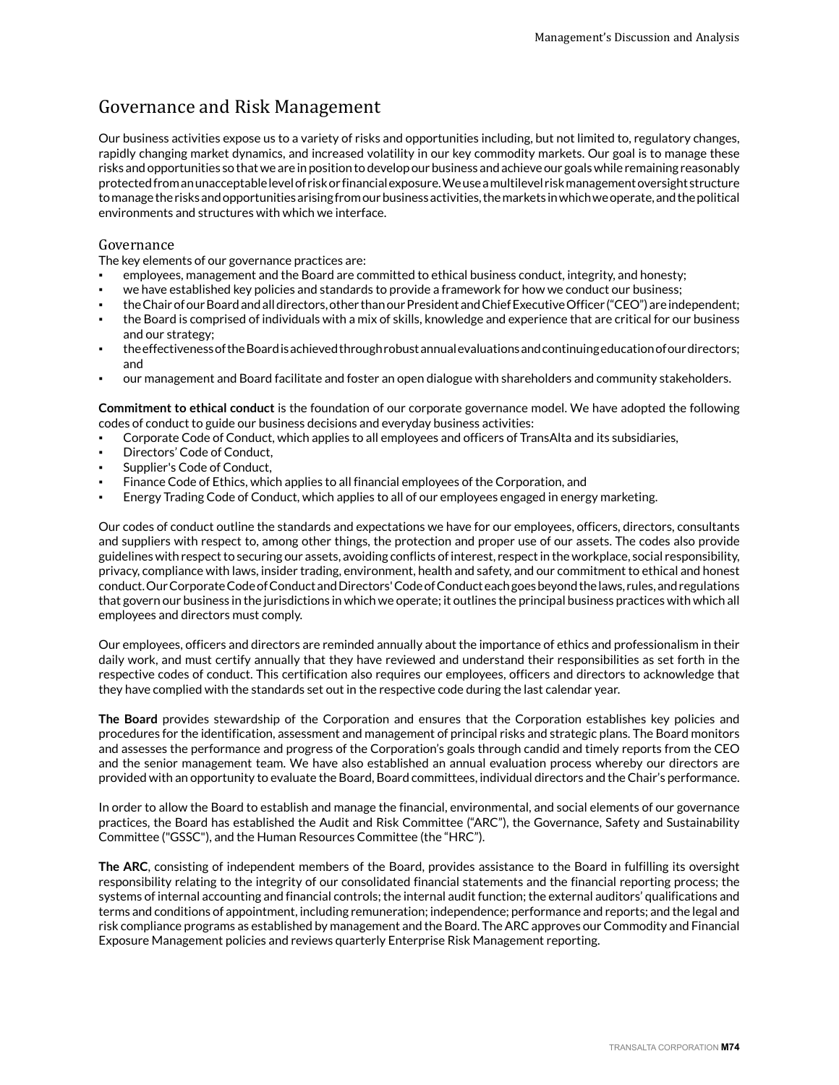## Governance and Risk Management

Our business activities expose us to a variety of risks and opportunities including, but not limited to, regulatory changes, rapidly changing market dynamics, and increased volatility in our key commodity markets. Our goal is to manage these risks and opportunities so that we are in position to develop our business and achieve our goals while remaining reasonably protected from an unacceptable level of risk or financial exposure. We use a multilevel risk management oversight structure to manage the risks and opportunities arising from our business activities, the markets in which we operate, and the political environments and structures with which we interface.

#### Governance

The key elements of our governance practices are:

- employees, management and the Board are committed to ethical business conduct, integrity, and honesty;
- we have established key policies and standards to provide a framework for how we conduct our business;
- the Chair of our Board and all directors, other than our President and Chief Executive Officer ("CEO") are independent;
- the Board is comprised of individuals with a mix of skills, knowledge and experience that are critical for our business and our strategy;
- the effectiveness of the Board is achieved through robust annual evaluations and continuing education of our directors; and
- our management and Board facilitate and foster an open dialogue with shareholders and community stakeholders.

**Commitment to ethical conduct** is the foundation of our corporate governance model. We have adopted the following codes of conduct to guide our business decisions and everyday business activities:

- Corporate Code of Conduct, which applies to all employees and officers of TransAlta and its subsidiaries,
- Directors' Code of Conduct,
- Supplier's Code of Conduct,
- Finance Code of Ethics, which applies to all financial employees of the Corporation, and
- Energy Trading Code of Conduct, which applies to all of our employees engaged in energy marketing.

Our codes of conduct outline the standards and expectations we have for our employees, officers, directors, consultants and suppliers with respect to, among other things, the protection and proper use of our assets. The codes also provide guidelines with respect to securing our assets, avoiding conflicts of interest, respect in the workplace, social responsibility, privacy, compliance with laws, insider trading, environment, health and safety, and our commitment to ethical and honest conduct. Our Corporate Code of Conduct and Directors' Code of Conduct each goes beyond the laws, rules, and regulations that govern our business in the jurisdictions in which we operate; it outlines the principal business practices with which all employees and directors must comply.

Our employees, officers and directors are reminded annually about the importance of ethics and professionalism in their daily work, and must certify annually that they have reviewed and understand their responsibilities as set forth in the respective codes of conduct. This certification also requires our employees, officers and directors to acknowledge that they have complied with the standards set out in the respective code during the last calendar year.

**The Board** provides stewardship of the Corporation and ensures that the Corporation establishes key policies and procedures for the identification, assessment and management of principal risks and strategic plans. The Board monitors and assesses the performance and progress of the Corporation's goals through candid and timely reports from the CEO and the senior management team. We have also established an annual evaluation process whereby our directors are provided with an opportunity to evaluate the Board, Board committees, individual directors and the Chair's performance.

In order to allow the Board to establish and manage the financial, environmental, and social elements of our governance practices, the Board has established the Audit and Risk Committee ("ARC"), the Governance, Safety and Sustainability Committee ("GSSC"), and the Human Resources Committee (the "HRC").

**The ARC**, consisting of independent members of the Board, provides assistance to the Board in fulfilling its oversight responsibility relating to the integrity of our consolidated financial statements and the financial reporting process; the systems of internal accounting and financial controls; the internal audit function; the external auditors' qualifications and terms and conditions of appointment, including remuneration; independence; performance and reports; and the legal and risk compliance programs as established by management and the Board. The ARC approves our Commodity and Financial Exposure Management policies and reviews quarterly Enterprise Risk Management reporting.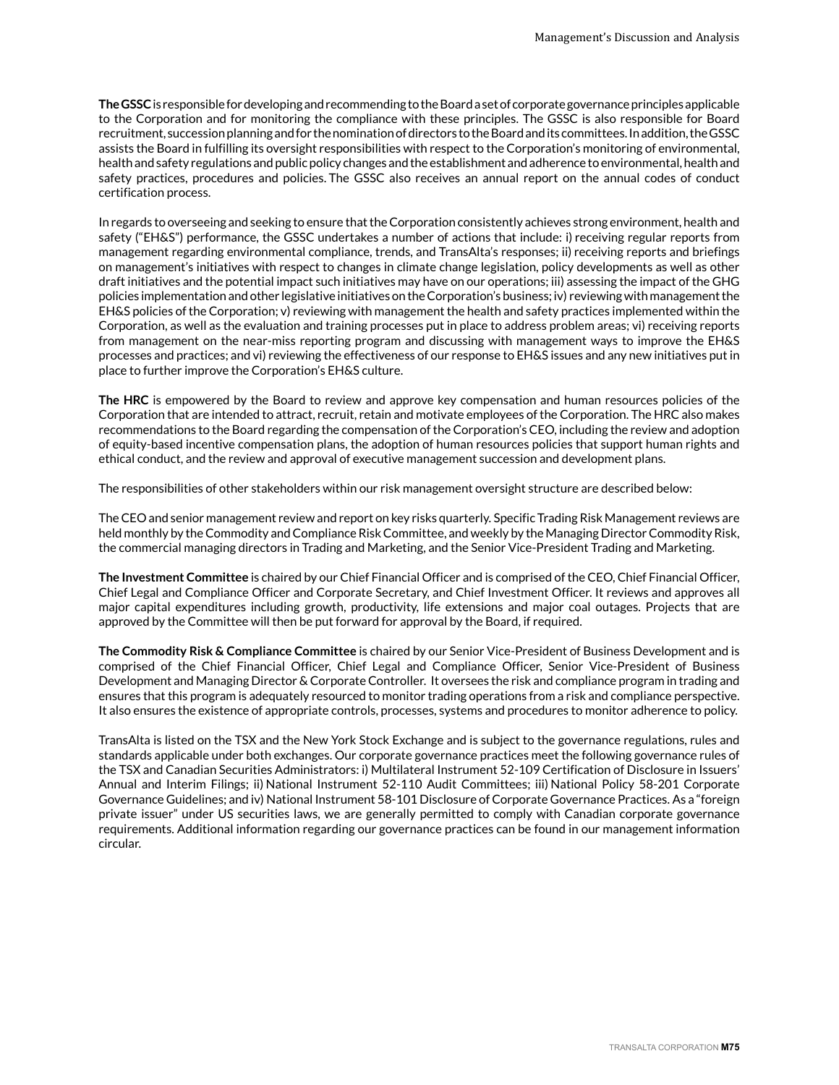**The GSSC** is responsible for developing and recommending to the Board a set of corporate governance principles applicable to the Corporation and for monitoring the compliance with these principles. The GSSC is also responsible for Board recruitment, succession planning and for the nomination of directors to the Board and its committees. In addition, the GSSC assists the Board in fulfilling its oversight responsibilities with respect to the Corporation's monitoring of environmental, health and safety regulations and public policy changes and the establishment and adherence to environmental, health and safety practices, procedures and policies. The GSSC also receives an annual report on the annual codes of conduct certification process.

In regards to overseeing and seeking to ensure that the Corporation consistently achieves strong environment, health and safety ("EH&S") performance, the GSSC undertakes a number of actions that include: i) receiving regular reports from management regarding environmental compliance, trends, and TransAlta's responses; ii) receiving reports and briefings on management's initiatives with respect to changes in climate change legislation, policy developments as well as other draft initiatives and the potential impact such initiatives may have on our operations; iii) assessing the impact of the GHG policies implementation and other legislative initiatives on the Corporation's business; iv) reviewing with management the EH&S policies of the Corporation; v) reviewing with management the health and safety practices implemented within the Corporation, as well as the evaluation and training processes put in place to address problem areas; vi) receiving reports from management on the near-miss reporting program and discussing with management ways to improve the EH&S processes and practices; and vi) reviewing the effectiveness of our response to EH&S issues and any new initiatives put in place to further improve the Corporation's EH&S culture.

**The HRC** is empowered by the Board to review and approve key compensation and human resources policies of the Corporation that are intended to attract, recruit, retain and motivate employees of the Corporation. The HRC also makes recommendations to the Board regarding the compensation of the Corporation's CEO, including the review and adoption of equity-based incentive compensation plans, the adoption of human resources policies that support human rights and ethical conduct, and the review and approval of executive management succession and development plans.

The responsibilities of other stakeholders within our risk management oversight structure are described below:

The CEO and senior management review and report on key risks quarterly. Specific Trading Risk Management reviews are held monthly by the Commodity and Compliance Risk Committee, and weekly by the Managing Director Commodity Risk, the commercial managing directors in Trading and Marketing, and the Senior Vice-President Trading and Marketing.

**The Investment Committee** is chaired by our Chief Financial Officer and is comprised of the CEO, Chief Financial Officer, Chief Legal and Compliance Officer and Corporate Secretary, and Chief Investment Officer. It reviews and approves all major capital expenditures including growth, productivity, life extensions and major coal outages. Projects that are approved by the Committee will then be put forward for approval by the Board, if required.

**The Commodity Risk & Compliance Committee** is chaired by our Senior Vice-President of Business Development and is comprised of the Chief Financial Officer, Chief Legal and Compliance Officer, Senior Vice-President of Business Development and Managing Director & Corporate Controller. It oversees the risk and compliance program in trading and ensures that this program is adequately resourced to monitor trading operations from a risk and compliance perspective. It also ensures the existence of appropriate controls, processes, systems and procedures to monitor adherence to policy.

TransAlta is listed on the TSX and the New York Stock Exchange and is subject to the governance regulations, rules and standards applicable under both exchanges. Our corporate governance practices meet the following governance rules of the TSX and Canadian Securities Administrators: i) Multilateral Instrument 52-109 Certification of Disclosure in Issuers' Annual and Interim Filings; ii) National Instrument 52-110 Audit Committees; iii) National Policy 58-201 Corporate Governance Guidelines; and iv) National Instrument 58-101 Disclosure of Corporate Governance Practices. As a "foreign private issuer" under US securities laws, we are generally permitted to comply with Canadian corporate governance requirements. Additional information regarding our governance practices can be found in our management information circular.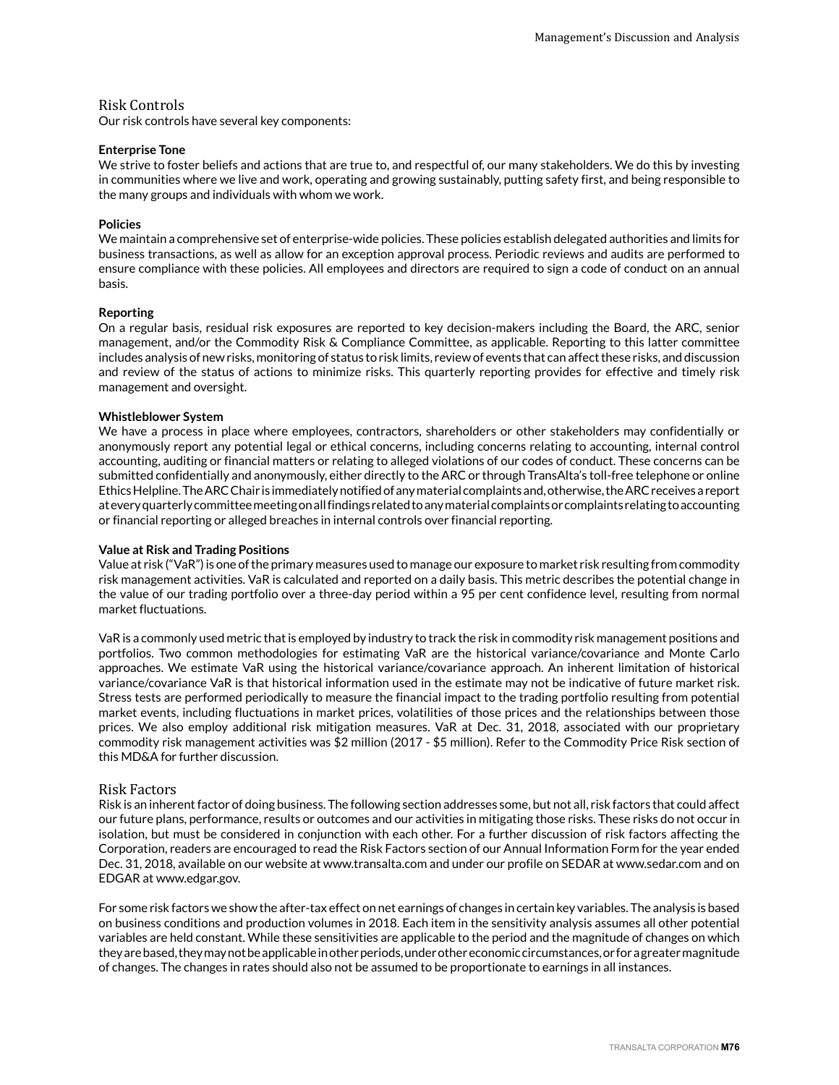### Risk Controls

Our risk controls have several key components:

#### **Enterprise Tone**

We strive to foster beliefs and actions that are true to, and respectful of, our many stakeholders. We do this by investing in communities where we live and work, operating and growing sustainably, putting safety first, and being responsible to the many groups and individuals with whom we work.

#### **Policies**

We maintain a comprehensive set of enterprise-wide policies. These policies establish delegated authorities and limits for business transactions, as well as allow for an exception approval process. Periodic reviews and audits are performed to ensure compliance with these policies. All employees and directors are required to sign a code of conduct on an annual basis.

#### **Reporting**

On a regular basis, residual risk exposures are reported to key decision-makers including the Board, the ARC, senior management, and/or the Commodity Risk & Compliance Committee, as applicable. Reporting to this latter committee includes analysis of new risks, monitoring of status to risk limits, review of events that can affect these risks, and discussion and review of the status of actions to minimize risks. This quarterly reporting provides for effective and timely risk management and oversight.

#### **Whistleblower System**

We have a process in place where employees, contractors, shareholders or other stakeholders may confidentially or anonymously report any potential legal or ethical concerns, including concerns relating to accounting, internal control accounting, auditing or financial matters or relating to alleged violations of our codes of conduct. These concerns can be submitted confidentially and anonymously, either directly to the ARC or through TransAlta's toll-free telephone or online Ethics Helpline. The ARC Chair is immediately notified of any material complaints and, otherwise, the ARC receives a report at every quarterly committee meeting on all findings related to any material complaints or complaints relating to accounting or financial reporting or alleged breaches in internal controls over financial reporting.

#### **Value at Risk and Trading Positions**

Value at risk ("VaR") is one of the primary measures used to manage our exposure to market risk resulting from commodity risk management activities. VaR is calculated and reported on a daily basis. This metric describes the potential change in the value of our trading portfolio over a three-day period within a 95 per cent confidence level, resulting from normal market fluctuations.

VaR is a commonly used metric that is employed by industry to track the risk in commodity risk management positions and portfolios. Two common methodologies for estimating VaR are the historical variance/covariance and Monte Carlo approaches. We estimate VaR using the historical variance/covariance approach. An inherent limitation of historical variance/covariance VaR is that historical information used in the estimate may not be indicative of future market risk. Stress tests are performed periodically to measure the financial impact to the trading portfolio resulting from potential market events, including fluctuations in market prices, volatilities of those prices and the relationships between those prices. We also employ additional risk mitigation measures. VaR at Dec. 31, 2018, associated with our proprietary commodity risk management activities was \$2 million (2017 - \$5 million). Refer to the Commodity Price Risk section of this MD&A for further discussion.

#### Risk Factors

Risk is an inherent factor of doing business. The following section addresses some, but not all, risk factors that could affect our future plans, performance, results or outcomes and our activities in mitigating those risks. These risks do not occur in isolation, but must be considered in conjunction with each other. For a further discussion of risk factors affecting the Corporation, readers are encouraged to read the Risk Factors section of our Annual Information Form for the year ended Dec. 31, 2018, available on our website at www.transalta.com and under our profile on SEDAR at www.sedar.com and on EDGAR at www.edgar.gov.

For some risk factors we show the after-tax effect on net earnings of changes in certain key variables. The analysis is based on business conditions and production volumes in 2018. Each item in the sensitivity analysis assumes all other potential variables are held constant. While these sensitivities are applicable to the period and the magnitude of changes on which they are based, they may not be applicable in other periods, under other economic circumstances, or for a greater magnitude of changes. The changes in rates should also not be assumed to be proportionate to earnings in all instances.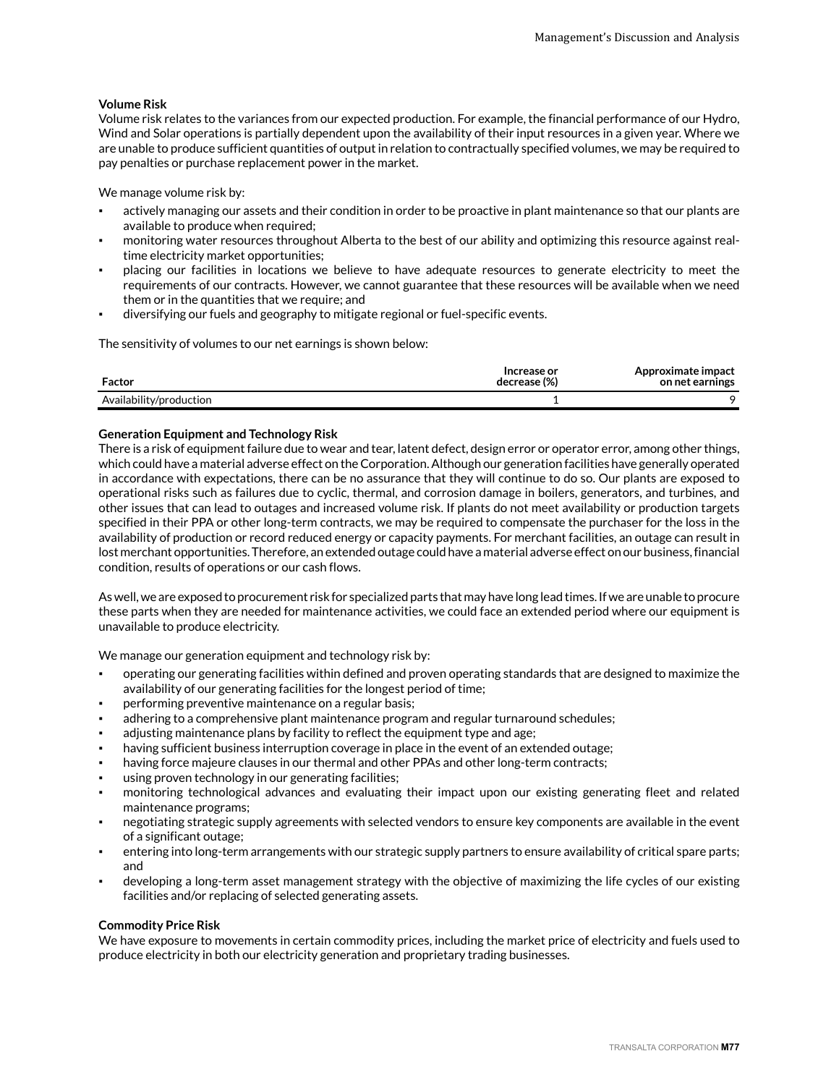#### **Volume Risk**

Volume risk relates to the variances from our expected production. For example, the financial performance of our Hydro, Wind and Solar operations is partially dependent upon the availability of their input resources in a given year. Where we are unable to produce sufficient quantities of output in relation to contractually specified volumes, we may be required to pay penalties or purchase replacement power in the market.

We manage volume risk by:

- actively managing our assets and their condition in order to be proactive in plant maintenance so that our plants are available to produce when required;
- monitoring water resources throughout Alberta to the best of our ability and optimizing this resource against realtime electricity market opportunities;
- placing our facilities in locations we believe to have adequate resources to generate electricity to meet the requirements of our contracts. However, we cannot guarantee that these resources will be available when we need them or in the quantities that we require; and
- diversifying our fuels and geography to mitigate regional or fuel-specific events.

The sensitivity of volumes to our net earnings is shown below:

| Factor                  | Increase or<br>decrease (%) | Approximate impact<br>on net earnings |
|-------------------------|-----------------------------|---------------------------------------|
| Availability/production |                             |                                       |

#### **Generation Equipment and Technology Risk**

There is a risk of equipment failure due to wear and tear, latent defect, design error or operator error, among other things, which could have a material adverse effect on the Corporation. Although our generation facilities have generally operated in accordance with expectations, there can be no assurance that they will continue to do so. Our plants are exposed to operational risks such as failures due to cyclic, thermal, and corrosion damage in boilers, generators, and turbines, and other issues that can lead to outages and increased volume risk. If plants do not meet availability or production targets specified in their PPA or other long-term contracts, we may be required to compensate the purchaser for the loss in the availability of production or record reduced energy or capacity payments. For merchant facilities, an outage can result in lost merchant opportunities. Therefore, an extended outage could have a material adverse effect on our business, financial condition, results of operations or our cash flows.

As well, we are exposed to procurement risk for specialized parts that may have long lead times. If we are unable to procure these parts when they are needed for maintenance activities, we could face an extended period where our equipment is unavailable to produce electricity.

We manage our generation equipment and technology risk by:

- operating our generating facilities within defined and proven operating standards that are designed to maximize the availability of our generating facilities for the longest period of time;
- performing preventive maintenance on a regular basis;
- adhering to a comprehensive plant maintenance program and regular turnaround schedules;
- adjusting maintenance plans by facility to reflect the equipment type and age;
- having sufficient business interruption coverage in place in the event of an extended outage;
- having force majeure clauses in our thermal and other PPAs and other long-term contracts;
- using proven technology in our generating facilities;
- monitoring technological advances and evaluating their impact upon our existing generating fleet and related maintenance programs;
- negotiating strategic supply agreements with selected vendors to ensure key components are available in the event of a significant outage;
- entering into long-term arrangements with our strategic supply partners to ensure availability of critical spare parts; and
- developing a long-term asset management strategy with the objective of maximizing the life cycles of our existing facilities and/or replacing of selected generating assets.

#### **Commodity Price Risk**

We have exposure to movements in certain commodity prices, including the market price of electricity and fuels used to produce electricity in both our electricity generation and proprietary trading businesses.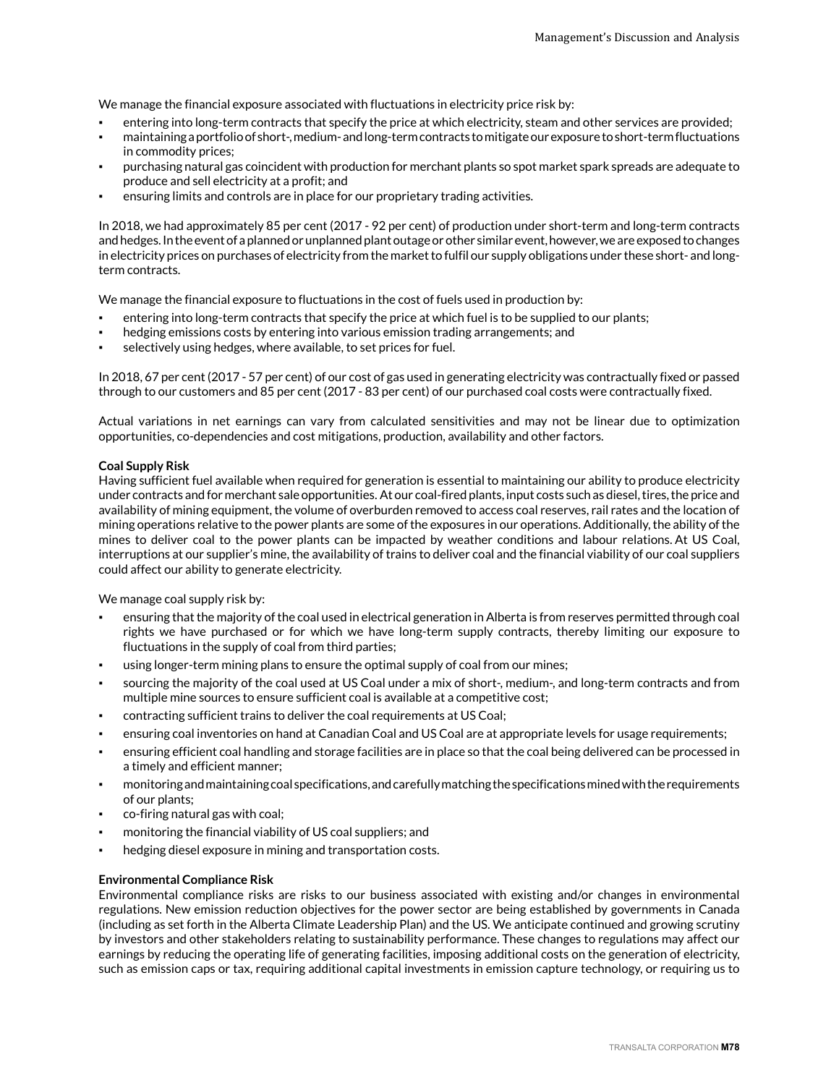We manage the financial exposure associated with fluctuations in electricity price risk by:

- entering into long-term contracts that specify the price at which electricity, steam and other services are provided;
- maintaining a portfolio of short-, medium- and long-term contracts to mitigate our exposure to short-term fluctuations in commodity prices;
- purchasing natural gas coincident with production for merchant plants so spot market spark spreads are adequate to produce and sell electricity at a profit; and
- ensuring limits and controls are in place for our proprietary trading activities.

In 2018, we had approximately 85 per cent (2017 - 92 per cent) of production under short-term and long-term contracts and hedges. In the event of a planned or unplanned plant outage or other similar event, however, we are exposed to changes in electricity prices on purchases of electricity from the market to fulfil our supply obligations under these short- and longterm contracts.

We manage the financial exposure to fluctuations in the cost of fuels used in production by:

- entering into long-term contracts that specify the price at which fuel is to be supplied to our plants;
- hedging emissions costs by entering into various emission trading arrangements; and
- selectively using hedges, where available, to set prices for fuel.

In 2018, 67 per cent (2017 - 57 per cent) of our cost of gas used in generating electricity was contractually fixed or passed through to our customers and 85 per cent (2017 - 83 per cent) of our purchased coal costs were contractually fixed.

Actual variations in net earnings can vary from calculated sensitivities and may not be linear due to optimization opportunities, co-dependencies and cost mitigations, production, availability and other factors.

#### **Coal Supply Risk**

Having sufficient fuel available when required for generation is essential to maintaining our ability to produce electricity under contracts and for merchant sale opportunities. At our coal-fired plants, input costs such as diesel, tires, the price and availability of mining equipment, the volume of overburden removed to access coal reserves, rail rates and the location of mining operations relative to the power plants are some of the exposures in our operations. Additionally, the ability of the mines to deliver coal to the power plants can be impacted by weather conditions and labour relations. At US Coal, interruptions at our supplier's mine, the availability of trains to deliver coal and the financial viability of our coal suppliers could affect our ability to generate electricity.

We manage coal supply risk by:

- ensuring that the majority of the coal used in electrical generation in Alberta is from reserves permitted through coal rights we have purchased or for which we have long-term supply contracts, thereby limiting our exposure to fluctuations in the supply of coal from third parties;
- using longer-term mining plans to ensure the optimal supply of coal from our mines;
- sourcing the majority of the coal used at US Coal under a mix of short-, medium-, and long-term contracts and from multiple mine sources to ensure sufficient coal is available at a competitive cost;
- contracting sufficient trains to deliver the coal requirements at US Coal;
- ensuring coal inventories on hand at Canadian Coal and US Coal are at appropriate levels for usage requirements;
- ensuring efficient coal handling and storage facilities are in place so that the coal being delivered can be processed in a timely and efficient manner;
- monitoring and maintaining coal specifications, and carefully matching the specifications mined with the requirements of our plants;
- co-firing natural gas with coal;
- monitoring the financial viability of US coal suppliers; and
- hedging diesel exposure in mining and transportation costs.

#### **Environmental Compliance Risk**

Environmental compliance risks are risks to our business associated with existing and/or changes in environmental regulations. New emission reduction objectives for the power sector are being established by governments in Canada (including as set forth in the Alberta Climate Leadership Plan) and the US. We anticipate continued and growing scrutiny by investors and other stakeholders relating to sustainability performance. These changes to regulations may affect our earnings by reducing the operating life of generating facilities, imposing additional costs on the generation of electricity, such as emission caps or tax, requiring additional capital investments in emission capture technology, or requiring us to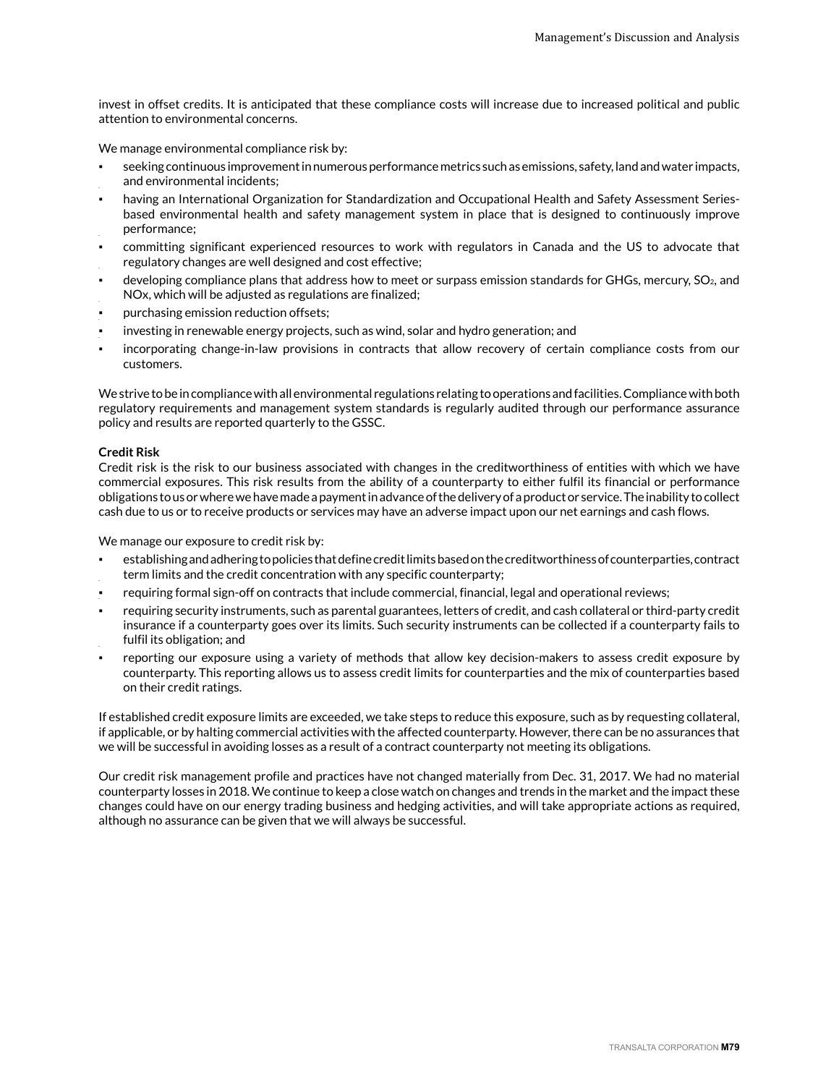invest in offset credits. It is anticipated that these compliance costs will increase due to increased political and public attention to environmental concerns.

We manage environmental compliance risk by:

- seeking continuous improvement in numerous performance metrics such as emissions, safety, land and water impacts, and environmental incidents;
- having an International Organization for Standardization and Occupational Health and Safety Assessment Seriesbased environmental health and safety management system in place that is designed to continuously improve performance;
- committing significant experienced resources to work with regulators in Canada and the US to advocate that regulatory changes are well designed and cost effective;
- developing compliance plans that address how to meet or surpass emission standards for GHGs, mercury, SO<sub>2</sub>, and NOx, which will be adjusted as regulations are finalized;
- purchasing emission reduction offsets;
- investing in renewable energy projects, such as wind, solar and hydro generation; and
- incorporating change-in-law provisions in contracts that allow recovery of certain compliance costs from our customers.

We strive to be in compliance with all environmental regulations relating to operations and facilities. Compliance with both regulatory requirements and management system standards is regularly audited through our performance assurance policy and results are reported quarterly to the GSSC.

#### **Credit Risk**

Credit risk is the risk to our business associated with changes in the creditworthiness of entities with which we have commercial exposures. This risk results from the ability of a counterparty to either fulfil its financial or performance obligations to us or where we have made a payment in advance of the delivery of a product or service. The inability to collect cash due to us or to receive products or services may have an adverse impact upon our net earnings and cash flows.

We manage our exposure to credit risk by:

- establishing and adhering to policies that define credit limits based on the creditworthiness of counterparties, contract term limits and the credit concentration with any specific counterparty;
- requiring formal sign-off on contracts that include commercial, financial, legal and operational reviews;
- requiring security instruments, such as parental guarantees, letters of credit, and cash collateral or third-party credit insurance if a counterparty goes over its limits. Such security instruments can be collected if a counterparty fails to fulfil its obligation; and
- reporting our exposure using a variety of methods that allow key decision-makers to assess credit exposure by counterparty. This reporting allows us to assess credit limits for counterparties and the mix of counterparties based on their credit ratings.

If established credit exposure limits are exceeded, we take steps to reduce this exposure, such as by requesting collateral, if applicable, or by halting commercial activities with the affected counterparty. However, there can be no assurances that we will be successful in avoiding losses as a result of a contract counterparty not meeting its obligations.

Our credit risk management profile and practices have not changed materially from Dec. 31, 2017. We had no material counterparty losses in 2018. We continue to keep a close watch on changes and trends in the market and the impact these changes could have on our energy trading business and hedging activities, and will take appropriate actions as required, although no assurance can be given that we will always be successful.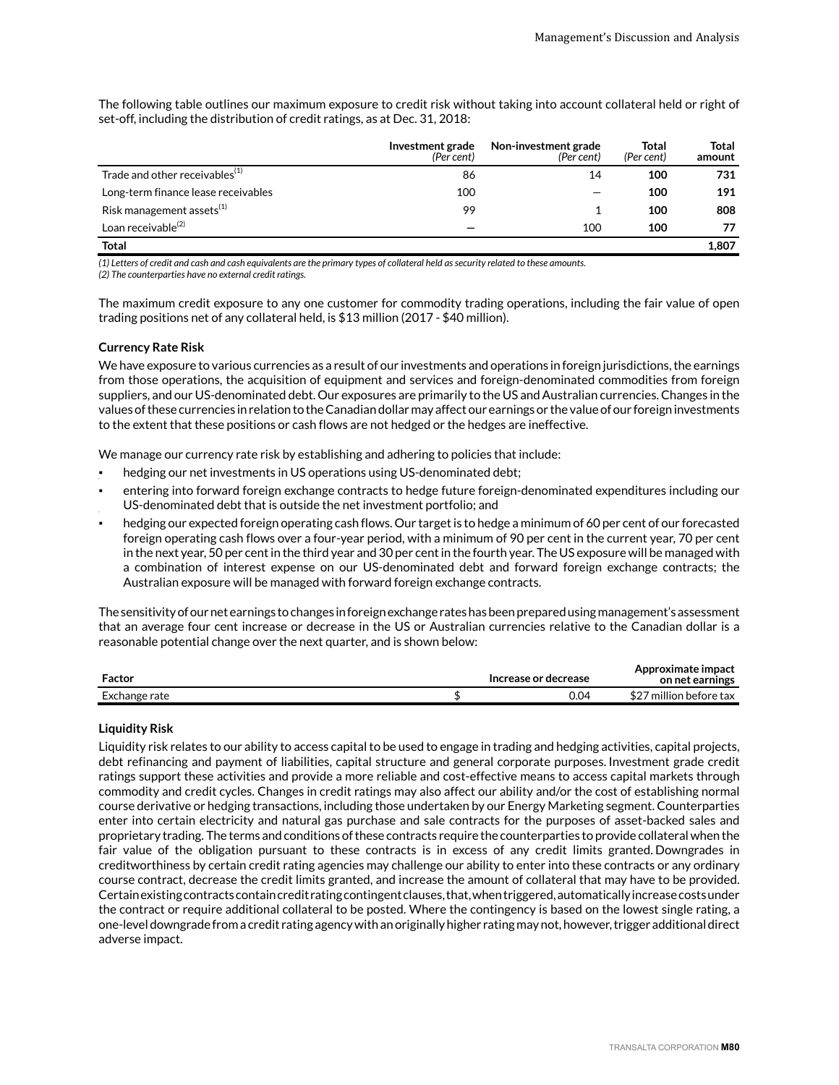The following table outlines our maximum exposure to credit risk without taking into account collateral held or right of set-off, including the distribution of credit ratings, as at Dec. 31, 2018:

|                                            | Investment grade<br>(Per cent) | Non-investment grade<br>(Per cent) | Total<br>(Per cent) | Total<br>amount |
|--------------------------------------------|--------------------------------|------------------------------------|---------------------|-----------------|
| Trade and other receivables <sup>(1)</sup> | 86                             | 14                                 | 100                 | 731             |
| Long-term finance lease receivables        | 100                            |                                    | 100                 | 191             |
| Risk management assets $^{(1)}$            | 99                             |                                    | 100                 | 808             |
| Loan receivable <sup>(2)</sup>             |                                | 100                                | 100                 | 77              |
| <b>Total</b>                               |                                |                                    |                     | 1.807           |

*(1) Letters of credit and cash and cash equivalents are the primary types of collateral held as security related to these amounts.* 

*(2) The counterparties have no external credit ratings.* 

The maximum credit exposure to any one customer for commodity trading operations, including the fair value of open trading positions net of any collateral held, is \$13 million (2017 - \$40 million).

#### **Currency Rate Risk**

We have exposure to various currencies as a result of our investments and operations in foreign jurisdictions, the earnings from those operations, the acquisition of equipment and services and foreign-denominated commodities from foreign suppliers, and our US-denominated debt. Our exposures are primarily to the US and Australian currencies. Changes in the values of these currencies in relation to the Canadian dollar may affect our earnings or the value of our foreign investments to the extent that these positions or cash flows are not hedged or the hedges are ineffective.

We manage our currency rate risk by establishing and adhering to policies that include:

- hedging our net investments in US operations using US-denominated debt;
- entering into forward foreign exchange contracts to hedge future foreign-denominated expenditures including our US-denominated debt that is outside the net investment portfolio; and
- hedging our expected foreign operating cash flows. Our target is to hedge a minimum of 60 per cent of our forecasted foreign operating cash flows over a four-year period, with a minimum of 90 per cent in the current year, 70 per cent in the next year, 50 per cent in the third year and 30 per cent in the fourth year. The US exposure will be managed with a combination of interest expense on our US-denominated debt and forward foreign exchange contracts; the Australian exposure will be managed with forward foreign exchange contracts.

The sensitivity of our net earnings to changes in foreign exchange rates has been prepared using management's assessment that an average four cent increase or decrease in the US or Australian currencies relative to the Canadian dollar is a reasonable potential change over the next quarter, and is shown below:

| Factor        | Increase or decrease | Approximate impact<br>on net earnings |
|---------------|----------------------|---------------------------------------|
| Exchange rate | 0.04                 | <br>million before tax                |

#### **Liquidity Risk**

Liquidity risk relates to our ability to access capital to be used to engage in trading and hedging activities, capital projects, debt refinancing and payment of liabilities, capital structure and general corporate purposes. Investment grade credit ratings support these activities and provide a more reliable and cost-effective means to access capital markets through commodity and credit cycles. Changes in credit ratings may also affect our ability and/or the cost of establishing normal course derivative or hedging transactions, including those undertaken by our Energy Marketing segment. Counterparties enter into certain electricity and natural gas purchase and sale contracts for the purposes of asset-backed sales and proprietary trading. The terms and conditions of these contracts require the counterparties to provide collateral when the fair value of the obligation pursuant to these contracts is in excess of any credit limits granted. Downgrades in creditworthiness by certain credit rating agencies may challenge our ability to enter into these contracts or any ordinary course contract, decrease the credit limits granted, and increase the amount of collateral that may have to be provided. Certain existing contracts contain credit rating contingent clauses, that, when triggered, automatically increase costs under the contract or require additional collateral to be posted. Where the contingency is based on the lowest single rating, a one-level downgrade from a credit rating agency with an originally higher rating may not, however, trigger additional direct adverse impact.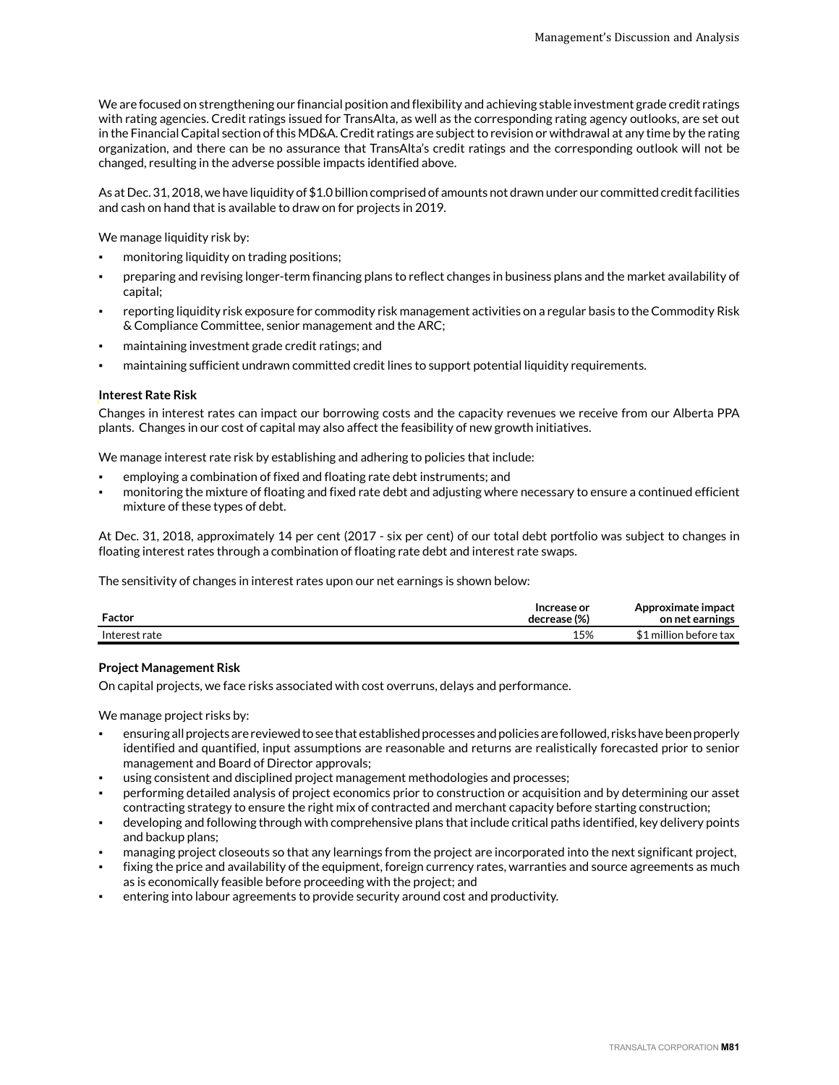We are focused on strengthening our financial position and flexibility and achieving stable investment grade credit ratings with rating agencies. Credit ratings issued for TransAlta, as well as the corresponding rating agency outlooks, are set out in the Financial Capital section of this MD&A. Credit ratings are subject to revision or withdrawal at any time by the rating organization, and there can be no assurance that TransAlta's credit ratings and the corresponding outlook will not be changed, resulting in the adverse possible impacts identified above.

As at Dec. 31, 2018, we have liquidity of \$1.0 billion comprised of amounts not drawn under our committed credit facilities and cash on hand that is available to draw on for projects in 2019.

We manage liquidity risk by:

- monitoring liquidity on trading positions;
- preparing and revising longer-term financing plans to reflect changes in business plans and the market availability of capital;
- reporting liquidity risk exposure for commodity risk management activities on a regular basis to the Commodity Risk & Compliance Committee, senior management and the ARC;
- maintaining investment grade credit ratings; and
- maintaining sufficient undrawn committed credit lines to support potential liquidity requirements.

#### **Interest Rate Risk**

Changes in interest rates can impact our borrowing costs and the capacity revenues we receive from our Alberta PPA plants. Changes in our cost of capital may also affect the feasibility of new growth initiatives.

We manage interest rate risk by establishing and adhering to policies that include:

- emploving a combination of fixed and floating rate debt instruments; and
- monitoring the mixture of floating and fixed rate debt and adjusting where necessary to ensure a continued efficient mixture of these types of debt.

At Dec. 31, 2018, approximately 14 per cent (2017 - six per cent) of our total debt portfolio was subject to changes in floating interest rates through a combination of floating rate debt and interest rate swaps.

The sensitivity of changes in interest rates upon our net earnings is shown below:

| Factor        | Increase or<br>decrease (%) | Approximate impact<br>on net earnings |
|---------------|-----------------------------|---------------------------------------|
| Interest rate | 15%                         | L million before tax                  |

#### **Project Management Risk**

On capital projects, we face risks associated with cost overruns, delays and performance.

We manage project risks by:

- ensuring all projects are reviewed to see that established processes and policies are followed, risks have been properly identified and quantified, input assumptions are reasonable and returns are realistically forecasted prior to senior management and Board of Director approvals;
- using consistent and disciplined project management methodologies and processes;
- performing detailed analysis of project economics prior to construction or acquisition and by determining our asset contracting strategy to ensure the right mix of contracted and merchant capacity before starting construction;
- developing and following through with comprehensive plans that include critical paths identified, key delivery points and backup plans;
- managing project closeouts so that any learnings from the project are incorporated into the next significant project,
- fixing the price and availability of the equipment, foreign currency rates, warranties and source agreements as much as is economically feasible before proceeding with the project; and
- entering into labour agreements to provide security around cost and productivity.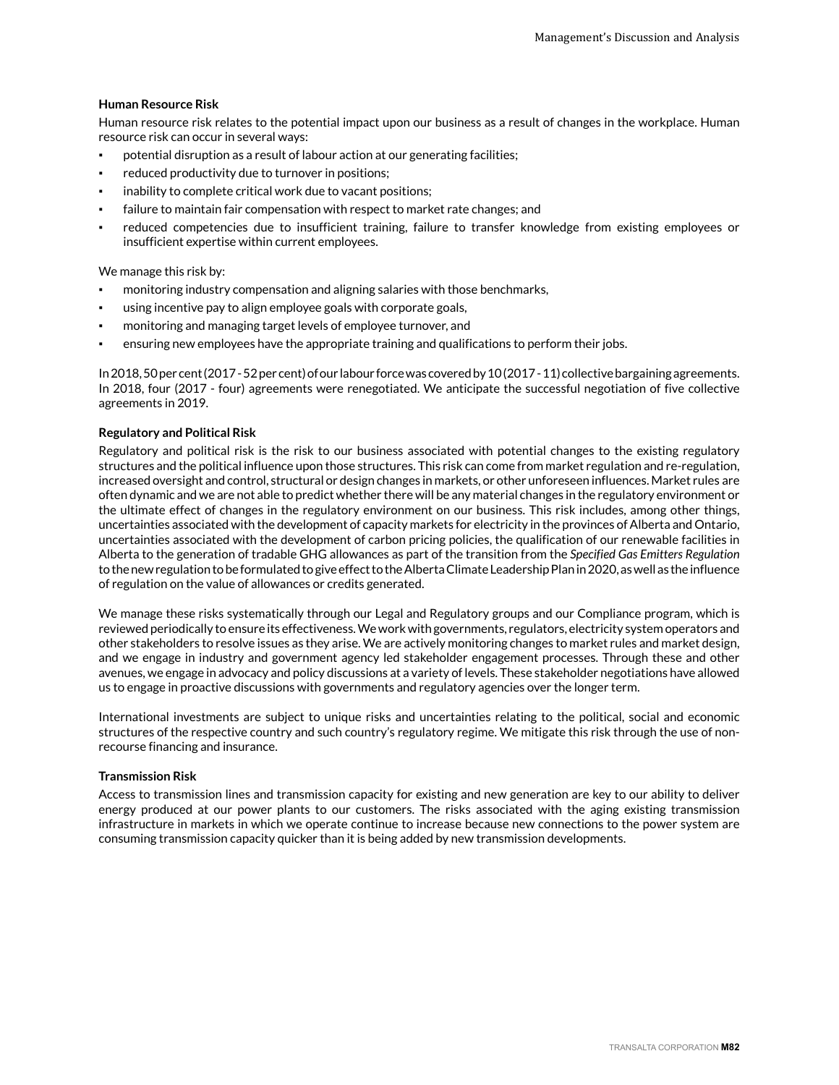#### **Human Resource Risk**

Human resource risk relates to the potential impact upon our business as a result of changes in the workplace. Human resource risk can occur in several ways:

- potential disruption as a result of labour action at our generating facilities;
- reduced productivity due to turnover in positions;
- inability to complete critical work due to vacant positions;
- failure to maintain fair compensation with respect to market rate changes; and
- reduced competencies due to insufficient training, failure to transfer knowledge from existing employees or insufficient expertise within current employees.

We manage this risk by:

- monitoring industry compensation and aligning salaries with those benchmarks,
- using incentive pay to align employee goals with corporate goals,
- monitoring and managing target levels of employee turnover, and
- ensuring new employees have the appropriate training and qualifications to perform their jobs.

In 2018, 50 per cent (2017 - 52 per cent) of our labour force was covered by 10 (2017 - 11) collective bargaining agreements. In 2018, four (2017 - four) agreements were renegotiated. We anticipate the successful negotiation of five collective agreements in 2019.

#### **Regulatory and Political Risk**

Regulatory and political risk is the risk to our business associated with potential changes to the existing regulatory structures and the political influence upon those structures. This risk can come from market regulation and re-regulation, increased oversight and control, structural or design changes in markets, or other unforeseen influences. Market rules are often dynamic and we are not able to predict whether there will be any material changes in the regulatory environment or the ultimate effect of changes in the regulatory environment on our business. This risk includes, among other things, uncertainties associated with the development of capacity markets for electricity in the provinces of Alberta and Ontario, uncertainties associated with the development of carbon pricing policies, the qualification of our renewable facilities in Alberta to the generation of tradable GHG allowances as part of the transition from the *Specified Gas Emitters Regulation* to the new regulation to be formulated to give effect to the Alberta Climate Leadership Plan in 2020, as well as the influence of regulation on the value of allowances or credits generated.

We manage these risks systematically through our Legal and Regulatory groups and our Compliance program, which is reviewed periodically to ensure its effectiveness. We work with governments, regulators, electricity system operators and other stakeholders to resolve issues as they arise. We are actively monitoring changes to market rules and market design, and we engage in industry and government agency led stakeholder engagement processes. Through these and other avenues, we engage in advocacy and policy discussions at a variety of levels. These stakeholder negotiations have allowed us to engage in proactive discussions with governments and regulatory agencies over the longer term.

International investments are subject to unique risks and uncertainties relating to the political, social and economic structures of the respective country and such country's regulatory regime. We mitigate this risk through the use of nonrecourse financing and insurance.

#### **Transmission Risk**

Access to transmission lines and transmission capacity for existing and new generation are key to our ability to deliver energy produced at our power plants to our customers. The risks associated with the aging existing transmission infrastructure in markets in which we operate continue to increase because new connections to the power system are consuming transmission capacity quicker than it is being added by new transmission developments.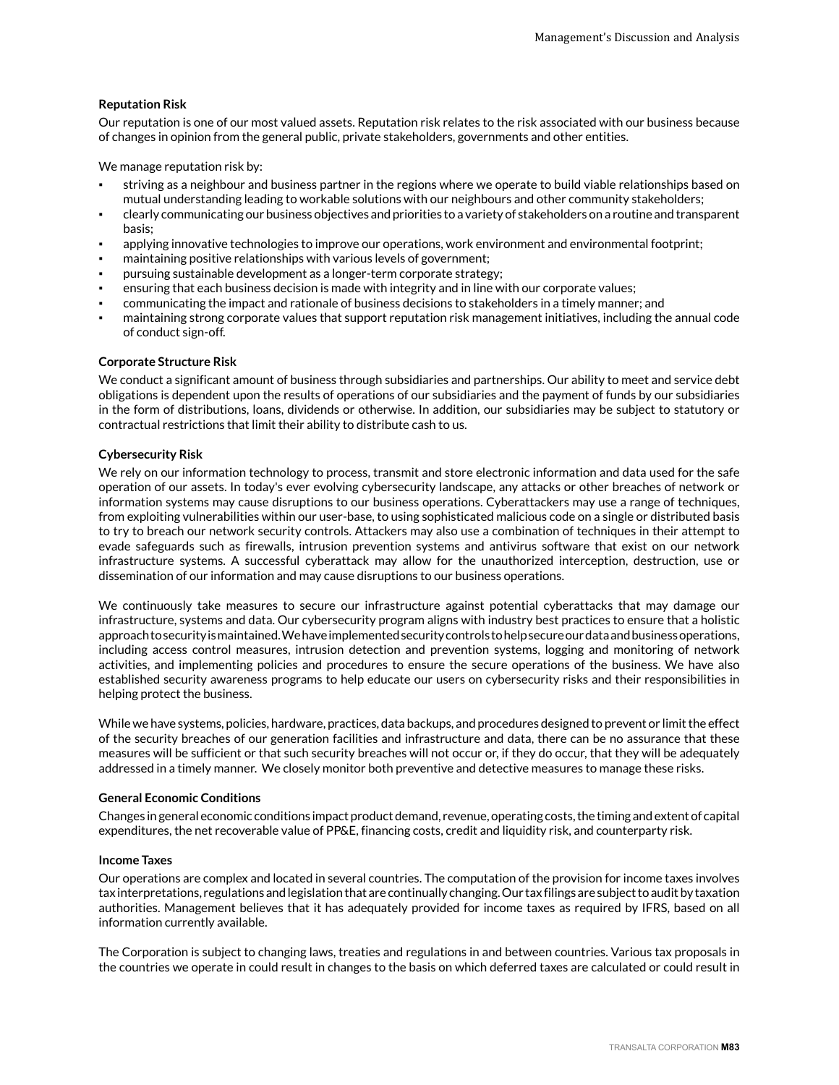#### **Reputation Risk**

Our reputation is one of our most valued assets. Reputation risk relates to the risk associated with our business because of changes in opinion from the general public, private stakeholders, governments and other entities.

We manage reputation risk by:

- striving as a neighbour and business partner in the regions where we operate to build viable relationships based on mutual understanding leading to workable solutions with our neighbours and other community stakeholders;
- clearly communicating our business objectives and priorities to a variety of stakeholders on a routine and transparent basis;
- applying innovative technologies to improve our operations, work environment and environmental footprint;
- maintaining positive relationships with various levels of government;
- pursuing sustainable development as a longer-term corporate strategy;
- ensuring that each business decision is made with integrity and in line with our corporate values;
- communicating the impact and rationale of business decisions to stakeholders in a timely manner; and
- maintaining strong corporate values that support reputation risk management initiatives, including the annual code of conduct sign-off.

#### **Corporate Structure Risk**

We conduct a significant amount of business through subsidiaries and partnerships. Our ability to meet and service debt obligations is dependent upon the results of operations of our subsidiaries and the payment of funds by our subsidiaries in the form of distributions, loans, dividends or otherwise. In addition, our subsidiaries may be subject to statutory or contractual restrictions that limit their ability to distribute cash to us.

#### **Cybersecurity Risk**

We rely on our information technology to process, transmit and store electronic information and data used for the safe operation of our assets. In today's ever evolving cybersecurity landscape, any attacks or other breaches of network or information systems may cause disruptions to our business operations. Cyberattackers may use a range of techniques, from exploiting vulnerabilities within our user-base, to using sophisticated malicious code on a single or distributed basis to try to breach our network security controls. Attackers may also use a combination of techniques in their attempt to evade safeguards such as firewalls, intrusion prevention systems and antivirus software that exist on our network infrastructure systems. A successful cyberattack may allow for the unauthorized interception, destruction, use or dissemination of our information and may cause disruptions to our business operations.

We continuously take measures to secure our infrastructure against potential cyberattacks that may damage our infrastructure, systems and data. Our cybersecurity program aligns with industry best practices to ensure that a holistic approach to security is maintained. We have implemented security controls to help secure our data and business operations, including access control measures, intrusion detection and prevention systems, logging and monitoring of network activities, and implementing policies and procedures to ensure the secure operations of the business. We have also established security awareness programs to help educate our users on cybersecurity risks and their responsibilities in helping protect the business.

While we have systems, policies, hardware, practices, data backups, and procedures designed to prevent or limit the effect of the security breaches of our generation facilities and infrastructure and data, there can be no assurance that these measures will be sufficient or that such security breaches will not occur or, if they do occur, that they will be adequately addressed in a timely manner. We closely monitor both preventive and detective measures to manage these risks.

#### **General Economic Conditions**

Changes in general economic conditions impact product demand, revenue, operating costs, the timing and extent of capital expenditures, the net recoverable value of PP&E, financing costs, credit and liquidity risk, and counterparty risk.

#### **Income Taxes**

Our operations are complex and located in several countries. The computation of the provision for income taxes involves tax interpretations, regulations and legislation that are continually changing. Our tax filings are subject to audit by taxation authorities. Management believes that it has adequately provided for income taxes as required by IFRS, based on all information currently available.

The Corporation is subject to changing laws, treaties and regulations in and between countries. Various tax proposals in the countries we operate in could result in changes to the basis on which deferred taxes are calculated or could result in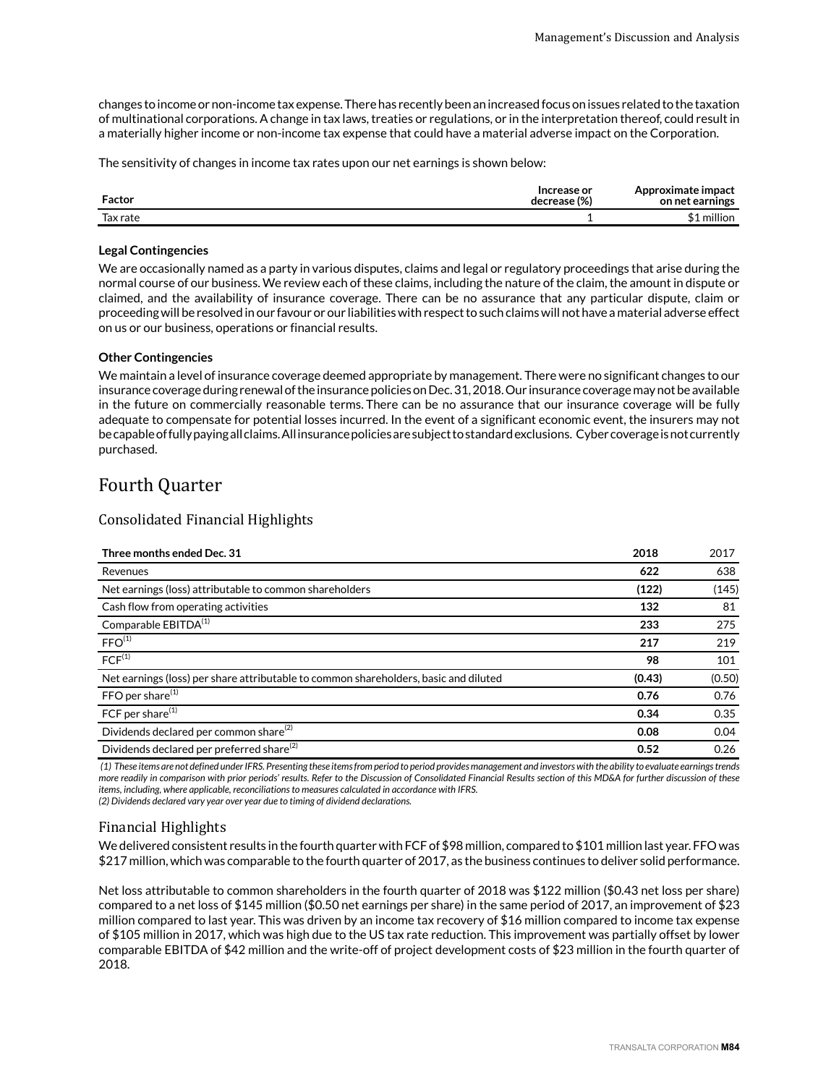changes to income or non-income tax expense. There has recently been an increased focus on issues related to the taxation of multinational corporations. A change in tax laws, treaties or regulations, or in the interpretation thereof, could result in a materially higher income or non-income tax expense that could have a material adverse impact on the Corporation.

The sensitivity of changes in income tax rates upon our net earnings is shown below:

| Factor   | Increase or<br>decrease (%) | Approximate impact<br>on net earnings |
|----------|-----------------------------|---------------------------------------|
| Tax rate |                             | million                               |

#### **Legal Contingencies**

We are occasionally named as a party in various disputes, claims and legal or regulatory proceedings that arise during the normal course of our business. We review each of these claims, including the nature of the claim, the amount in dispute or claimed, and the availability of insurance coverage. There can be no assurance that any particular dispute, claim or proceeding will be resolved in our favour or our liabilities with respect to such claims will not have a material adverse effect on us or our business, operations or financial results.

#### **Other Contingencies**

We maintain a level of insurance coverage deemed appropriate by management. There were no significant changes to our insurance coverage during renewal of the insurance policies on Dec. 31, 2018. Our insurance coverage may not be available in the future on commercially reasonable terms. There can be no assurance that our insurance coverage will be fully adequate to compensate for potential losses incurred. In the event of a significant economic event, the insurers may not be capable of fully paying all claims. All insurance policies are subject to standard exclusions. Cyber coverage is not currently purchased.

## Fourth Quarter

### Consolidated Financial Highlights

| Three months ended Dec. 31                                                           | 2018   | 2017   |
|--------------------------------------------------------------------------------------|--------|--------|
| Revenues                                                                             | 622    | 638    |
| Net earnings (loss) attributable to common shareholders                              | (122)  | (145)  |
| Cash flow from operating activities                                                  | 132    | 81     |
| Comparable EBITDA <sup>(1)</sup>                                                     | 233    | 275    |
| FFO <sup>(1)</sup>                                                                   | 217    | 219    |
| $FCF^{(1)}$                                                                          | 98     | 101    |
| Net earnings (loss) per share attributable to common shareholders, basic and diluted | (0.43) | (0.50) |
| FFO per share $(1)$                                                                  | 0.76   | 0.76   |
| FCF per share $(1)$                                                                  | 0.34   | 0.35   |
| Dividends declared per common share <sup>(2)</sup>                                   | 0.08   | 0.04   |
| Dividends declared per preferred share <sup>(2)</sup>                                | 0.52   | 0.26   |

 *(1) These items are not defined under IFRS. Presenting these items from period to period provides management and investors with the ability to evaluate earnings trends more readily in comparison with prior periods' results. Refer to the Discussion of Consolidated Financial Results section of this MD&A for further discussion of these items, including, where applicable, reconciliations to measures calculated in accordance with IFRS. (2) Dividends declared vary year over year due to timing of dividend declarations.* 

#### Financial Highlights

We delivered consistent results in the fourth quarter with FCF of \$98 million, compared to \$101 million last year. FFO was \$217 million, which was comparable to the fourth quarter of 2017, as the business continues to deliver solid performance.

Net loss attributable to common shareholders in the fourth quarter of 2018 was \$122 million (\$0.43 net loss per share) compared to a net loss of \$145 million (\$0.50 net earnings per share) in the same period of 2017, an improvement of \$23 million compared to last year. This was driven by an income tax recovery of \$16 million compared to income tax expense of \$105 million in 2017, which was high due to the US tax rate reduction. This improvement was partially offset by lower comparable EBITDA of \$42 million and the write-off of project development costs of \$23 million in the fourth quarter of 2018.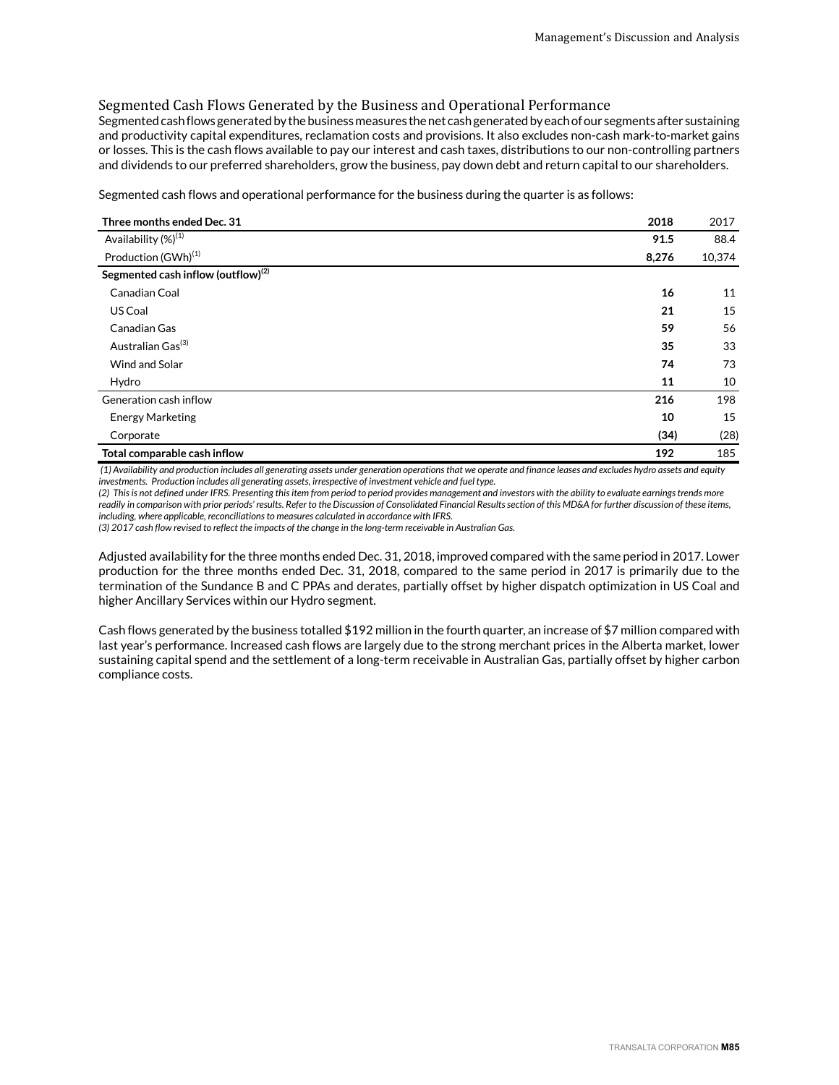### Segmented Cash Flows Generated by the Business and Operational Performance

Segmented cash flows generated by the business measures the net cash generated by each of our segments after sustaining and productivity capital expenditures, reclamation costs and provisions. It also excludes non-cash mark-to-market gains or losses. This is the cash flows available to pay our interest and cash taxes, distributions to our non-controlling partners and dividends to our preferred shareholders, grow the business, pay down debt and return capital to our shareholders.

Segmented cash flows and operational performance for the business during the quarter is as follows:

| Three months ended Dec. 31                     | 2018  | 2017   |
|------------------------------------------------|-------|--------|
| Availability (%) <sup>(1)</sup>                | 91.5  | 88.4   |
| Production (GWh) <sup>(1)</sup>                | 8,276 | 10,374 |
| Segmented cash inflow (outflow) <sup>(2)</sup> |       |        |
| Canadian Coal                                  | 16    | 11     |
| US Coal                                        | 21    | 15     |
| Canadian Gas                                   | 59    | 56     |
| Australian Gas <sup>(3)</sup>                  | 35    | 33     |
| Wind and Solar                                 | 74    | 73     |
| Hydro                                          | 11    | 10     |
| Generation cash inflow                         | 216   | 198    |
| <b>Energy Marketing</b>                        | 10    | 15     |
| Corporate                                      | (34)  | (28)   |
| Total comparable cash inflow                   | 192   | 185    |

 *(1) Availability and production includes all generating assets under generation operations that we operate and finance leases and excludes hydro assets and equity investments. Production includes all generating assets, irrespective of investment vehicle and fuel type.*

*(2) This is not defined under IFRS. Presenting this item from period to period provides management and investors with the ability to evaluate earnings trends more readily in comparison with prior periods' results. Refer to the Discussion of Consolidated Financial Results section of this MD&A for further discussion of these items, including, where applicable, reconciliations to measures calculated in accordance with IFRS.*

*(3) 2017 cash flow revised to reflect the impacts of the change in the long-term receivable in Australian Gas.*

Adjusted availability for the three months ended Dec. 31, 2018, improved compared with the same period in 2017. Lower production for the three months ended Dec. 31, 2018, compared to the same period in 2017 is primarily due to the termination of the Sundance B and C PPAs and derates, partially offset by higher dispatch optimization in US Coal and higher Ancillary Services within our Hydro segment.

Cash flows generated by the business totalled \$192 million in the fourth quarter, an increase of \$7 million compared with last year's performance. Increased cash flows are largely due to the strong merchant prices in the Alberta market, lower sustaining capital spend and the settlement of a long-term receivable in Australian Gas, partially offset by higher carbon compliance costs.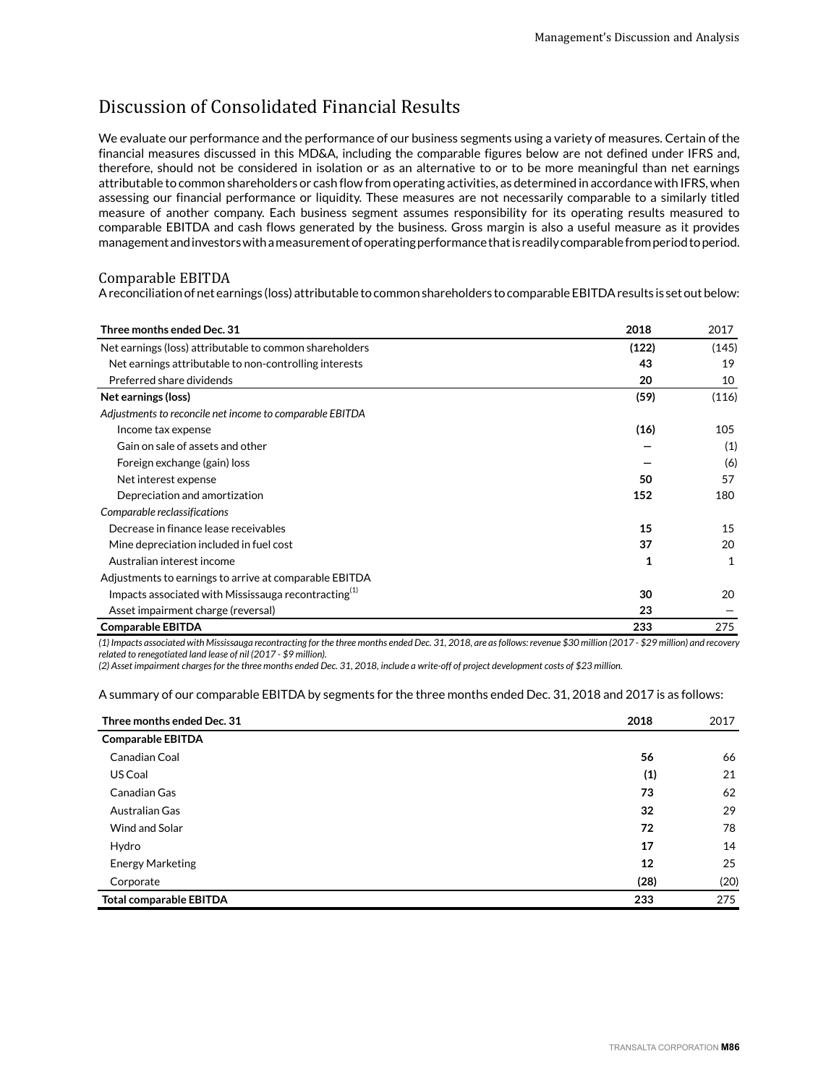# Discussion of Consolidated Financial Results

We evaluate our performance and the performance of our business segments using a variety of measures. Certain of the financial measures discussed in this MD&A, including the comparable figures below are not defined under IFRS and, therefore, should not be considered in isolation or as an alternative to or to be more meaningful than net earnings attributable to common shareholders or cash flow from operating activities, as determined in accordance with IFRS, when assessing our financial performance or liquidity. These measures are not necessarily comparable to a similarly titled measure of another company. Each business segment assumes responsibility for its operating results measured to comparable EBITDA and cash flows generated by the business. Gross margin is also a useful measure as it provides management and investors with a measurement of operating performance that is readily comparable from period to period.

#### Comparable EBITDA

A reconciliation of net earnings (loss) attributable to common shareholders to comparable EBITDA results is set out below:

| Three months ended Dec. 31                               | 2018  | 2017  |
|----------------------------------------------------------|-------|-------|
| Net earnings (loss) attributable to common shareholders  | (122) | (145) |
| Net earnings attributable to non-controlling interests   | 43    | 19    |
| Preferred share dividends                                | 20    | 10    |
| Net earnings (loss)                                      | (59)  | (116) |
| Adjustments to reconcile net income to comparable EBITDA |       |       |
| Income tax expense                                       | (16)  | 105   |
| Gain on sale of assets and other                         |       | (1)   |
| Foreign exchange (gain) loss                             |       | (6)   |
| Net interest expense                                     | 50    | 57    |
| Depreciation and amortization                            | 152   | 180   |
| Comparable reclassifications                             |       |       |
| Decrease in finance lease receivables                    | 15    | 15    |
| Mine depreciation included in fuel cost                  | 37    | 20    |
| Australian interest income                               | 1     | 1     |
| Adjustments to earnings to arrive at comparable EBITDA   |       |       |
| Impacts associated with Mississauga recontracting $(1)$  | 30    | 20    |
| Asset impairment charge (reversal)                       | 23    |       |
| <b>Comparable EBITDA</b>                                 | 233   | 275   |

*(1) Impacts associated with Mississauga recontracting for the three months ended Dec. 31, 2018, are as follows: revenue \$30 million (2017 - \$29 million) and recovery related to renegotiated land lease of nil (2017 - \$9 million).* 

*(2) Asset impairment charges for the three months ended Dec. 31, 2018, include a write-off of project development costs of \$23 million.*

A summary of our comparable EBITDA by segments for the three months ended Dec. 31, 2018 and 2017 is as follows:

| Three months ended Dec. 31     | 2018 | 2017 |
|--------------------------------|------|------|
| <b>Comparable EBITDA</b>       |      |      |
| Canadian Coal                  | 56   | 66   |
| US Coal                        | (1)  | 21   |
| Canadian Gas                   | 73   | 62   |
| Australian Gas                 | 32   | 29   |
| Wind and Solar                 | 72   | 78   |
| Hydro                          | 17   | 14   |
| <b>Energy Marketing</b>        | 12   | 25   |
| Corporate                      | (28) | (20) |
| <b>Total comparable EBITDA</b> | 233  | 275  |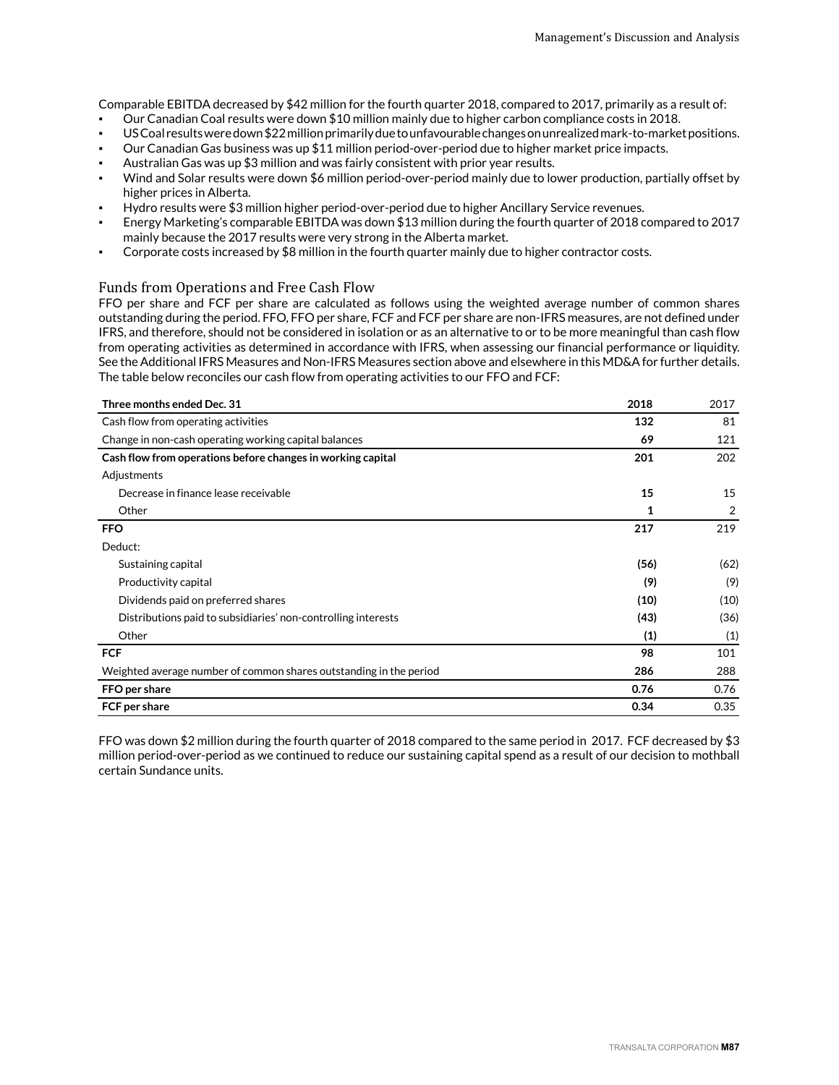Comparable EBITDA decreased by \$42 million for the fourth quarter 2018, compared to 2017, primarily as a result of:

- Our Canadian Coal results were down \$10 million mainly due to higher carbon compliance costs in 2018.
- US Coal results were down \$22 million primarily due to unfavourable changes on unrealized mark-to-market positions.
- Our Canadian Gas business was up \$11 million period-over-period due to higher market price impacts.
- Australian Gas was up \$3 million and was fairly consistent with prior year results.
- Wind and Solar results were down \$6 million period-over-period mainly due to lower production, partially offset by higher prices in Alberta.
- Hydro results were \$3 million higher period-over-period due to higher Ancillary Service revenues.
- Energy Marketing's comparable EBITDA was down \$13 million during the fourth quarter of 2018 compared to 2017 mainly because the 2017 results were very strong in the Alberta market.
- Corporate costs increased by \$8 million in the fourth quarter mainly due to higher contractor costs.

#### Funds from Operations and Free Cash Flow

FFO per share and FCF per share are calculated as follows using the weighted average number of common shares outstanding during the period. FFO, FFO per share, FCF and FCF per share are non-IFRS measures, are not defined under IFRS, and therefore, should not be considered in isolation or as an alternative to or to be more meaningful than cash flow from operating activities as determined in accordance with IFRS, when assessing our financial performance or liquidity. See the Additional IFRS Measures and Non-IFRS Measures section above and elsewhere in this MD&A for further details. The table below reconciles our cash flow from operating activities to our FFO and FCF:

| Three months ended Dec. 31                                         | 2018 | 2017 |
|--------------------------------------------------------------------|------|------|
| Cash flow from operating activities                                | 132  | 81   |
| Change in non-cash operating working capital balances              | 69   | 121  |
| Cash flow from operations before changes in working capital        | 201  | 202  |
| Adjustments                                                        |      |      |
| Decrease in finance lease receivable                               | 15   | 15   |
| Other                                                              | 1    | 2    |
| <b>FFO</b>                                                         | 217  | 219  |
| Deduct:                                                            |      |      |
| Sustaining capital                                                 | (56) | (62) |
| Productivity capital                                               | (9)  | (9)  |
| Dividends paid on preferred shares                                 | (10) | (10) |
| Distributions paid to subsidiaries' non-controlling interests      | (43) | (36) |
| Other                                                              | (1)  | (1)  |
| <b>FCF</b>                                                         | 98   | 101  |
| Weighted average number of common shares outstanding in the period | 286  | 288  |
| FFO per share                                                      | 0.76 | 0.76 |
| FCF per share                                                      | 0.34 | 0.35 |

FFO was down \$2 million during the fourth quarter of 2018 compared to the same period in 2017. FCF decreased by \$3 million period-over-period as we continued to reduce our sustaining capital spend as a result of our decision to mothball certain Sundance units.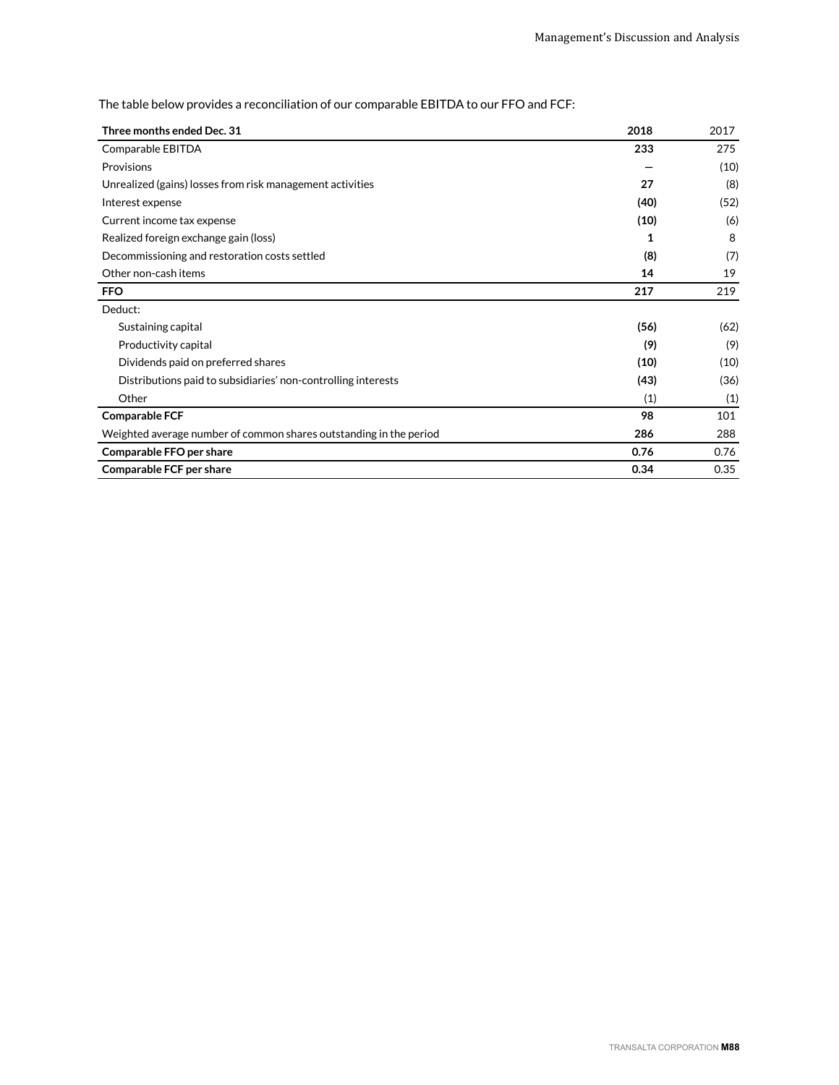The table below provides a reconciliation of our comparable EBITDA to our FFO and FCF:

| Three months ended Dec. 31                                         | 2018 | 2017 |
|--------------------------------------------------------------------|------|------|
| Comparable EBITDA                                                  | 233  | 275  |
| Provisions                                                         |      | (10) |
| Unrealized (gains) losses from risk management activities          | 27   | (8)  |
| Interest expense                                                   | (40) | (52) |
| Current income tax expense                                         | (10) | (6)  |
| Realized foreign exchange gain (loss)                              | 1    | 8    |
| Decommissioning and restoration costs settled                      | (8)  | (7)  |
| Other non-cash items                                               | 14   | 19   |
| <b>FFO</b>                                                         | 217  | 219  |
| Deduct:                                                            |      |      |
| Sustaining capital                                                 | (56) | (62) |
| Productivity capital                                               | (9)  | (9)  |
| Dividends paid on preferred shares                                 | (10) | (10) |
| Distributions paid to subsidiaries' non-controlling interests      | (43) | (36) |
| Other                                                              | (1)  | (1)  |
| <b>Comparable FCF</b>                                              | 98   | 101  |
| Weighted average number of common shares outstanding in the period | 286  | 288  |
| Comparable FFO per share                                           | 0.76 | 0.76 |
| Comparable FCF per share                                           | 0.34 | 0.35 |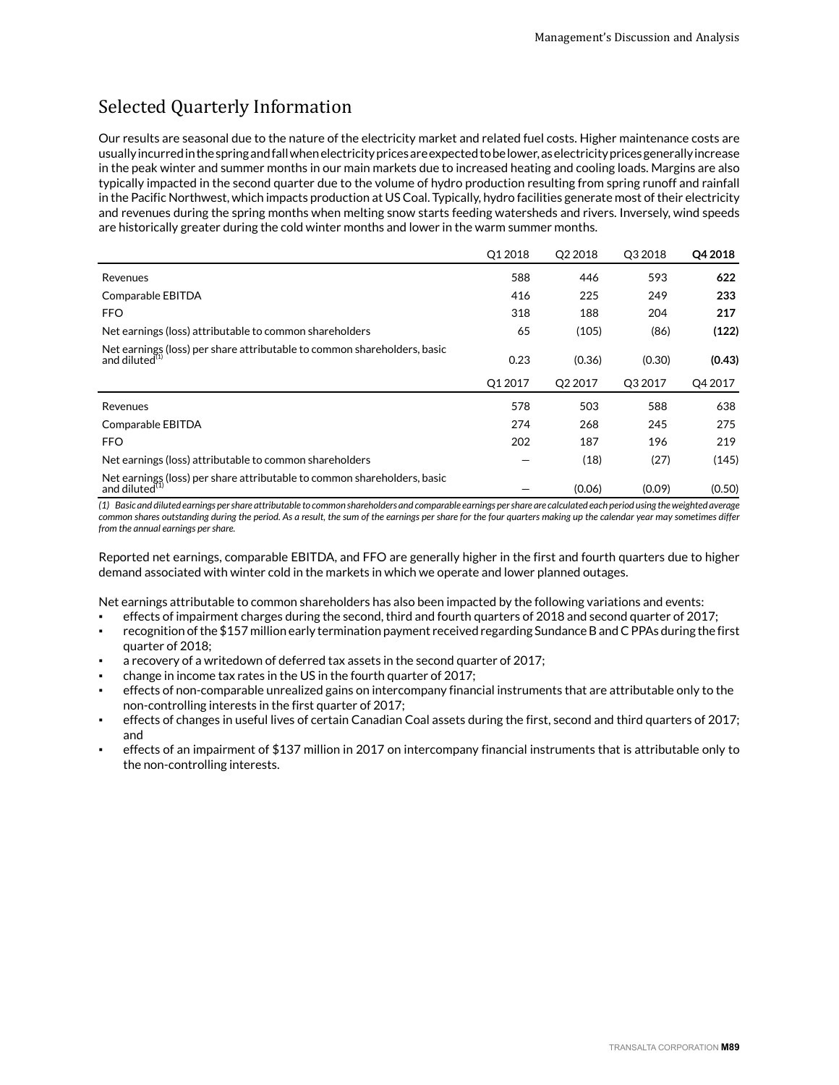# Selected Quarterly Information

Our results are seasonal due to the nature of the electricity market and related fuel costs. Higher maintenance costs are usually incurred in the spring and fall when electricity prices are expected to be lower, as electricity prices generally increase in the peak winter and summer months in our main markets due to increased heating and cooling loads. Margins are also typically impacted in the second quarter due to the volume of hydro production resulting from spring runoff and rainfall in the Pacific Northwest, which impacts production at US Coal. Typically, hydro facilities generate most of their electricity and revenues during the spring months when melting snow starts feeding watersheds and rivers. Inversely, wind speeds are historically greater during the cold winter months and lower in the warm summer months.

|                                                                                               | Q12018 | Q2 2018 | Q3 2018 | Q4 2018 |
|-----------------------------------------------------------------------------------------------|--------|---------|---------|---------|
| Revenues                                                                                      | 588    | 446     | 593     | 622     |
| Comparable EBITDA                                                                             | 416    | 225     | 249     | 233     |
| <b>FFO</b>                                                                                    | 318    | 188     | 204     | 217     |
| Net earnings (loss) attributable to common shareholders                                       | 65     | (105)   | (86)    | (122)   |
| Net earnings (loss) per share attributable to common shareholders, basic<br>and diluted $(1)$ | 0.23   | (0.36)  | (0.30)  | (0.43)  |
|                                                                                               |        |         |         |         |
|                                                                                               | Q12017 | Q2 2017 | Q3 2017 | Q4 2017 |
| Revenues                                                                                      | 578    | 503     | 588     | 638     |
| Comparable EBITDA                                                                             | 274    | 268     | 245     | 275     |
| <b>FFO</b>                                                                                    | 202    | 187     | 196     | 219     |
| Net earnings (loss) attributable to common shareholders                                       |        | (18)    | (27)    | (145)   |

*(1) Basic and diluted earnings per share attributable to common shareholders and comparable earnings per share are calculated each period using the weighted average common shares outstanding during the period. As a result, the sum of the earnings per share for the four quarters making up the calendar year may sometimes differ from the annual earnings per share.*

Reported net earnings, comparable EBITDA, and FFO are generally higher in the first and fourth quarters due to higher demand associated with winter cold in the markets in which we operate and lower planned outages.

Net earnings attributable to common shareholders has also been impacted by the following variations and events:

- effects of impairment charges during the second, third and fourth quarters of 2018 and second quarter of 2017;
- recognition of the \$157 million early termination payment received regarding Sundance B and C PPAs during the first quarter of 2018;
- a recovery of a writedown of deferred tax assets in the second quarter of 2017;
- change in income tax rates in the US in the fourth quarter of 2017;
- effects of non-comparable unrealized gains on intercompany financial instruments that are attributable only to the non-controlling interests in the first quarter of 2017;
- effects of changes in useful lives of certain Canadian Coal assets during the first, second and third quarters of 2017; and
- effects of an impairment of \$137 million in 2017 on intercompany financial instruments that is attributable only to the non-controlling interests.